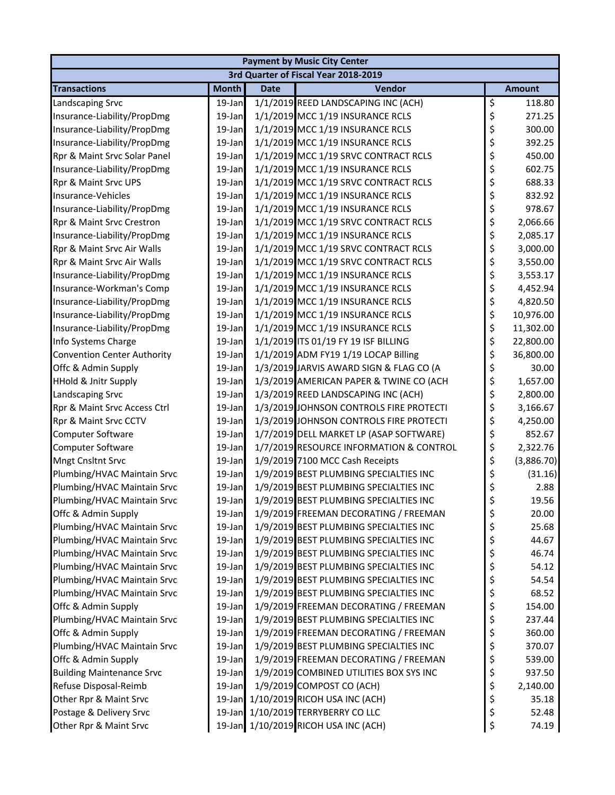| <b>Payment by Music City Center</b> |              |             |                                         |    |               |  |  |  |
|-------------------------------------|--------------|-------------|-----------------------------------------|----|---------------|--|--|--|
|                                     |              |             | 3rd Quarter of Fiscal Year 2018-2019    |    |               |  |  |  |
| <b>Transactions</b>                 | <b>Month</b> | <b>Date</b> | Vendor                                  |    | <b>Amount</b> |  |  |  |
| Landscaping Srvc                    | 19-Jan       |             | 1/1/2019 REED LANDSCAPING INC (ACH)     | \$ | 118.80        |  |  |  |
| Insurance-Liability/PropDmg         | 19-Jan       |             | 1/1/2019 MCC 1/19 INSURANCE RCLS        | \$ | 271.25        |  |  |  |
| Insurance-Liability/PropDmg         | 19-Jan       |             | 1/1/2019 MCC 1/19 INSURANCE RCLS        | \$ | 300.00        |  |  |  |
| Insurance-Liability/PropDmg         | 19-Jan       |             | 1/1/2019 MCC 1/19 INSURANCE RCLS        | \$ | 392.25        |  |  |  |
| Rpr & Maint Srvc Solar Panel        | 19-Jan       |             | 1/1/2019 MCC 1/19 SRVC CONTRACT RCLS    | \$ | 450.00        |  |  |  |
| Insurance-Liability/PropDmg         | 19-Jan       |             | 1/1/2019 MCC 1/19 INSURANCE RCLS        | \$ | 602.75        |  |  |  |
| Rpr & Maint Srvc UPS                | 19-Jan       |             | 1/1/2019 MCC 1/19 SRVC CONTRACT RCLS    | \$ | 688.33        |  |  |  |
| Insurance-Vehicles                  | 19-Jan       |             | 1/1/2019 MCC 1/19 INSURANCE RCLS        | \$ | 832.92        |  |  |  |
| Insurance-Liability/PropDmg         | 19-Jan       |             | 1/1/2019 MCC 1/19 INSURANCE RCLS        | \$ | 978.67        |  |  |  |
| Rpr & Maint Srvc Crestron           | 19-Jan       |             | 1/1/2019 MCC 1/19 SRVC CONTRACT RCLS    | \$ | 2,066.66      |  |  |  |
| Insurance-Liability/PropDmg         | 19-Jan       |             | 1/1/2019 MCC 1/19 INSURANCE RCLS        | \$ | 2,085.17      |  |  |  |
| Rpr & Maint Srvc Air Walls          | 19-Jan       |             | 1/1/2019 MCC 1/19 SRVC CONTRACT RCLS    | \$ | 3,000.00      |  |  |  |
| Rpr & Maint Srvc Air Walls          | 19-Jan       |             | 1/1/2019 MCC 1/19 SRVC CONTRACT RCLS    | \$ | 3,550.00      |  |  |  |
| Insurance-Liability/PropDmg         | 19-Jan       |             | 1/1/2019 MCC 1/19 INSURANCE RCLS        | \$ | 3,553.17      |  |  |  |
| Insurance-Workman's Comp            | 19-Jan       |             | 1/1/2019 MCC 1/19 INSURANCE RCLS        | \$ | 4,452.94      |  |  |  |
| Insurance-Liability/PropDmg         | 19-Jan       |             | 1/1/2019 MCC 1/19 INSURANCE RCLS        | \$ | 4,820.50      |  |  |  |
| Insurance-Liability/PropDmg         | 19-Jan       |             | 1/1/2019 MCC 1/19 INSURANCE RCLS        | \$ | 10,976.00     |  |  |  |
| Insurance-Liability/PropDmg         | 19-Jan       |             | 1/1/2019 MCC 1/19 INSURANCE RCLS        | \$ | 11,302.00     |  |  |  |
| Info Systems Charge                 | 19-Jan       |             | 1/1/2019 ITS 01/19 FY 19 ISF BILLING    | \$ | 22,800.00     |  |  |  |
| <b>Convention Center Authority</b>  | 19-Jan       |             | 1/1/2019 ADM FY19 1/19 LOCAP Billing    | \$ | 36,800.00     |  |  |  |
| Offc & Admin Supply                 | 19-Jan       |             | 1/3/2019 JARVIS AWARD SIGN & FLAG CO (A | \$ | 30.00         |  |  |  |
| <b>HHold &amp; Jnitr Supply</b>     | 19-Jan       |             | 1/3/2019 AMERICAN PAPER & TWINE CO (ACH | \$ | 1,657.00      |  |  |  |
| Landscaping Srvc                    | 19-Jan       |             | 1/3/2019 REED LANDSCAPING INC (ACH)     | \$ | 2,800.00      |  |  |  |
| Rpr & Maint Srvc Access Ctrl        | 19-Jan       |             | 1/3/2019 JOHNSON CONTROLS FIRE PROTECTI | \$ | 3,166.67      |  |  |  |
| Rpr & Maint Srvc CCTV               | 19-Jan       |             | 1/3/2019 JOHNSON CONTROLS FIRE PROTECTI | \$ | 4,250.00      |  |  |  |
| Computer Software                   | 19-Jan       |             | 1/7/2019 DELL MARKET LP (ASAP SOFTWARE) | \$ | 852.67        |  |  |  |
| Computer Software                   | 19-Jan       |             | 1/7/2019 RESOURCE INFORMATION & CONTROL | \$ | 2,322.76      |  |  |  |
| Mngt Cnsltnt Srvc                   | 19-Jan       |             | 1/9/2019 7100 MCC Cash Receipts         | \$ | (3,886.70)    |  |  |  |
| Plumbing/HVAC Maintain Srvc         | 19-Jan       |             | 1/9/2019 BEST PLUMBING SPECIALTIES INC  | \$ | (31.16)       |  |  |  |
| Plumbing/HVAC Maintain Srvc         | 19-Jan       |             | 1/9/2019 BEST PLUMBING SPECIALTIES INC  | \$ | 2.88          |  |  |  |
| Plumbing/HVAC Maintain Srvc         | 19-Jan       |             | 1/9/2019 BEST PLUMBING SPECIALTIES INC  | \$ | 19.56         |  |  |  |
| Offc & Admin Supply                 | 19-Jan       |             | 1/9/2019 FREEMAN DECORATING / FREEMAN   | \$ | 20.00         |  |  |  |
| Plumbing/HVAC Maintain Srvc         | 19-Jan       |             | 1/9/2019 BEST PLUMBING SPECIALTIES INC  | \$ | 25.68         |  |  |  |
| Plumbing/HVAC Maintain Srvc         | 19-Jan       |             | 1/9/2019 BEST PLUMBING SPECIALTIES INC  | \$ | 44.67         |  |  |  |
| Plumbing/HVAC Maintain Srvc         | 19-Jan       |             | 1/9/2019 BEST PLUMBING SPECIALTIES INC  | \$ | 46.74         |  |  |  |
| Plumbing/HVAC Maintain Srvc         | 19-Jan       |             | 1/9/2019 BEST PLUMBING SPECIALTIES INC  | \$ | 54.12         |  |  |  |
| Plumbing/HVAC Maintain Srvc         | 19-Jan       |             | 1/9/2019 BEST PLUMBING SPECIALTIES INC  | \$ | 54.54         |  |  |  |
| Plumbing/HVAC Maintain Srvc         | 19-Jan       |             | 1/9/2019 BEST PLUMBING SPECIALTIES INC  | \$ | 68.52         |  |  |  |
| Offc & Admin Supply                 | 19-Jan       |             | 1/9/2019 FREEMAN DECORATING / FREEMAN   | \$ | 154.00        |  |  |  |
| Plumbing/HVAC Maintain Srvc         | 19-Jan       |             | 1/9/2019 BEST PLUMBING SPECIALTIES INC  | \$ | 237.44        |  |  |  |
| Offc & Admin Supply                 | 19-Jan       |             | 1/9/2019 FREEMAN DECORATING / FREEMAN   | \$ | 360.00        |  |  |  |
| Plumbing/HVAC Maintain Srvc         | 19-Jan       |             | 1/9/2019 BEST PLUMBING SPECIALTIES INC  | \$ | 370.07        |  |  |  |
| Offc & Admin Supply                 | 19-Jan       |             | 1/9/2019 FREEMAN DECORATING / FREEMAN   | \$ | 539.00        |  |  |  |
| <b>Building Maintenance Srvc</b>    | 19-Jan       |             | 1/9/2019 COMBINED UTILITIES BOX SYS INC | \$ | 937.50        |  |  |  |
| Refuse Disposal-Reimb               | 19-Jan       |             | 1/9/2019 COMPOST CO (ACH)               | \$ | 2,140.00      |  |  |  |
| Other Rpr & Maint Srvc              | $19$ -Jan    |             | 1/10/2019 RICOH USA INC (ACH)           | \$ | 35.18         |  |  |  |
| Postage & Delivery Srvc             |              |             | 19-Jan 1/10/2019 TERRYBERRY CO LLC      | \$ | 52.48         |  |  |  |
| Other Rpr & Maint Srvc              |              |             | 19-Jan 1/10/2019 RICOH USA INC (ACH)    | \$ | 74.19         |  |  |  |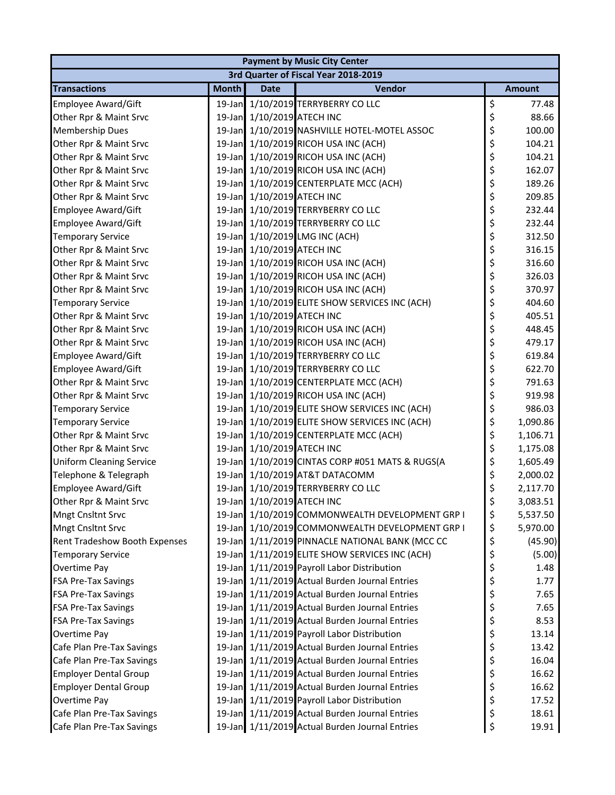| <b>Payment by Music City Center</b> |              |                            |                                                 |    |               |  |  |  |
|-------------------------------------|--------------|----------------------------|-------------------------------------------------|----|---------------|--|--|--|
|                                     |              |                            | 3rd Quarter of Fiscal Year 2018-2019            |    |               |  |  |  |
| <b>Transactions</b>                 | <b>Month</b> | <b>Date</b>                | Vendor                                          |    | <b>Amount</b> |  |  |  |
| Employee Award/Gift                 |              |                            | 19-Jan 1/10/2019 TERRYBERRY CO LLC              | \$ | 77.48         |  |  |  |
| Other Rpr & Maint Srvc              |              | 19-Jan 1/10/2019 ATECH INC |                                                 | \$ | 88.66         |  |  |  |
| Membership Dues                     | $19$ -Jan    |                            | 1/10/2019 NASHVILLE HOTEL-MOTEL ASSOC           | \$ | 100.00        |  |  |  |
| Other Rpr & Maint Srvc              |              |                            | 19-Jan 1/10/2019 RICOH USA INC (ACH)            | \$ | 104.21        |  |  |  |
| Other Rpr & Maint Srvc              |              |                            | 19-Jan 1/10/2019 RICOH USA INC (ACH)            | \$ | 104.21        |  |  |  |
| Other Rpr & Maint Srvc              |              |                            | 19-Jan 1/10/2019 RICOH USA INC (ACH)            | \$ | 162.07        |  |  |  |
| Other Rpr & Maint Srvc              |              |                            | 19-Jan 1/10/2019 CENTERPLATE MCC (ACH)          | \$ | 189.26        |  |  |  |
| Other Rpr & Maint Srvc              |              | 19-Jan 1/10/2019 ATECH INC |                                                 | \$ | 209.85        |  |  |  |
| Employee Award/Gift                 |              |                            | 19-Jan 1/10/2019 TERRYBERRY CO LLC              | \$ | 232.44        |  |  |  |
| Employee Award/Gift                 |              |                            | 19-Jan 1/10/2019 TERRYBERRY CO LLC              | \$ | 232.44        |  |  |  |
| <b>Temporary Service</b>            |              |                            | 19-Jan 1/10/2019 LMG INC (ACH)                  | \$ | 312.50        |  |  |  |
| Other Rpr & Maint Srvc              |              | 19-Jan 1/10/2019 ATECH INC |                                                 | \$ | 316.15        |  |  |  |
| Other Rpr & Maint Srvc              |              |                            | 19-Jan 1/10/2019 RICOH USA INC (ACH)            | \$ | 316.60        |  |  |  |
| Other Rpr & Maint Srvc              |              |                            | 19-Jan 1/10/2019 RICOH USA INC (ACH)            | \$ | 326.03        |  |  |  |
| Other Rpr & Maint Srvc              |              |                            | 19-Jan 1/10/2019 RICOH USA INC (ACH)            | \$ | 370.97        |  |  |  |
| <b>Temporary Service</b>            |              |                            | 19-Jan 1/10/2019 ELITE SHOW SERVICES INC (ACH)  | \$ | 404.60        |  |  |  |
| Other Rpr & Maint Srvc              |              | 19-Jan 1/10/2019 ATECH INC |                                                 | \$ | 405.51        |  |  |  |
| Other Rpr & Maint Srvc              |              |                            | 19-Jan 1/10/2019 RICOH USA INC (ACH)            | \$ | 448.45        |  |  |  |
| Other Rpr & Maint Srvc              |              |                            | 19-Jan 1/10/2019 RICOH USA INC (ACH)            | \$ | 479.17        |  |  |  |
| Employee Award/Gift                 |              |                            | 19-Jan 1/10/2019 TERRYBERRY CO LLC              | \$ | 619.84        |  |  |  |
| Employee Award/Gift                 |              |                            | 19-Jan 1/10/2019 TERRYBERRY CO LLC              | \$ | 622.70        |  |  |  |
| Other Rpr & Maint Srvc              |              |                            | 19-Jan 1/10/2019 CENTERPLATE MCC (ACH)          | \$ | 791.63        |  |  |  |
| Other Rpr & Maint Srvc              |              |                            | 19-Jan 1/10/2019 RICOH USA INC (ACH)            | \$ | 919.98        |  |  |  |
| <b>Temporary Service</b>            |              |                            | 19-Jan 1/10/2019 ELITE SHOW SERVICES INC (ACH)  | \$ | 986.03        |  |  |  |
| <b>Temporary Service</b>            |              |                            | 19-Jan 1/10/2019 ELITE SHOW SERVICES INC (ACH)  | \$ | 1,090.86      |  |  |  |
| Other Rpr & Maint Srvc              |              |                            | 19-Jan 1/10/2019 CENTERPLATE MCC (ACH)          | \$ | 1,106.71      |  |  |  |
| Other Rpr & Maint Srvc              |              | 19-Jan 1/10/2019 ATECH INC |                                                 | \$ | 1,175.08      |  |  |  |
| <b>Uniform Cleaning Service</b>     |              |                            | 19-Jan 1/10/2019 CINTAS CORP #051 MATS & RUGS(A | \$ | 1,605.49      |  |  |  |
| Telephone & Telegraph               |              |                            | 19-Jan 1/10/2019 AT&T DATACOMM                  | \$ | 2,000.02      |  |  |  |
| <b>Employee Award/Gift</b>          |              |                            | 19-Jan 1/10/2019 TERRYBERRY CO LLC              | \$ | 2,117.70      |  |  |  |
| Other Rpr & Maint Srvc              |              | 19-Jan 1/10/2019 ATECH INC |                                                 | \$ | 3,083.51      |  |  |  |
| <b>Mngt Cnsltnt Srvc</b>            |              |                            | 19-Jan 1/10/2019 COMMONWEALTH DEVELOPMENT GRP I | \$ | 5,537.50      |  |  |  |
| <b>Mngt Cnsltnt Srvc</b>            |              |                            | 19-Jan 1/10/2019 COMMONWEALTH DEVELOPMENT GRP I | \$ | 5,970.00      |  |  |  |
| Rent Tradeshow Booth Expenses       |              |                            | 19-Jan 1/11/2019 PINNACLE NATIONAL BANK (MCC CC | \$ | (45.90)       |  |  |  |
| <b>Temporary Service</b>            |              |                            | 19-Jan 1/11/2019 ELITE SHOW SERVICES INC (ACH)  | \$ | (5.00)        |  |  |  |
| Overtime Pay                        |              |                            | 19-Jan 1/11/2019 Payroll Labor Distribution     | \$ | 1.48          |  |  |  |
| FSA Pre-Tax Savings                 | $19$ -Jan    |                            | 1/11/2019 Actual Burden Journal Entries         | \$ | 1.77          |  |  |  |
| <b>FSA Pre-Tax Savings</b>          |              |                            | 19-Jan 1/11/2019 Actual Burden Journal Entries  | \$ | 7.65          |  |  |  |
| <b>FSA Pre-Tax Savings</b>          |              |                            | 19-Jan 1/11/2019 Actual Burden Journal Entries  | \$ | 7.65          |  |  |  |
| <b>FSA Pre-Tax Savings</b>          |              |                            | 19-Jan 1/11/2019 Actual Burden Journal Entries  | \$ | 8.53          |  |  |  |
| Overtime Pay                        |              |                            | 19-Jan 1/11/2019 Payroll Labor Distribution     | \$ | 13.14         |  |  |  |
| Cafe Plan Pre-Tax Savings           |              |                            | 19-Jan 1/11/2019 Actual Burden Journal Entries  | \$ | 13.42         |  |  |  |
| Cafe Plan Pre-Tax Savings           |              |                            | 19-Jan 1/11/2019 Actual Burden Journal Entries  | \$ | 16.04         |  |  |  |
| <b>Employer Dental Group</b>        |              |                            | 19-Jan 1/11/2019 Actual Burden Journal Entries  | \$ | 16.62         |  |  |  |
| <b>Employer Dental Group</b>        |              |                            | 19-Jan 1/11/2019 Actual Burden Journal Entries  | \$ | 16.62         |  |  |  |
| Overtime Pay                        |              |                            | 19-Jan 1/11/2019 Payroll Labor Distribution     | \$ | 17.52         |  |  |  |
| Cafe Plan Pre-Tax Savings           |              |                            | 19-Jan 1/11/2019 Actual Burden Journal Entries  | \$ | 18.61         |  |  |  |
| Cafe Plan Pre-Tax Savings           |              |                            | 19-Jan 1/11/2019 Actual Burden Journal Entries  | \$ | 19.91         |  |  |  |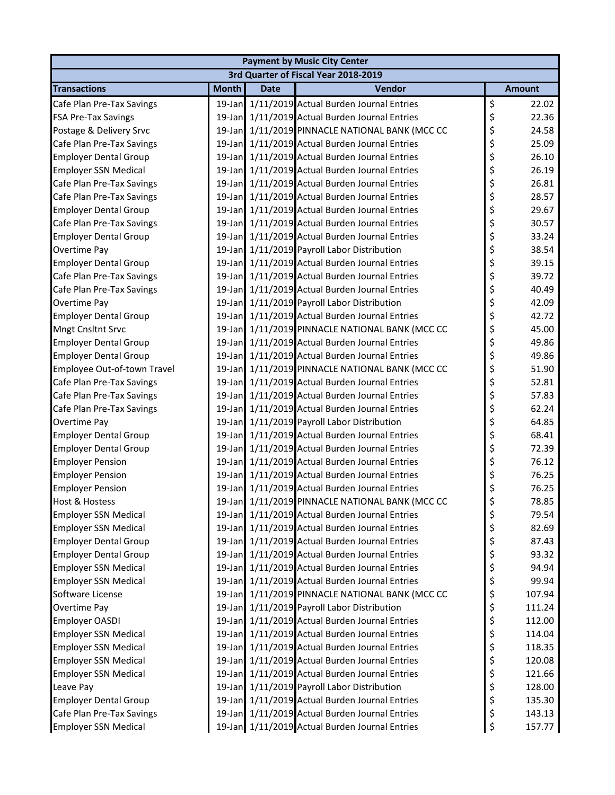| <b>Payment by Music City Center</b> |              |             |                                                 |    |               |  |  |  |
|-------------------------------------|--------------|-------------|-------------------------------------------------|----|---------------|--|--|--|
|                                     |              |             | 3rd Quarter of Fiscal Year 2018-2019            |    |               |  |  |  |
| <b>Transactions</b>                 | <b>Month</b> | <b>Date</b> | Vendor                                          |    | <b>Amount</b> |  |  |  |
| Cafe Plan Pre-Tax Savings           |              |             | 19-Jan 1/11/2019 Actual Burden Journal Entries  | \$ | 22.02         |  |  |  |
| <b>FSA Pre-Tax Savings</b>          |              |             | 19-Jan 1/11/2019 Actual Burden Journal Entries  | \$ | 22.36         |  |  |  |
| Postage & Delivery Srvc             | $19$ -Jan    |             | 1/11/2019 PINNACLE NATIONAL BANK (MCC CC        | \$ | 24.58         |  |  |  |
| Cafe Plan Pre-Tax Savings           |              |             | 19-Jan 1/11/2019 Actual Burden Journal Entries  | \$ | 25.09         |  |  |  |
| <b>Employer Dental Group</b>        |              |             | 19-Jan 1/11/2019 Actual Burden Journal Entries  | \$ | 26.10         |  |  |  |
| <b>Employer SSN Medical</b>         |              |             | 19-Jan 1/11/2019 Actual Burden Journal Entries  | \$ | 26.19         |  |  |  |
| Cafe Plan Pre-Tax Savings           |              |             | 19-Jan 1/11/2019 Actual Burden Journal Entries  | \$ | 26.81         |  |  |  |
| Cafe Plan Pre-Tax Savings           |              |             | 19-Jan 1/11/2019 Actual Burden Journal Entries  | \$ | 28.57         |  |  |  |
| <b>Employer Dental Group</b>        |              |             | 19-Jan 1/11/2019 Actual Burden Journal Entries  | \$ | 29.67         |  |  |  |
| Cafe Plan Pre-Tax Savings           |              |             | 19-Jan 1/11/2019 Actual Burden Journal Entries  | \$ | 30.57         |  |  |  |
| <b>Employer Dental Group</b>        |              |             | 19-Jan 1/11/2019 Actual Burden Journal Entries  | \$ | 33.24         |  |  |  |
| Overtime Pay                        |              |             | 19-Jan 1/11/2019 Payroll Labor Distribution     | \$ | 38.54         |  |  |  |
| <b>Employer Dental Group</b>        | 19-Jan       |             | 1/11/2019 Actual Burden Journal Entries         | \$ | 39.15         |  |  |  |
| Cafe Plan Pre-Tax Savings           |              |             | 19-Jan 1/11/2019 Actual Burden Journal Entries  | \$ | 39.72         |  |  |  |
| Cafe Plan Pre-Tax Savings           |              |             | 19-Jan 1/11/2019 Actual Burden Journal Entries  | \$ | 40.49         |  |  |  |
| Overtime Pay                        |              |             | 19-Jan 1/11/2019 Payroll Labor Distribution     | \$ | 42.09         |  |  |  |
| <b>Employer Dental Group</b>        |              |             | 19-Jan 1/11/2019 Actual Burden Journal Entries  | \$ | 42.72         |  |  |  |
| <b>Mngt Cnsltnt Srvc</b>            |              |             | 19-Jan 1/11/2019 PINNACLE NATIONAL BANK (MCC CC | \$ | 45.00         |  |  |  |
| <b>Employer Dental Group</b>        |              |             | 19-Jan 1/11/2019 Actual Burden Journal Entries  | \$ | 49.86         |  |  |  |
| <b>Employer Dental Group</b>        |              |             | 19-Jan 1/11/2019 Actual Burden Journal Entries  | \$ | 49.86         |  |  |  |
| Employee Out-of-town Travel         |              |             | 19-Jan 1/11/2019 PINNACLE NATIONAL BANK (MCC CC | \$ | 51.90         |  |  |  |
| Cafe Plan Pre-Tax Savings           |              |             | 19-Jan 1/11/2019 Actual Burden Journal Entries  | \$ | 52.81         |  |  |  |
| Cafe Plan Pre-Tax Savings           | $19$ -Jan    |             | 1/11/2019 Actual Burden Journal Entries         | \$ | 57.83         |  |  |  |
| Cafe Plan Pre-Tax Savings           |              |             | 19-Jan 1/11/2019 Actual Burden Journal Entries  | \$ | 62.24         |  |  |  |
| Overtime Pay                        |              |             | 19-Jan 1/11/2019 Payroll Labor Distribution     | \$ | 64.85         |  |  |  |
| <b>Employer Dental Group</b>        |              |             | 19-Jan 1/11/2019 Actual Burden Journal Entries  | \$ | 68.41         |  |  |  |
| <b>Employer Dental Group</b>        |              |             | 19-Jan 1/11/2019 Actual Burden Journal Entries  | \$ | 72.39         |  |  |  |
| <b>Employer Pension</b>             |              |             | 19-Jan 1/11/2019 Actual Burden Journal Entries  | \$ | 76.12         |  |  |  |
| <b>Employer Pension</b>             |              |             | 19-Jan 1/11/2019 Actual Burden Journal Entries  | \$ | 76.25         |  |  |  |
| <b>Employer Pension</b>             |              |             | 19-Jan 1/11/2019 Actual Burden Journal Entries  | \$ | 76.25         |  |  |  |
| <b>Host &amp; Hostess</b>           |              |             | 19-Jan 1/11/2019 PINNACLE NATIONAL BANK (MCC CC | \$ | 78.85         |  |  |  |
| <b>Employer SSN Medical</b>         |              |             | 19-Jan 1/11/2019 Actual Burden Journal Entries  | \$ | 79.54         |  |  |  |
| <b>Employer SSN Medical</b>         | 19-Jan       |             | 1/11/2019 Actual Burden Journal Entries         | \$ | 82.69         |  |  |  |
| <b>Employer Dental Group</b>        |              |             | 19-Jan 1/11/2019 Actual Burden Journal Entries  | \$ | 87.43         |  |  |  |
| <b>Employer Dental Group</b>        |              |             | 19-Jan 1/11/2019 Actual Burden Journal Entries  | \$ | 93.32         |  |  |  |
| <b>Employer SSN Medical</b>         |              |             | 19-Jan 1/11/2019 Actual Burden Journal Entries  | \$ | 94.94         |  |  |  |
| <b>Employer SSN Medical</b>         | $19$ -Jan    |             | 1/11/2019 Actual Burden Journal Entries         | \$ | 99.94         |  |  |  |
| Software License                    | $19$ -Jan    |             | 1/11/2019 PINNACLE NATIONAL BANK (MCC CC        | \$ | 107.94        |  |  |  |
| Overtime Pay                        |              |             | 19-Jan 1/11/2019 Payroll Labor Distribution     | \$ | 111.24        |  |  |  |
| Employer OASDI                      |              |             | 19-Jan 1/11/2019 Actual Burden Journal Entries  | \$ | 112.00        |  |  |  |
| <b>Employer SSN Medical</b>         |              |             | 19-Jan 1/11/2019 Actual Burden Journal Entries  | \$ | 114.04        |  |  |  |
| <b>Employer SSN Medical</b>         |              |             | 19-Jan 1/11/2019 Actual Burden Journal Entries  | \$ | 118.35        |  |  |  |
| <b>Employer SSN Medical</b>         |              |             | 19-Jan 1/11/2019 Actual Burden Journal Entries  | \$ | 120.08        |  |  |  |
| <b>Employer SSN Medical</b>         |              |             | 19-Jan 1/11/2019 Actual Burden Journal Entries  | \$ | 121.66        |  |  |  |
| Leave Pay                           |              |             | 19-Jan 1/11/2019 Payroll Labor Distribution     | \$ | 128.00        |  |  |  |
| <b>Employer Dental Group</b>        |              |             | 19-Jan 1/11/2019 Actual Burden Journal Entries  | \$ | 135.30        |  |  |  |
| Cafe Plan Pre-Tax Savings           |              |             | 19-Jan 1/11/2019 Actual Burden Journal Entries  | \$ | 143.13        |  |  |  |
| <b>Employer SSN Medical</b>         |              |             | 19-Jan 1/11/2019 Actual Burden Journal Entries  | \$ | 157.77        |  |  |  |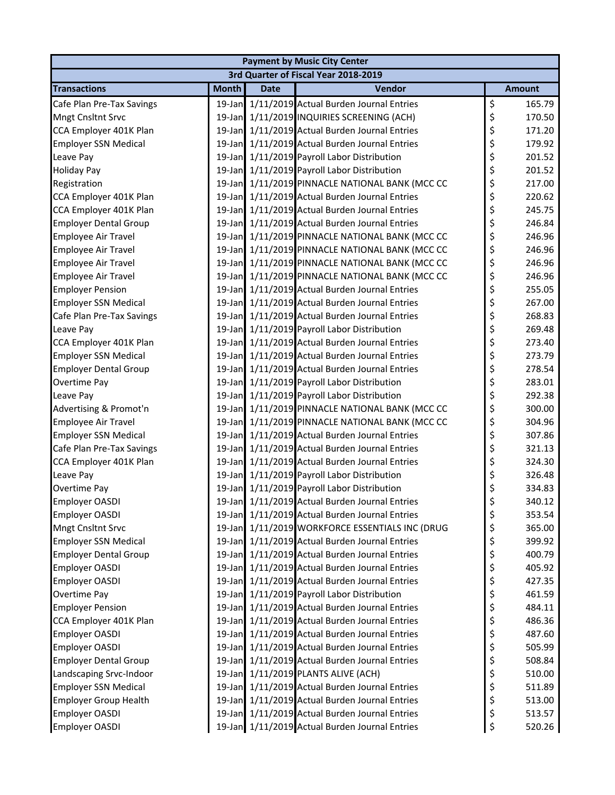| <b>Payment by Music City Center</b> |              |             |                                                 |    |               |  |  |  |
|-------------------------------------|--------------|-------------|-------------------------------------------------|----|---------------|--|--|--|
|                                     |              |             | 3rd Quarter of Fiscal Year 2018-2019            |    |               |  |  |  |
| <b>Transactions</b>                 | <b>Month</b> | <b>Date</b> | Vendor                                          |    | <b>Amount</b> |  |  |  |
| Cafe Plan Pre-Tax Savings           |              |             | 19-Jan 1/11/2019 Actual Burden Journal Entries  | \$ | 165.79        |  |  |  |
| <b>Mngt Cnsltnt Srvc</b>            |              |             | 19-Jan 1/11/2019 INQUIRIES SCREENING (ACH)      | \$ | 170.50        |  |  |  |
| CCA Employer 401K Plan              |              |             | 19-Jan 1/11/2019 Actual Burden Journal Entries  | \$ | 171.20        |  |  |  |
| <b>Employer SSN Medical</b>         |              |             | 19-Jan 1/11/2019 Actual Burden Journal Entries  | \$ | 179.92        |  |  |  |
| Leave Pay                           |              |             | 19-Jan 1/11/2019 Payroll Labor Distribution     | \$ | 201.52        |  |  |  |
| <b>Holiday Pay</b>                  |              |             | 19-Jan 1/11/2019 Payroll Labor Distribution     | \$ | 201.52        |  |  |  |
| Registration                        |              |             | 19-Jan 1/11/2019 PINNACLE NATIONAL BANK (MCC CC | \$ | 217.00        |  |  |  |
| CCA Employer 401K Plan              |              |             | 19-Jan 1/11/2019 Actual Burden Journal Entries  | \$ | 220.62        |  |  |  |
| CCA Employer 401K Plan              |              |             | 19-Jan 1/11/2019 Actual Burden Journal Entries  | \$ | 245.75        |  |  |  |
| <b>Employer Dental Group</b>        |              |             | 19-Jan 1/11/2019 Actual Burden Journal Entries  | \$ | 246.84        |  |  |  |
| Employee Air Travel                 |              |             | 19-Jan 1/11/2019 PINNACLE NATIONAL BANK (MCC CC | \$ | 246.96        |  |  |  |
| Employee Air Travel                 |              |             | 19-Jan 1/11/2019 PINNACLE NATIONAL BANK (MCC CC | \$ | 246.96        |  |  |  |
| <b>Employee Air Travel</b>          |              |             | 19-Jan 1/11/2019 PINNACLE NATIONAL BANK (MCC CC | \$ | 246.96        |  |  |  |
| <b>Employee Air Travel</b>          |              |             | 19-Jan 1/11/2019 PINNACLE NATIONAL BANK (MCC CC | \$ | 246.96        |  |  |  |
| <b>Employer Pension</b>             |              |             | 19-Jan 1/11/2019 Actual Burden Journal Entries  | \$ | 255.05        |  |  |  |
| <b>Employer SSN Medical</b>         |              |             | 19-Jan 1/11/2019 Actual Burden Journal Entries  | \$ | 267.00        |  |  |  |
| Cafe Plan Pre-Tax Savings           |              |             | 19-Jan 1/11/2019 Actual Burden Journal Entries  | \$ | 268.83        |  |  |  |
| Leave Pay                           |              |             | 19-Jan 1/11/2019 Payroll Labor Distribution     | \$ | 269.48        |  |  |  |
| CCA Employer 401K Plan              |              |             | 19-Jan 1/11/2019 Actual Burden Journal Entries  | \$ | 273.40        |  |  |  |
| <b>Employer SSN Medical</b>         |              |             | 19-Jan 1/11/2019 Actual Burden Journal Entries  | \$ | 273.79        |  |  |  |
| <b>Employer Dental Group</b>        |              |             | 19-Jan 1/11/2019 Actual Burden Journal Entries  | \$ | 278.54        |  |  |  |
| Overtime Pay                        |              |             | 19-Jan 1/11/2019 Payroll Labor Distribution     | \$ | 283.01        |  |  |  |
| Leave Pay                           |              |             | 19-Jan 1/11/2019 Payroll Labor Distribution     | \$ | 292.38        |  |  |  |
| Advertising & Promot'n              |              |             | 19-Jan 1/11/2019 PINNACLE NATIONAL BANK (MCC CC | \$ | 300.00        |  |  |  |
| Employee Air Travel                 |              |             | 19-Jan 1/11/2019 PINNACLE NATIONAL BANK (MCC CC | \$ | 304.96        |  |  |  |
| <b>Employer SSN Medical</b>         |              |             | 19-Jan 1/11/2019 Actual Burden Journal Entries  | \$ | 307.86        |  |  |  |
| Cafe Plan Pre-Tax Savings           |              |             | 19-Jan 1/11/2019 Actual Burden Journal Entries  | \$ | 321.13        |  |  |  |
| CCA Employer 401K Plan              |              |             | 19-Jan 1/11/2019 Actual Burden Journal Entries  | \$ | 324.30        |  |  |  |
| Leave Pay                           |              |             | 19-Jan 1/11/2019 Payroll Labor Distribution     | \$ | 326.48        |  |  |  |
| Overtime Pay                        |              |             | 19-Jan 1/11/2019 Payroll Labor Distribution     | \$ | 334.83        |  |  |  |
| <b>Employer OASDI</b>               |              |             | 19-Jan 1/11/2019 Actual Burden Journal Entries  | \$ | 340.12        |  |  |  |
| <b>Employer OASDI</b>               |              |             | 19-Jan 1/11/2019 Actual Burden Journal Entries  | \$ | 353.54        |  |  |  |
| Mngt Cnsltnt Srvc                   |              |             | 19-Jan 1/11/2019 WORKFORCE ESSENTIALS INC (DRUG | \$ | 365.00        |  |  |  |
| <b>Employer SSN Medical</b>         |              |             | 19-Jan 1/11/2019 Actual Burden Journal Entries  | \$ | 399.92        |  |  |  |
| <b>Employer Dental Group</b>        |              |             | 19-Jan 1/11/2019 Actual Burden Journal Entries  | \$ | 400.79        |  |  |  |
| <b>Employer OASDI</b>               |              |             | 19-Jan 1/11/2019 Actual Burden Journal Entries  | \$ | 405.92        |  |  |  |
| Employer OASDI                      |              |             | 19-Jan 1/11/2019 Actual Burden Journal Entries  | \$ | 427.35        |  |  |  |
| Overtime Pay                        |              |             | 19-Jan 1/11/2019 Payroll Labor Distribution     | \$ | 461.59        |  |  |  |
| <b>Employer Pension</b>             |              |             | 19-Jan 1/11/2019 Actual Burden Journal Entries  | \$ | 484.11        |  |  |  |
| CCA Employer 401K Plan              |              |             | 19-Jan 1/11/2019 Actual Burden Journal Entries  | \$ | 486.36        |  |  |  |
| <b>Employer OASDI</b>               |              |             | 19-Jan 1/11/2019 Actual Burden Journal Entries  | \$ | 487.60        |  |  |  |
| <b>Employer OASDI</b>               |              |             | 19-Jan 1/11/2019 Actual Burden Journal Entries  | \$ | 505.99        |  |  |  |
| <b>Employer Dental Group</b>        |              |             | 19-Jan 1/11/2019 Actual Burden Journal Entries  | \$ | 508.84        |  |  |  |
| Landscaping Srvc-Indoor             |              |             | 19-Jan 1/11/2019 PLANTS ALIVE (ACH)             | \$ | 510.00        |  |  |  |
| <b>Employer SSN Medical</b>         |              |             | 19-Jan 1/11/2019 Actual Burden Journal Entries  | \$ | 511.89        |  |  |  |
| <b>Employer Group Health</b>        |              |             | 19-Jan 1/11/2019 Actual Burden Journal Entries  | \$ | 513.00        |  |  |  |
| <b>Employer OASDI</b>               |              |             | 19-Jan 1/11/2019 Actual Burden Journal Entries  | \$ | 513.57        |  |  |  |
| <b>Employer OASDI</b>               |              |             | 19-Jan 1/11/2019 Actual Burden Journal Entries  | \$ | 520.26        |  |  |  |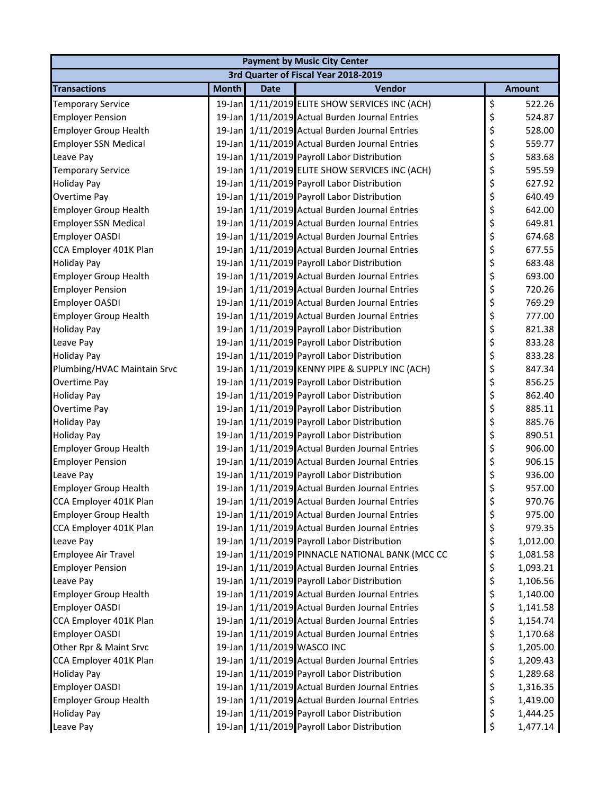| <b>Payment by Music City Center</b> |              |             |                                                 |    |               |  |  |  |
|-------------------------------------|--------------|-------------|-------------------------------------------------|----|---------------|--|--|--|
|                                     |              |             | 3rd Quarter of Fiscal Year 2018-2019            |    |               |  |  |  |
| <b>Transactions</b>                 | <b>Month</b> | <b>Date</b> | Vendor                                          |    | <b>Amount</b> |  |  |  |
| <b>Temporary Service</b>            |              |             | 19-Jan 1/11/2019 ELITE SHOW SERVICES INC (ACH)  | \$ | 522.26        |  |  |  |
| <b>Employer Pension</b>             |              |             | 19-Jan 1/11/2019 Actual Burden Journal Entries  | \$ | 524.87        |  |  |  |
| <b>Employer Group Health</b>        |              |             | 19-Jan 1/11/2019 Actual Burden Journal Entries  | \$ | 528.00        |  |  |  |
| <b>Employer SSN Medical</b>         |              |             | 19-Jan 1/11/2019 Actual Burden Journal Entries  | \$ | 559.77        |  |  |  |
| Leave Pay                           |              |             | 19-Jan 1/11/2019 Payroll Labor Distribution     | \$ | 583.68        |  |  |  |
| <b>Temporary Service</b>            |              |             | 19-Jan 1/11/2019 ELITE SHOW SERVICES INC (ACH)  | \$ | 595.59        |  |  |  |
| <b>Holiday Pay</b>                  |              |             | 19-Jan 1/11/2019 Payroll Labor Distribution     | \$ | 627.92        |  |  |  |
| Overtime Pay                        |              |             | 19-Jan 1/11/2019 Payroll Labor Distribution     | \$ | 640.49        |  |  |  |
| <b>Employer Group Health</b>        |              |             | 19-Jan 1/11/2019 Actual Burden Journal Entries  | \$ | 642.00        |  |  |  |
| <b>Employer SSN Medical</b>         |              |             | 19-Jan 1/11/2019 Actual Burden Journal Entries  | \$ | 649.81        |  |  |  |
| <b>Employer OASDI</b>               |              |             | 19-Jan 1/11/2019 Actual Burden Journal Entries  | \$ | 674.68        |  |  |  |
| CCA Employer 401K Plan              |              |             | 19-Jan 1/11/2019 Actual Burden Journal Entries  | \$ | 677.55        |  |  |  |
| <b>Holiday Pay</b>                  |              |             | 19-Jan 1/11/2019 Payroll Labor Distribution     | \$ | 683.48        |  |  |  |
| <b>Employer Group Health</b>        |              |             | 19-Jan 1/11/2019 Actual Burden Journal Entries  | \$ | 693.00        |  |  |  |
| <b>Employer Pension</b>             |              |             | 19-Jan 1/11/2019 Actual Burden Journal Entries  | \$ | 720.26        |  |  |  |
| <b>Employer OASDI</b>               |              |             | 19-Jan 1/11/2019 Actual Burden Journal Entries  | \$ | 769.29        |  |  |  |
| <b>Employer Group Health</b>        |              |             | 19-Jan 1/11/2019 Actual Burden Journal Entries  | \$ | 777.00        |  |  |  |
| <b>Holiday Pay</b>                  |              |             | 19-Jan 1/11/2019 Payroll Labor Distribution     | \$ | 821.38        |  |  |  |
| Leave Pay                           |              |             | 19-Jan 1/11/2019 Payroll Labor Distribution     | \$ | 833.28        |  |  |  |
| <b>Holiday Pay</b>                  |              |             | 19-Jan 1/11/2019 Payroll Labor Distribution     | \$ | 833.28        |  |  |  |
| Plumbing/HVAC Maintain Srvc         |              |             | 19-Jan 1/11/2019 KENNY PIPE & SUPPLY INC (ACH)  | \$ | 847.34        |  |  |  |
| Overtime Pay                        |              |             | 19-Jan 1/11/2019 Payroll Labor Distribution     | \$ | 856.25        |  |  |  |
| <b>Holiday Pay</b>                  |              |             | 19-Jan 1/11/2019 Payroll Labor Distribution     | \$ | 862.40        |  |  |  |
| Overtime Pay                        |              |             | 19-Jan 1/11/2019 Payroll Labor Distribution     | \$ | 885.11        |  |  |  |
| <b>Holiday Pay</b>                  |              |             | 19-Jan 1/11/2019 Payroll Labor Distribution     | \$ | 885.76        |  |  |  |
| <b>Holiday Pay</b>                  |              |             | 19-Jan 1/11/2019 Payroll Labor Distribution     | \$ | 890.51        |  |  |  |
| <b>Employer Group Health</b>        |              |             | 19-Jan 1/11/2019 Actual Burden Journal Entries  | \$ | 906.00        |  |  |  |
| <b>Employer Pension</b>             |              |             | 19-Jan 1/11/2019 Actual Burden Journal Entries  | \$ | 906.15        |  |  |  |
| Leave Pay                           |              |             | 19-Jan 1/11/2019 Payroll Labor Distribution     | \$ | 936.00        |  |  |  |
| <b>Employer Group Health</b>        |              |             | 19-Jan 1/11/2019 Actual Burden Journal Entries  | \$ | 957.00        |  |  |  |
| CCA Employer 401K Plan              |              |             | 19-Jan 1/11/2019 Actual Burden Journal Entries  | \$ | 970.76        |  |  |  |
| <b>Employer Group Health</b>        |              |             | 19-Jan 1/11/2019 Actual Burden Journal Entries  | \$ | 975.00        |  |  |  |
| CCA Employer 401K Plan              |              |             | 19-Jan 1/11/2019 Actual Burden Journal Entries  | \$ | 979.35        |  |  |  |
| Leave Pay                           |              |             | 19-Jan 1/11/2019 Payroll Labor Distribution     | \$ | 1,012.00      |  |  |  |
| Employee Air Travel                 |              |             | 19-Jan 1/11/2019 PINNACLE NATIONAL BANK (MCC CC | \$ | 1,081.58      |  |  |  |
| <b>Employer Pension</b>             |              |             | 19-Jan 1/11/2019 Actual Burden Journal Entries  | \$ | 1,093.21      |  |  |  |
| Leave Pay                           | $19$ -Jan    |             | 1/11/2019 Payroll Labor Distribution            | \$ | 1,106.56      |  |  |  |
| <b>Employer Group Health</b>        |              |             | 19-Jan 1/11/2019 Actual Burden Journal Entries  | \$ | 1,140.00      |  |  |  |
| <b>Employer OASDI</b>               |              |             | 19-Jan 1/11/2019 Actual Burden Journal Entries  | \$ | 1,141.58      |  |  |  |
| CCA Employer 401K Plan              |              |             | 19-Jan 1/11/2019 Actual Burden Journal Entries  | \$ | 1,154.74      |  |  |  |
| <b>Employer OASDI</b>               |              |             | 19-Jan 1/11/2019 Actual Burden Journal Entries  | \$ | 1,170.68      |  |  |  |
| Other Rpr & Maint Srvc              |              |             | 19-Jan 1/11/2019 WASCO INC                      | \$ | 1,205.00      |  |  |  |
| CCA Employer 401K Plan              |              |             | 19-Jan 1/11/2019 Actual Burden Journal Entries  | \$ | 1,209.43      |  |  |  |
| <b>Holiday Pay</b>                  |              |             | 19-Jan 1/11/2019 Payroll Labor Distribution     | \$ | 1,289.68      |  |  |  |
| <b>Employer OASDI</b>               |              |             | 19-Jan 1/11/2019 Actual Burden Journal Entries  | \$ | 1,316.35      |  |  |  |
| <b>Employer Group Health</b>        |              |             | 19-Jan 1/11/2019 Actual Burden Journal Entries  | \$ | 1,419.00      |  |  |  |
| <b>Holiday Pay</b>                  |              |             | 19-Jan 1/11/2019 Payroll Labor Distribution     | \$ | 1,444.25      |  |  |  |
| Leave Pay                           |              |             | 19-Jan 1/11/2019 Payroll Labor Distribution     | \$ | 1,477.14      |  |  |  |
|                                     |              |             |                                                 |    |               |  |  |  |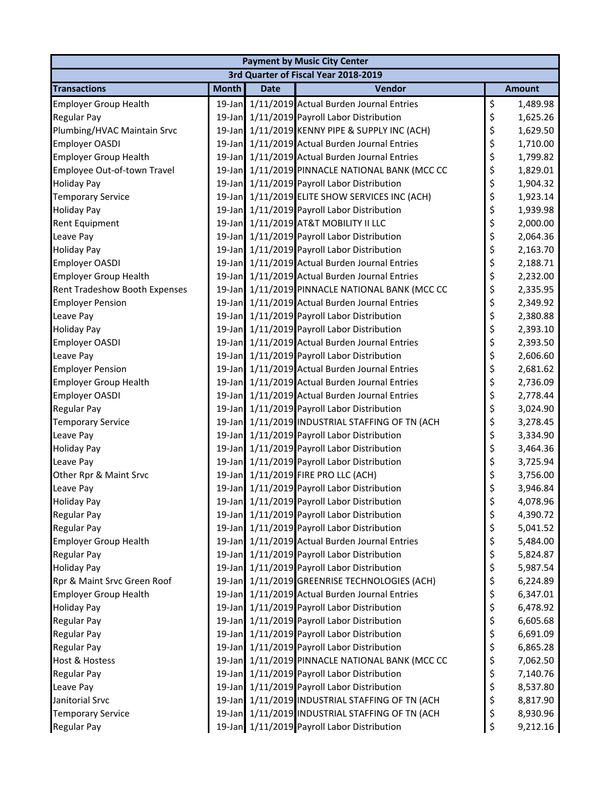| <b>Payment by Music City Center</b> |              |             |                                                 |    |               |  |  |  |
|-------------------------------------|--------------|-------------|-------------------------------------------------|----|---------------|--|--|--|
|                                     |              |             | 3rd Quarter of Fiscal Year 2018-2019            |    |               |  |  |  |
| <b>Transactions</b>                 | <b>Month</b> | <b>Date</b> | Vendor                                          |    | <b>Amount</b> |  |  |  |
| <b>Employer Group Health</b>        |              |             | 19-Jan 1/11/2019 Actual Burden Journal Entries  | \$ | 1,489.98      |  |  |  |
| <b>Regular Pay</b>                  |              |             | 19-Jan 1/11/2019 Payroll Labor Distribution     | \$ | 1,625.26      |  |  |  |
| Plumbing/HVAC Maintain Srvc         |              |             | 19-Jan 1/11/2019 KENNY PIPE & SUPPLY INC (ACH)  | \$ | 1,629.50      |  |  |  |
| <b>Employer OASDI</b>               |              |             | 19-Jan 1/11/2019 Actual Burden Journal Entries  | \$ | 1,710.00      |  |  |  |
| <b>Employer Group Health</b>        |              |             | 19-Jan 1/11/2019 Actual Burden Journal Entries  | \$ | 1,799.82      |  |  |  |
| Employee Out-of-town Travel         |              |             | 19-Jan 1/11/2019 PINNACLE NATIONAL BANK (MCC CC | \$ | 1,829.01      |  |  |  |
| <b>Holiday Pay</b>                  |              |             | 19-Jan 1/11/2019 Payroll Labor Distribution     | \$ | 1,904.32      |  |  |  |
| <b>Temporary Service</b>            |              |             | 19-Jan 1/11/2019 ELITE SHOW SERVICES INC (ACH)  | \$ | 1,923.14      |  |  |  |
| <b>Holiday Pay</b>                  |              |             | 19-Jan 1/11/2019 Payroll Labor Distribution     | \$ | 1,939.98      |  |  |  |
| Rent Equipment                      |              |             | 19-Jan 1/11/2019 AT&T MOBILITY II LLC           | \$ | 2,000.00      |  |  |  |
| Leave Pay                           |              |             | 19-Jan 1/11/2019 Payroll Labor Distribution     | \$ | 2,064.36      |  |  |  |
| <b>Holiday Pay</b>                  |              |             | 19-Jan 1/11/2019 Payroll Labor Distribution     | \$ | 2,163.70      |  |  |  |
| <b>Employer OASDI</b>               |              |             | 19-Jan 1/11/2019 Actual Burden Journal Entries  | \$ | 2,188.71      |  |  |  |
| <b>Employer Group Health</b>        |              |             | 19-Jan 1/11/2019 Actual Burden Journal Entries  | \$ | 2,232.00      |  |  |  |
| Rent Tradeshow Booth Expenses       |              |             | 19-Jan 1/11/2019 PINNACLE NATIONAL BANK (MCC CC | \$ | 2,335.95      |  |  |  |
| <b>Employer Pension</b>             |              |             | 19-Jan 1/11/2019 Actual Burden Journal Entries  | \$ | 2,349.92      |  |  |  |
| Leave Pay                           |              |             | 19-Jan 1/11/2019 Payroll Labor Distribution     | \$ | 2,380.88      |  |  |  |
| <b>Holiday Pay</b>                  |              |             | 19-Jan 1/11/2019 Payroll Labor Distribution     | \$ | 2,393.10      |  |  |  |
| <b>Employer OASDI</b>               |              |             | 19-Jan 1/11/2019 Actual Burden Journal Entries  | \$ | 2,393.50      |  |  |  |
| Leave Pay                           |              |             | 19-Jan 1/11/2019 Payroll Labor Distribution     | \$ | 2,606.60      |  |  |  |
| <b>Employer Pension</b>             |              |             | 19-Jan 1/11/2019 Actual Burden Journal Entries  | \$ | 2,681.62      |  |  |  |
| <b>Employer Group Health</b>        |              |             | 19-Jan 1/11/2019 Actual Burden Journal Entries  | \$ | 2,736.09      |  |  |  |
| <b>Employer OASDI</b>               |              |             | 19-Jan 1/11/2019 Actual Burden Journal Entries  | \$ | 2,778.44      |  |  |  |
| <b>Regular Pay</b>                  |              |             | 19-Jan 1/11/2019 Payroll Labor Distribution     | \$ | 3,024.90      |  |  |  |
| <b>Temporary Service</b>            |              |             | 19-Jan 1/11/2019 INDUSTRIAL STAFFING OF TN (ACH | \$ | 3,278.45      |  |  |  |
| Leave Pay                           |              |             | 19-Jan 1/11/2019 Payroll Labor Distribution     | \$ | 3,334.90      |  |  |  |
| <b>Holiday Pay</b>                  |              |             | 19-Jan 1/11/2019 Payroll Labor Distribution     | \$ | 3,464.36      |  |  |  |
| Leave Pay                           |              |             | 19-Jan 1/11/2019 Payroll Labor Distribution     | \$ | 3,725.94      |  |  |  |
| Other Rpr & Maint Srvc              |              |             | 19-Jan 1/11/2019 FIRE PRO LLC (ACH)             | \$ | 3,756.00      |  |  |  |
| Leave Pay                           |              |             | 19-Jan 1/11/2019 Payroll Labor Distribution     | \$ | 3,946.84      |  |  |  |
| <b>Holiday Pay</b>                  |              |             | 19-Jan 1/11/2019 Payroll Labor Distribution     | Ś. | 4,078.96      |  |  |  |
| <b>Regular Pay</b>                  |              |             | 19-Jan 1/11/2019 Payroll Labor Distribution     | \$ | 4,390.72      |  |  |  |
| <b>Regular Pay</b>                  |              |             | 19-Jan 1/11/2019 Payroll Labor Distribution     | \$ | 5,041.52      |  |  |  |
| <b>Employer Group Health</b>        |              |             | 19-Jan 1/11/2019 Actual Burden Journal Entries  | \$ | 5,484.00      |  |  |  |
| <b>Regular Pay</b>                  |              |             | 19-Jan 1/11/2019 Payroll Labor Distribution     | \$ | 5,824.87      |  |  |  |
| <b>Holiday Pay</b>                  |              |             | 19-Jan 1/11/2019 Payroll Labor Distribution     | \$ | 5,987.54      |  |  |  |
| Rpr & Maint Srvc Green Roof         |              |             | 19-Jan 1/11/2019 GREENRISE TECHNOLOGIES (ACH)   | \$ | 6,224.89      |  |  |  |
| <b>Employer Group Health</b>        |              |             | 19-Jan 1/11/2019 Actual Burden Journal Entries  | \$ | 6,347.01      |  |  |  |
| <b>Holiday Pay</b>                  |              |             | 19-Jan 1/11/2019 Payroll Labor Distribution     | \$ | 6,478.92      |  |  |  |
| <b>Regular Pay</b>                  |              |             | 19-Jan 1/11/2019 Payroll Labor Distribution     | \$ | 6,605.68      |  |  |  |
| <b>Regular Pay</b>                  |              |             | 19-Jan 1/11/2019 Payroll Labor Distribution     | \$ | 6,691.09      |  |  |  |
| <b>Regular Pay</b>                  |              |             | 19-Jan 1/11/2019 Payroll Labor Distribution     | \$ | 6,865.28      |  |  |  |
| <b>Host &amp; Hostess</b>           |              |             | 19-Jan 1/11/2019 PINNACLE NATIONAL BANK (MCC CC | \$ | 7,062.50      |  |  |  |
| <b>Regular Pay</b>                  |              |             | 19-Jan 1/11/2019 Payroll Labor Distribution     | \$ | 7,140.76      |  |  |  |
| Leave Pay                           |              |             | 19-Jan 1/11/2019 Payroll Labor Distribution     | \$ | 8,537.80      |  |  |  |
| Janitorial Srvc                     |              |             | 19-Jan 1/11/2019 INDUSTRIAL STAFFING OF TN (ACH | \$ | 8,817.90      |  |  |  |
| <b>Temporary Service</b>            |              |             | 19-Jan 1/11/2019 INDUSTRIAL STAFFING OF TN (ACH | \$ | 8,930.96      |  |  |  |
| Regular Pay                         |              |             | 19-Jan 1/11/2019 Payroll Labor Distribution     | \$ | 9,212.16      |  |  |  |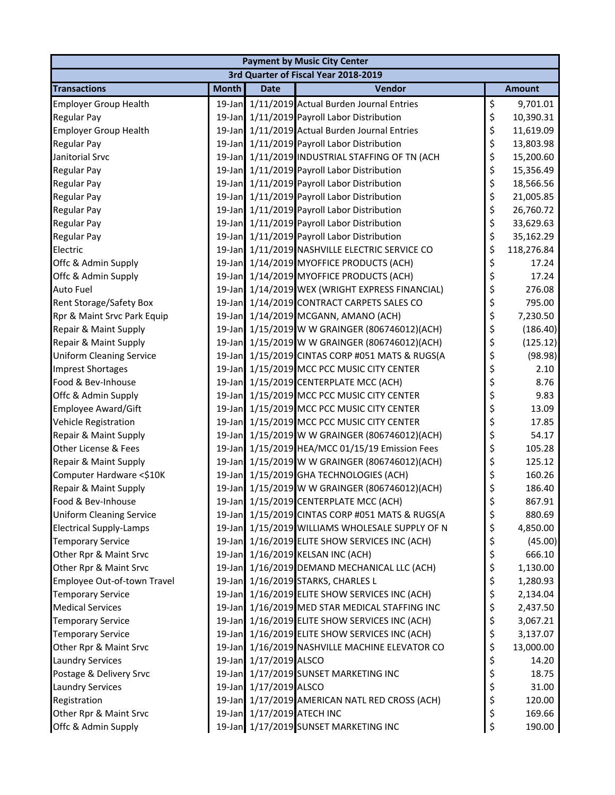| <b>Payment by Music City Center</b> |              |                            |                                                 |    |               |  |  |  |
|-------------------------------------|--------------|----------------------------|-------------------------------------------------|----|---------------|--|--|--|
|                                     |              |                            | 3rd Quarter of Fiscal Year 2018-2019            |    |               |  |  |  |
| <b>Transactions</b>                 | <b>Month</b> | <b>Date</b>                | Vendor                                          |    | <b>Amount</b> |  |  |  |
| <b>Employer Group Health</b>        |              |                            | 19-Jan 1/11/2019 Actual Burden Journal Entries  | \$ | 9,701.01      |  |  |  |
| <b>Regular Pay</b>                  | $19$ -Jan    |                            | 1/11/2019 Payroll Labor Distribution            | \$ | 10,390.31     |  |  |  |
| <b>Employer Group Health</b>        |              |                            | 19-Jan 1/11/2019 Actual Burden Journal Entries  | \$ | 11,619.09     |  |  |  |
| <b>Regular Pay</b>                  |              |                            | 19-Jan 1/11/2019 Payroll Labor Distribution     | \$ | 13,803.98     |  |  |  |
| Janitorial Srvc                     |              |                            | 19-Jan 1/11/2019 INDUSTRIAL STAFFING OF TN (ACH | \$ | 15,200.60     |  |  |  |
| Regular Pay                         |              |                            | 19-Jan 1/11/2019 Payroll Labor Distribution     | \$ | 15,356.49     |  |  |  |
| <b>Regular Pay</b>                  |              |                            | 19-Jan 1/11/2019 Payroll Labor Distribution     | \$ | 18,566.56     |  |  |  |
| <b>Regular Pay</b>                  |              |                            | 19-Jan 1/11/2019 Payroll Labor Distribution     | \$ | 21,005.85     |  |  |  |
| <b>Regular Pay</b>                  |              |                            | 19-Jan 1/11/2019 Payroll Labor Distribution     | \$ | 26,760.72     |  |  |  |
| <b>Regular Pay</b>                  |              |                            | 19-Jan 1/11/2019 Payroll Labor Distribution     | \$ | 33,629.63     |  |  |  |
| Regular Pay                         |              |                            | 19-Jan 1/11/2019 Payroll Labor Distribution     | \$ | 35,162.29     |  |  |  |
| Electric                            | $19$ -Jan    |                            | 1/11/2019 NASHVILLE ELECTRIC SERVICE CO         | \$ | 118,276.84    |  |  |  |
| Offc & Admin Supply                 |              |                            | 19-Jan 1/14/2019 MYOFFICE PRODUCTS (ACH)        | \$ | 17.24         |  |  |  |
| Offc & Admin Supply                 |              |                            | 19-Jan 1/14/2019 MYOFFICE PRODUCTS (ACH)        | \$ | 17.24         |  |  |  |
| Auto Fuel                           |              |                            | 19-Jan 1/14/2019 WEX (WRIGHT EXPRESS FINANCIAL) | \$ | 276.08        |  |  |  |
| <b>Rent Storage/Safety Box</b>      |              |                            | 19-Jan 1/14/2019 CONTRACT CARPETS SALES CO      | \$ | 795.00        |  |  |  |
| Rpr & Maint Srvc Park Equip         |              |                            | 19-Jan 1/14/2019 MCGANN, AMANO (ACH)            | \$ | 7,230.50      |  |  |  |
| Repair & Maint Supply               |              |                            | 19-Jan 1/15/2019 W W GRAINGER (806746012)(ACH)  | \$ | (186.40)      |  |  |  |
| Repair & Maint Supply               |              |                            | 19-Jan 1/15/2019 W W GRAINGER (806746012)(ACH)  | \$ | (125.12)      |  |  |  |
| <b>Uniform Cleaning Service</b>     |              |                            | 19-Jan 1/15/2019 CINTAS CORP #051 MATS & RUGS(A | \$ | (98.98)       |  |  |  |
| <b>Imprest Shortages</b>            |              |                            | 19-Jan 1/15/2019 MCC PCC MUSIC CITY CENTER      | \$ | 2.10          |  |  |  |
| Food & Bev-Inhouse                  | $19$ -Jan    |                            | 1/15/2019 CENTERPLATE MCC (ACH)                 | \$ | 8.76          |  |  |  |
| Offc & Admin Supply                 |              |                            | 19-Jan 1/15/2019 MCC PCC MUSIC CITY CENTER      | \$ | 9.83          |  |  |  |
| <b>Employee Award/Gift</b>          |              |                            | 19-Jan 1/15/2019 MCC PCC MUSIC CITY CENTER      | \$ | 13.09         |  |  |  |
| <b>Vehicle Registration</b>         |              |                            | 19-Jan 1/15/2019 MCC PCC MUSIC CITY CENTER      | \$ | 17.85         |  |  |  |
| Repair & Maint Supply               |              |                            | 19-Jan 1/15/2019 W W GRAINGER (806746012)(ACH)  | \$ | 54.17         |  |  |  |
| Other License & Fees                |              |                            | 19-Jan 1/15/2019 HEA/MCC 01/15/19 Emission Fees | \$ | 105.28        |  |  |  |
| Repair & Maint Supply               |              |                            | 19-Jan 1/15/2019 W W GRAINGER (806746012)(ACH)  | \$ | 125.12        |  |  |  |
| Computer Hardware <\$10K            |              |                            | 19-Jan 1/15/2019 GHA TECHNOLOGIES (ACH)         | \$ | 160.26        |  |  |  |
| Repair & Maint Supply               |              |                            | 19-Jan 1/15/2019 W W GRAINGER (806746012)(ACH)  | \$ | 186.40        |  |  |  |
| Food & Bev-Inhouse                  |              |                            | 19-Jan 1/15/2019 CENTERPLATE MCC (ACH)          | Ś  | 867.91        |  |  |  |
| <b>Uniform Cleaning Service</b>     |              |                            | 19-Jan 1/15/2019 CINTAS CORP #051 MATS & RUGS(A | \$ | 880.69        |  |  |  |
| <b>Electrical Supply-Lamps</b>      |              |                            | 19-Jan 1/15/2019 WILLIAMS WHOLESALE SUPPLY OF N | \$ | 4,850.00      |  |  |  |
| <b>Temporary Service</b>            |              |                            | 19-Jan 1/16/2019 ELITE SHOW SERVICES INC (ACH)  | \$ | (45.00)       |  |  |  |
| Other Rpr & Maint Srvc              |              |                            | 19-Jan 1/16/2019 KELSAN INC (ACH)               | \$ | 666.10        |  |  |  |
| Other Rpr & Maint Srvc              |              |                            | 19-Jan 1/16/2019 DEMAND MECHANICAL LLC (ACH)    | \$ | 1,130.00      |  |  |  |
| Employee Out-of-town Travel         | $19$ -Jan    |                            | 1/16/2019 STARKS, CHARLES L                     | \$ | 1,280.93      |  |  |  |
| <b>Temporary Service</b>            |              |                            | 19-Jan 1/16/2019 ELITE SHOW SERVICES INC (ACH)  | \$ | 2,134.04      |  |  |  |
| <b>Medical Services</b>             |              |                            | 19-Jan 1/16/2019 MED STAR MEDICAL STAFFING INC  | \$ | 2,437.50      |  |  |  |
| <b>Temporary Service</b>            |              |                            | 19-Jan 1/16/2019 ELITE SHOW SERVICES INC (ACH)  | \$ | 3,067.21      |  |  |  |
| <b>Temporary Service</b>            |              |                            | 19-Jan 1/16/2019 ELITE SHOW SERVICES INC (ACH)  | \$ | 3,137.07      |  |  |  |
| Other Rpr & Maint Srvc              |              |                            | 19-Jan 1/16/2019 NASHVILLE MACHINE ELEVATOR CO  | \$ | 13,000.00     |  |  |  |
| <b>Laundry Services</b>             |              | 19-Jan 1/17/2019 ALSCO     |                                                 | \$ | 14.20         |  |  |  |
| Postage & Delivery Srvc             |              |                            | 19-Jan 1/17/2019 SUNSET MARKETING INC           | \$ | 18.75         |  |  |  |
| <b>Laundry Services</b>             |              | 19-Jan 1/17/2019 ALSCO     |                                                 | \$ | 31.00         |  |  |  |
| Registration                        |              |                            | 19-Jan 1/17/2019 AMERICAN NATL RED CROSS (ACH)  | \$ | 120.00        |  |  |  |
| Other Rpr & Maint Srvc              |              | 19-Jan 1/17/2019 ATECH INC |                                                 | \$ | 169.66        |  |  |  |
| Offc & Admin Supply                 |              |                            | 19-Jan 1/17/2019 SUNSET MARKETING INC           | \$ | 190.00        |  |  |  |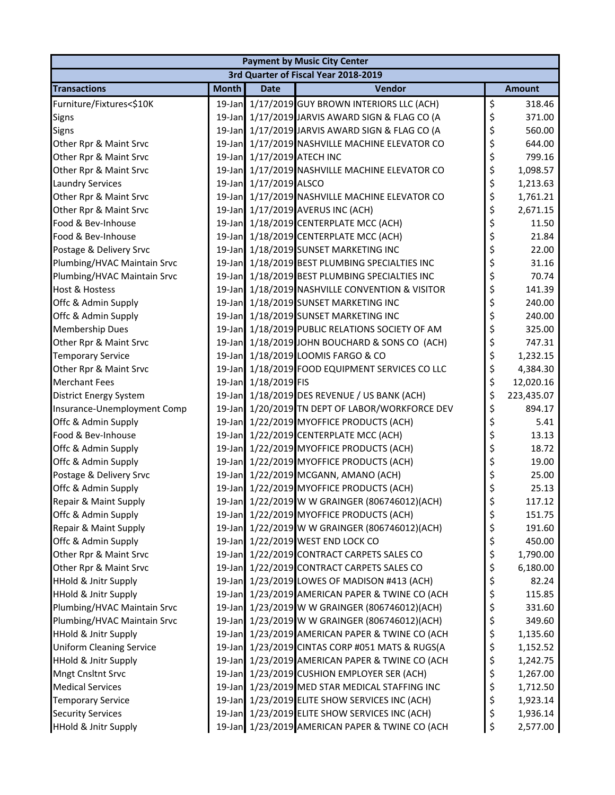| <b>Payment by Music City Center</b> |              |                            |                                                 |    |               |  |  |  |
|-------------------------------------|--------------|----------------------------|-------------------------------------------------|----|---------------|--|--|--|
|                                     |              |                            | 3rd Quarter of Fiscal Year 2018-2019            |    |               |  |  |  |
| <b>Transactions</b>                 | <b>Month</b> | <b>Date</b>                | Vendor                                          |    | <b>Amount</b> |  |  |  |
| Furniture/Fixtures<\$10K            |              |                            | 19-Jan 1/17/2019 GUY BROWN INTERIORS LLC (ACH)  | \$ | 318.46        |  |  |  |
| <b>Signs</b>                        |              |                            | 19-Jan 1/17/2019 JARVIS AWARD SIGN & FLAG CO (A | \$ | 371.00        |  |  |  |
| <b>Signs</b>                        |              |                            | 19-Jan 1/17/2019 JARVIS AWARD SIGN & FLAG CO (A | \$ | 560.00        |  |  |  |
| Other Rpr & Maint Srvc              |              |                            | 19-Jan 1/17/2019 NASHVILLE MACHINE ELEVATOR CO  | \$ | 644.00        |  |  |  |
| Other Rpr & Maint Srvc              |              | 19-Jan 1/17/2019 ATECH INC |                                                 | \$ | 799.16        |  |  |  |
| Other Rpr & Maint Srvc              |              |                            | 19-Jan 1/17/2019 NASHVILLE MACHINE ELEVATOR CO  | \$ | 1,098.57      |  |  |  |
| <b>Laundry Services</b>             |              | 19-Jan 1/17/2019 ALSCO     |                                                 | \$ | 1,213.63      |  |  |  |
| Other Rpr & Maint Srvc              |              |                            | 19-Jan 1/17/2019 NASHVILLE MACHINE ELEVATOR CO  | \$ | 1,761.21      |  |  |  |
| Other Rpr & Maint Srvc              |              |                            | 19-Jan 1/17/2019 AVERUS INC (ACH)               | \$ | 2,671.15      |  |  |  |
| Food & Bev-Inhouse                  |              |                            | 19-Jan 1/18/2019 CENTERPLATE MCC (ACH)          | \$ | 11.50         |  |  |  |
| Food & Bev-Inhouse                  |              |                            | 19-Jan 1/18/2019 CENTERPLATE MCC (ACH)          | \$ | 21.84         |  |  |  |
| Postage & Delivery Srvc             | $19$ -Jan    |                            | 1/18/2019 SUNSET MARKETING INC                  | \$ | 22.00         |  |  |  |
| Plumbing/HVAC Maintain Srvc         |              |                            | 19-Jan 1/18/2019 BEST PLUMBING SPECIALTIES INC  | \$ | 31.16         |  |  |  |
| Plumbing/HVAC Maintain Srvc         |              |                            | 19-Jan 1/18/2019 BEST PLUMBING SPECIALTIES INC  | \$ | 70.74         |  |  |  |
| <b>Host &amp; Hostess</b>           |              |                            | 19-Jan 1/18/2019 NASHVILLE CONVENTION & VISITOR | \$ | 141.39        |  |  |  |
| Offc & Admin Supply                 |              |                            | 19-Jan 1/18/2019 SUNSET MARKETING INC           | \$ | 240.00        |  |  |  |
| Offc & Admin Supply                 |              |                            | 19-Jan 1/18/2019 SUNSET MARKETING INC           | \$ | 240.00        |  |  |  |
| <b>Membership Dues</b>              |              |                            | 19-Jan 1/18/2019 PUBLIC RELATIONS SOCIETY OF AM | \$ | 325.00        |  |  |  |
| Other Rpr & Maint Srvc              |              |                            | 19-Jan 1/18/2019 JOHN BOUCHARD & SONS CO (ACH)  | \$ | 747.31        |  |  |  |
| <b>Temporary Service</b>            |              |                            | 19-Jan 1/18/2019 LOOMIS FARGO & CO              | \$ | 1,232.15      |  |  |  |
| Other Rpr & Maint Srvc              |              |                            | 19-Jan 1/18/2019 FOOD EQUIPMENT SERVICES CO LLC | \$ | 4,384.30      |  |  |  |
| <b>Merchant Fees</b>                | $19$ -Jan    | 1/18/2019 FIS              |                                                 | \$ | 12,020.16     |  |  |  |
| <b>District Energy System</b>       |              |                            | 19-Jan 1/18/2019 DES REVENUE / US BANK (ACH)    | \$ | 223,435.07    |  |  |  |
| Insurance-Unemployment Comp         |              |                            | 19-Jan 1/20/2019 TN DEPT OF LABOR/WORKFORCE DEV | \$ | 894.17        |  |  |  |
| Offc & Admin Supply                 |              |                            | 19-Jan 1/22/2019 MYOFFICE PRODUCTS (ACH)        | \$ | 5.41          |  |  |  |
| Food & Bev-Inhouse                  |              |                            | 19-Jan 1/22/2019 CENTERPLATE MCC (ACH)          | \$ | 13.13         |  |  |  |
| Offc & Admin Supply                 |              |                            | 19-Jan 1/22/2019 MYOFFICE PRODUCTS (ACH)        | \$ | 18.72         |  |  |  |
| Offc & Admin Supply                 |              |                            | 19-Jan 1/22/2019 MYOFFICE PRODUCTS (ACH)        | \$ | 19.00         |  |  |  |
| Postage & Delivery Srvc             |              |                            | 19-Jan 1/22/2019 MCGANN, AMANO (ACH)            | \$ | 25.00         |  |  |  |
| Offc & Admin Supply                 |              |                            | 19-Jan 1/22/2019 MYOFFICE PRODUCTS (ACH)        | \$ | 25.13         |  |  |  |
| Repair & Maint Supply               |              |                            | 19-Jan 1/22/2019 W W GRAINGER (806746012)(ACH)  | \$ | 117.12        |  |  |  |
| Offc & Admin Supply                 |              |                            | 19-Jan 1/22/2019 MYOFFICE PRODUCTS (ACH)        | \$ | 151.75        |  |  |  |
| Repair & Maint Supply               |              |                            | 19-Jan 1/22/2019 W W GRAINGER (806746012)(ACH)  | \$ | 191.60        |  |  |  |
| Offc & Admin Supply                 |              |                            | 19-Jan 1/22/2019 WEST END LOCK CO               | \$ | 450.00        |  |  |  |
| Other Rpr & Maint Srvc              |              |                            | 19-Jan 1/22/2019 CONTRACT CARPETS SALES CO      | \$ | 1,790.00      |  |  |  |
| Other Rpr & Maint Srvc              |              |                            | 19-Jan 1/22/2019 CONTRACT CARPETS SALES CO      | \$ | 6,180.00      |  |  |  |
| <b>HHold &amp; Jnitr Supply</b>     | $19$ -Jan    |                            | 1/23/2019 LOWES OF MADISON #413 (ACH)           | \$ | 82.24         |  |  |  |
| <b>HHold &amp; Jnitr Supply</b>     |              |                            | 19-Jan 1/23/2019 AMERICAN PAPER & TWINE CO (ACH | \$ | 115.85        |  |  |  |
| Plumbing/HVAC Maintain Srvc         |              |                            | 19-Jan 1/23/2019 W W GRAINGER (806746012)(ACH)  | \$ | 331.60        |  |  |  |
| Plumbing/HVAC Maintain Srvc         |              |                            | 19-Jan 1/23/2019 W W GRAINGER (806746012)(ACH)  | \$ | 349.60        |  |  |  |
| <b>HHold &amp; Jnitr Supply</b>     |              |                            | 19-Jan 1/23/2019 AMERICAN PAPER & TWINE CO (ACH | \$ | 1,135.60      |  |  |  |
| <b>Uniform Cleaning Service</b>     | $19$ -Jan    |                            | 1/23/2019 CINTAS CORP #051 MATS & RUGS(A        | \$ | 1,152.52      |  |  |  |
| <b>HHold &amp; Jnitr Supply</b>     |              |                            | 19-Jan 1/23/2019 AMERICAN PAPER & TWINE CO (ACH | \$ | 1,242.75      |  |  |  |
| Mngt Cnsltnt Srvc                   |              |                            | 19-Jan 1/23/2019 CUSHION EMPLOYER SER (ACH)     | \$ | 1,267.00      |  |  |  |
| <b>Medical Services</b>             |              |                            | 19-Jan 1/23/2019 MED STAR MEDICAL STAFFING INC  | \$ | 1,712.50      |  |  |  |
| <b>Temporary Service</b>            |              |                            | 19-Jan 1/23/2019 ELITE SHOW SERVICES INC (ACH)  | \$ | 1,923.14      |  |  |  |
| <b>Security Services</b>            | $19$ -Jan    |                            | 1/23/2019 ELITE SHOW SERVICES INC (ACH)         | \$ | 1,936.14      |  |  |  |
| <b>HHold &amp; Jnitr Supply</b>     |              |                            | 19-Jan 1/23/2019 AMERICAN PAPER & TWINE CO (ACH | \$ | 2,577.00      |  |  |  |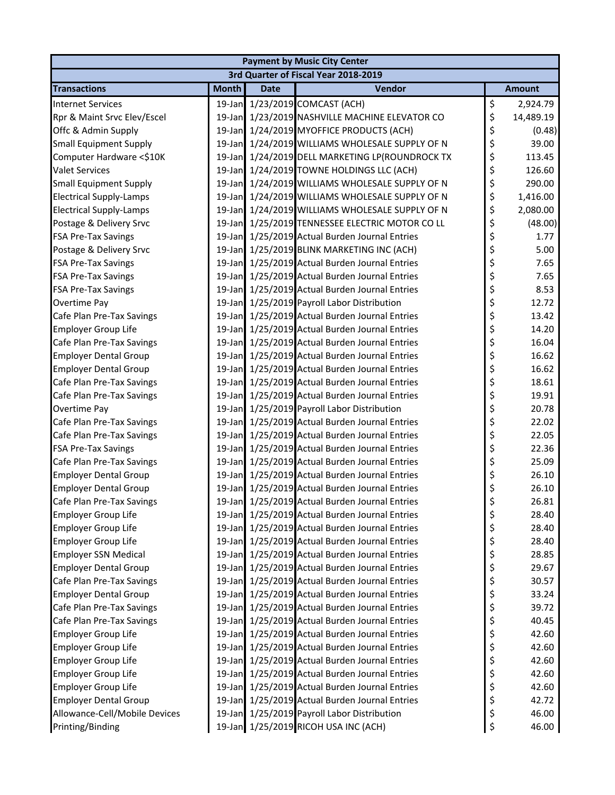| <b>Payment by Music City Center</b>  |              |             |                                                 |    |               |  |  |  |
|--------------------------------------|--------------|-------------|-------------------------------------------------|----|---------------|--|--|--|
| 3rd Quarter of Fiscal Year 2018-2019 |              |             |                                                 |    |               |  |  |  |
| <b>Transactions</b>                  | <b>Month</b> | <b>Date</b> | Vendor                                          |    | <b>Amount</b> |  |  |  |
| <b>Internet Services</b>             |              |             | 19-Jan 1/23/2019 COMCAST (ACH)                  | \$ | 2,924.79      |  |  |  |
| Rpr & Maint Srvc Elev/Escel          |              |             | 19-Jan 1/23/2019 NASHVILLE MACHINE ELEVATOR CO  | \$ | 14,489.19     |  |  |  |
| Offc & Admin Supply                  | $19$ -Jan    |             | 1/24/2019 MYOFFICE PRODUCTS (ACH)               | \$ | (0.48)        |  |  |  |
| <b>Small Equipment Supply</b>        |              |             | 19-Jan 1/24/2019 WILLIAMS WHOLESALE SUPPLY OF N | \$ | 39.00         |  |  |  |
| Computer Hardware <\$10K             |              |             | 19-Jan 1/24/2019 DELL MARKETING LP(ROUNDROCK TX | \$ | 113.45        |  |  |  |
| <b>Valet Services</b>                |              |             | 19-Jan 1/24/2019 TOWNE HOLDINGS LLC (ACH)       | \$ | 126.60        |  |  |  |
| <b>Small Equipment Supply</b>        |              |             | 19-Jan 1/24/2019 WILLIAMS WHOLESALE SUPPLY OF N | \$ | 290.00        |  |  |  |
| <b>Electrical Supply-Lamps</b>       | $19$ -Jan    |             | 1/24/2019 WILLIAMS WHOLESALE SUPPLY OF N        | \$ | 1,416.00      |  |  |  |
| <b>Electrical Supply-Lamps</b>       |              |             | 19-Jan 1/24/2019 WILLIAMS WHOLESALE SUPPLY OF N | \$ | 2,080.00      |  |  |  |
| Postage & Delivery Srvc              |              |             | 19-Jan 1/25/2019 TENNESSEE ELECTRIC MOTOR CO LL | \$ | (48.00)       |  |  |  |
| <b>FSA Pre-Tax Savings</b>           |              |             | 19-Jan 1/25/2019 Actual Burden Journal Entries  | \$ | 1.77          |  |  |  |
| Postage & Delivery Srvc              |              |             | 19-Jan 1/25/2019 BLINK MARKETING INC (ACH)      | \$ | 5.00          |  |  |  |
| <b>FSA Pre-Tax Savings</b>           | 19-Jan       |             | 1/25/2019 Actual Burden Journal Entries         | \$ | 7.65          |  |  |  |
| <b>FSA Pre-Tax Savings</b>           |              |             | 19-Jan 1/25/2019 Actual Burden Journal Entries  | \$ | 7.65          |  |  |  |
| FSA Pre-Tax Savings                  |              |             | 19-Jan 1/25/2019 Actual Burden Journal Entries  | \$ | 8.53          |  |  |  |
| Overtime Pay                         |              |             | 19-Jan 1/25/2019 Payroll Labor Distribution     | \$ | 12.72         |  |  |  |
| Cafe Plan Pre-Tax Savings            |              |             | 19-Jan 1/25/2019 Actual Burden Journal Entries  | \$ | 13.42         |  |  |  |
| <b>Employer Group Life</b>           |              |             | 19-Jan 1/25/2019 Actual Burden Journal Entries  | \$ | 14.20         |  |  |  |
| Cafe Plan Pre-Tax Savings            |              |             | 19-Jan 1/25/2019 Actual Burden Journal Entries  | \$ | 16.04         |  |  |  |
| <b>Employer Dental Group</b>         |              |             | 19-Jan 1/25/2019 Actual Burden Journal Entries  | \$ | 16.62         |  |  |  |
| <b>Employer Dental Group</b>         |              |             | 19-Jan 1/25/2019 Actual Burden Journal Entries  | \$ | 16.62         |  |  |  |
| Cafe Plan Pre-Tax Savings            | 19-Jan       |             | 1/25/2019 Actual Burden Journal Entries         | \$ | 18.61         |  |  |  |
| Cafe Plan Pre-Tax Savings            | $19$ -Jan    |             | 1/25/2019 Actual Burden Journal Entries         | \$ | 19.91         |  |  |  |
| Overtime Pay                         |              |             | 19-Jan 1/25/2019 Payroll Labor Distribution     | \$ | 20.78         |  |  |  |
| Cafe Plan Pre-Tax Savings            |              |             | 19-Jan 1/25/2019 Actual Burden Journal Entries  | \$ | 22.02         |  |  |  |
| Cafe Plan Pre-Tax Savings            |              |             | 19-Jan 1/25/2019 Actual Burden Journal Entries  | \$ | 22.05         |  |  |  |
| <b>FSA Pre-Tax Savings</b>           |              |             | 19-Jan 1/25/2019 Actual Burden Journal Entries  | \$ | 22.36         |  |  |  |
| Cafe Plan Pre-Tax Savings            | $19$ -Jan    |             | 1/25/2019 Actual Burden Journal Entries         | \$ | 25.09         |  |  |  |
| <b>Employer Dental Group</b>         |              |             | 19-Jan 1/25/2019 Actual Burden Journal Entries  | \$ | 26.10         |  |  |  |
| <b>Employer Dental Group</b>         |              |             | 19-Jan 1/25/2019 Actual Burden Journal Entries  | \$ | 26.10         |  |  |  |
| Cafe Plan Pre-Tax Savings            |              |             | 19-Jan 1/25/2019 Actual Burden Journal Entries  | \$ | 26.81         |  |  |  |
| <b>Employer Group Life</b>           | $19$ -Jan    |             | 1/25/2019 Actual Burden Journal Entries         | \$ | 28.40         |  |  |  |
| Employer Group Life                  | 19-Jan       |             | 1/25/2019 Actual Burden Journal Entries         | \$ | 28.40         |  |  |  |
| <b>Employer Group Life</b>           |              |             | 19-Jan 1/25/2019 Actual Burden Journal Entries  | \$ | 28.40         |  |  |  |
| <b>Employer SSN Medical</b>          |              |             | 19-Jan 1/25/2019 Actual Burden Journal Entries  | \$ | 28.85         |  |  |  |
| <b>Employer Dental Group</b>         |              |             | 19-Jan 1/25/2019 Actual Burden Journal Entries  | \$ | 29.67         |  |  |  |
| Cafe Plan Pre-Tax Savings            | 19-Jan       |             | 1/25/2019 Actual Burden Journal Entries         | \$ | 30.57         |  |  |  |
| <b>Employer Dental Group</b>         | 19-Jan       |             | 1/25/2019 Actual Burden Journal Entries         | \$ | 33.24         |  |  |  |
| Cafe Plan Pre-Tax Savings            |              |             | 19-Jan 1/25/2019 Actual Burden Journal Entries  | \$ | 39.72         |  |  |  |
| Cafe Plan Pre-Tax Savings            |              |             | 19-Jan 1/25/2019 Actual Burden Journal Entries  | \$ | 40.45         |  |  |  |
| <b>Employer Group Life</b>           |              |             | 19-Jan 1/25/2019 Actual Burden Journal Entries  | \$ | 42.60         |  |  |  |
| <b>Employer Group Life</b>           |              |             | 19-Jan 1/25/2019 Actual Burden Journal Entries  | \$ | 42.60         |  |  |  |
| Employer Group Life                  | 19-Jan       |             | 1/25/2019 Actual Burden Journal Entries         | \$ | 42.60         |  |  |  |
| <b>Employer Group Life</b>           |              |             | 19-Jan 1/25/2019 Actual Burden Journal Entries  | \$ | 42.60         |  |  |  |
| <b>Employer Group Life</b>           |              |             | 19-Jan 1/25/2019 Actual Burden Journal Entries  | \$ | 42.60         |  |  |  |
| <b>Employer Dental Group</b>         |              |             | 19-Jan 1/25/2019 Actual Burden Journal Entries  | \$ | 42.72         |  |  |  |
| Allowance-Cell/Mobile Devices        |              |             | 19-Jan 1/25/2019 Payroll Labor Distribution     | \$ | 46.00         |  |  |  |
| Printing/Binding                     |              |             | 19-Jan 1/25/2019 RICOH USA INC (ACH)            | \$ | 46.00         |  |  |  |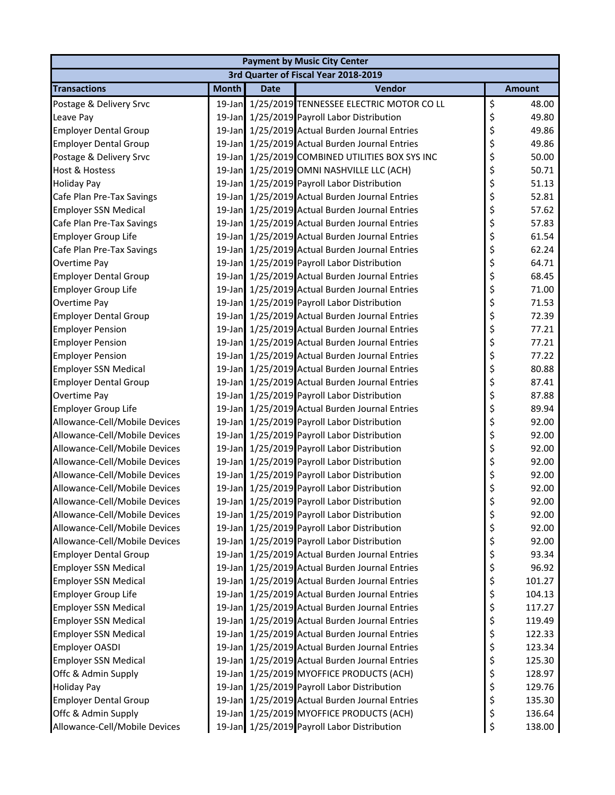| <b>Payment by Music City Center</b> |              |             |                                                 |    |               |  |  |  |
|-------------------------------------|--------------|-------------|-------------------------------------------------|----|---------------|--|--|--|
|                                     |              |             | 3rd Quarter of Fiscal Year 2018-2019            |    |               |  |  |  |
| <b>Transactions</b>                 | <b>Month</b> | <b>Date</b> | Vendor                                          |    | <b>Amount</b> |  |  |  |
| Postage & Delivery Srvc             |              |             | 19-Jan 1/25/2019 TENNESSEE ELECTRIC MOTOR CO LL | \$ | 48.00         |  |  |  |
| Leave Pay                           |              |             | 19-Jan 1/25/2019 Payroll Labor Distribution     | \$ | 49.80         |  |  |  |
| <b>Employer Dental Group</b>        |              |             | 19-Jan 1/25/2019 Actual Burden Journal Entries  | \$ | 49.86         |  |  |  |
| <b>Employer Dental Group</b>        |              |             | 19-Jan 1/25/2019 Actual Burden Journal Entries  | \$ | 49.86         |  |  |  |
| Postage & Delivery Srvc             |              |             | 19-Jan 1/25/2019 COMBINED UTILITIES BOX SYS INC | \$ | 50.00         |  |  |  |
| Host & Hostess                      |              |             | 19-Jan 1/25/2019 OMNI NASHVILLE LLC (ACH)       | \$ | 50.71         |  |  |  |
| <b>Holiday Pay</b>                  |              |             | 19-Jan 1/25/2019 Payroll Labor Distribution     | \$ | 51.13         |  |  |  |
| Cafe Plan Pre-Tax Savings           |              |             | 19-Jan 1/25/2019 Actual Burden Journal Entries  | \$ | 52.81         |  |  |  |
| <b>Employer SSN Medical</b>         |              |             | 19-Jan 1/25/2019 Actual Burden Journal Entries  | \$ | 57.62         |  |  |  |
| Cafe Plan Pre-Tax Savings           |              |             | 19-Jan 1/25/2019 Actual Burden Journal Entries  | \$ | 57.83         |  |  |  |
| <b>Employer Group Life</b>          |              |             | 19-Jan 1/25/2019 Actual Burden Journal Entries  | \$ | 61.54         |  |  |  |
| Cafe Plan Pre-Tax Savings           | 19-Jan       |             | 1/25/2019 Actual Burden Journal Entries         | \$ | 62.24         |  |  |  |
| Overtime Pay                        |              |             | 19-Jan 1/25/2019 Payroll Labor Distribution     | \$ | 64.71         |  |  |  |
| <b>Employer Dental Group</b>        |              |             | 19-Jan 1/25/2019 Actual Burden Journal Entries  | \$ | 68.45         |  |  |  |
| <b>Employer Group Life</b>          |              |             | 19-Jan 1/25/2019 Actual Burden Journal Entries  | \$ | 71.00         |  |  |  |
| Overtime Pay                        |              |             | 19-Jan 1/25/2019 Payroll Labor Distribution     | \$ | 71.53         |  |  |  |
| <b>Employer Dental Group</b>        |              |             | 19-Jan 1/25/2019 Actual Burden Journal Entries  | \$ | 72.39         |  |  |  |
| <b>Employer Pension</b>             |              |             | 19-Jan 1/25/2019 Actual Burden Journal Entries  | \$ | 77.21         |  |  |  |
| <b>Employer Pension</b>             |              |             | 19-Jan 1/25/2019 Actual Burden Journal Entries  | \$ | 77.21         |  |  |  |
| <b>Employer Pension</b>             |              |             | 19-Jan 1/25/2019 Actual Burden Journal Entries  | \$ | 77.22         |  |  |  |
| <b>Employer SSN Medical</b>         |              |             | 19-Jan 1/25/2019 Actual Burden Journal Entries  | \$ | 80.88         |  |  |  |
| <b>Employer Dental Group</b>        | 19-Jan       |             | 1/25/2019 Actual Burden Journal Entries         | \$ | 87.41         |  |  |  |
| Overtime Pay                        |              |             | 19-Jan 1/25/2019 Payroll Labor Distribution     | \$ | 87.88         |  |  |  |
| <b>Employer Group Life</b>          |              |             | 19-Jan 1/25/2019 Actual Burden Journal Entries  | \$ | 89.94         |  |  |  |
| Allowance-Cell/Mobile Devices       |              |             | 19-Jan 1/25/2019 Payroll Labor Distribution     | \$ | 92.00         |  |  |  |
| Allowance-Cell/Mobile Devices       |              |             | 19-Jan 1/25/2019 Payroll Labor Distribution     | \$ | 92.00         |  |  |  |
| Allowance-Cell/Mobile Devices       |              |             | 19-Jan 1/25/2019 Payroll Labor Distribution     | \$ | 92.00         |  |  |  |
| Allowance-Cell/Mobile Devices       |              |             | 19-Jan 1/25/2019 Payroll Labor Distribution     | \$ | 92.00         |  |  |  |
| Allowance-Cell/Mobile Devices       |              |             | 19-Jan 1/25/2019 Payroll Labor Distribution     | \$ | 92.00         |  |  |  |
| Allowance-Cell/Mobile Devices       |              |             | 19-Jan 1/25/2019 Payroll Labor Distribution     | \$ | 92.00         |  |  |  |
| Allowance-Cell/Mobile Devices       |              |             | 19-Jan 1/25/2019 Payroll Labor Distribution     | \$ | 92.00         |  |  |  |
| Allowance-Cell/Mobile Devices       | 19-Jan       |             | 1/25/2019 Payroll Labor Distribution            | \$ | 92.00         |  |  |  |
| Allowance-Cell/Mobile Devices       |              |             | 19-Jan 1/25/2019 Payroll Labor Distribution     | \$ | 92.00         |  |  |  |
| Allowance-Cell/Mobile Devices       |              |             | 19-Jan 1/25/2019 Payroll Labor Distribution     | \$ | 92.00         |  |  |  |
| <b>Employer Dental Group</b>        |              |             | 19-Jan 1/25/2019 Actual Burden Journal Entries  | \$ | 93.34         |  |  |  |
| <b>Employer SSN Medical</b>         |              |             | 19-Jan 1/25/2019 Actual Burden Journal Entries  | \$ | 96.92         |  |  |  |
| <b>Employer SSN Medical</b>         | 19-Jan       |             | 1/25/2019 Actual Burden Journal Entries         | \$ | 101.27        |  |  |  |
| <b>Employer Group Life</b>          |              |             | 19-Jan 1/25/2019 Actual Burden Journal Entries  | \$ | 104.13        |  |  |  |
| <b>Employer SSN Medical</b>         |              |             | 19-Jan 1/25/2019 Actual Burden Journal Entries  | \$ | 117.27        |  |  |  |
| <b>Employer SSN Medical</b>         |              |             | 19-Jan 1/25/2019 Actual Burden Journal Entries  | \$ | 119.49        |  |  |  |
| <b>Employer SSN Medical</b>         |              |             | 19-Jan 1/25/2019 Actual Burden Journal Entries  | \$ | 122.33        |  |  |  |
| <b>Employer OASDI</b>               | 19-Jan       |             | 1/25/2019 Actual Burden Journal Entries         | \$ | 123.34        |  |  |  |
| <b>Employer SSN Medical</b>         |              |             | 19-Jan 1/25/2019 Actual Burden Journal Entries  | \$ | 125.30        |  |  |  |
| Offc & Admin Supply                 |              |             | 19-Jan 1/25/2019 MYOFFICE PRODUCTS (ACH)        | \$ | 128.97        |  |  |  |
| <b>Holiday Pay</b>                  |              |             | 19-Jan 1/25/2019 Payroll Labor Distribution     | \$ | 129.76        |  |  |  |
| <b>Employer Dental Group</b>        |              |             | 19-Jan 1/25/2019 Actual Burden Journal Entries  | \$ | 135.30        |  |  |  |
| Offc & Admin Supply                 | $19$ -Jan    |             | 1/25/2019 MYOFFICE PRODUCTS (ACH)               | \$ | 136.64        |  |  |  |
| Allowance-Cell/Mobile Devices       |              |             | 19-Jan 1/25/2019 Payroll Labor Distribution     | \$ | 138.00        |  |  |  |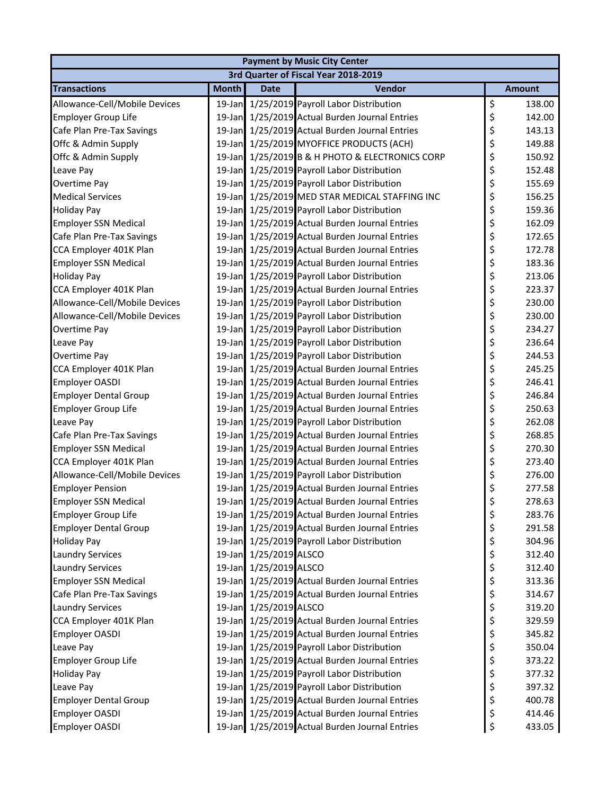| <b>Payment by Music City Center</b> |              |                        |                                                 |    |               |  |  |  |
|-------------------------------------|--------------|------------------------|-------------------------------------------------|----|---------------|--|--|--|
|                                     |              |                        | 3rd Quarter of Fiscal Year 2018-2019            |    |               |  |  |  |
| <b>Transactions</b>                 | <b>Month</b> | <b>Date</b>            | Vendor                                          |    | <b>Amount</b> |  |  |  |
| Allowance-Cell/Mobile Devices       |              |                        | 19-Jan 1/25/2019 Payroll Labor Distribution     | \$ | 138.00        |  |  |  |
| <b>Employer Group Life</b>          | $19$ -Jan    |                        | 1/25/2019 Actual Burden Journal Entries         | \$ | 142.00        |  |  |  |
| Cafe Plan Pre-Tax Savings           |              |                        | 19-Jan 1/25/2019 Actual Burden Journal Entries  | \$ | 143.13        |  |  |  |
| Offc & Admin Supply                 |              |                        | 19-Jan 1/25/2019 MYOFFICE PRODUCTS (ACH)        | \$ | 149.88        |  |  |  |
| Offc & Admin Supply                 |              |                        | 19-Jan 1/25/2019 B & H PHOTO & ELECTRONICS CORP | \$ | 150.92        |  |  |  |
| Leave Pay                           |              |                        | 19-Jan 1/25/2019 Payroll Labor Distribution     | \$ | 152.48        |  |  |  |
| Overtime Pay                        |              |                        | 19-Jan 1/25/2019 Payroll Labor Distribution     | \$ | 155.69        |  |  |  |
| <b>Medical Services</b>             |              |                        | 19-Jan 1/25/2019 MED STAR MEDICAL STAFFING INC  | \$ | 156.25        |  |  |  |
| <b>Holiday Pay</b>                  |              |                        | 19-Jan 1/25/2019 Payroll Labor Distribution     | \$ | 159.36        |  |  |  |
| <b>Employer SSN Medical</b>         |              |                        | 19-Jan 1/25/2019 Actual Burden Journal Entries  | \$ | 162.09        |  |  |  |
| Cafe Plan Pre-Tax Savings           |              |                        | 19-Jan 1/25/2019 Actual Burden Journal Entries  | \$ | 172.65        |  |  |  |
| CCA Employer 401K Plan              | $19$ -Jan    |                        | 1/25/2019 Actual Burden Journal Entries         | \$ | 172.78        |  |  |  |
| <b>Employer SSN Medical</b>         |              |                        | 19-Jan 1/25/2019 Actual Burden Journal Entries  | \$ | 183.36        |  |  |  |
| <b>Holiday Pay</b>                  |              |                        | 19-Jan 1/25/2019 Payroll Labor Distribution     | \$ | 213.06        |  |  |  |
| CCA Employer 401K Plan              |              |                        | 19-Jan 1/25/2019 Actual Burden Journal Entries  | \$ | 223.37        |  |  |  |
| Allowance-Cell/Mobile Devices       |              |                        | 19-Jan 1/25/2019 Payroll Labor Distribution     | \$ | 230.00        |  |  |  |
| Allowance-Cell/Mobile Devices       |              |                        | 19-Jan 1/25/2019 Payroll Labor Distribution     | \$ | 230.00        |  |  |  |
| Overtime Pay                        |              |                        | 19-Jan 1/25/2019 Payroll Labor Distribution     | \$ | 234.27        |  |  |  |
| Leave Pay                           |              |                        | 19-Jan 1/25/2019 Payroll Labor Distribution     | \$ | 236.64        |  |  |  |
| Overtime Pay                        |              |                        | 19-Jan 1/25/2019 Payroll Labor Distribution     | \$ | 244.53        |  |  |  |
| CCA Employer 401K Plan              |              |                        | 19-Jan 1/25/2019 Actual Burden Journal Entries  | \$ | 245.25        |  |  |  |
| <b>Employer OASDI</b>               | $19$ -Jan    |                        | 1/25/2019 Actual Burden Journal Entries         | \$ | 246.41        |  |  |  |
| <b>Employer Dental Group</b>        |              |                        | 19-Jan 1/25/2019 Actual Burden Journal Entries  | \$ | 246.84        |  |  |  |
| <b>Employer Group Life</b>          |              |                        | 19-Jan 1/25/2019 Actual Burden Journal Entries  | \$ | 250.63        |  |  |  |
| Leave Pay                           |              |                        | 19-Jan 1/25/2019 Payroll Labor Distribution     | \$ | 262.08        |  |  |  |
| Cafe Plan Pre-Tax Savings           |              |                        | 19-Jan 1/25/2019 Actual Burden Journal Entries  | \$ | 268.85        |  |  |  |
| <b>Employer SSN Medical</b>         |              |                        | 19-Jan 1/25/2019 Actual Burden Journal Entries  | \$ | 270.30        |  |  |  |
| CCA Employer 401K Plan              |              |                        | 19-Jan 1/25/2019 Actual Burden Journal Entries  | \$ | 273.40        |  |  |  |
| Allowance-Cell/Mobile Devices       |              |                        | 19-Jan 1/25/2019 Payroll Labor Distribution     | \$ | 276.00        |  |  |  |
| <b>Employer Pension</b>             |              |                        | 19-Jan 1/25/2019 Actual Burden Journal Entries  | \$ | 277.58        |  |  |  |
| <b>Employer SSN Medical</b>         |              |                        | 19-Jan 1/25/2019 Actual Burden Journal Entries  | Ś  | 278.63        |  |  |  |
| Employer Group Life                 |              |                        | 19-Jan 1/25/2019 Actual Burden Journal Entries  | \$ | 283.76        |  |  |  |
| <b>Employer Dental Group</b>        |              |                        | 19-Jan 1/25/2019 Actual Burden Journal Entries  | \$ | 291.58        |  |  |  |
| <b>Holiday Pay</b>                  |              |                        | 19-Jan 1/25/2019 Payroll Labor Distribution     | \$ | 304.96        |  |  |  |
| <b>Laundry Services</b>             |              | 19-Jan 1/25/2019 ALSCO |                                                 | \$ | 312.40        |  |  |  |
| <b>Laundry Services</b>             |              | 19-Jan 1/25/2019 ALSCO |                                                 | \$ | 312.40        |  |  |  |
| <b>Employer SSN Medical</b>         | $19$ -Jan    |                        | 1/25/2019 Actual Burden Journal Entries         | \$ | 313.36        |  |  |  |
| Cafe Plan Pre-Tax Savings           |              |                        | 19-Jan 1/25/2019 Actual Burden Journal Entries  | \$ | 314.67        |  |  |  |
| <b>Laundry Services</b>             |              | 19-Jan 1/25/2019 ALSCO |                                                 | \$ | 319.20        |  |  |  |
| CCA Employer 401K Plan              |              |                        | 19-Jan 1/25/2019 Actual Burden Journal Entries  | \$ | 329.59        |  |  |  |
| <b>Employer OASDI</b>               |              |                        | 19-Jan 1/25/2019 Actual Burden Journal Entries  | \$ | 345.82        |  |  |  |
| Leave Pay                           |              |                        | 19-Jan 1/25/2019 Payroll Labor Distribution     | \$ | 350.04        |  |  |  |
| <b>Employer Group Life</b>          |              |                        | 19-Jan 1/25/2019 Actual Burden Journal Entries  | \$ | 373.22        |  |  |  |
| <b>Holiday Pay</b>                  |              |                        | 19-Jan 1/25/2019 Payroll Labor Distribution     | \$ | 377.32        |  |  |  |
| Leave Pay                           |              |                        | 19-Jan 1/25/2019 Payroll Labor Distribution     | \$ | 397.32        |  |  |  |
| <b>Employer Dental Group</b>        |              |                        | 19-Jan 1/25/2019 Actual Burden Journal Entries  | \$ | 400.78        |  |  |  |
| Employer OASDI                      |              |                        | 19-Jan 1/25/2019 Actual Burden Journal Entries  | \$ | 414.46        |  |  |  |
| <b>Employer OASDI</b>               |              |                        | 19-Jan 1/25/2019 Actual Burden Journal Entries  | \$ | 433.05        |  |  |  |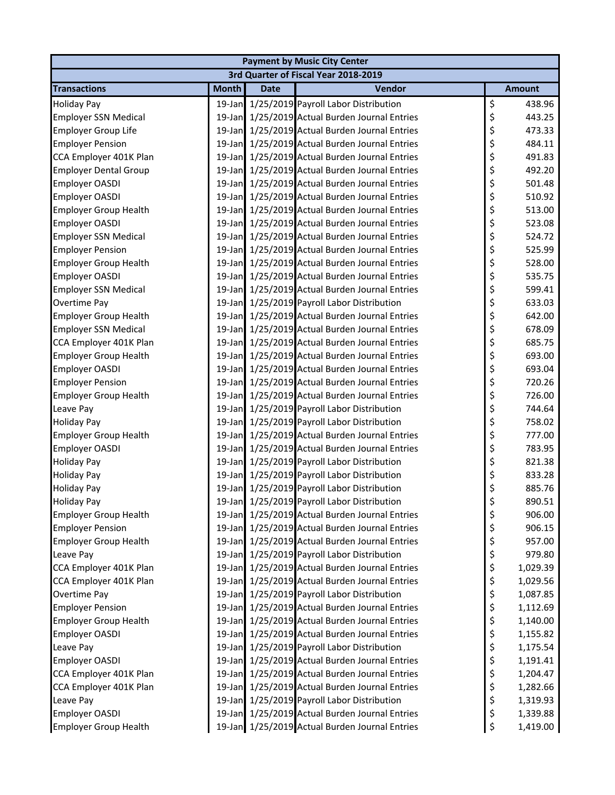| <b>Payment by Music City Center</b> |              |             |                                                |    |               |  |  |  |
|-------------------------------------|--------------|-------------|------------------------------------------------|----|---------------|--|--|--|
|                                     |              |             | 3rd Quarter of Fiscal Year 2018-2019           |    |               |  |  |  |
| <b>Transactions</b>                 | <b>Month</b> | <b>Date</b> | Vendor                                         |    | <b>Amount</b> |  |  |  |
| <b>Holiday Pay</b>                  |              |             | 19-Jan 1/25/2019 Payroll Labor Distribution    | \$ | 438.96        |  |  |  |
| <b>Employer SSN Medical</b>         |              |             | 19-Jan 1/25/2019 Actual Burden Journal Entries | \$ | 443.25        |  |  |  |
| <b>Employer Group Life</b>          |              |             | 19-Jan 1/25/2019 Actual Burden Journal Entries | \$ | 473.33        |  |  |  |
| <b>Employer Pension</b>             |              |             | 19-Jan 1/25/2019 Actual Burden Journal Entries | \$ | 484.11        |  |  |  |
| CCA Employer 401K Plan              |              |             | 19-Jan 1/25/2019 Actual Burden Journal Entries | \$ | 491.83        |  |  |  |
| <b>Employer Dental Group</b>        |              |             | 19-Jan 1/25/2019 Actual Burden Journal Entries | \$ | 492.20        |  |  |  |
| <b>Employer OASDI</b>               |              |             | 19-Jan 1/25/2019 Actual Burden Journal Entries | \$ | 501.48        |  |  |  |
| Employer OASDI                      |              |             | 19-Jan 1/25/2019 Actual Burden Journal Entries | \$ | 510.92        |  |  |  |
| <b>Employer Group Health</b>        |              |             | 19-Jan 1/25/2019 Actual Burden Journal Entries | \$ | 513.00        |  |  |  |
| Employer OASDI                      |              |             | 19-Jan 1/25/2019 Actual Burden Journal Entries | \$ | 523.08        |  |  |  |
| <b>Employer SSN Medical</b>         |              |             | 19-Jan 1/25/2019 Actual Burden Journal Entries | \$ | 524.72        |  |  |  |
| <b>Employer Pension</b>             | $19$ -Jan    |             | 1/25/2019 Actual Burden Journal Entries        | \$ | 525.99        |  |  |  |
| <b>Employer Group Health</b>        |              |             | 19-Jan 1/25/2019 Actual Burden Journal Entries | \$ | 528.00        |  |  |  |
| <b>Employer OASDI</b>               |              |             | 19-Jan 1/25/2019 Actual Burden Journal Entries | \$ | 535.75        |  |  |  |
| <b>Employer SSN Medical</b>         |              |             | 19-Jan 1/25/2019 Actual Burden Journal Entries | \$ | 599.41        |  |  |  |
| Overtime Pay                        |              |             | 19-Jan 1/25/2019 Payroll Labor Distribution    | \$ | 633.03        |  |  |  |
| <b>Employer Group Health</b>        |              |             | 19-Jan 1/25/2019 Actual Burden Journal Entries | \$ | 642.00        |  |  |  |
| <b>Employer SSN Medical</b>         |              |             | 19-Jan 1/25/2019 Actual Burden Journal Entries | \$ | 678.09        |  |  |  |
| CCA Employer 401K Plan              |              |             | 19-Jan 1/25/2019 Actual Burden Journal Entries | \$ | 685.75        |  |  |  |
| <b>Employer Group Health</b>        |              |             | 19-Jan 1/25/2019 Actual Burden Journal Entries | \$ | 693.00        |  |  |  |
| Employer OASDI                      |              |             | 19-Jan 1/25/2019 Actual Burden Journal Entries | \$ | 693.04        |  |  |  |
| <b>Employer Pension</b>             | $19$ -Jan    |             | 1/25/2019 Actual Burden Journal Entries        | \$ | 720.26        |  |  |  |
| <b>Employer Group Health</b>        |              |             | 19-Jan 1/25/2019 Actual Burden Journal Entries | \$ | 726.00        |  |  |  |
| Leave Pay                           |              |             | 19-Jan 1/25/2019 Payroll Labor Distribution    | \$ | 744.64        |  |  |  |
| <b>Holiday Pay</b>                  |              |             | 19-Jan 1/25/2019 Payroll Labor Distribution    | \$ | 758.02        |  |  |  |
| <b>Employer Group Health</b>        |              |             | 19-Jan 1/25/2019 Actual Burden Journal Entries | \$ | 777.00        |  |  |  |
| <b>Employer OASDI</b>               |              |             | 19-Jan 1/25/2019 Actual Burden Journal Entries | \$ | 783.95        |  |  |  |
| <b>Holiday Pay</b>                  |              |             | 19-Jan 1/25/2019 Payroll Labor Distribution    | \$ | 821.38        |  |  |  |
| <b>Holiday Pay</b>                  |              |             | 19-Jan 1/25/2019 Payroll Labor Distribution    | \$ | 833.28        |  |  |  |
| <b>Holiday Pay</b>                  |              |             | 19-Jan 1/25/2019 Payroll Labor Distribution    | \$ | 885.76        |  |  |  |
| <b>Holiday Pay</b>                  |              |             | 19-Jan 1/25/2019 Payroll Labor Distribution    | \$ | 890.51        |  |  |  |
| <b>Employer Group Health</b>        | $19$ -Jan    |             | 1/25/2019 Actual Burden Journal Entries        | \$ | 906.00        |  |  |  |
| <b>Employer Pension</b>             |              |             | 19-Jan 1/25/2019 Actual Burden Journal Entries | \$ | 906.15        |  |  |  |
| <b>Employer Group Health</b>        |              |             | 19-Jan 1/25/2019 Actual Burden Journal Entries | \$ | 957.00        |  |  |  |
| Leave Pay                           |              |             | 19-Jan 1/25/2019 Payroll Labor Distribution    | \$ | 979.80        |  |  |  |
| CCA Employer 401K Plan              |              |             | 19-Jan 1/25/2019 Actual Burden Journal Entries | \$ | 1,029.39      |  |  |  |
| CCA Employer 401K Plan              | $19$ -Jan    |             | 1/25/2019 Actual Burden Journal Entries        | \$ | 1,029.56      |  |  |  |
| Overtime Pay                        |              |             | 19-Jan 1/25/2019 Payroll Labor Distribution    | \$ | 1,087.85      |  |  |  |
| <b>Employer Pension</b>             |              |             | 19-Jan 1/25/2019 Actual Burden Journal Entries | \$ | 1,112.69      |  |  |  |
| <b>Employer Group Health</b>        |              |             | 19-Jan 1/25/2019 Actual Burden Journal Entries | \$ | 1,140.00      |  |  |  |
| <b>Employer OASDI</b>               |              |             | 19-Jan 1/25/2019 Actual Burden Journal Entries | \$ | 1,155.82      |  |  |  |
| Leave Pay                           | $19$ -Jan    |             | 1/25/2019 Payroll Labor Distribution           | \$ | 1,175.54      |  |  |  |
| <b>Employer OASDI</b>               |              |             | 19-Jan 1/25/2019 Actual Burden Journal Entries | \$ | 1,191.41      |  |  |  |
| CCA Employer 401K Plan              |              |             | 19-Jan 1/25/2019 Actual Burden Journal Entries | \$ | 1,204.47      |  |  |  |
| CCA Employer 401K Plan              |              |             | 19-Jan 1/25/2019 Actual Burden Journal Entries | \$ | 1,282.66      |  |  |  |
| Leave Pay                           |              |             | 19-Jan 1/25/2019 Payroll Labor Distribution    | \$ | 1,319.93      |  |  |  |
| <b>Employer OASDI</b>               | $19$ -Jan    |             | 1/25/2019 Actual Burden Journal Entries        | \$ | 1,339.88      |  |  |  |
| <b>Employer Group Health</b>        |              |             | 19-Jan 1/25/2019 Actual Burden Journal Entries | \$ | 1,419.00      |  |  |  |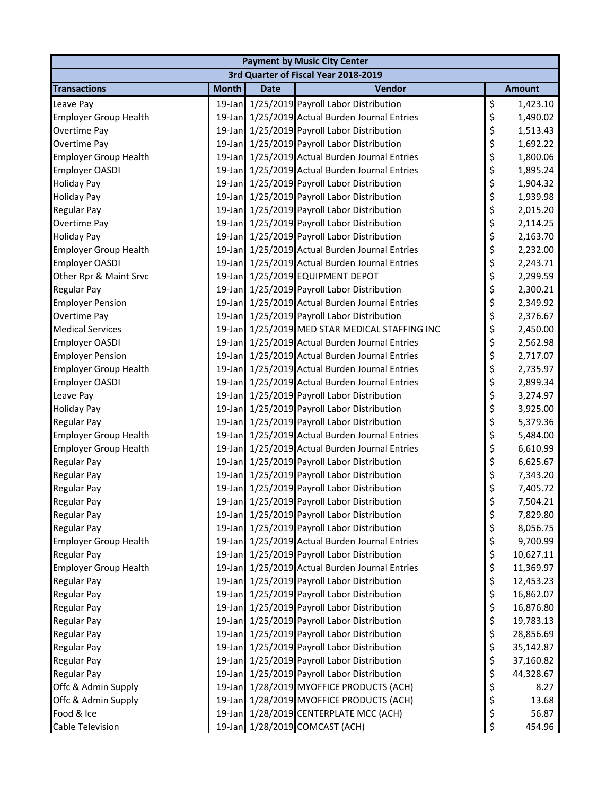| <b>Payment by Music City Center</b> |              |             |                                                |    |               |  |  |  |
|-------------------------------------|--------------|-------------|------------------------------------------------|----|---------------|--|--|--|
|                                     |              |             | 3rd Quarter of Fiscal Year 2018-2019           |    |               |  |  |  |
| <b>Transactions</b>                 | <b>Month</b> | <b>Date</b> | Vendor                                         |    | <b>Amount</b> |  |  |  |
| Leave Pay                           |              |             | 19-Jan 1/25/2019 Payroll Labor Distribution    | \$ | 1,423.10      |  |  |  |
| <b>Employer Group Health</b>        |              |             | 19-Jan 1/25/2019 Actual Burden Journal Entries | \$ | 1,490.02      |  |  |  |
| Overtime Pay                        |              |             | 19-Jan 1/25/2019 Payroll Labor Distribution    | \$ | 1,513.43      |  |  |  |
| Overtime Pay                        |              |             | 19-Jan 1/25/2019 Payroll Labor Distribution    | \$ | 1,692.22      |  |  |  |
| <b>Employer Group Health</b>        |              |             | 19-Jan 1/25/2019 Actual Burden Journal Entries | \$ | 1,800.06      |  |  |  |
| <b>Employer OASDI</b>               |              |             | 19-Jan 1/25/2019 Actual Burden Journal Entries | \$ | 1,895.24      |  |  |  |
| <b>Holiday Pay</b>                  |              |             | 19-Jan 1/25/2019 Payroll Labor Distribution    | \$ | 1,904.32      |  |  |  |
| <b>Holiday Pay</b>                  |              |             | 19-Jan 1/25/2019 Payroll Labor Distribution    | \$ | 1,939.98      |  |  |  |
| <b>Regular Pay</b>                  |              |             | 19-Jan 1/25/2019 Payroll Labor Distribution    | \$ | 2,015.20      |  |  |  |
| <b>Overtime Pay</b>                 |              |             | 19-Jan 1/25/2019 Payroll Labor Distribution    | \$ | 2,114.25      |  |  |  |
| <b>Holiday Pay</b>                  |              |             | 19-Jan 1/25/2019 Payroll Labor Distribution    | \$ | 2,163.70      |  |  |  |
| <b>Employer Group Health</b>        |              |             | 19-Jan 1/25/2019 Actual Burden Journal Entries | \$ | 2,232.00      |  |  |  |
| <b>Employer OASDI</b>               |              |             | 19-Jan 1/25/2019 Actual Burden Journal Entries | \$ | 2,243.71      |  |  |  |
| Other Rpr & Maint Srvc              |              |             | 19-Jan 1/25/2019 EQUIPMENT DEPOT               | \$ | 2,299.59      |  |  |  |
| <b>Regular Pay</b>                  |              |             | 19-Jan 1/25/2019 Payroll Labor Distribution    | \$ | 2,300.21      |  |  |  |
| <b>Employer Pension</b>             |              |             | 19-Jan 1/25/2019 Actual Burden Journal Entries | \$ | 2,349.92      |  |  |  |
| Overtime Pay                        |              |             | 19-Jan 1/25/2019 Payroll Labor Distribution    | \$ | 2,376.67      |  |  |  |
| <b>Medical Services</b>             |              |             | 19-Jan 1/25/2019 MED STAR MEDICAL STAFFING INC | \$ | 2,450.00      |  |  |  |
| <b>Employer OASDI</b>               |              |             | 19-Jan 1/25/2019 Actual Burden Journal Entries | \$ | 2,562.98      |  |  |  |
| <b>Employer Pension</b>             |              |             | 19-Jan 1/25/2019 Actual Burden Journal Entries | \$ | 2,717.07      |  |  |  |
| <b>Employer Group Health</b>        |              |             | 19-Jan 1/25/2019 Actual Burden Journal Entries | \$ | 2,735.97      |  |  |  |
| <b>Employer OASDI</b>               |              |             | 19-Jan 1/25/2019 Actual Burden Journal Entries | \$ | 2,899.34      |  |  |  |
| Leave Pay                           |              |             | 19-Jan 1/25/2019 Payroll Labor Distribution    | \$ | 3,274.97      |  |  |  |
| <b>Holiday Pay</b>                  |              |             | 19-Jan 1/25/2019 Payroll Labor Distribution    | \$ | 3,925.00      |  |  |  |
| <b>Regular Pay</b>                  |              |             | 19-Jan 1/25/2019 Payroll Labor Distribution    | \$ | 5,379.36      |  |  |  |
| Employer Group Health               |              |             | 19-Jan 1/25/2019 Actual Burden Journal Entries | \$ | 5,484.00      |  |  |  |
| <b>Employer Group Health</b>        |              |             | 19-Jan 1/25/2019 Actual Burden Journal Entries | \$ | 6,610.99      |  |  |  |
| <b>Regular Pay</b>                  |              |             | 19-Jan 1/25/2019 Payroll Labor Distribution    | \$ | 6,625.67      |  |  |  |
| <b>Regular Pay</b>                  |              |             | 19-Jan 1/25/2019 Payroll Labor Distribution    | \$ | 7,343.20      |  |  |  |
| <b>Regular Pay</b>                  |              |             | 19-Jan 1/25/2019 Payroll Labor Distribution    | \$ | 7,405.72      |  |  |  |
| Regular Pay                         |              |             | 19-Jan 1/25/2019 Payroll Labor Distribution    | Ś  | 7,504.21      |  |  |  |
| <b>Regular Pay</b>                  |              |             | 19-Jan 1/25/2019 Payroll Labor Distribution    | \$ | 7,829.80      |  |  |  |
| <b>Regular Pay</b>                  |              |             | 19-Jan 1/25/2019 Payroll Labor Distribution    | \$ | 8,056.75      |  |  |  |
| <b>Employer Group Health</b>        |              |             | 19-Jan 1/25/2019 Actual Burden Journal Entries | \$ | 9,700.99      |  |  |  |
| <b>Regular Pay</b>                  |              |             | 19-Jan 1/25/2019 Payroll Labor Distribution    | \$ | 10,627.11     |  |  |  |
| <b>Employer Group Health</b>        |              |             | 19-Jan 1/25/2019 Actual Burden Journal Entries | \$ | 11,369.97     |  |  |  |
| <b>Regular Pay</b>                  |              |             | 19-Jan 1/25/2019 Payroll Labor Distribution    | \$ | 12,453.23     |  |  |  |
| <b>Regular Pay</b>                  |              |             | 19-Jan 1/25/2019 Payroll Labor Distribution    | \$ | 16,862.07     |  |  |  |
| <b>Regular Pay</b>                  |              |             | 19-Jan 1/25/2019 Payroll Labor Distribution    | \$ | 16,876.80     |  |  |  |
| <b>Regular Pay</b>                  |              |             | 19-Jan 1/25/2019 Payroll Labor Distribution    | \$ | 19,783.13     |  |  |  |
| <b>Regular Pay</b>                  |              |             | 19-Jan 1/25/2019 Payroll Labor Distribution    | \$ | 28,856.69     |  |  |  |
| <b>Regular Pay</b>                  |              |             | 19-Jan 1/25/2019 Payroll Labor Distribution    | \$ | 35,142.87     |  |  |  |
| <b>Regular Pay</b>                  |              |             | 19-Jan 1/25/2019 Payroll Labor Distribution    | \$ | 37,160.82     |  |  |  |
| <b>Regular Pay</b>                  |              |             | 19-Jan 1/25/2019 Payroll Labor Distribution    | \$ | 44,328.67     |  |  |  |
| Offc & Admin Supply                 |              |             | 19-Jan 1/28/2019 MYOFFICE PRODUCTS (ACH)       | \$ | 8.27          |  |  |  |
| Offc & Admin Supply                 |              |             | 19-Jan 1/28/2019 MYOFFICE PRODUCTS (ACH)       | \$ | 13.68         |  |  |  |
| Food & Ice                          |              |             | 19-Jan 1/28/2019 CENTERPLATE MCC (ACH)         | \$ | 56.87         |  |  |  |
| Cable Television                    |              |             | 19-Jan 1/28/2019 COMCAST (ACH)                 | \$ | 454.96        |  |  |  |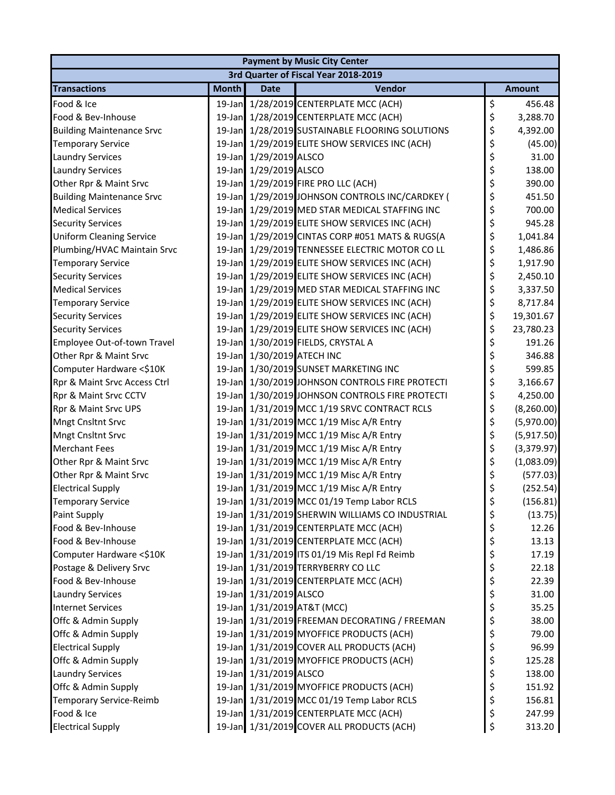|                                  | <b>Payment by Music City Center</b> |                            |                                                 |    |               |  |  |  |
|----------------------------------|-------------------------------------|----------------------------|-------------------------------------------------|----|---------------|--|--|--|
|                                  |                                     |                            | 3rd Quarter of Fiscal Year 2018-2019            |    |               |  |  |  |
| <b>Transactions</b>              | <b>Month</b>                        | <b>Date</b>                | <b>Vendor</b>                                   |    | <b>Amount</b> |  |  |  |
| Food & Ice                       |                                     |                            | 19-Jan 1/28/2019 CENTERPLATE MCC (ACH)          | \$ | 456.48        |  |  |  |
| Food & Bev-Inhouse               |                                     |                            | 19-Jan 1/28/2019 CENTERPLATE MCC (ACH)          | \$ | 3,288.70      |  |  |  |
| <b>Building Maintenance Srvc</b> |                                     |                            | 19-Jan 1/28/2019 SUSTAINABLE FLOORING SOLUTIONS | \$ | 4,392.00      |  |  |  |
| <b>Temporary Service</b>         |                                     |                            | 19-Jan 1/29/2019 ELITE SHOW SERVICES INC (ACH)  | \$ | (45.00)       |  |  |  |
| <b>Laundry Services</b>          |                                     | 19-Jan 1/29/2019 ALSCO     |                                                 | \$ | 31.00         |  |  |  |
| <b>Laundry Services</b>          |                                     | 19-Jan 1/29/2019 ALSCO     |                                                 | \$ | 138.00        |  |  |  |
| Other Rpr & Maint Srvc           |                                     |                            | 19-Jan 1/29/2019 FIRE PRO LLC (ACH)             | \$ | 390.00        |  |  |  |
| <b>Building Maintenance Srvc</b> |                                     |                            | 19-Jan 1/29/2019 JOHNSON CONTROLS INC/CARDKEY ( | \$ | 451.50        |  |  |  |
| <b>Medical Services</b>          |                                     |                            | 19-Jan 1/29/2019 MED STAR MEDICAL STAFFING INC  | \$ | 700.00        |  |  |  |
| <b>Security Services</b>         |                                     |                            | 19-Jan 1/29/2019 ELITE SHOW SERVICES INC (ACH)  | \$ | 945.28        |  |  |  |
| <b>Uniform Cleaning Service</b>  |                                     |                            | 19-Jan 1/29/2019 CINTAS CORP #051 MATS & RUGS(A | \$ | 1,041.84      |  |  |  |
| Plumbing/HVAC Maintain Srvc      |                                     |                            | 19-Jan 1/29/2019 TENNESSEE ELECTRIC MOTOR CO LL | \$ | 1,486.86      |  |  |  |
| <b>Temporary Service</b>         |                                     |                            | 19-Jan 1/29/2019 ELITE SHOW SERVICES INC (ACH)  | \$ | 1,917.90      |  |  |  |
| <b>Security Services</b>         |                                     |                            | 19-Jan 1/29/2019 ELITE SHOW SERVICES INC (ACH)  | \$ | 2,450.10      |  |  |  |
| <b>Medical Services</b>          |                                     |                            | 19-Jan 1/29/2019 MED STAR MEDICAL STAFFING INC  | \$ | 3,337.50      |  |  |  |
| <b>Temporary Service</b>         |                                     |                            | 19-Jan 1/29/2019 ELITE SHOW SERVICES INC (ACH)  | \$ | 8,717.84      |  |  |  |
| <b>Security Services</b>         |                                     |                            | 19-Jan 1/29/2019 ELITE SHOW SERVICES INC (ACH)  | \$ | 19,301.67     |  |  |  |
| <b>Security Services</b>         |                                     |                            | 19-Jan 1/29/2019 ELITE SHOW SERVICES INC (ACH)  | \$ | 23,780.23     |  |  |  |
| Employee Out-of-town Travel      |                                     |                            | 19-Jan 1/30/2019 FIELDS, CRYSTAL A              | \$ | 191.26        |  |  |  |
| Other Rpr & Maint Srvc           |                                     | 19-Jan 1/30/2019 ATECH INC |                                                 | \$ | 346.88        |  |  |  |
| Computer Hardware <\$10K         |                                     |                            | 19-Jan 1/30/2019 SUNSET MARKETING INC           | \$ | 599.85        |  |  |  |
| Rpr & Maint Srvc Access Ctrl     |                                     |                            | 19-Jan 1/30/2019 JOHNSON CONTROLS FIRE PROTECTI | \$ | 3,166.67      |  |  |  |
| Rpr & Maint Srvc CCTV            |                                     |                            | 19-Jan 1/30/2019 JOHNSON CONTROLS FIRE PROTECTI | \$ | 4,250.00      |  |  |  |
| Rpr & Maint Srvc UPS             |                                     |                            | 19-Jan 1/31/2019 MCC 1/19 SRVC CONTRACT RCLS    | \$ | (8, 260.00)   |  |  |  |
| <b>Mngt Cnsltnt Srvc</b>         |                                     |                            | 19-Jan 1/31/2019 MCC 1/19 Misc A/R Entry        | \$ | (5,970.00)    |  |  |  |
| <b>Mngt Cnsltnt Srvc</b>         |                                     |                            | 19-Jan 1/31/2019 MCC 1/19 Misc A/R Entry        | \$ | (5,917.50)    |  |  |  |
| <b>Merchant Fees</b>             |                                     |                            | 19-Jan 1/31/2019 MCC 1/19 Misc A/R Entry        | \$ | (3,379.97)    |  |  |  |
| Other Rpr & Maint Srvc           |                                     |                            | 19-Jan 1/31/2019 MCC 1/19 Misc A/R Entry        | \$ | (1,083.09)    |  |  |  |
| Other Rpr & Maint Srvc           |                                     |                            | 19-Jan 1/31/2019 MCC 1/19 Misc A/R Entry        | \$ | (577.03)      |  |  |  |
| <b>Electrical Supply</b>         |                                     |                            | 19-Jan 1/31/2019 MCC 1/19 Misc A/R Entry        | \$ | (252.54)      |  |  |  |
| <b>Temporary Service</b>         |                                     |                            | 19-Jan 1/31/2019 MCC 01/19 Temp Labor RCLS      | \$ | (156.81)      |  |  |  |
| Paint Supply                     |                                     |                            | 19-Jan 1/31/2019 SHERWIN WILLIAMS CO INDUSTRIAL | \$ | (13.75)       |  |  |  |
| Food & Bev-Inhouse               |                                     |                            | 19-Jan 1/31/2019 CENTERPLATE MCC (ACH)          | \$ | 12.26         |  |  |  |
| Food & Bev-Inhouse               |                                     |                            | 19-Jan 1/31/2019 CENTERPLATE MCC (ACH)          | \$ | 13.13         |  |  |  |
| Computer Hardware <\$10K         |                                     |                            | 19-Jan 1/31/2019 ITS 01/19 Mis Repl Fd Reimb    | \$ | 17.19         |  |  |  |
| Postage & Delivery Srvc          |                                     |                            | 19-Jan 1/31/2019 TERRYBERRY CO LLC              | \$ | 22.18         |  |  |  |
| Food & Bev-Inhouse               |                                     |                            | 19-Jan 1/31/2019 CENTERPLATE MCC (ACH)          | \$ | 22.39         |  |  |  |
| <b>Laundry Services</b>          |                                     | 19-Jan 1/31/2019 ALSCO     |                                                 | \$ | 31.00         |  |  |  |
| <b>Internet Services</b>         |                                     |                            | 19-Jan 1/31/2019 AT&T (MCC)                     | \$ | 35.25         |  |  |  |
| Offc & Admin Supply              |                                     |                            | 19-Jan 1/31/2019 FREEMAN DECORATING / FREEMAN   | \$ | 38.00         |  |  |  |
| Offc & Admin Supply              |                                     |                            | 19-Jan 1/31/2019 MYOFFICE PRODUCTS (ACH)        | \$ | 79.00         |  |  |  |
| <b>Electrical Supply</b>         |                                     |                            | 19-Jan 1/31/2019 COVER ALL PRODUCTS (ACH)       | \$ | 96.99         |  |  |  |
| Offc & Admin Supply              |                                     |                            | 19-Jan 1/31/2019 MYOFFICE PRODUCTS (ACH)        | \$ | 125.28        |  |  |  |
| <b>Laundry Services</b>          |                                     | 19-Jan 1/31/2019 ALSCO     |                                                 | \$ | 138.00        |  |  |  |
| Offc & Admin Supply              |                                     |                            | 19-Jan 1/31/2019 MYOFFICE PRODUCTS (ACH)        | \$ | 151.92        |  |  |  |
| <b>Temporary Service-Reimb</b>   |                                     |                            | 19-Jan 1/31/2019 MCC 01/19 Temp Labor RCLS      | \$ | 156.81        |  |  |  |
| Food & Ice                       |                                     |                            | 19-Jan 1/31/2019 CENTERPLATE MCC (ACH)          | \$ | 247.99        |  |  |  |
| <b>Electrical Supply</b>         |                                     |                            | 19-Jan 1/31/2019 COVER ALL PRODUCTS (ACH)       | \$ | 313.20        |  |  |  |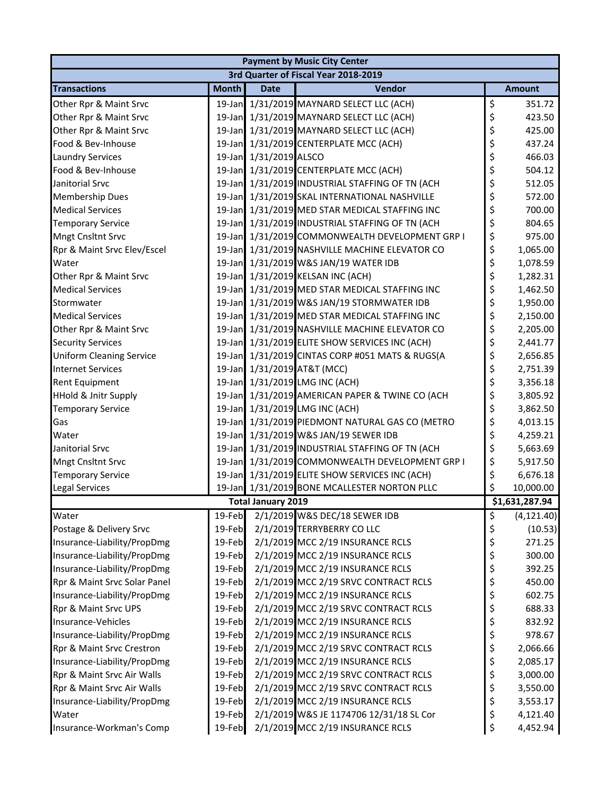| <b>Payment by Music City Center</b> |              |                           |                                                 |    |                |  |
|-------------------------------------|--------------|---------------------------|-------------------------------------------------|----|----------------|--|
|                                     |              |                           | 3rd Quarter of Fiscal Year 2018-2019            |    |                |  |
| <b>Transactions</b>                 | <b>Month</b> | <b>Date</b>               | Vendor                                          |    | <b>Amount</b>  |  |
| Other Rpr & Maint Srvc              |              |                           | 19-Jan 1/31/2019 MAYNARD SELECT LLC (ACH)       | \$ | 351.72         |  |
| Other Rpr & Maint Srvc              |              |                           | 19-Jan 1/31/2019 MAYNARD SELECT LLC (ACH)       | \$ | 423.50         |  |
| Other Rpr & Maint Srvc              |              |                           | 19-Jan 1/31/2019 MAYNARD SELECT LLC (ACH)       | \$ | 425.00         |  |
| Food & Bev-Inhouse                  |              |                           | 19-Jan 1/31/2019 CENTERPLATE MCC (ACH)          | \$ | 437.24         |  |
| <b>Laundry Services</b>             |              | 19-Jan 1/31/2019 ALSCO    |                                                 | \$ | 466.03         |  |
| Food & Bev-Inhouse                  |              |                           | 19-Jan 1/31/2019 CENTERPLATE MCC (ACH)          | \$ | 504.12         |  |
| Janitorial Srvc                     |              |                           | 19-Jan 1/31/2019 INDUSTRIAL STAFFING OF TN (ACH | \$ | 512.05         |  |
| <b>Membership Dues</b>              |              |                           | 19-Jan 1/31/2019 SKAL INTERNATIONAL NASHVILLE   | \$ | 572.00         |  |
| <b>Medical Services</b>             |              |                           | 19-Jan 1/31/2019 MED STAR MEDICAL STAFFING INC  | \$ | 700.00         |  |
| <b>Temporary Service</b>            |              |                           | 19-Jan 1/31/2019 INDUSTRIAL STAFFING OF TN (ACH | \$ | 804.65         |  |
| <b>Mngt Cnsltnt Srvc</b>            |              |                           | 19-Jan 1/31/2019 COMMONWEALTH DEVELOPMENT GRP I | \$ | 975.00         |  |
| Rpr & Maint Srvc Elev/Escel         |              |                           | 19-Jan 1/31/2019 NASHVILLE MACHINE ELEVATOR CO  | \$ | 1,065.00       |  |
| Water                               |              |                           | 19-Jan 1/31/2019 W&S JAN/19 WATER IDB           | \$ | 1,078.59       |  |
| Other Rpr & Maint Srvc              |              |                           | 19-Jan 1/31/2019 KELSAN INC (ACH)               | \$ | 1,282.31       |  |
| <b>Medical Services</b>             |              |                           | 19-Jan 1/31/2019 MED STAR MEDICAL STAFFING INC  | \$ | 1,462.50       |  |
| Stormwater                          |              |                           | 19-Jan 1/31/2019 W&S JAN/19 STORMWATER IDB      | \$ | 1,950.00       |  |
| <b>Medical Services</b>             |              |                           | 19-Jan 1/31/2019 MED STAR MEDICAL STAFFING INC  | \$ | 2,150.00       |  |
| Other Rpr & Maint Srvc              |              |                           | 19-Jan 1/31/2019 NASHVILLE MACHINE ELEVATOR CO  | \$ | 2,205.00       |  |
| <b>Security Services</b>            |              |                           | 19-Jan 1/31/2019 ELITE SHOW SERVICES INC (ACH)  | \$ | 2,441.77       |  |
| <b>Uniform Cleaning Service</b>     |              |                           | 19-Jan 1/31/2019 CINTAS CORP #051 MATS & RUGS(A | \$ | 2,656.85       |  |
| <b>Internet Services</b>            |              |                           | 19-Jan 1/31/2019 AT&T (MCC)                     | \$ | 2,751.39       |  |
| <b>Rent Equipment</b>               |              |                           | 19-Jan 1/31/2019 LMG INC (ACH)                  | \$ | 3,356.18       |  |
| <b>HHold &amp; Jnitr Supply</b>     |              |                           | 19-Jan 1/31/2019 AMERICAN PAPER & TWINE CO (ACH | \$ | 3,805.92       |  |
| <b>Temporary Service</b>            |              |                           | 19-Jan 1/31/2019 LMG INC (ACH)                  | \$ | 3,862.50       |  |
| Gas                                 |              |                           | 19-Jan 1/31/2019 PIEDMONT NATURAL GAS CO (METRO | \$ | 4,013.15       |  |
| Water                               |              |                           | 19-Jan 1/31/2019 W&S JAN/19 SEWER IDB           | \$ | 4,259.21       |  |
| Janitorial Srvc                     |              |                           | 19-Jan 1/31/2019 INDUSTRIAL STAFFING OF TN (ACH | \$ | 5,663.69       |  |
| <b>Mngt Cnsltnt Srvc</b>            |              |                           | 19-Jan 1/31/2019 COMMONWEALTH DEVELOPMENT GRP I | \$ | 5,917.50       |  |
| <b>Temporary Service</b>            |              |                           | 19-Jan 1/31/2019 ELITE SHOW SERVICES INC (ACH)  | \$ | 6,676.18       |  |
| <b>Legal Services</b>               |              |                           | 19-Jan 1/31/2019 BONE MCALLESTER NORTON PLLC    | \$ | 10,000.00      |  |
|                                     |              | <b>Total January 2019</b> |                                                 |    | \$1,631,287.94 |  |
| Water                               | 19-Feb       |                           | 2/1/2019 W&S DEC/18 SEWER IDB                   | \$ | (4, 121.40)    |  |
| Postage & Delivery Srvc             | 19-Feb       |                           | 2/1/2019 TERRYBERRY CO LLC                      | \$ | (10.53)        |  |
| Insurance-Liability/PropDmg         | 19-Feb       |                           | 2/1/2019 MCC 2/19 INSURANCE RCLS                | \$ | 271.25         |  |
| Insurance-Liability/PropDmg         | 19-Feb       |                           | 2/1/2019 MCC 2/19 INSURANCE RCLS                | \$ | 300.00         |  |
| Insurance-Liability/PropDmg         | 19-Feb       |                           | 2/1/2019 MCC 2/19 INSURANCE RCLS                | \$ | 392.25         |  |
| Rpr & Maint Srvc Solar Panel        | 19-Feb       |                           | 2/1/2019 MCC 2/19 SRVC CONTRACT RCLS            | \$ | 450.00         |  |
| Insurance-Liability/PropDmg         | 19-Feb       |                           | 2/1/2019 MCC 2/19 INSURANCE RCLS                | \$ | 602.75         |  |
| Rpr & Maint Srvc UPS                | 19-Feb       |                           | 2/1/2019 MCC 2/19 SRVC CONTRACT RCLS            | \$ | 688.33         |  |
| Insurance-Vehicles                  | 19-Feb       |                           | 2/1/2019 MCC 2/19 INSURANCE RCLS                | \$ | 832.92         |  |
| Insurance-Liability/PropDmg         | 19-Feb       |                           | 2/1/2019 MCC 2/19 INSURANCE RCLS                | \$ | 978.67         |  |
| Rpr & Maint Srvc Crestron           | 19-Feb       |                           | 2/1/2019 MCC 2/19 SRVC CONTRACT RCLS            | \$ | 2,066.66       |  |
| Insurance-Liability/PropDmg         | 19-Feb       |                           | 2/1/2019 MCC 2/19 INSURANCE RCLS                | \$ | 2,085.17       |  |
| Rpr & Maint Srvc Air Walls          | 19-Feb       |                           | 2/1/2019 MCC 2/19 SRVC CONTRACT RCLS            | \$ | 3,000.00       |  |
| Rpr & Maint Srvc Air Walls          | 19-Feb       |                           | 2/1/2019 MCC 2/19 SRVC CONTRACT RCLS            | \$ | 3,550.00       |  |
| Insurance-Liability/PropDmg         | 19-Feb       |                           | 2/1/2019 MCC 2/19 INSURANCE RCLS                | \$ | 3,553.17       |  |
| Water                               | 19-Feb       |                           | 2/1/2019 W&S JE 1174706 12/31/18 SL Cor         | \$ | 4,121.40       |  |
| Insurance-Workman's Comp            | 19-Feb       |                           | 2/1/2019 MCC 2/19 INSURANCE RCLS                | \$ | 4,452.94       |  |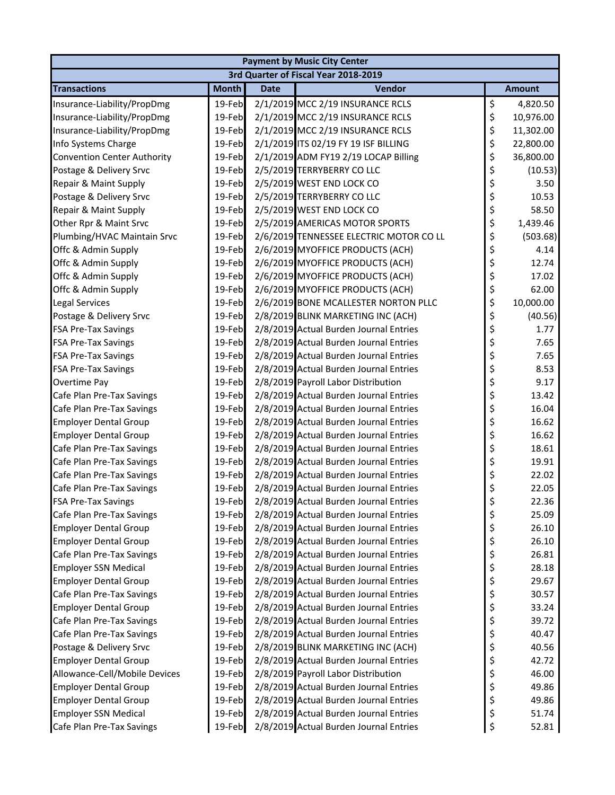| <b>Payment by Music City Center</b> |              |             |                                         |    |               |  |  |
|-------------------------------------|--------------|-------------|-----------------------------------------|----|---------------|--|--|
|                                     |              |             | 3rd Quarter of Fiscal Year 2018-2019    |    |               |  |  |
| <b>Transactions</b>                 | <b>Month</b> | <b>Date</b> | Vendor                                  |    | <b>Amount</b> |  |  |
| Insurance-Liability/PropDmg         | 19-Feb       |             | 2/1/2019 MCC 2/19 INSURANCE RCLS        | \$ | 4,820.50      |  |  |
| Insurance-Liability/PropDmg         | 19-Feb       |             | 2/1/2019 MCC 2/19 INSURANCE RCLS        | \$ | 10,976.00     |  |  |
| Insurance-Liability/PropDmg         | 19-Feb       |             | 2/1/2019 MCC 2/19 INSURANCE RCLS        | \$ | 11,302.00     |  |  |
| Info Systems Charge                 | 19-Feb       |             | 2/1/2019 ITS 02/19 FY 19 ISF BILLING    | \$ | 22,800.00     |  |  |
| <b>Convention Center Authority</b>  | 19-Feb       |             | 2/1/2019 ADM FY19 2/19 LOCAP Billing    | \$ | 36,800.00     |  |  |
| Postage & Delivery Srvc             | 19-Feb       |             | 2/5/2019 TERRYBERRY CO LLC              | \$ | (10.53)       |  |  |
| Repair & Maint Supply               | 19-Feb       |             | 2/5/2019 WEST END LOCK CO               | \$ | 3.50          |  |  |
| Postage & Delivery Srvc             | 19-Feb       |             | 2/5/2019 TERRYBERRY CO LLC              | \$ | 10.53         |  |  |
| Repair & Maint Supply               | 19-Feb       |             | 2/5/2019 WEST END LOCK CO               | \$ | 58.50         |  |  |
| Other Rpr & Maint Srvc              | 19-Feb       |             | 2/5/2019 AMERICAS MOTOR SPORTS          | \$ | 1,439.46      |  |  |
| Plumbing/HVAC Maintain Srvc         | 19-Feb       |             | 2/6/2019 TENNESSEE ELECTRIC MOTOR CO LL | \$ | (503.68)      |  |  |
| Offc & Admin Supply                 | 19-Feb       |             | 2/6/2019 MYOFFICE PRODUCTS (ACH)        | \$ | 4.14          |  |  |
| Offc & Admin Supply                 | 19-Feb       |             | 2/6/2019 MYOFFICE PRODUCTS (ACH)        | \$ | 12.74         |  |  |
| Offc & Admin Supply                 | 19-Feb       |             | 2/6/2019 MYOFFICE PRODUCTS (ACH)        | \$ | 17.02         |  |  |
| Offc & Admin Supply                 | 19-Feb       |             | 2/6/2019 MYOFFICE PRODUCTS (ACH)        | \$ | 62.00         |  |  |
| Legal Services                      | 19-Feb       |             | 2/6/2019 BONE MCALLESTER NORTON PLLC    | \$ | 10,000.00     |  |  |
| Postage & Delivery Srvc             | 19-Feb       |             | 2/8/2019 BLINK MARKETING INC (ACH)      | \$ | (40.56)       |  |  |
| <b>FSA Pre-Tax Savings</b>          | 19-Feb       |             | 2/8/2019 Actual Burden Journal Entries  | \$ | 1.77          |  |  |
| <b>FSA Pre-Tax Savings</b>          | 19-Feb       |             | 2/8/2019 Actual Burden Journal Entries  | \$ | 7.65          |  |  |
| FSA Pre-Tax Savings                 | 19-Feb       |             | 2/8/2019 Actual Burden Journal Entries  | \$ | 7.65          |  |  |
| FSA Pre-Tax Savings                 | 19-Feb       |             | 2/8/2019 Actual Burden Journal Entries  | \$ | 8.53          |  |  |
| Overtime Pay                        | 19-Feb       |             | 2/8/2019 Payroll Labor Distribution     | \$ | 9.17          |  |  |
| Cafe Plan Pre-Tax Savings           | 19-Feb       |             | 2/8/2019 Actual Burden Journal Entries  | \$ | 13.42         |  |  |
| Cafe Plan Pre-Tax Savings           | 19-Feb       |             | 2/8/2019 Actual Burden Journal Entries  | \$ | 16.04         |  |  |
| <b>Employer Dental Group</b>        | 19-Feb       |             | 2/8/2019 Actual Burden Journal Entries  | \$ | 16.62         |  |  |
| <b>Employer Dental Group</b>        | 19-Feb       |             | 2/8/2019 Actual Burden Journal Entries  | \$ | 16.62         |  |  |
| Cafe Plan Pre-Tax Savings           | 19-Feb       |             | 2/8/2019 Actual Burden Journal Entries  | \$ | 18.61         |  |  |
| Cafe Plan Pre-Tax Savings           | 19-Feb       |             | 2/8/2019 Actual Burden Journal Entries  | \$ | 19.91         |  |  |
| Cafe Plan Pre-Tax Savings           | 19-Feb       |             | 2/8/2019 Actual Burden Journal Entries  | \$ | 22.02         |  |  |
| Cafe Plan Pre-Tax Savings           | 19-Feb       |             | 2/8/2019 Actual Burden Journal Entries  | \$ | 22.05         |  |  |
| <b>FSA Pre-Tax Savings</b>          | 19-Feb       |             | 2/8/2019 Actual Burden Journal Entries  | \$ | 22.36         |  |  |
| Cafe Plan Pre-Tax Savings           | 19-Feb       |             | 2/8/2019 Actual Burden Journal Entries  | \$ | 25.09         |  |  |
| <b>Employer Dental Group</b>        | 19-Feb       |             | 2/8/2019 Actual Burden Journal Entries  | \$ | 26.10         |  |  |
| <b>Employer Dental Group</b>        | 19-Feb       |             | 2/8/2019 Actual Burden Journal Entries  | \$ | 26.10         |  |  |
| Cafe Plan Pre-Tax Savings           | 19-Feb       |             | 2/8/2019 Actual Burden Journal Entries  | \$ | 26.81         |  |  |
| <b>Employer SSN Medical</b>         | 19-Feb       |             | 2/8/2019 Actual Burden Journal Entries  | \$ | 28.18         |  |  |
| <b>Employer Dental Group</b>        | 19-Feb       |             | 2/8/2019 Actual Burden Journal Entries  | \$ | 29.67         |  |  |
| Cafe Plan Pre-Tax Savings           | 19-Feb       |             | 2/8/2019 Actual Burden Journal Entries  | \$ | 30.57         |  |  |
| <b>Employer Dental Group</b>        | 19-Feb       |             | 2/8/2019 Actual Burden Journal Entries  | \$ | 33.24         |  |  |
| Cafe Plan Pre-Tax Savings           | 19-Feb       |             | 2/8/2019 Actual Burden Journal Entries  | \$ | 39.72         |  |  |
| Cafe Plan Pre-Tax Savings           | 19-Feb       |             | 2/8/2019 Actual Burden Journal Entries  | \$ | 40.47         |  |  |
| Postage & Delivery Srvc             | 19-Feb       |             | 2/8/2019 BLINK MARKETING INC (ACH)      | \$ | 40.56         |  |  |
| <b>Employer Dental Group</b>        | 19-Feb       |             | 2/8/2019 Actual Burden Journal Entries  | \$ | 42.72         |  |  |
| Allowance-Cell/Mobile Devices       | 19-Feb       |             | 2/8/2019 Payroll Labor Distribution     | \$ | 46.00         |  |  |
| <b>Employer Dental Group</b>        | 19-Feb       |             | 2/8/2019 Actual Burden Journal Entries  | \$ | 49.86         |  |  |
| <b>Employer Dental Group</b>        | 19-Feb       |             | 2/8/2019 Actual Burden Journal Entries  | \$ | 49.86         |  |  |
| <b>Employer SSN Medical</b>         | 19-Feb       |             | 2/8/2019 Actual Burden Journal Entries  | \$ | 51.74         |  |  |
| Cafe Plan Pre-Tax Savings           | 19-Feb       |             | 2/8/2019 Actual Burden Journal Entries  | \$ | 52.81         |  |  |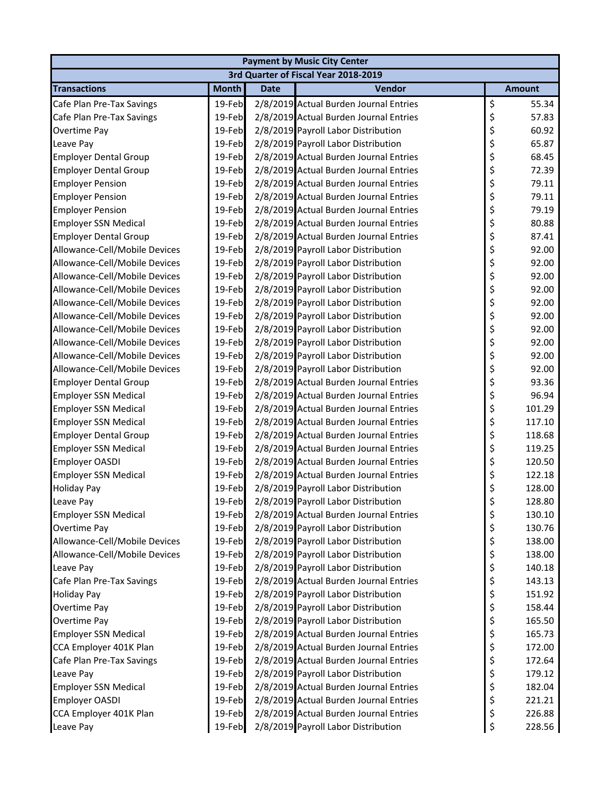| <b>Payment by Music City Center</b> |              |             |                                        |    |               |  |  |
|-------------------------------------|--------------|-------------|----------------------------------------|----|---------------|--|--|
|                                     |              |             | 3rd Quarter of Fiscal Year 2018-2019   |    |               |  |  |
| <b>Transactions</b>                 | <b>Month</b> | <b>Date</b> | Vendor                                 |    | <b>Amount</b> |  |  |
| Cafe Plan Pre-Tax Savings           | 19-Feb       |             | 2/8/2019 Actual Burden Journal Entries | \$ | 55.34         |  |  |
| Cafe Plan Pre-Tax Savings           | 19-Feb       |             | 2/8/2019 Actual Burden Journal Entries | \$ | 57.83         |  |  |
| Overtime Pay                        | 19-Feb       |             | 2/8/2019 Payroll Labor Distribution    | \$ | 60.92         |  |  |
| Leave Pay                           | 19-Feb       |             | 2/8/2019 Payroll Labor Distribution    | \$ | 65.87         |  |  |
| <b>Employer Dental Group</b>        | 19-Feb       |             | 2/8/2019 Actual Burden Journal Entries | \$ | 68.45         |  |  |
| <b>Employer Dental Group</b>        | 19-Feb       |             | 2/8/2019 Actual Burden Journal Entries | \$ | 72.39         |  |  |
| <b>Employer Pension</b>             | 19-Feb       |             | 2/8/2019 Actual Burden Journal Entries | \$ | 79.11         |  |  |
| <b>Employer Pension</b>             | 19-Feb       |             | 2/8/2019 Actual Burden Journal Entries | \$ | 79.11         |  |  |
| <b>Employer Pension</b>             | 19-Feb       |             | 2/8/2019 Actual Burden Journal Entries | \$ | 79.19         |  |  |
| <b>Employer SSN Medical</b>         | 19-Feb       |             | 2/8/2019 Actual Burden Journal Entries | \$ | 80.88         |  |  |
| <b>Employer Dental Group</b>        | 19-Feb       |             | 2/8/2019 Actual Burden Journal Entries | \$ | 87.41         |  |  |
| Allowance-Cell/Mobile Devices       | 19-Feb       |             | 2/8/2019 Payroll Labor Distribution    | \$ | 92.00         |  |  |
| Allowance-Cell/Mobile Devices       | 19-Feb       |             | 2/8/2019 Payroll Labor Distribution    | \$ | 92.00         |  |  |
| Allowance-Cell/Mobile Devices       | 19-Feb       |             | 2/8/2019 Payroll Labor Distribution    | \$ | 92.00         |  |  |
| Allowance-Cell/Mobile Devices       | 19-Feb       |             | 2/8/2019 Payroll Labor Distribution    | \$ | 92.00         |  |  |
| Allowance-Cell/Mobile Devices       | 19-Feb       |             | 2/8/2019 Payroll Labor Distribution    | \$ | 92.00         |  |  |
| Allowance-Cell/Mobile Devices       | 19-Feb       |             | 2/8/2019 Payroll Labor Distribution    | \$ | 92.00         |  |  |
| Allowance-Cell/Mobile Devices       | 19-Feb       |             | 2/8/2019 Payroll Labor Distribution    | \$ | 92.00         |  |  |
| Allowance-Cell/Mobile Devices       | 19-Feb       |             | 2/8/2019 Payroll Labor Distribution    | \$ | 92.00         |  |  |
| Allowance-Cell/Mobile Devices       | 19-Feb       |             | 2/8/2019 Payroll Labor Distribution    | \$ | 92.00         |  |  |
| Allowance-Cell/Mobile Devices       | 19-Feb       |             | 2/8/2019 Payroll Labor Distribution    | \$ | 92.00         |  |  |
| <b>Employer Dental Group</b>        | 19-Feb       |             | 2/8/2019 Actual Burden Journal Entries | \$ | 93.36         |  |  |
| <b>Employer SSN Medical</b>         | 19-Feb       |             | 2/8/2019 Actual Burden Journal Entries | \$ | 96.94         |  |  |
| <b>Employer SSN Medical</b>         | 19-Feb       |             | 2/8/2019 Actual Burden Journal Entries | \$ | 101.29        |  |  |
| <b>Employer SSN Medical</b>         | 19-Feb       |             | 2/8/2019 Actual Burden Journal Entries | \$ | 117.10        |  |  |
| <b>Employer Dental Group</b>        | 19-Feb       |             | 2/8/2019 Actual Burden Journal Entries | \$ | 118.68        |  |  |
| <b>Employer SSN Medical</b>         | 19-Feb       |             | 2/8/2019 Actual Burden Journal Entries | \$ | 119.25        |  |  |
| Employer OASDI                      | 19-Feb       |             | 2/8/2019 Actual Burden Journal Entries | \$ | 120.50        |  |  |
| <b>Employer SSN Medical</b>         | 19-Feb       |             | 2/8/2019 Actual Burden Journal Entries | \$ | 122.18        |  |  |
| <b>Holiday Pay</b>                  | 19-Feb       |             | 2/8/2019 Payroll Labor Distribution    | \$ | 128.00        |  |  |
| Leave Pay                           | 19-Feb       |             | 2/8/2019 Payroll Labor Distribution    | Ś  | 128.80        |  |  |
| <b>Employer SSN Medical</b>         | 19-Feb       |             | 2/8/2019 Actual Burden Journal Entries | \$ | 130.10        |  |  |
| Overtime Pay                        | 19-Feb       |             | 2/8/2019 Payroll Labor Distribution    | \$ | 130.76        |  |  |
| Allowance-Cell/Mobile Devices       | 19-Feb       |             | 2/8/2019 Payroll Labor Distribution    | \$ | 138.00        |  |  |
| Allowance-Cell/Mobile Devices       | 19-Feb       |             | 2/8/2019 Payroll Labor Distribution    | \$ | 138.00        |  |  |
| Leave Pay                           | 19-Feb       |             | 2/8/2019 Payroll Labor Distribution    | \$ | 140.18        |  |  |
| Cafe Plan Pre-Tax Savings           | 19-Feb       |             | 2/8/2019 Actual Burden Journal Entries | \$ | 143.13        |  |  |
| <b>Holiday Pay</b>                  | 19-Feb       |             | 2/8/2019 Payroll Labor Distribution    | \$ | 151.92        |  |  |
| Overtime Pay                        | 19-Feb       |             | 2/8/2019 Payroll Labor Distribution    | \$ | 158.44        |  |  |
| Overtime Pay                        | 19-Feb       |             | 2/8/2019 Payroll Labor Distribution    | \$ | 165.50        |  |  |
| <b>Employer SSN Medical</b>         | 19-Feb       |             | 2/8/2019 Actual Burden Journal Entries | \$ | 165.73        |  |  |
| CCA Employer 401K Plan              | 19-Feb       |             | 2/8/2019 Actual Burden Journal Entries | \$ | 172.00        |  |  |
| Cafe Plan Pre-Tax Savings           | 19-Feb       |             | 2/8/2019 Actual Burden Journal Entries | \$ | 172.64        |  |  |
| Leave Pay                           | 19-Feb       |             | 2/8/2019 Payroll Labor Distribution    | \$ | 179.12        |  |  |
| <b>Employer SSN Medical</b>         | 19-Feb       |             | 2/8/2019 Actual Burden Journal Entries | \$ | 182.04        |  |  |
| <b>Employer OASDI</b>               | 19-Feb       |             | 2/8/2019 Actual Burden Journal Entries | \$ | 221.21        |  |  |
| CCA Employer 401K Plan              | 19-Feb       |             | 2/8/2019 Actual Burden Journal Entries | \$ | 226.88        |  |  |
| Leave Pay                           | 19-Feb       |             | 2/8/2019 Payroll Labor Distribution    | \$ | 228.56        |  |  |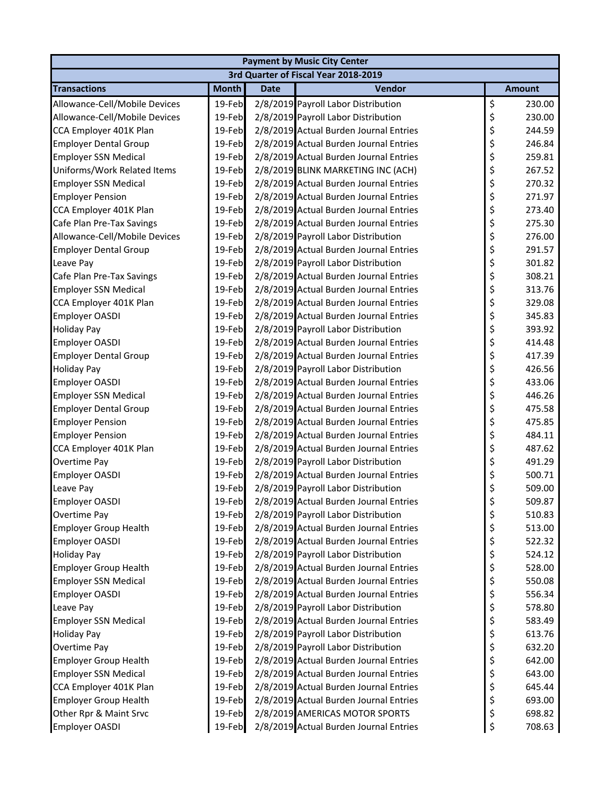| <b>Payment by Music City Center</b> |              |             |                                        |    |               |  |  |
|-------------------------------------|--------------|-------------|----------------------------------------|----|---------------|--|--|
|                                     |              |             | 3rd Quarter of Fiscal Year 2018-2019   |    |               |  |  |
| <b>Transactions</b>                 | <b>Month</b> | <b>Date</b> | <b>Vendor</b>                          |    | <b>Amount</b> |  |  |
| Allowance-Cell/Mobile Devices       | 19-Feb       |             | 2/8/2019 Payroll Labor Distribution    | \$ | 230.00        |  |  |
| Allowance-Cell/Mobile Devices       | 19-Feb       |             | 2/8/2019 Payroll Labor Distribution    | \$ | 230.00        |  |  |
| CCA Employer 401K Plan              | 19-Feb       |             | 2/8/2019 Actual Burden Journal Entries | \$ | 244.59        |  |  |
| <b>Employer Dental Group</b>        | 19-Feb       |             | 2/8/2019 Actual Burden Journal Entries | \$ | 246.84        |  |  |
| <b>Employer SSN Medical</b>         | 19-Feb       |             | 2/8/2019 Actual Burden Journal Entries | \$ | 259.81        |  |  |
| Uniforms/Work Related Items         | 19-Feb       |             | 2/8/2019 BLINK MARKETING INC (ACH)     | \$ | 267.52        |  |  |
| <b>Employer SSN Medical</b>         | 19-Feb       |             | 2/8/2019 Actual Burden Journal Entries | \$ | 270.32        |  |  |
| <b>Employer Pension</b>             | 19-Feb       |             | 2/8/2019 Actual Burden Journal Entries | \$ | 271.97        |  |  |
| CCA Employer 401K Plan              | 19-Feb       |             | 2/8/2019 Actual Burden Journal Entries | \$ | 273.40        |  |  |
| Cafe Plan Pre-Tax Savings           | 19-Feb       |             | 2/8/2019 Actual Burden Journal Entries | \$ | 275.30        |  |  |
| Allowance-Cell/Mobile Devices       | 19-Feb       |             | 2/8/2019 Payroll Labor Distribution    | \$ | 276.00        |  |  |
| <b>Employer Dental Group</b>        | 19-Feb       |             | 2/8/2019 Actual Burden Journal Entries | \$ | 291.57        |  |  |
| Leave Pay                           | 19-Feb       |             | 2/8/2019 Payroll Labor Distribution    | \$ | 301.82        |  |  |
| Cafe Plan Pre-Tax Savings           | 19-Feb       |             | 2/8/2019 Actual Burden Journal Entries | \$ | 308.21        |  |  |
| <b>Employer SSN Medical</b>         | 19-Feb       |             | 2/8/2019 Actual Burden Journal Entries | \$ | 313.76        |  |  |
| CCA Employer 401K Plan              | 19-Feb       |             | 2/8/2019 Actual Burden Journal Entries | \$ | 329.08        |  |  |
| <b>Employer OASDI</b>               | 19-Feb       |             | 2/8/2019 Actual Burden Journal Entries | \$ | 345.83        |  |  |
| <b>Holiday Pay</b>                  | 19-Feb       |             | 2/8/2019 Payroll Labor Distribution    | \$ | 393.92        |  |  |
| <b>Employer OASDI</b>               | 19-Feb       |             | 2/8/2019 Actual Burden Journal Entries | \$ | 414.48        |  |  |
| <b>Employer Dental Group</b>        | 19-Feb       |             | 2/8/2019 Actual Burden Journal Entries | \$ | 417.39        |  |  |
| <b>Holiday Pay</b>                  | 19-Feb       |             | 2/8/2019 Payroll Labor Distribution    | \$ | 426.56        |  |  |
| <b>Employer OASDI</b>               | 19-Feb       |             | 2/8/2019 Actual Burden Journal Entries | \$ | 433.06        |  |  |
| <b>Employer SSN Medical</b>         | 19-Feb       |             | 2/8/2019 Actual Burden Journal Entries | \$ | 446.26        |  |  |
| <b>Employer Dental Group</b>        | 19-Feb       |             | 2/8/2019 Actual Burden Journal Entries | \$ | 475.58        |  |  |
| <b>Employer Pension</b>             | 19-Feb       |             | 2/8/2019 Actual Burden Journal Entries | \$ | 475.85        |  |  |
| <b>Employer Pension</b>             | 19-Feb       |             | 2/8/2019 Actual Burden Journal Entries | \$ | 484.11        |  |  |
| CCA Employer 401K Plan              | 19-Feb       |             | 2/8/2019 Actual Burden Journal Entries | \$ | 487.62        |  |  |
| Overtime Pay                        | 19-Feb       |             | 2/8/2019 Payroll Labor Distribution    | \$ | 491.29        |  |  |
| <b>Employer OASDI</b>               | 19-Feb       |             | 2/8/2019 Actual Burden Journal Entries | \$ | 500.71        |  |  |
| Leave Pay                           | 19-Feb       |             | 2/8/2019 Payroll Labor Distribution    | \$ | 509.00        |  |  |
| <b>Employer OASDI</b>               | 19-Feb       |             | 2/8/2019 Actual Burden Journal Entries | Ś  | 509.87        |  |  |
| Overtime Pay                        | 19-Feb       |             | 2/8/2019 Payroll Labor Distribution    | \$ | 510.83        |  |  |
| <b>Employer Group Health</b>        | 19-Feb       |             | 2/8/2019 Actual Burden Journal Entries | \$ | 513.00        |  |  |
| <b>Employer OASDI</b>               | 19-Feb       |             | 2/8/2019 Actual Burden Journal Entries | \$ | 522.32        |  |  |
| <b>Holiday Pay</b>                  | 19-Feb       |             | 2/8/2019 Payroll Labor Distribution    | \$ | 524.12        |  |  |
| <b>Employer Group Health</b>        | 19-Feb       |             | 2/8/2019 Actual Burden Journal Entries | \$ | 528.00        |  |  |
| <b>Employer SSN Medical</b>         | 19-Feb       |             | 2/8/2019 Actual Burden Journal Entries | \$ | 550.08        |  |  |
| <b>Employer OASDI</b>               | 19-Feb       |             | 2/8/2019 Actual Burden Journal Entries | \$ | 556.34        |  |  |
| Leave Pay                           | 19-Feb       |             | 2/8/2019 Payroll Labor Distribution    | \$ | 578.80        |  |  |
| <b>Employer SSN Medical</b>         | 19-Feb       |             | 2/8/2019 Actual Burden Journal Entries | \$ | 583.49        |  |  |
| <b>Holiday Pay</b>                  | 19-Feb       |             | 2/8/2019 Payroll Labor Distribution    | \$ | 613.76        |  |  |
| Overtime Pay                        | 19-Feb       |             | 2/8/2019 Payroll Labor Distribution    | \$ | 632.20        |  |  |
| <b>Employer Group Health</b>        | 19-Feb       |             | 2/8/2019 Actual Burden Journal Entries | \$ | 642.00        |  |  |
| <b>Employer SSN Medical</b>         | 19-Feb       |             | 2/8/2019 Actual Burden Journal Entries | \$ | 643.00        |  |  |
| CCA Employer 401K Plan              | 19-Feb       |             | 2/8/2019 Actual Burden Journal Entries | \$ | 645.44        |  |  |
| <b>Employer Group Health</b>        | 19-Feb       |             | 2/8/2019 Actual Burden Journal Entries | \$ | 693.00        |  |  |
| Other Rpr & Maint Srvc              | 19-Feb       |             | 2/8/2019 AMERICAS MOTOR SPORTS         | \$ | 698.82        |  |  |
|                                     |              |             |                                        | \$ |               |  |  |
| <b>Employer OASDI</b>               | 19-Feb       |             | 2/8/2019 Actual Burden Journal Entries |    | 708.63        |  |  |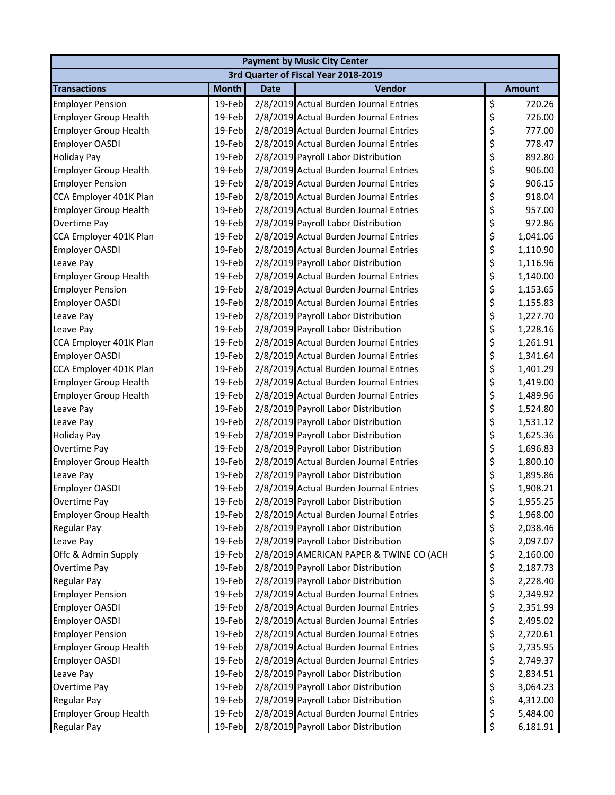| 3rd Quarter of Fiscal Year 2018-2019<br><b>Transactions</b><br><b>Month</b><br>Vendor<br><b>Date</b><br><b>Amount</b><br>\$<br>19-Feb<br>720.26<br>2/8/2019 Actual Burden Journal Entries<br><b>Employer Pension</b><br>\$<br>2/8/2019 Actual Burden Journal Entries<br><b>Employer Group Health</b><br>19-Feb<br>726.00<br>\$<br>19-Feb<br>2/8/2019 Actual Burden Journal Entries<br>777.00<br><b>Employer Group Health</b><br>\$<br>2/8/2019 Actual Burden Journal Entries<br>19-Feb<br>778.47<br>Employer OASDI<br>\$<br>19-Feb<br>2/8/2019 Payroll Labor Distribution<br>892.80<br><b>Holiday Pay</b><br>\$<br>19-Feb<br>2/8/2019 Actual Burden Journal Entries<br>906.00<br><b>Employer Group Health</b><br>\$<br><b>Employer Pension</b><br>19-Feb<br>2/8/2019 Actual Burden Journal Entries<br>906.15<br>\$<br>CCA Employer 401K Plan<br>19-Feb<br>2/8/2019 Actual Burden Journal Entries<br>918.04<br>\$<br>19-Feb<br>2/8/2019 Actual Burden Journal Entries<br>957.00<br><b>Employer Group Health</b><br>\$<br>19-Feb<br>2/8/2019 Payroll Labor Distribution<br>Overtime Pay<br>972.86<br>\$<br>CCA Employer 401K Plan<br>2/8/2019 Actual Burden Journal Entries<br>19-Feb<br>1,041.06<br>\$<br>19-Feb<br>2/8/2019 Actual Burden Journal Entries<br>Employer OASDI<br>1,110.90<br>\$<br>2/8/2019 Payroll Labor Distribution<br>19-Feb<br>1,116.96<br>Leave Pay<br>\$<br>2/8/2019 Actual Burden Journal Entries<br>19-Feb<br><b>Employer Group Health</b><br>1,140.00<br>\$<br>19-Feb<br>2/8/2019 Actual Burden Journal Entries<br><b>Employer Pension</b><br>1,153.65<br>\$<br>2/8/2019 Actual Burden Journal Entries<br><b>Employer OASDI</b><br>19-Feb<br>1,155.83<br>\$<br>2/8/2019 Payroll Labor Distribution<br>19-Feb<br>Leave Pay<br>1,227.70<br>\$<br>Leave Pay<br>19-Feb<br>2/8/2019 Payroll Labor Distribution<br>1,228.16<br>\$<br>CCA Employer 401K Plan<br>19-Feb<br>2/8/2019 Actual Burden Journal Entries<br>1,261.91<br>\$<br>19-Feb<br>2/8/2019 Actual Burden Journal Entries<br><b>Employer OASDI</b><br>1,341.64<br>\$<br>CCA Employer 401K Plan<br>2/8/2019 Actual Burden Journal Entries<br>19-Feb<br>1,401.29<br>\$<br><b>Employer Group Health</b><br>2/8/2019 Actual Burden Journal Entries<br>19-Feb<br>1,419.00<br>\$<br>19-Feb<br>2/8/2019 Actual Burden Journal Entries<br><b>Employer Group Health</b><br>1,489.96<br>\$<br>2/8/2019 Payroll Labor Distribution<br>19-Feb<br>Leave Pay<br>1,524.80<br>\$<br>2/8/2019 Payroll Labor Distribution<br>19-Feb<br>Leave Pay<br>1,531.12<br>\$<br>19-Feb<br>2/8/2019 Payroll Labor Distribution<br><b>Holiday Pay</b><br>1,625.36<br>\$<br>Overtime Pay<br>2/8/2019 Payroll Labor Distribution<br>19-Feb<br>1,696.83<br>\$<br>19-Feb<br>2/8/2019 Actual Burden Journal Entries<br><b>Employer Group Health</b><br>1,800.10<br>\$<br>2/8/2019 Payroll Labor Distribution<br>19-Feb<br>Leave Pay<br>1,895.86<br>\$<br>2/8/2019 Actual Burden Journal Entries<br><b>Employer OASDI</b><br>19-Feb<br>1,908.21<br>Ś.<br>19-Feb<br>2/8/2019 Payroll Labor Distribution<br>Overtime Pay<br>1,955.25<br>\$<br>2/8/2019 Actual Burden Journal Entries<br><b>Employer Group Health</b><br>19-Feb<br>1,968.00<br>\$<br>2/8/2019 Payroll Labor Distribution<br>19-Feb<br>Regular Pay<br>2,038.46<br>\$<br>2/8/2019 Payroll Labor Distribution<br>Leave Pay<br>19-Feb<br>2,097.07<br>\$<br>2/8/2019 AMERICAN PAPER & TWINE CO (ACH<br>Offc & Admin Supply<br>19-Feb<br>2,160.00<br>\$<br>2/8/2019 Payroll Labor Distribution<br>Overtime Pay<br>19-Feb<br>2,187.73<br>\$<br>2/8/2019 Payroll Labor Distribution<br><b>Regular Pay</b><br>19-Feb<br>2,228.40<br>\$<br>2/8/2019 Actual Burden Journal Entries<br><b>Employer Pension</b><br>19-Feb<br>2,349.92<br>\$<br>2/8/2019 Actual Burden Journal Entries<br><b>Employer OASDI</b><br>19-Feb<br>2,351.99<br>\$<br>2/8/2019 Actual Burden Journal Entries<br><b>Employer OASDI</b><br>19-Feb<br>2,495.02<br>\$<br>2/8/2019 Actual Burden Journal Entries<br><b>Employer Pension</b><br>19-Feb<br>2,720.61<br>\$<br><b>Employer Group Health</b><br>2/8/2019 Actual Burden Journal Entries<br>19-Feb<br>2,735.95<br>\$<br>2/8/2019 Actual Burden Journal Entries<br><b>Employer OASDI</b><br>19-Feb<br>2,749.37<br>\$<br>2/8/2019 Payroll Labor Distribution<br>Leave Pay<br>19-Feb<br>2,834.51<br>\$<br>2/8/2019 Payroll Labor Distribution<br>Overtime Pay<br>19-Feb<br>3,064.23<br>\$<br>2/8/2019 Payroll Labor Distribution<br><b>Regular Pay</b><br>19-Feb<br>4,312.00<br>\$<br><b>Employer Group Health</b><br>2/8/2019 Actual Burden Journal Entries<br>19-Feb<br>5,484.00<br>19-Feb<br>2/8/2019 Payroll Labor Distribution | <b>Payment by Music City Center</b> |  |  |  |    |          |  |  |
|--------------------------------------------------------------------------------------------------------------------------------------------------------------------------------------------------------------------------------------------------------------------------------------------------------------------------------------------------------------------------------------------------------------------------------------------------------------------------------------------------------------------------------------------------------------------------------------------------------------------------------------------------------------------------------------------------------------------------------------------------------------------------------------------------------------------------------------------------------------------------------------------------------------------------------------------------------------------------------------------------------------------------------------------------------------------------------------------------------------------------------------------------------------------------------------------------------------------------------------------------------------------------------------------------------------------------------------------------------------------------------------------------------------------------------------------------------------------------------------------------------------------------------------------------------------------------------------------------------------------------------------------------------------------------------------------------------------------------------------------------------------------------------------------------------------------------------------------------------------------------------------------------------------------------------------------------------------------------------------------------------------------------------------------------------------------------------------------------------------------------------------------------------------------------------------------------------------------------------------------------------------------------------------------------------------------------------------------------------------------------------------------------------------------------------------------------------------------------------------------------------------------------------------------------------------------------------------------------------------------------------------------------------------------------------------------------------------------------------------------------------------------------------------------------------------------------------------------------------------------------------------------------------------------------------------------------------------------------------------------------------------------------------------------------------------------------------------------------------------------------------------------------------------------------------------------------------------------------------------------------------------------------------------------------------------------------------------------------------------------------------------------------------------------------------------------------------------------------------------------------------------------------------------------------------------------------------------------------------------------------------------------------------------------------------------------------------------------------------------------------------------------------------------------------------------------------------------------------------------------------------------------------------------------------------------------------------------------------------------------------------------------------------------------------------------------------------------------------------------------------------------------------------------------------------------------------------------------------------------------------------------------------------------------------------------------------------------------------------------------------------------------------------------------------------------------------------------------------------------------------------------------------------------------------------------------------------------------------------------------------------------------------------|-------------------------------------|--|--|--|----|----------|--|--|
|                                                                                                                                                                                                                                                                                                                                                                                                                                                                                                                                                                                                                                                                                                                                                                                                                                                                                                                                                                                                                                                                                                                                                                                                                                                                                                                                                                                                                                                                                                                                                                                                                                                                                                                                                                                                                                                                                                                                                                                                                                                                                                                                                                                                                                                                                                                                                                                                                                                                                                                                                                                                                                                                                                                                                                                                                                                                                                                                                                                                                                                                                                                                                                                                                                                                                                                                                                                                                                                                                                                                                                                                                                                                                                                                                                                                                                                                                                                                                                                                                                                                                                                                                                                                                                                                                                                                                                                                                                                                                                                                                                                                                                                        |                                     |  |  |  |    |          |  |  |
|                                                                                                                                                                                                                                                                                                                                                                                                                                                                                                                                                                                                                                                                                                                                                                                                                                                                                                                                                                                                                                                                                                                                                                                                                                                                                                                                                                                                                                                                                                                                                                                                                                                                                                                                                                                                                                                                                                                                                                                                                                                                                                                                                                                                                                                                                                                                                                                                                                                                                                                                                                                                                                                                                                                                                                                                                                                                                                                                                                                                                                                                                                                                                                                                                                                                                                                                                                                                                                                                                                                                                                                                                                                                                                                                                                                                                                                                                                                                                                                                                                                                                                                                                                                                                                                                                                                                                                                                                                                                                                                                                                                                                                                        |                                     |  |  |  |    |          |  |  |
|                                                                                                                                                                                                                                                                                                                                                                                                                                                                                                                                                                                                                                                                                                                                                                                                                                                                                                                                                                                                                                                                                                                                                                                                                                                                                                                                                                                                                                                                                                                                                                                                                                                                                                                                                                                                                                                                                                                                                                                                                                                                                                                                                                                                                                                                                                                                                                                                                                                                                                                                                                                                                                                                                                                                                                                                                                                                                                                                                                                                                                                                                                                                                                                                                                                                                                                                                                                                                                                                                                                                                                                                                                                                                                                                                                                                                                                                                                                                                                                                                                                                                                                                                                                                                                                                                                                                                                                                                                                                                                                                                                                                                                                        |                                     |  |  |  |    |          |  |  |
|                                                                                                                                                                                                                                                                                                                                                                                                                                                                                                                                                                                                                                                                                                                                                                                                                                                                                                                                                                                                                                                                                                                                                                                                                                                                                                                                                                                                                                                                                                                                                                                                                                                                                                                                                                                                                                                                                                                                                                                                                                                                                                                                                                                                                                                                                                                                                                                                                                                                                                                                                                                                                                                                                                                                                                                                                                                                                                                                                                                                                                                                                                                                                                                                                                                                                                                                                                                                                                                                                                                                                                                                                                                                                                                                                                                                                                                                                                                                                                                                                                                                                                                                                                                                                                                                                                                                                                                                                                                                                                                                                                                                                                                        |                                     |  |  |  |    |          |  |  |
|                                                                                                                                                                                                                                                                                                                                                                                                                                                                                                                                                                                                                                                                                                                                                                                                                                                                                                                                                                                                                                                                                                                                                                                                                                                                                                                                                                                                                                                                                                                                                                                                                                                                                                                                                                                                                                                                                                                                                                                                                                                                                                                                                                                                                                                                                                                                                                                                                                                                                                                                                                                                                                                                                                                                                                                                                                                                                                                                                                                                                                                                                                                                                                                                                                                                                                                                                                                                                                                                                                                                                                                                                                                                                                                                                                                                                                                                                                                                                                                                                                                                                                                                                                                                                                                                                                                                                                                                                                                                                                                                                                                                                                                        |                                     |  |  |  |    |          |  |  |
|                                                                                                                                                                                                                                                                                                                                                                                                                                                                                                                                                                                                                                                                                                                                                                                                                                                                                                                                                                                                                                                                                                                                                                                                                                                                                                                                                                                                                                                                                                                                                                                                                                                                                                                                                                                                                                                                                                                                                                                                                                                                                                                                                                                                                                                                                                                                                                                                                                                                                                                                                                                                                                                                                                                                                                                                                                                                                                                                                                                                                                                                                                                                                                                                                                                                                                                                                                                                                                                                                                                                                                                                                                                                                                                                                                                                                                                                                                                                                                                                                                                                                                                                                                                                                                                                                                                                                                                                                                                                                                                                                                                                                                                        |                                     |  |  |  |    |          |  |  |
|                                                                                                                                                                                                                                                                                                                                                                                                                                                                                                                                                                                                                                                                                                                                                                                                                                                                                                                                                                                                                                                                                                                                                                                                                                                                                                                                                                                                                                                                                                                                                                                                                                                                                                                                                                                                                                                                                                                                                                                                                                                                                                                                                                                                                                                                                                                                                                                                                                                                                                                                                                                                                                                                                                                                                                                                                                                                                                                                                                                                                                                                                                                                                                                                                                                                                                                                                                                                                                                                                                                                                                                                                                                                                                                                                                                                                                                                                                                                                                                                                                                                                                                                                                                                                                                                                                                                                                                                                                                                                                                                                                                                                                                        |                                     |  |  |  |    |          |  |  |
|                                                                                                                                                                                                                                                                                                                                                                                                                                                                                                                                                                                                                                                                                                                                                                                                                                                                                                                                                                                                                                                                                                                                                                                                                                                                                                                                                                                                                                                                                                                                                                                                                                                                                                                                                                                                                                                                                                                                                                                                                                                                                                                                                                                                                                                                                                                                                                                                                                                                                                                                                                                                                                                                                                                                                                                                                                                                                                                                                                                                                                                                                                                                                                                                                                                                                                                                                                                                                                                                                                                                                                                                                                                                                                                                                                                                                                                                                                                                                                                                                                                                                                                                                                                                                                                                                                                                                                                                                                                                                                                                                                                                                                                        |                                     |  |  |  |    |          |  |  |
|                                                                                                                                                                                                                                                                                                                                                                                                                                                                                                                                                                                                                                                                                                                                                                                                                                                                                                                                                                                                                                                                                                                                                                                                                                                                                                                                                                                                                                                                                                                                                                                                                                                                                                                                                                                                                                                                                                                                                                                                                                                                                                                                                                                                                                                                                                                                                                                                                                                                                                                                                                                                                                                                                                                                                                                                                                                                                                                                                                                                                                                                                                                                                                                                                                                                                                                                                                                                                                                                                                                                                                                                                                                                                                                                                                                                                                                                                                                                                                                                                                                                                                                                                                                                                                                                                                                                                                                                                                                                                                                                                                                                                                                        |                                     |  |  |  |    |          |  |  |
|                                                                                                                                                                                                                                                                                                                                                                                                                                                                                                                                                                                                                                                                                                                                                                                                                                                                                                                                                                                                                                                                                                                                                                                                                                                                                                                                                                                                                                                                                                                                                                                                                                                                                                                                                                                                                                                                                                                                                                                                                                                                                                                                                                                                                                                                                                                                                                                                                                                                                                                                                                                                                                                                                                                                                                                                                                                                                                                                                                                                                                                                                                                                                                                                                                                                                                                                                                                                                                                                                                                                                                                                                                                                                                                                                                                                                                                                                                                                                                                                                                                                                                                                                                                                                                                                                                                                                                                                                                                                                                                                                                                                                                                        |                                     |  |  |  |    |          |  |  |
|                                                                                                                                                                                                                                                                                                                                                                                                                                                                                                                                                                                                                                                                                                                                                                                                                                                                                                                                                                                                                                                                                                                                                                                                                                                                                                                                                                                                                                                                                                                                                                                                                                                                                                                                                                                                                                                                                                                                                                                                                                                                                                                                                                                                                                                                                                                                                                                                                                                                                                                                                                                                                                                                                                                                                                                                                                                                                                                                                                                                                                                                                                                                                                                                                                                                                                                                                                                                                                                                                                                                                                                                                                                                                                                                                                                                                                                                                                                                                                                                                                                                                                                                                                                                                                                                                                                                                                                                                                                                                                                                                                                                                                                        |                                     |  |  |  |    |          |  |  |
|                                                                                                                                                                                                                                                                                                                                                                                                                                                                                                                                                                                                                                                                                                                                                                                                                                                                                                                                                                                                                                                                                                                                                                                                                                                                                                                                                                                                                                                                                                                                                                                                                                                                                                                                                                                                                                                                                                                                                                                                                                                                                                                                                                                                                                                                                                                                                                                                                                                                                                                                                                                                                                                                                                                                                                                                                                                                                                                                                                                                                                                                                                                                                                                                                                                                                                                                                                                                                                                                                                                                                                                                                                                                                                                                                                                                                                                                                                                                                                                                                                                                                                                                                                                                                                                                                                                                                                                                                                                                                                                                                                                                                                                        |                                     |  |  |  |    |          |  |  |
|                                                                                                                                                                                                                                                                                                                                                                                                                                                                                                                                                                                                                                                                                                                                                                                                                                                                                                                                                                                                                                                                                                                                                                                                                                                                                                                                                                                                                                                                                                                                                                                                                                                                                                                                                                                                                                                                                                                                                                                                                                                                                                                                                                                                                                                                                                                                                                                                                                                                                                                                                                                                                                                                                                                                                                                                                                                                                                                                                                                                                                                                                                                                                                                                                                                                                                                                                                                                                                                                                                                                                                                                                                                                                                                                                                                                                                                                                                                                                                                                                                                                                                                                                                                                                                                                                                                                                                                                                                                                                                                                                                                                                                                        |                                     |  |  |  |    |          |  |  |
|                                                                                                                                                                                                                                                                                                                                                                                                                                                                                                                                                                                                                                                                                                                                                                                                                                                                                                                                                                                                                                                                                                                                                                                                                                                                                                                                                                                                                                                                                                                                                                                                                                                                                                                                                                                                                                                                                                                                                                                                                                                                                                                                                                                                                                                                                                                                                                                                                                                                                                                                                                                                                                                                                                                                                                                                                                                                                                                                                                                                                                                                                                                                                                                                                                                                                                                                                                                                                                                                                                                                                                                                                                                                                                                                                                                                                                                                                                                                                                                                                                                                                                                                                                                                                                                                                                                                                                                                                                                                                                                                                                                                                                                        |                                     |  |  |  |    |          |  |  |
|                                                                                                                                                                                                                                                                                                                                                                                                                                                                                                                                                                                                                                                                                                                                                                                                                                                                                                                                                                                                                                                                                                                                                                                                                                                                                                                                                                                                                                                                                                                                                                                                                                                                                                                                                                                                                                                                                                                                                                                                                                                                                                                                                                                                                                                                                                                                                                                                                                                                                                                                                                                                                                                                                                                                                                                                                                                                                                                                                                                                                                                                                                                                                                                                                                                                                                                                                                                                                                                                                                                                                                                                                                                                                                                                                                                                                                                                                                                                                                                                                                                                                                                                                                                                                                                                                                                                                                                                                                                                                                                                                                                                                                                        |                                     |  |  |  |    |          |  |  |
|                                                                                                                                                                                                                                                                                                                                                                                                                                                                                                                                                                                                                                                                                                                                                                                                                                                                                                                                                                                                                                                                                                                                                                                                                                                                                                                                                                                                                                                                                                                                                                                                                                                                                                                                                                                                                                                                                                                                                                                                                                                                                                                                                                                                                                                                                                                                                                                                                                                                                                                                                                                                                                                                                                                                                                                                                                                                                                                                                                                                                                                                                                                                                                                                                                                                                                                                                                                                                                                                                                                                                                                                                                                                                                                                                                                                                                                                                                                                                                                                                                                                                                                                                                                                                                                                                                                                                                                                                                                                                                                                                                                                                                                        |                                     |  |  |  |    |          |  |  |
|                                                                                                                                                                                                                                                                                                                                                                                                                                                                                                                                                                                                                                                                                                                                                                                                                                                                                                                                                                                                                                                                                                                                                                                                                                                                                                                                                                                                                                                                                                                                                                                                                                                                                                                                                                                                                                                                                                                                                                                                                                                                                                                                                                                                                                                                                                                                                                                                                                                                                                                                                                                                                                                                                                                                                                                                                                                                                                                                                                                                                                                                                                                                                                                                                                                                                                                                                                                                                                                                                                                                                                                                                                                                                                                                                                                                                                                                                                                                                                                                                                                                                                                                                                                                                                                                                                                                                                                                                                                                                                                                                                                                                                                        |                                     |  |  |  |    |          |  |  |
|                                                                                                                                                                                                                                                                                                                                                                                                                                                                                                                                                                                                                                                                                                                                                                                                                                                                                                                                                                                                                                                                                                                                                                                                                                                                                                                                                                                                                                                                                                                                                                                                                                                                                                                                                                                                                                                                                                                                                                                                                                                                                                                                                                                                                                                                                                                                                                                                                                                                                                                                                                                                                                                                                                                                                                                                                                                                                                                                                                                                                                                                                                                                                                                                                                                                                                                                                                                                                                                                                                                                                                                                                                                                                                                                                                                                                                                                                                                                                                                                                                                                                                                                                                                                                                                                                                                                                                                                                                                                                                                                                                                                                                                        |                                     |  |  |  |    |          |  |  |
|                                                                                                                                                                                                                                                                                                                                                                                                                                                                                                                                                                                                                                                                                                                                                                                                                                                                                                                                                                                                                                                                                                                                                                                                                                                                                                                                                                                                                                                                                                                                                                                                                                                                                                                                                                                                                                                                                                                                                                                                                                                                                                                                                                                                                                                                                                                                                                                                                                                                                                                                                                                                                                                                                                                                                                                                                                                                                                                                                                                                                                                                                                                                                                                                                                                                                                                                                                                                                                                                                                                                                                                                                                                                                                                                                                                                                                                                                                                                                                                                                                                                                                                                                                                                                                                                                                                                                                                                                                                                                                                                                                                                                                                        |                                     |  |  |  |    |          |  |  |
|                                                                                                                                                                                                                                                                                                                                                                                                                                                                                                                                                                                                                                                                                                                                                                                                                                                                                                                                                                                                                                                                                                                                                                                                                                                                                                                                                                                                                                                                                                                                                                                                                                                                                                                                                                                                                                                                                                                                                                                                                                                                                                                                                                                                                                                                                                                                                                                                                                                                                                                                                                                                                                                                                                                                                                                                                                                                                                                                                                                                                                                                                                                                                                                                                                                                                                                                                                                                                                                                                                                                                                                                                                                                                                                                                                                                                                                                                                                                                                                                                                                                                                                                                                                                                                                                                                                                                                                                                                                                                                                                                                                                                                                        |                                     |  |  |  |    |          |  |  |
|                                                                                                                                                                                                                                                                                                                                                                                                                                                                                                                                                                                                                                                                                                                                                                                                                                                                                                                                                                                                                                                                                                                                                                                                                                                                                                                                                                                                                                                                                                                                                                                                                                                                                                                                                                                                                                                                                                                                                                                                                                                                                                                                                                                                                                                                                                                                                                                                                                                                                                                                                                                                                                                                                                                                                                                                                                                                                                                                                                                                                                                                                                                                                                                                                                                                                                                                                                                                                                                                                                                                                                                                                                                                                                                                                                                                                                                                                                                                                                                                                                                                                                                                                                                                                                                                                                                                                                                                                                                                                                                                                                                                                                                        |                                     |  |  |  |    |          |  |  |
|                                                                                                                                                                                                                                                                                                                                                                                                                                                                                                                                                                                                                                                                                                                                                                                                                                                                                                                                                                                                                                                                                                                                                                                                                                                                                                                                                                                                                                                                                                                                                                                                                                                                                                                                                                                                                                                                                                                                                                                                                                                                                                                                                                                                                                                                                                                                                                                                                                                                                                                                                                                                                                                                                                                                                                                                                                                                                                                                                                                                                                                                                                                                                                                                                                                                                                                                                                                                                                                                                                                                                                                                                                                                                                                                                                                                                                                                                                                                                                                                                                                                                                                                                                                                                                                                                                                                                                                                                                                                                                                                                                                                                                                        |                                     |  |  |  |    |          |  |  |
|                                                                                                                                                                                                                                                                                                                                                                                                                                                                                                                                                                                                                                                                                                                                                                                                                                                                                                                                                                                                                                                                                                                                                                                                                                                                                                                                                                                                                                                                                                                                                                                                                                                                                                                                                                                                                                                                                                                                                                                                                                                                                                                                                                                                                                                                                                                                                                                                                                                                                                                                                                                                                                                                                                                                                                                                                                                                                                                                                                                                                                                                                                                                                                                                                                                                                                                                                                                                                                                                                                                                                                                                                                                                                                                                                                                                                                                                                                                                                                                                                                                                                                                                                                                                                                                                                                                                                                                                                                                                                                                                                                                                                                                        |                                     |  |  |  |    |          |  |  |
|                                                                                                                                                                                                                                                                                                                                                                                                                                                                                                                                                                                                                                                                                                                                                                                                                                                                                                                                                                                                                                                                                                                                                                                                                                                                                                                                                                                                                                                                                                                                                                                                                                                                                                                                                                                                                                                                                                                                                                                                                                                                                                                                                                                                                                                                                                                                                                                                                                                                                                                                                                                                                                                                                                                                                                                                                                                                                                                                                                                                                                                                                                                                                                                                                                                                                                                                                                                                                                                                                                                                                                                                                                                                                                                                                                                                                                                                                                                                                                                                                                                                                                                                                                                                                                                                                                                                                                                                                                                                                                                                                                                                                                                        |                                     |  |  |  |    |          |  |  |
|                                                                                                                                                                                                                                                                                                                                                                                                                                                                                                                                                                                                                                                                                                                                                                                                                                                                                                                                                                                                                                                                                                                                                                                                                                                                                                                                                                                                                                                                                                                                                                                                                                                                                                                                                                                                                                                                                                                                                                                                                                                                                                                                                                                                                                                                                                                                                                                                                                                                                                                                                                                                                                                                                                                                                                                                                                                                                                                                                                                                                                                                                                                                                                                                                                                                                                                                                                                                                                                                                                                                                                                                                                                                                                                                                                                                                                                                                                                                                                                                                                                                                                                                                                                                                                                                                                                                                                                                                                                                                                                                                                                                                                                        |                                     |  |  |  |    |          |  |  |
|                                                                                                                                                                                                                                                                                                                                                                                                                                                                                                                                                                                                                                                                                                                                                                                                                                                                                                                                                                                                                                                                                                                                                                                                                                                                                                                                                                                                                                                                                                                                                                                                                                                                                                                                                                                                                                                                                                                                                                                                                                                                                                                                                                                                                                                                                                                                                                                                                                                                                                                                                                                                                                                                                                                                                                                                                                                                                                                                                                                                                                                                                                                                                                                                                                                                                                                                                                                                                                                                                                                                                                                                                                                                                                                                                                                                                                                                                                                                                                                                                                                                                                                                                                                                                                                                                                                                                                                                                                                                                                                                                                                                                                                        |                                     |  |  |  |    |          |  |  |
|                                                                                                                                                                                                                                                                                                                                                                                                                                                                                                                                                                                                                                                                                                                                                                                                                                                                                                                                                                                                                                                                                                                                                                                                                                                                                                                                                                                                                                                                                                                                                                                                                                                                                                                                                                                                                                                                                                                                                                                                                                                                                                                                                                                                                                                                                                                                                                                                                                                                                                                                                                                                                                                                                                                                                                                                                                                                                                                                                                                                                                                                                                                                                                                                                                                                                                                                                                                                                                                                                                                                                                                                                                                                                                                                                                                                                                                                                                                                                                                                                                                                                                                                                                                                                                                                                                                                                                                                                                                                                                                                                                                                                                                        |                                     |  |  |  |    |          |  |  |
|                                                                                                                                                                                                                                                                                                                                                                                                                                                                                                                                                                                                                                                                                                                                                                                                                                                                                                                                                                                                                                                                                                                                                                                                                                                                                                                                                                                                                                                                                                                                                                                                                                                                                                                                                                                                                                                                                                                                                                                                                                                                                                                                                                                                                                                                                                                                                                                                                                                                                                                                                                                                                                                                                                                                                                                                                                                                                                                                                                                                                                                                                                                                                                                                                                                                                                                                                                                                                                                                                                                                                                                                                                                                                                                                                                                                                                                                                                                                                                                                                                                                                                                                                                                                                                                                                                                                                                                                                                                                                                                                                                                                                                                        |                                     |  |  |  |    |          |  |  |
|                                                                                                                                                                                                                                                                                                                                                                                                                                                                                                                                                                                                                                                                                                                                                                                                                                                                                                                                                                                                                                                                                                                                                                                                                                                                                                                                                                                                                                                                                                                                                                                                                                                                                                                                                                                                                                                                                                                                                                                                                                                                                                                                                                                                                                                                                                                                                                                                                                                                                                                                                                                                                                                                                                                                                                                                                                                                                                                                                                                                                                                                                                                                                                                                                                                                                                                                                                                                                                                                                                                                                                                                                                                                                                                                                                                                                                                                                                                                                                                                                                                                                                                                                                                                                                                                                                                                                                                                                                                                                                                                                                                                                                                        |                                     |  |  |  |    |          |  |  |
|                                                                                                                                                                                                                                                                                                                                                                                                                                                                                                                                                                                                                                                                                                                                                                                                                                                                                                                                                                                                                                                                                                                                                                                                                                                                                                                                                                                                                                                                                                                                                                                                                                                                                                                                                                                                                                                                                                                                                                                                                                                                                                                                                                                                                                                                                                                                                                                                                                                                                                                                                                                                                                                                                                                                                                                                                                                                                                                                                                                                                                                                                                                                                                                                                                                                                                                                                                                                                                                                                                                                                                                                                                                                                                                                                                                                                                                                                                                                                                                                                                                                                                                                                                                                                                                                                                                                                                                                                                                                                                                                                                                                                                                        |                                     |  |  |  |    |          |  |  |
|                                                                                                                                                                                                                                                                                                                                                                                                                                                                                                                                                                                                                                                                                                                                                                                                                                                                                                                                                                                                                                                                                                                                                                                                                                                                                                                                                                                                                                                                                                                                                                                                                                                                                                                                                                                                                                                                                                                                                                                                                                                                                                                                                                                                                                                                                                                                                                                                                                                                                                                                                                                                                                                                                                                                                                                                                                                                                                                                                                                                                                                                                                                                                                                                                                                                                                                                                                                                                                                                                                                                                                                                                                                                                                                                                                                                                                                                                                                                                                                                                                                                                                                                                                                                                                                                                                                                                                                                                                                                                                                                                                                                                                                        |                                     |  |  |  |    |          |  |  |
|                                                                                                                                                                                                                                                                                                                                                                                                                                                                                                                                                                                                                                                                                                                                                                                                                                                                                                                                                                                                                                                                                                                                                                                                                                                                                                                                                                                                                                                                                                                                                                                                                                                                                                                                                                                                                                                                                                                                                                                                                                                                                                                                                                                                                                                                                                                                                                                                                                                                                                                                                                                                                                                                                                                                                                                                                                                                                                                                                                                                                                                                                                                                                                                                                                                                                                                                                                                                                                                                                                                                                                                                                                                                                                                                                                                                                                                                                                                                                                                                                                                                                                                                                                                                                                                                                                                                                                                                                                                                                                                                                                                                                                                        |                                     |  |  |  |    |          |  |  |
|                                                                                                                                                                                                                                                                                                                                                                                                                                                                                                                                                                                                                                                                                                                                                                                                                                                                                                                                                                                                                                                                                                                                                                                                                                                                                                                                                                                                                                                                                                                                                                                                                                                                                                                                                                                                                                                                                                                                                                                                                                                                                                                                                                                                                                                                                                                                                                                                                                                                                                                                                                                                                                                                                                                                                                                                                                                                                                                                                                                                                                                                                                                                                                                                                                                                                                                                                                                                                                                                                                                                                                                                                                                                                                                                                                                                                                                                                                                                                                                                                                                                                                                                                                                                                                                                                                                                                                                                                                                                                                                                                                                                                                                        |                                     |  |  |  |    |          |  |  |
|                                                                                                                                                                                                                                                                                                                                                                                                                                                                                                                                                                                                                                                                                                                                                                                                                                                                                                                                                                                                                                                                                                                                                                                                                                                                                                                                                                                                                                                                                                                                                                                                                                                                                                                                                                                                                                                                                                                                                                                                                                                                                                                                                                                                                                                                                                                                                                                                                                                                                                                                                                                                                                                                                                                                                                                                                                                                                                                                                                                                                                                                                                                                                                                                                                                                                                                                                                                                                                                                                                                                                                                                                                                                                                                                                                                                                                                                                                                                                                                                                                                                                                                                                                                                                                                                                                                                                                                                                                                                                                                                                                                                                                                        |                                     |  |  |  |    |          |  |  |
|                                                                                                                                                                                                                                                                                                                                                                                                                                                                                                                                                                                                                                                                                                                                                                                                                                                                                                                                                                                                                                                                                                                                                                                                                                                                                                                                                                                                                                                                                                                                                                                                                                                                                                                                                                                                                                                                                                                                                                                                                                                                                                                                                                                                                                                                                                                                                                                                                                                                                                                                                                                                                                                                                                                                                                                                                                                                                                                                                                                                                                                                                                                                                                                                                                                                                                                                                                                                                                                                                                                                                                                                                                                                                                                                                                                                                                                                                                                                                                                                                                                                                                                                                                                                                                                                                                                                                                                                                                                                                                                                                                                                                                                        |                                     |  |  |  |    |          |  |  |
|                                                                                                                                                                                                                                                                                                                                                                                                                                                                                                                                                                                                                                                                                                                                                                                                                                                                                                                                                                                                                                                                                                                                                                                                                                                                                                                                                                                                                                                                                                                                                                                                                                                                                                                                                                                                                                                                                                                                                                                                                                                                                                                                                                                                                                                                                                                                                                                                                                                                                                                                                                                                                                                                                                                                                                                                                                                                                                                                                                                                                                                                                                                                                                                                                                                                                                                                                                                                                                                                                                                                                                                                                                                                                                                                                                                                                                                                                                                                                                                                                                                                                                                                                                                                                                                                                                                                                                                                                                                                                                                                                                                                                                                        |                                     |  |  |  |    |          |  |  |
|                                                                                                                                                                                                                                                                                                                                                                                                                                                                                                                                                                                                                                                                                                                                                                                                                                                                                                                                                                                                                                                                                                                                                                                                                                                                                                                                                                                                                                                                                                                                                                                                                                                                                                                                                                                                                                                                                                                                                                                                                                                                                                                                                                                                                                                                                                                                                                                                                                                                                                                                                                                                                                                                                                                                                                                                                                                                                                                                                                                                                                                                                                                                                                                                                                                                                                                                                                                                                                                                                                                                                                                                                                                                                                                                                                                                                                                                                                                                                                                                                                                                                                                                                                                                                                                                                                                                                                                                                                                                                                                                                                                                                                                        |                                     |  |  |  |    |          |  |  |
|                                                                                                                                                                                                                                                                                                                                                                                                                                                                                                                                                                                                                                                                                                                                                                                                                                                                                                                                                                                                                                                                                                                                                                                                                                                                                                                                                                                                                                                                                                                                                                                                                                                                                                                                                                                                                                                                                                                                                                                                                                                                                                                                                                                                                                                                                                                                                                                                                                                                                                                                                                                                                                                                                                                                                                                                                                                                                                                                                                                                                                                                                                                                                                                                                                                                                                                                                                                                                                                                                                                                                                                                                                                                                                                                                                                                                                                                                                                                                                                                                                                                                                                                                                                                                                                                                                                                                                                                                                                                                                                                                                                                                                                        |                                     |  |  |  |    |          |  |  |
|                                                                                                                                                                                                                                                                                                                                                                                                                                                                                                                                                                                                                                                                                                                                                                                                                                                                                                                                                                                                                                                                                                                                                                                                                                                                                                                                                                                                                                                                                                                                                                                                                                                                                                                                                                                                                                                                                                                                                                                                                                                                                                                                                                                                                                                                                                                                                                                                                                                                                                                                                                                                                                                                                                                                                                                                                                                                                                                                                                                                                                                                                                                                                                                                                                                                                                                                                                                                                                                                                                                                                                                                                                                                                                                                                                                                                                                                                                                                                                                                                                                                                                                                                                                                                                                                                                                                                                                                                                                                                                                                                                                                                                                        |                                     |  |  |  |    |          |  |  |
|                                                                                                                                                                                                                                                                                                                                                                                                                                                                                                                                                                                                                                                                                                                                                                                                                                                                                                                                                                                                                                                                                                                                                                                                                                                                                                                                                                                                                                                                                                                                                                                                                                                                                                                                                                                                                                                                                                                                                                                                                                                                                                                                                                                                                                                                                                                                                                                                                                                                                                                                                                                                                                                                                                                                                                                                                                                                                                                                                                                                                                                                                                                                                                                                                                                                                                                                                                                                                                                                                                                                                                                                                                                                                                                                                                                                                                                                                                                                                                                                                                                                                                                                                                                                                                                                                                                                                                                                                                                                                                                                                                                                                                                        |                                     |  |  |  |    |          |  |  |
|                                                                                                                                                                                                                                                                                                                                                                                                                                                                                                                                                                                                                                                                                                                                                                                                                                                                                                                                                                                                                                                                                                                                                                                                                                                                                                                                                                                                                                                                                                                                                                                                                                                                                                                                                                                                                                                                                                                                                                                                                                                                                                                                                                                                                                                                                                                                                                                                                                                                                                                                                                                                                                                                                                                                                                                                                                                                                                                                                                                                                                                                                                                                                                                                                                                                                                                                                                                                                                                                                                                                                                                                                                                                                                                                                                                                                                                                                                                                                                                                                                                                                                                                                                                                                                                                                                                                                                                                                                                                                                                                                                                                                                                        |                                     |  |  |  |    |          |  |  |
|                                                                                                                                                                                                                                                                                                                                                                                                                                                                                                                                                                                                                                                                                                                                                                                                                                                                                                                                                                                                                                                                                                                                                                                                                                                                                                                                                                                                                                                                                                                                                                                                                                                                                                                                                                                                                                                                                                                                                                                                                                                                                                                                                                                                                                                                                                                                                                                                                                                                                                                                                                                                                                                                                                                                                                                                                                                                                                                                                                                                                                                                                                                                                                                                                                                                                                                                                                                                                                                                                                                                                                                                                                                                                                                                                                                                                                                                                                                                                                                                                                                                                                                                                                                                                                                                                                                                                                                                                                                                                                                                                                                                                                                        |                                     |  |  |  |    |          |  |  |
|                                                                                                                                                                                                                                                                                                                                                                                                                                                                                                                                                                                                                                                                                                                                                                                                                                                                                                                                                                                                                                                                                                                                                                                                                                                                                                                                                                                                                                                                                                                                                                                                                                                                                                                                                                                                                                                                                                                                                                                                                                                                                                                                                                                                                                                                                                                                                                                                                                                                                                                                                                                                                                                                                                                                                                                                                                                                                                                                                                                                                                                                                                                                                                                                                                                                                                                                                                                                                                                                                                                                                                                                                                                                                                                                                                                                                                                                                                                                                                                                                                                                                                                                                                                                                                                                                                                                                                                                                                                                                                                                                                                                                                                        |                                     |  |  |  |    |          |  |  |
|                                                                                                                                                                                                                                                                                                                                                                                                                                                                                                                                                                                                                                                                                                                                                                                                                                                                                                                                                                                                                                                                                                                                                                                                                                                                                                                                                                                                                                                                                                                                                                                                                                                                                                                                                                                                                                                                                                                                                                                                                                                                                                                                                                                                                                                                                                                                                                                                                                                                                                                                                                                                                                                                                                                                                                                                                                                                                                                                                                                                                                                                                                                                                                                                                                                                                                                                                                                                                                                                                                                                                                                                                                                                                                                                                                                                                                                                                                                                                                                                                                                                                                                                                                                                                                                                                                                                                                                                                                                                                                                                                                                                                                                        |                                     |  |  |  |    |          |  |  |
|                                                                                                                                                                                                                                                                                                                                                                                                                                                                                                                                                                                                                                                                                                                                                                                                                                                                                                                                                                                                                                                                                                                                                                                                                                                                                                                                                                                                                                                                                                                                                                                                                                                                                                                                                                                                                                                                                                                                                                                                                                                                                                                                                                                                                                                                                                                                                                                                                                                                                                                                                                                                                                                                                                                                                                                                                                                                                                                                                                                                                                                                                                                                                                                                                                                                                                                                                                                                                                                                                                                                                                                                                                                                                                                                                                                                                                                                                                                                                                                                                                                                                                                                                                                                                                                                                                                                                                                                                                                                                                                                                                                                                                                        |                                     |  |  |  |    |          |  |  |
|                                                                                                                                                                                                                                                                                                                                                                                                                                                                                                                                                                                                                                                                                                                                                                                                                                                                                                                                                                                                                                                                                                                                                                                                                                                                                                                                                                                                                                                                                                                                                                                                                                                                                                                                                                                                                                                                                                                                                                                                                                                                                                                                                                                                                                                                                                                                                                                                                                                                                                                                                                                                                                                                                                                                                                                                                                                                                                                                                                                                                                                                                                                                                                                                                                                                                                                                                                                                                                                                                                                                                                                                                                                                                                                                                                                                                                                                                                                                                                                                                                                                                                                                                                                                                                                                                                                                                                                                                                                                                                                                                                                                                                                        |                                     |  |  |  |    |          |  |  |
|                                                                                                                                                                                                                                                                                                                                                                                                                                                                                                                                                                                                                                                                                                                                                                                                                                                                                                                                                                                                                                                                                                                                                                                                                                                                                                                                                                                                                                                                                                                                                                                                                                                                                                                                                                                                                                                                                                                                                                                                                                                                                                                                                                                                                                                                                                                                                                                                                                                                                                                                                                                                                                                                                                                                                                                                                                                                                                                                                                                                                                                                                                                                                                                                                                                                                                                                                                                                                                                                                                                                                                                                                                                                                                                                                                                                                                                                                                                                                                                                                                                                                                                                                                                                                                                                                                                                                                                                                                                                                                                                                                                                                                                        |                                     |  |  |  |    |          |  |  |
|                                                                                                                                                                                                                                                                                                                                                                                                                                                                                                                                                                                                                                                                                                                                                                                                                                                                                                                                                                                                                                                                                                                                                                                                                                                                                                                                                                                                                                                                                                                                                                                                                                                                                                                                                                                                                                                                                                                                                                                                                                                                                                                                                                                                                                                                                                                                                                                                                                                                                                                                                                                                                                                                                                                                                                                                                                                                                                                                                                                                                                                                                                                                                                                                                                                                                                                                                                                                                                                                                                                                                                                                                                                                                                                                                                                                                                                                                                                                                                                                                                                                                                                                                                                                                                                                                                                                                                                                                                                                                                                                                                                                                                                        |                                     |  |  |  |    |          |  |  |
|                                                                                                                                                                                                                                                                                                                                                                                                                                                                                                                                                                                                                                                                                                                                                                                                                                                                                                                                                                                                                                                                                                                                                                                                                                                                                                                                                                                                                                                                                                                                                                                                                                                                                                                                                                                                                                                                                                                                                                                                                                                                                                                                                                                                                                                                                                                                                                                                                                                                                                                                                                                                                                                                                                                                                                                                                                                                                                                                                                                                                                                                                                                                                                                                                                                                                                                                                                                                                                                                                                                                                                                                                                                                                                                                                                                                                                                                                                                                                                                                                                                                                                                                                                                                                                                                                                                                                                                                                                                                                                                                                                                                                                                        |                                     |  |  |  |    |          |  |  |
|                                                                                                                                                                                                                                                                                                                                                                                                                                                                                                                                                                                                                                                                                                                                                                                                                                                                                                                                                                                                                                                                                                                                                                                                                                                                                                                                                                                                                                                                                                                                                                                                                                                                                                                                                                                                                                                                                                                                                                                                                                                                                                                                                                                                                                                                                                                                                                                                                                                                                                                                                                                                                                                                                                                                                                                                                                                                                                                                                                                                                                                                                                                                                                                                                                                                                                                                                                                                                                                                                                                                                                                                                                                                                                                                                                                                                                                                                                                                                                                                                                                                                                                                                                                                                                                                                                                                                                                                                                                                                                                                                                                                                                                        | <b>Regular Pay</b>                  |  |  |  | \$ | 6,181.91 |  |  |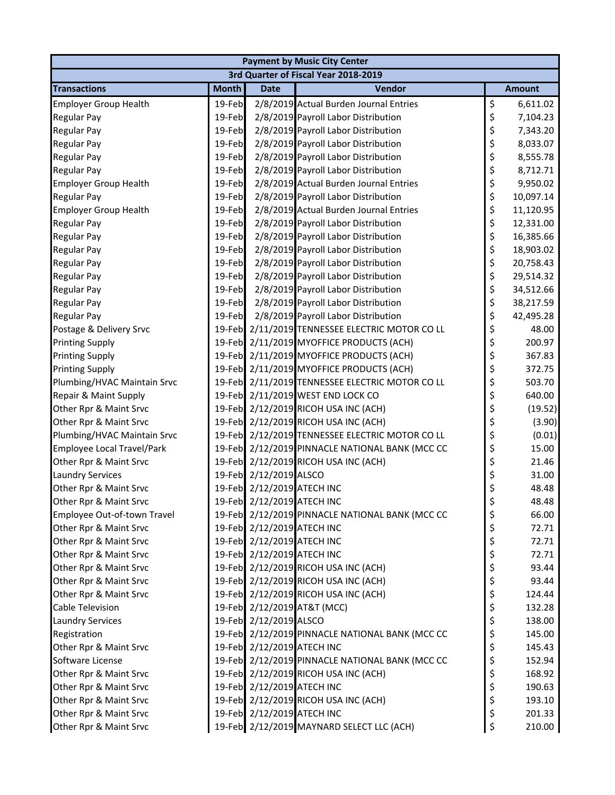| <b>Payment by Music City Center</b> |              |                            |                                                 |    |               |  |  |
|-------------------------------------|--------------|----------------------------|-------------------------------------------------|----|---------------|--|--|
|                                     |              |                            | 3rd Quarter of Fiscal Year 2018-2019            |    |               |  |  |
| <b>Transactions</b>                 | <b>Month</b> | <b>Date</b>                | Vendor                                          |    | <b>Amount</b> |  |  |
| <b>Employer Group Health</b>        | 19-Feb       |                            | 2/8/2019 Actual Burden Journal Entries          | \$ | 6,611.02      |  |  |
| <b>Regular Pay</b>                  | 19-Feb       |                            | 2/8/2019 Payroll Labor Distribution             | \$ | 7,104.23      |  |  |
| <b>Regular Pay</b>                  | 19-Feb       |                            | 2/8/2019 Payroll Labor Distribution             | \$ | 7,343.20      |  |  |
| <b>Regular Pay</b>                  | 19-Feb       |                            | 2/8/2019 Payroll Labor Distribution             | \$ | 8,033.07      |  |  |
| <b>Regular Pay</b>                  | 19-Feb       |                            | 2/8/2019 Payroll Labor Distribution             | \$ | 8,555.78      |  |  |
| <b>Regular Pay</b>                  | 19-Feb       |                            | 2/8/2019 Payroll Labor Distribution             | \$ | 8,712.71      |  |  |
| <b>Employer Group Health</b>        | 19-Feb       |                            | 2/8/2019 Actual Burden Journal Entries          | \$ | 9,950.02      |  |  |
| <b>Regular Pay</b>                  | 19-Feb       |                            | 2/8/2019 Payroll Labor Distribution             | \$ | 10,097.14     |  |  |
| <b>Employer Group Health</b>        | 19-Feb       |                            | 2/8/2019 Actual Burden Journal Entries          | \$ | 11,120.95     |  |  |
| <b>Regular Pay</b>                  | 19-Feb       |                            | 2/8/2019 Payroll Labor Distribution             | \$ | 12,331.00     |  |  |
| <b>Regular Pay</b>                  | 19-Feb       |                            | 2/8/2019 Payroll Labor Distribution             | \$ | 16,385.66     |  |  |
| <b>Regular Pay</b>                  | 19-Feb       |                            | 2/8/2019 Payroll Labor Distribution             | \$ | 18,903.02     |  |  |
| <b>Regular Pay</b>                  | 19-Feb       |                            | 2/8/2019 Payroll Labor Distribution             | \$ | 20,758.43     |  |  |
| <b>Regular Pay</b>                  | 19-Feb       |                            | 2/8/2019 Payroll Labor Distribution             | \$ | 29,514.32     |  |  |
| <b>Regular Pay</b>                  | 19-Feb       |                            | 2/8/2019 Payroll Labor Distribution             | \$ | 34,512.66     |  |  |
| <b>Regular Pay</b>                  | 19-Feb       |                            | 2/8/2019 Payroll Labor Distribution             | \$ | 38,217.59     |  |  |
| <b>Regular Pay</b>                  | 19-Feb       |                            | 2/8/2019 Payroll Labor Distribution             | \$ | 42,495.28     |  |  |
| Postage & Delivery Srvc             |              |                            | 19-Feb 2/11/2019 TENNESSEE ELECTRIC MOTOR CO LL | \$ | 48.00         |  |  |
| <b>Printing Supply</b>              |              |                            | 19-Feb 2/11/2019 MYOFFICE PRODUCTS (ACH)        | \$ | 200.97        |  |  |
| <b>Printing Supply</b>              |              |                            | 19-Feb 2/11/2019 MYOFFICE PRODUCTS (ACH)        | \$ | 367.83        |  |  |
| <b>Printing Supply</b>              |              |                            | 19-Feb 2/11/2019 MYOFFICE PRODUCTS (ACH)        | \$ | 372.75        |  |  |
| Plumbing/HVAC Maintain Srvc         |              |                            | 19-Feb 2/11/2019 TENNESSEE ELECTRIC MOTOR CO LL | \$ | 503.70        |  |  |
| Repair & Maint Supply               |              |                            | 19-Feb 2/11/2019 WEST END LOCK CO               | \$ | 640.00        |  |  |
| Other Rpr & Maint Srvc              |              |                            | 19-Feb 2/12/2019 RICOH USA INC (ACH)            | \$ | (19.52)       |  |  |
| Other Rpr & Maint Srvc              |              |                            | 19-Feb 2/12/2019 RICOH USA INC (ACH)            | \$ | (3.90)        |  |  |
| Plumbing/HVAC Maintain Srvc         |              |                            | 19-Feb 2/12/2019 TENNESSEE ELECTRIC MOTOR CO LL | \$ | (0.01)        |  |  |
| Employee Local Travel/Park          |              |                            | 19-Feb 2/12/2019 PINNACLE NATIONAL BANK (MCC CC | \$ | 15.00         |  |  |
| Other Rpr & Maint Srvc              |              |                            | 19-Feb 2/12/2019 RICOH USA INC (ACH)            | \$ | 21.46         |  |  |
| <b>Laundry Services</b>             |              | 19-Feb 2/12/2019 ALSCO     |                                                 | \$ | 31.00         |  |  |
| Other Rpr & Maint Srvc              |              | 19-Feb 2/12/2019 ATECH INC |                                                 | \$ | 48.48         |  |  |
| Other Rpr & Maint Srvc              |              | 19-Feb 2/12/2019 ATECH INC |                                                 | Ś  | 48.48         |  |  |
| Employee Out-of-town Travel         |              |                            | 19-Feb 2/12/2019 PINNACLE NATIONAL BANK (MCC CC | \$ | 66.00         |  |  |
| Other Rpr & Maint Srvc              |              | 19-Feb 2/12/2019 ATECH INC |                                                 | \$ | 72.71         |  |  |
| Other Rpr & Maint Srvc              |              | 19-Feb 2/12/2019 ATECH INC |                                                 | \$ | 72.71         |  |  |
| Other Rpr & Maint Srvc              |              | 19-Feb 2/12/2019 ATECH INC |                                                 | \$ | 72.71         |  |  |
| Other Rpr & Maint Srvc              |              |                            | 19-Feb 2/12/2019 RICOH USA INC (ACH)            | \$ | 93.44         |  |  |
| Other Rpr & Maint Srvc              |              |                            | 19-Feb 2/12/2019 RICOH USA INC (ACH)            | \$ | 93.44         |  |  |
| Other Rpr & Maint Srvc              |              |                            | 19-Feb 2/12/2019 RICOH USA INC (ACH)            | \$ | 124.44        |  |  |
| Cable Television                    |              |                            | 19-Feb 2/12/2019 AT&T (MCC)                     | \$ | 132.28        |  |  |
| <b>Laundry Services</b>             |              | 19-Feb 2/12/2019 ALSCO     |                                                 | \$ | 138.00        |  |  |
| Registration                        |              |                            | 19-Feb 2/12/2019 PINNACLE NATIONAL BANK (MCC CC | \$ | 145.00        |  |  |
| Other Rpr & Maint Srvc              |              | 19-Feb 2/12/2019 ATECH INC |                                                 | \$ | 145.43        |  |  |
| Software License                    |              |                            | 19-Feb 2/12/2019 PINNACLE NATIONAL BANK (MCC CC | \$ | 152.94        |  |  |
| Other Rpr & Maint Srvc              |              |                            | 19-Feb 2/12/2019 RICOH USA INC (ACH)            | \$ | 168.92        |  |  |
| Other Rpr & Maint Srvc              |              | 19-Feb 2/12/2019 ATECH INC |                                                 | \$ | 190.63        |  |  |
| Other Rpr & Maint Srvc              |              |                            | 19-Feb 2/12/2019 RICOH USA INC (ACH)            | \$ | 193.10        |  |  |
| Other Rpr & Maint Srvc              |              | 19-Feb 2/12/2019 ATECH INC |                                                 | \$ | 201.33        |  |  |
| Other Rpr & Maint Srvc              |              |                            | 19-Feb 2/12/2019 MAYNARD SELECT LLC (ACH)       | \$ | 210.00        |  |  |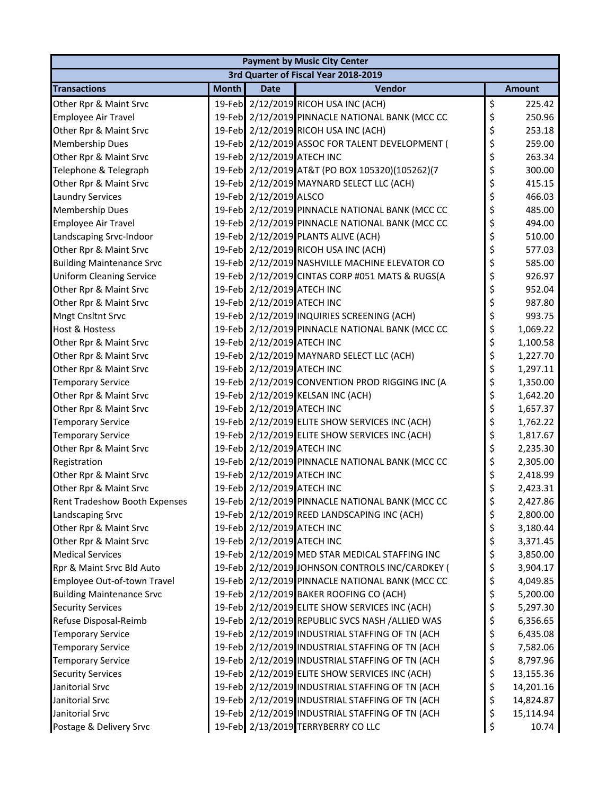| <b>Payment by Music City Center</b> |                                      |                            |                                                 |    |               |  |  |
|-------------------------------------|--------------------------------------|----------------------------|-------------------------------------------------|----|---------------|--|--|
|                                     | 3rd Quarter of Fiscal Year 2018-2019 |                            |                                                 |    |               |  |  |
| <b>Transactions</b>                 | <b>Month</b>                         | <b>Date</b>                | Vendor                                          |    | <b>Amount</b> |  |  |
| Other Rpr & Maint Srvc              |                                      |                            | 19-Feb 2/12/2019 RICOH USA INC (ACH)            | \$ | 225.42        |  |  |
| <b>Employee Air Travel</b>          |                                      |                            | 19-Feb 2/12/2019 PINNACLE NATIONAL BANK (MCC CC | \$ | 250.96        |  |  |
| Other Rpr & Maint Srvc              |                                      |                            | 19-Feb 2/12/2019 RICOH USA INC (ACH)            | \$ | 253.18        |  |  |
| <b>Membership Dues</b>              |                                      |                            | 19-Feb 2/12/2019 ASSOC FOR TALENT DEVELOPMENT ( | \$ | 259.00        |  |  |
| Other Rpr & Maint Srvc              |                                      | 19-Feb 2/12/2019 ATECH INC |                                                 | \$ | 263.34        |  |  |
| Telephone & Telegraph               |                                      |                            | 19-Feb 2/12/2019 AT&T (PO BOX 105320)(105262)(7 | \$ | 300.00        |  |  |
| Other Rpr & Maint Srvc              |                                      |                            | 19-Feb 2/12/2019 MAYNARD SELECT LLC (ACH)       | \$ | 415.15        |  |  |
| <b>Laundry Services</b>             |                                      | 19-Feb 2/12/2019 ALSCO     |                                                 | \$ | 466.03        |  |  |
| <b>Membership Dues</b>              |                                      |                            | 19-Feb 2/12/2019 PINNACLE NATIONAL BANK (MCC CC | \$ | 485.00        |  |  |
| Employee Air Travel                 |                                      |                            | 19-Feb 2/12/2019 PINNACLE NATIONAL BANK (MCC CC | \$ | 494.00        |  |  |
| Landscaping Srvc-Indoor             |                                      |                            | 19-Feb 2/12/2019 PLANTS ALIVE (ACH)             | \$ | 510.00        |  |  |
| Other Rpr & Maint Srvc              |                                      |                            | 19-Feb 2/12/2019 RICOH USA INC (ACH)            | \$ | 577.03        |  |  |
| <b>Building Maintenance Srvc</b>    |                                      |                            | 19-Feb 2/12/2019 NASHVILLE MACHINE ELEVATOR CO  | \$ | 585.00        |  |  |
| <b>Uniform Cleaning Service</b>     |                                      |                            | 19-Feb 2/12/2019 CINTAS CORP #051 MATS & RUGS(A | \$ | 926.97        |  |  |
| Other Rpr & Maint Srvc              |                                      | 19-Feb 2/12/2019 ATECH INC |                                                 | \$ | 952.04        |  |  |
| Other Rpr & Maint Srvc              |                                      | 19-Feb 2/12/2019 ATECH INC |                                                 | \$ | 987.80        |  |  |
| Mngt Cnsltnt Srvc                   |                                      |                            | 19-Feb 2/12/2019 INQUIRIES SCREENING (ACH)      | \$ | 993.75        |  |  |
| <b>Host &amp; Hostess</b>           |                                      |                            | 19-Feb 2/12/2019 PINNACLE NATIONAL BANK (MCC CC | \$ | 1,069.22      |  |  |
| Other Rpr & Maint Srvc              |                                      | 19-Feb 2/12/2019 ATECH INC |                                                 | \$ | 1,100.58      |  |  |
| Other Rpr & Maint Srvc              |                                      |                            | 19-Feb 2/12/2019 MAYNARD SELECT LLC (ACH)       | \$ | 1,227.70      |  |  |
| Other Rpr & Maint Srvc              |                                      | 19-Feb 2/12/2019 ATECH INC |                                                 | \$ | 1,297.11      |  |  |
| <b>Temporary Service</b>            |                                      |                            | 19-Feb 2/12/2019 CONVENTION PROD RIGGING INC (A | \$ | 1,350.00      |  |  |
| Other Rpr & Maint Srvc              |                                      |                            | 19-Feb 2/12/2019 KELSAN INC (ACH)               | \$ | 1,642.20      |  |  |
| Other Rpr & Maint Srvc              |                                      | 19-Feb 2/12/2019 ATECH INC |                                                 | \$ | 1,657.37      |  |  |
| <b>Temporary Service</b>            |                                      |                            | 19-Feb 2/12/2019 ELITE SHOW SERVICES INC (ACH)  | \$ | 1,762.22      |  |  |
| <b>Temporary Service</b>            |                                      |                            | 19-Feb 2/12/2019 ELITE SHOW SERVICES INC (ACH)  | \$ | 1,817.67      |  |  |
| Other Rpr & Maint Srvc              |                                      | 19-Feb 2/12/2019 ATECH INC |                                                 | \$ | 2,235.30      |  |  |
| Registration                        |                                      |                            | 19-Feb 2/12/2019 PINNACLE NATIONAL BANK (MCC CC | \$ | 2,305.00      |  |  |
| Other Rpr & Maint Srvc              |                                      | 19-Feb 2/12/2019 ATECH INC |                                                 | \$ | 2,418.99      |  |  |
| Other Rpr & Maint Srvc              |                                      | 19-Feb 2/12/2019 ATECH INC |                                                 | \$ | 2,423.31      |  |  |
| Rent Tradeshow Booth Expenses       |                                      |                            | 19-Feb 2/12/2019 PINNACLE NATIONAL BANK (MCC CC | \$ | 2,427.86      |  |  |
| Landscaping Srvc                    |                                      |                            | 19-Feb 2/12/2019 REED LANDSCAPING INC (ACH)     | \$ | 2,800.00      |  |  |
| Other Rpr & Maint Srvc              |                                      | 19-Feb 2/12/2019 ATECH INC |                                                 | \$ | 3,180.44      |  |  |
| Other Rpr & Maint Srvc              |                                      | 19-Feb 2/12/2019 ATECH INC |                                                 | \$ | 3,371.45      |  |  |
| <b>Medical Services</b>             |                                      |                            | 19-Feb 2/12/2019 MED STAR MEDICAL STAFFING INC  | \$ | 3,850.00      |  |  |
| Rpr & Maint Srvc Bld Auto           |                                      |                            | 19-Feb 2/12/2019 JOHNSON CONTROLS INC/CARDKEY ( | \$ | 3,904.17      |  |  |
| Employee Out-of-town Travel         |                                      |                            | 19-Feb 2/12/2019 PINNACLE NATIONAL BANK (MCC CC | \$ | 4,049.85      |  |  |
| <b>Building Maintenance Srvc</b>    |                                      |                            | 19-Feb 2/12/2019 BAKER ROOFING CO (ACH)         | \$ | 5,200.00      |  |  |
| <b>Security Services</b>            |                                      |                            | 19-Feb 2/12/2019 ELITE SHOW SERVICES INC (ACH)  | \$ | 5,297.30      |  |  |
| Refuse Disposal-Reimb               |                                      |                            | 19-Feb 2/12/2019 REPUBLIC SVCS NASH /ALLIED WAS | \$ | 6,356.65      |  |  |
| <b>Temporary Service</b>            |                                      |                            | 19-Feb 2/12/2019 INDUSTRIAL STAFFING OF TN (ACH | \$ | 6,435.08      |  |  |
| <b>Temporary Service</b>            |                                      |                            | 19-Feb 2/12/2019 INDUSTRIAL STAFFING OF TN (ACH | \$ | 7,582.06      |  |  |
| <b>Temporary Service</b>            |                                      |                            | 19-Feb 2/12/2019 INDUSTRIAL STAFFING OF TN (ACH | \$ | 8,797.96      |  |  |
| <b>Security Services</b>            |                                      |                            | 19-Feb 2/12/2019 ELITE SHOW SERVICES INC (ACH)  | \$ | 13,155.36     |  |  |
| Janitorial Srvc                     |                                      |                            | 19-Feb 2/12/2019 INDUSTRIAL STAFFING OF TN (ACH | \$ | 14,201.16     |  |  |
| Janitorial Srvc                     |                                      |                            | 19-Feb 2/12/2019 INDUSTRIAL STAFFING OF TN (ACH | \$ | 14,824.87     |  |  |
| Janitorial Srvc                     |                                      |                            | 19-Feb 2/12/2019 INDUSTRIAL STAFFING OF TN (ACH | \$ | 15,114.94     |  |  |
| Postage & Delivery Srvc             |                                      |                            | 19-Feb 2/13/2019 TERRYBERRY CO LLC              | \$ | 10.74         |  |  |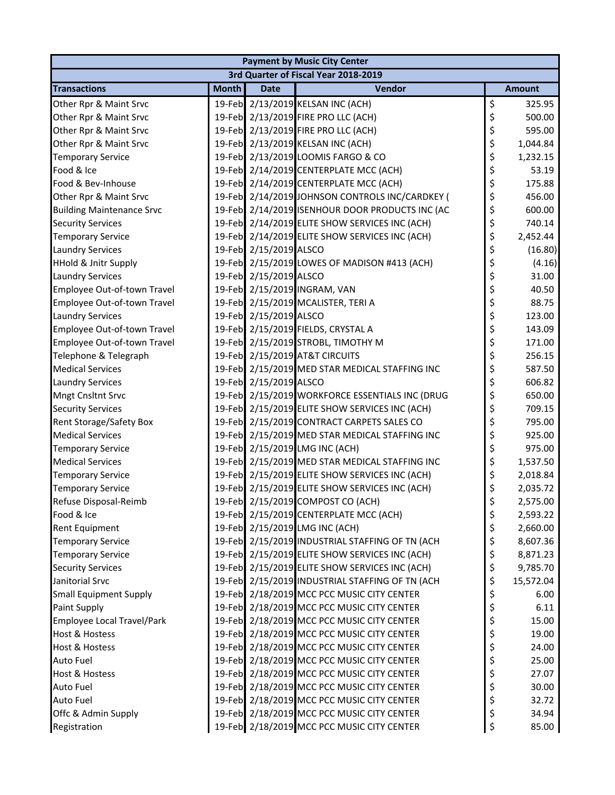| <b>Payment by Music City Center</b>                  |              |                        |                                                                                                   |          |               |  |  |
|------------------------------------------------------|--------------|------------------------|---------------------------------------------------------------------------------------------------|----------|---------------|--|--|
|                                                      |              |                        | 3rd Quarter of Fiscal Year 2018-2019                                                              |          |               |  |  |
| <b>Transactions</b>                                  | <b>Month</b> | <b>Date</b>            | Vendor                                                                                            |          | <b>Amount</b> |  |  |
| Other Rpr & Maint Srvc                               |              |                        | 19-Feb 2/13/2019 KELSAN INC (ACH)                                                                 | \$       | 325.95        |  |  |
| Other Rpr & Maint Srvc                               |              |                        | 19-Feb 2/13/2019 FIRE PRO LLC (ACH)                                                               | \$       | 500.00        |  |  |
| Other Rpr & Maint Srvc                               |              |                        | 19-Feb 2/13/2019 FIRE PRO LLC (ACH)                                                               | \$       | 595.00        |  |  |
| Other Rpr & Maint Srvc                               |              |                        | 19-Feb 2/13/2019 KELSAN INC (ACH)                                                                 | \$       | 1,044.84      |  |  |
| <b>Temporary Service</b>                             |              |                        | 19-Feb 2/13/2019 LOOMIS FARGO & CO                                                                | \$       | 1,232.15      |  |  |
| Food & Ice                                           |              |                        | 19-Feb 2/14/2019 CENTERPLATE MCC (ACH)                                                            | \$       | 53.19         |  |  |
| Food & Bev-Inhouse                                   |              |                        | 19-Feb 2/14/2019 CENTERPLATE MCC (ACH)                                                            | \$       | 175.88        |  |  |
| Other Rpr & Maint Srvc                               |              |                        | 19-Feb 2/14/2019 JOHNSON CONTROLS INC/CARDKEY (                                                   | \$       | 456.00        |  |  |
| <b>Building Maintenance Srvc</b>                     |              |                        | 19-Feb 2/14/2019 ISENHOUR DOOR PRODUCTS INC (AC                                                   | \$       | 600.00        |  |  |
| <b>Security Services</b>                             |              |                        | 19-Feb 2/14/2019 ELITE SHOW SERVICES INC (ACH)                                                    | \$       | 740.14        |  |  |
| <b>Temporary Service</b>                             |              |                        | 19-Feb 2/14/2019 ELITE SHOW SERVICES INC (ACH)                                                    | \$       | 2,452.44      |  |  |
| <b>Laundry Services</b>                              |              | 19-Feb 2/15/2019 ALSCO |                                                                                                   | \$       | (16.80)       |  |  |
| <b>HHold &amp; Jnitr Supply</b>                      |              |                        | 19-Feb 2/15/2019 LOWES OF MADISON #413 (ACH)                                                      | \$       | (4.16)        |  |  |
| <b>Laundry Services</b>                              |              | 19-Feb 2/15/2019 ALSCO |                                                                                                   | \$       | 31.00         |  |  |
| Employee Out-of-town Travel                          |              |                        | 19-Feb 2/15/2019 INGRAM, VAN                                                                      | \$       | 40.50         |  |  |
| Employee Out-of-town Travel                          |              |                        | 19-Feb 2/15/2019 MCALISTER, TERI A                                                                | \$       | 88.75         |  |  |
| <b>Laundry Services</b>                              |              | 19-Feb 2/15/2019 ALSCO |                                                                                                   | \$       | 123.00        |  |  |
| Employee Out-of-town Travel                          |              |                        | 19-Feb 2/15/2019 FIELDS, CRYSTAL A                                                                | \$       | 143.09        |  |  |
| Employee Out-of-town Travel                          |              |                        | 19-Feb 2/15/2019 STROBL, TIMOTHY M                                                                | \$       | 171.00        |  |  |
| Telephone & Telegraph                                |              |                        | 19-Feb 2/15/2019 AT&T CIRCUITS                                                                    | \$       | 256.15        |  |  |
| <b>Medical Services</b>                              |              |                        | 19-Feb 2/15/2019 MED STAR MEDICAL STAFFING INC                                                    | \$       | 587.50        |  |  |
| <b>Laundry Services</b>                              |              | 19-Feb 2/15/2019 ALSCO |                                                                                                   | \$       | 606.82        |  |  |
| <b>Mngt Cnsltnt Srvc</b>                             |              |                        | 19-Feb 2/15/2019 WORKFORCE ESSENTIALS INC (DRUG                                                   | \$       | 650.00        |  |  |
| <b>Security Services</b>                             |              |                        | 19-Feb 2/15/2019 ELITE SHOW SERVICES INC (ACH)                                                    | \$       | 709.15        |  |  |
| Rent Storage/Safety Box                              |              |                        | 19-Feb 2/15/2019 CONTRACT CARPETS SALES CO                                                        | \$       | 795.00        |  |  |
| <b>Medical Services</b>                              |              |                        | 19-Feb 2/15/2019 MED STAR MEDICAL STAFFING INC                                                    | \$       | 925.00        |  |  |
| <b>Temporary Service</b>                             |              |                        | 19-Feb 2/15/2019 LMG INC (ACH)                                                                    | \$       | 975.00        |  |  |
| <b>Medical Services</b>                              |              |                        | 19-Feb 2/15/2019 MED STAR MEDICAL STAFFING INC                                                    | \$       | 1,537.50      |  |  |
| <b>Temporary Service</b>                             |              |                        | 19-Feb 2/15/2019 ELITE SHOW SERVICES INC (ACH)                                                    | \$       | 2,018.84      |  |  |
| <b>Temporary Service</b>                             |              |                        | 19-Feb 2/15/2019 ELITE SHOW SERVICES INC (ACH)                                                    | \$       | 2,035.72      |  |  |
| Refuse Disposal-Reimb                                |              |                        | 19-Feb 2/15/2019 COMPOST CO (ACH)                                                                 | \$       | 2,575.00      |  |  |
| Food & Ice                                           |              |                        | 19-Feb 2/15/2019 CENTERPLATE MCC (ACH)                                                            |          | 2,593.22      |  |  |
| <b>Rent Equipment</b>                                |              |                        | 19-Feb 2/15/2019 LMG INC (ACH)                                                                    | \$       | 2,660.00      |  |  |
|                                                      |              |                        |                                                                                                   | \$       | 8,607.36      |  |  |
| <b>Temporary Service</b><br><b>Temporary Service</b> |              |                        | 19-Feb 2/15/2019 INDUSTRIAL STAFFING OF TN (ACH<br>19-Feb 2/15/2019 ELITE SHOW SERVICES INC (ACH) | \$<br>\$ |               |  |  |
|                                                      |              |                        | 19-Feb 2/15/2019 ELITE SHOW SERVICES INC (ACH)                                                    | \$       | 8,871.23      |  |  |
| <b>Security Services</b><br>Janitorial Srvc          |              |                        |                                                                                                   |          | 9,785.70      |  |  |
|                                                      |              |                        | 19-Feb 2/15/2019 INDUSTRIAL STAFFING OF TN (ACH<br>19-Feb 2/18/2019 MCC PCC MUSIC CITY CENTER     | \$       | 15,572.04     |  |  |
| <b>Small Equipment Supply</b>                        |              |                        |                                                                                                   | \$       | 6.00          |  |  |
| Paint Supply                                         |              |                        | 19-Feb 2/18/2019 MCC PCC MUSIC CITY CENTER                                                        | \$       | 6.11          |  |  |
| Employee Local Travel/Park                           |              |                        | 19-Feb 2/18/2019 MCC PCC MUSIC CITY CENTER                                                        | \$       | 15.00         |  |  |
| Host & Hostess                                       |              |                        | 19-Feb 2/18/2019 MCC PCC MUSIC CITY CENTER                                                        | \$       | 19.00         |  |  |
| <b>Host &amp; Hostess</b>                            |              |                        | 19-Feb 2/18/2019 MCC PCC MUSIC CITY CENTER                                                        | \$       | 24.00         |  |  |
| Auto Fuel                                            |              |                        | 19-Feb 2/18/2019 MCC PCC MUSIC CITY CENTER                                                        | \$       | 25.00         |  |  |
| Host & Hostess                                       |              |                        | 19-Feb 2/18/2019 MCC PCC MUSIC CITY CENTER                                                        | \$       | 27.07         |  |  |
| <b>Auto Fuel</b>                                     |              |                        | 19-Feb 2/18/2019 MCC PCC MUSIC CITY CENTER                                                        | \$       | 30.00         |  |  |
| <b>Auto Fuel</b>                                     |              |                        | 19-Feb 2/18/2019 MCC PCC MUSIC CITY CENTER                                                        | \$       | 32.72         |  |  |
| Offc & Admin Supply                                  |              |                        | 19-Feb 2/18/2019 MCC PCC MUSIC CITY CENTER                                                        | \$       | 34.94         |  |  |
| Registration                                         |              |                        | 19-Feb 2/18/2019 MCC PCC MUSIC CITY CENTER                                                        | \$       | 85.00         |  |  |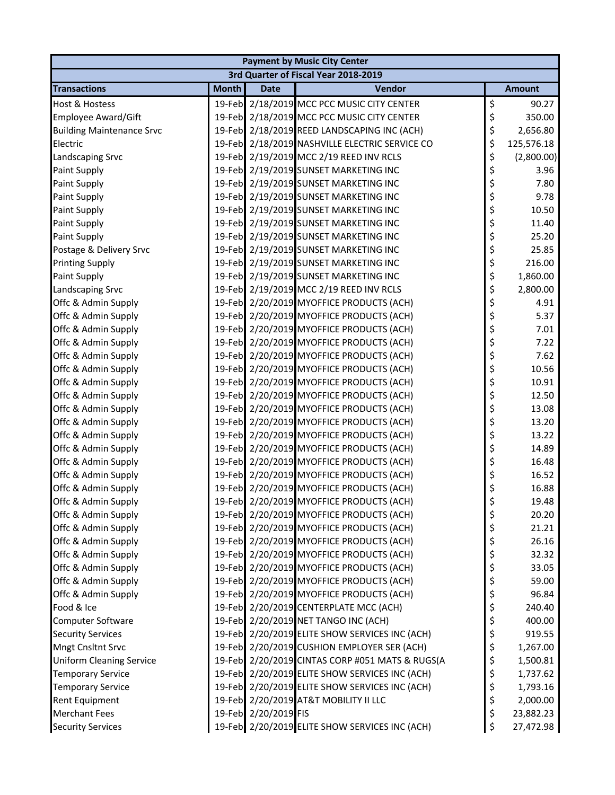| <b>Payment by Music City Center</b> |              |                      |                                                 |          |               |  |  |
|-------------------------------------|--------------|----------------------|-------------------------------------------------|----------|---------------|--|--|
|                                     |              |                      | 3rd Quarter of Fiscal Year 2018-2019            |          |               |  |  |
| <b>Transactions</b>                 | <b>Month</b> | <b>Date</b>          | Vendor                                          |          | <b>Amount</b> |  |  |
| Host & Hostess                      |              |                      | 19-Feb 2/18/2019 MCC PCC MUSIC CITY CENTER      | \$       | 90.27         |  |  |
| Employee Award/Gift                 |              |                      | 19-Feb 2/18/2019 MCC PCC MUSIC CITY CENTER      | \$       | 350.00        |  |  |
| <b>Building Maintenance Srvc</b>    |              |                      | 19-Feb 2/18/2019 REED LANDSCAPING INC (ACH)     | \$       | 2,656.80      |  |  |
| Electric                            |              |                      | 19-Feb 2/18/2019 NASHVILLE ELECTRIC SERVICE CO  | \$       | 125,576.18    |  |  |
| Landscaping Srvc                    |              |                      | 19-Feb 2/19/2019 MCC 2/19 REED INV RCLS         | \$       | (2,800.00)    |  |  |
| Paint Supply                        |              |                      | 19-Feb 2/19/2019 SUNSET MARKETING INC           | \$       | 3.96          |  |  |
| Paint Supply                        |              |                      | 19-Feb 2/19/2019 SUNSET MARKETING INC           | \$       | 7.80          |  |  |
| Paint Supply                        |              |                      | 19-Feb 2/19/2019 SUNSET MARKETING INC           | \$       | 9.78          |  |  |
| Paint Supply                        |              |                      | 19-Feb 2/19/2019 SUNSET MARKETING INC           | \$       | 10.50         |  |  |
| Paint Supply                        |              |                      | 19-Feb 2/19/2019 SUNSET MARKETING INC           | \$       | 11.40         |  |  |
| Paint Supply                        |              |                      | 19-Feb 2/19/2019 SUNSET MARKETING INC           | \$       | 25.20         |  |  |
| Postage & Delivery Srvc             |              |                      | 19-Feb 2/19/2019 SUNSET MARKETING INC           | \$       | 25.85         |  |  |
| <b>Printing Supply</b>              |              |                      | 19-Feb 2/19/2019 SUNSET MARKETING INC           | \$       | 216.00        |  |  |
| Paint Supply                        |              |                      | 19-Feb 2/19/2019 SUNSET MARKETING INC           | \$       | 1,860.00      |  |  |
| Landscaping Srvc                    |              |                      | 19-Feb 2/19/2019 MCC 2/19 REED INV RCLS         | \$       | 2,800.00      |  |  |
| Offc & Admin Supply                 |              |                      | 19-Feb 2/20/2019 MYOFFICE PRODUCTS (ACH)        | \$       | 4.91          |  |  |
| Offc & Admin Supply                 |              |                      | 19-Feb 2/20/2019 MYOFFICE PRODUCTS (ACH)        | \$       | 5.37          |  |  |
| Offc & Admin Supply                 |              |                      | 19-Feb 2/20/2019 MYOFFICE PRODUCTS (ACH)        | \$       | 7.01          |  |  |
| Offc & Admin Supply                 |              |                      | 19-Feb 2/20/2019 MYOFFICE PRODUCTS (ACH)        | \$       | 7.22          |  |  |
| Offc & Admin Supply                 |              |                      | 19-Feb 2/20/2019 MYOFFICE PRODUCTS (ACH)        | \$       | 7.62          |  |  |
| Offc & Admin Supply                 |              |                      | 19-Feb 2/20/2019 MYOFFICE PRODUCTS (ACH)        | \$       | 10.56         |  |  |
| Offc & Admin Supply                 |              |                      | 19-Feb 2/20/2019 MYOFFICE PRODUCTS (ACH)        | \$       | 10.91         |  |  |
| Offc & Admin Supply                 |              |                      | 19-Feb 2/20/2019 MYOFFICE PRODUCTS (ACH)        | \$       | 12.50         |  |  |
| Offc & Admin Supply                 |              |                      | 19-Feb 2/20/2019 MYOFFICE PRODUCTS (ACH)        | \$       | 13.08         |  |  |
| Offc & Admin Supply                 |              |                      | 19-Feb 2/20/2019 MYOFFICE PRODUCTS (ACH)        | \$       | 13.20         |  |  |
| Offc & Admin Supply                 |              |                      | 19-Feb 2/20/2019 MYOFFICE PRODUCTS (ACH)        | \$       | 13.22         |  |  |
| Offc & Admin Supply                 |              |                      | 19-Feb 2/20/2019 MYOFFICE PRODUCTS (ACH)        | \$       | 14.89         |  |  |
| Offc & Admin Supply                 |              |                      | 19-Feb 2/20/2019 MYOFFICE PRODUCTS (ACH)        | \$       | 16.48         |  |  |
| Offc & Admin Supply                 |              |                      | 19-Feb 2/20/2019 MYOFFICE PRODUCTS (ACH)        | \$       | 16.52         |  |  |
| Offc & Admin Supply                 |              |                      | 19-Feb 2/20/2019 MYOFFICE PRODUCTS (ACH)        | \$       | 16.88         |  |  |
| Offc & Admin Supply                 |              |                      | 19-Feb 2/20/2019 MYOFFICE PRODUCTS (ACH)        | \$       | 19.48         |  |  |
| Offc & Admin Supply                 |              |                      | 19-Feb 2/20/2019 MYOFFICE PRODUCTS (ACH)        | \$       | 20.20         |  |  |
| Offc & Admin Supply                 |              |                      | 19-Feb 2/20/2019 MYOFFICE PRODUCTS (ACH)        | \$       | 21.21         |  |  |
| Offc & Admin Supply                 |              |                      | 19-Feb 2/20/2019 MYOFFICE PRODUCTS (ACH)        | \$       | 26.16         |  |  |
| Offc & Admin Supply                 |              |                      | 19-Feb 2/20/2019 MYOFFICE PRODUCTS (ACH)        | \$       | 32.32         |  |  |
| Offc & Admin Supply                 |              |                      | 19-Feb 2/20/2019 MYOFFICE PRODUCTS (ACH)        | \$       | 33.05         |  |  |
| Offc & Admin Supply                 |              |                      | 19-Feb 2/20/2019 MYOFFICE PRODUCTS (ACH)        | \$       | 59.00         |  |  |
| Offc & Admin Supply                 |              |                      | 19-Feb 2/20/2019 MYOFFICE PRODUCTS (ACH)        | \$       | 96.84         |  |  |
| Food & Ice                          |              |                      | 19-Feb 2/20/2019 CENTERPLATE MCC (ACH)          |          | 240.40        |  |  |
| <b>Computer Software</b>            |              |                      | 19-Feb 2/20/2019 NET TANGO INC (ACH)            | \$<br>\$ | 400.00        |  |  |
|                                     |              |                      | 19-Feb 2/20/2019 ELITE SHOW SERVICES INC (ACH)  | \$       | 919.55        |  |  |
| <b>Security Services</b>            |              |                      |                                                 |          |               |  |  |
| Mngt Cnsltnt Srvc                   |              |                      | 19-Feb 2/20/2019 CUSHION EMPLOYER SER (ACH)     | \$       | 1,267.00      |  |  |
| <b>Uniform Cleaning Service</b>     |              |                      | 19-Feb 2/20/2019 CINTAS CORP #051 MATS & RUGS(A | \$       | 1,500.81      |  |  |
| <b>Temporary Service</b>            |              |                      | 19-Feb 2/20/2019 ELITE SHOW SERVICES INC (ACH)  | \$       | 1,737.62      |  |  |
| <b>Temporary Service</b>            |              |                      | 19-Feb 2/20/2019 ELITE SHOW SERVICES INC (ACH)  | \$       | 1,793.16      |  |  |
| <b>Rent Equipment</b>               |              |                      | 19-Feb 2/20/2019 AT&T MOBILITY II LLC           | \$       | 2,000.00      |  |  |
| <b>Merchant Fees</b>                |              | 19-Feb 2/20/2019 FIS |                                                 | \$       | 23,882.23     |  |  |
| <b>Security Services</b>            |              |                      | 19-Feb 2/20/2019 ELITE SHOW SERVICES INC (ACH)  | \$       | 27,472.98     |  |  |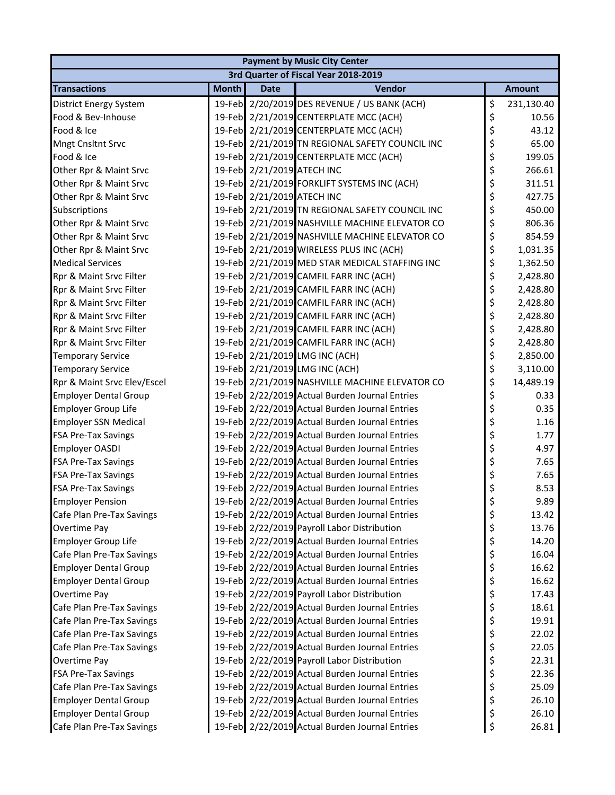| <b>Payment by Music City Center</b>  |              |                            |                                                 |    |               |  |  |  |
|--------------------------------------|--------------|----------------------------|-------------------------------------------------|----|---------------|--|--|--|
| 3rd Quarter of Fiscal Year 2018-2019 |              |                            |                                                 |    |               |  |  |  |
| <b>Transactions</b>                  | <b>Month</b> | <b>Date</b>                | Vendor                                          |    | <b>Amount</b> |  |  |  |
| District Energy System               |              |                            | 19-Feb 2/20/2019 DES REVENUE / US BANK (ACH)    | \$ | 231,130.40    |  |  |  |
| Food & Bev-Inhouse                   |              |                            | 19-Feb 2/21/2019 CENTERPLATE MCC (ACH)          | \$ | 10.56         |  |  |  |
| Food & Ice                           |              |                            | 19-Feb 2/21/2019 CENTERPLATE MCC (ACH)          | \$ | 43.12         |  |  |  |
| <b>Mngt Cnsltnt Srvc</b>             |              |                            | 19-Feb 2/21/2019 TN REGIONAL SAFETY COUNCIL INC | \$ | 65.00         |  |  |  |
| Food & Ice                           |              |                            | 19-Feb 2/21/2019 CENTERPLATE MCC (ACH)          | \$ | 199.05        |  |  |  |
| Other Rpr & Maint Srvc               |              | 19-Feb 2/21/2019 ATECH INC |                                                 | \$ | 266.61        |  |  |  |
| Other Rpr & Maint Srvc               |              |                            | 19-Feb 2/21/2019 FORKLIFT SYSTEMS INC (ACH)     | \$ | 311.51        |  |  |  |
| Other Rpr & Maint Srvc               |              | 19-Feb 2/21/2019 ATECH INC |                                                 | \$ | 427.75        |  |  |  |
| Subscriptions                        |              |                            | 19-Feb 2/21/2019 TN REGIONAL SAFETY COUNCIL INC | \$ | 450.00        |  |  |  |
| Other Rpr & Maint Srvc               |              |                            | 19-Feb 2/21/2019 NASHVILLE MACHINE ELEVATOR CO  | \$ | 806.36        |  |  |  |
| Other Rpr & Maint Srvc               |              |                            | 19-Feb 2/21/2019 NASHVILLE MACHINE ELEVATOR CO  | \$ | 854.59        |  |  |  |
| Other Rpr & Maint Srvc               |              |                            | 19-Feb 2/21/2019 WIRELESS PLUS INC (ACH)        | \$ | 1,031.35      |  |  |  |
| <b>Medical Services</b>              |              |                            | 19-Feb 2/21/2019 MED STAR MEDICAL STAFFING INC  | \$ | 1,362.50      |  |  |  |
| Rpr & Maint Srvc Filter              |              |                            | 19-Feb 2/21/2019 CAMFIL FARR INC (ACH)          | \$ | 2,428.80      |  |  |  |
| Rpr & Maint Srvc Filter              |              |                            | 19-Feb 2/21/2019 CAMFIL FARR INC (ACH)          | \$ | 2,428.80      |  |  |  |
| Rpr & Maint Srvc Filter              |              |                            | 19-Feb 2/21/2019 CAMFIL FARR INC (ACH)          | \$ | 2,428.80      |  |  |  |
| Rpr & Maint Srvc Filter              |              |                            | 19-Feb 2/21/2019 CAMFIL FARR INC (ACH)          | \$ | 2,428.80      |  |  |  |
| Rpr & Maint Srvc Filter              |              |                            | 19-Feb 2/21/2019 CAMFIL FARR INC (ACH)          | \$ | 2,428.80      |  |  |  |
| Rpr & Maint Srvc Filter              |              |                            | 19-Feb 2/21/2019 CAMFIL FARR INC (ACH)          | \$ | 2,428.80      |  |  |  |
| <b>Temporary Service</b>             |              |                            | 19-Feb 2/21/2019 LMG INC (ACH)                  | \$ | 2,850.00      |  |  |  |
| <b>Temporary Service</b>             |              |                            | 19-Feb 2/21/2019 LMG INC (ACH)                  | \$ | 3,110.00      |  |  |  |
| Rpr & Maint Srvc Elev/Escel          |              |                            | 19-Feb 2/21/2019 NASHVILLE MACHINE ELEVATOR CO  | \$ | 14,489.19     |  |  |  |
| <b>Employer Dental Group</b>         |              |                            | 19-Feb 2/22/2019 Actual Burden Journal Entries  | \$ | 0.33          |  |  |  |
| <b>Employer Group Life</b>           |              |                            | 19-Feb 2/22/2019 Actual Burden Journal Entries  | \$ | 0.35          |  |  |  |
| <b>Employer SSN Medical</b>          |              |                            | 19-Feb 2/22/2019 Actual Burden Journal Entries  | \$ | 1.16          |  |  |  |
| <b>FSA Pre-Tax Savings</b>           |              |                            | 19-Feb 2/22/2019 Actual Burden Journal Entries  | \$ | 1.77          |  |  |  |
| <b>Employer OASDI</b>                |              |                            | 19-Feb 2/22/2019 Actual Burden Journal Entries  | \$ | 4.97          |  |  |  |
| <b>FSA Pre-Tax Savings</b>           |              |                            | 19-Feb 2/22/2019 Actual Burden Journal Entries  | \$ | 7.65          |  |  |  |
| <b>FSA Pre-Tax Savings</b>           |              |                            | 19-Feb 2/22/2019 Actual Burden Journal Entries  | \$ | 7.65          |  |  |  |
| <b>FSA Pre-Tax Savings</b>           |              |                            | 19-Feb 2/22/2019 Actual Burden Journal Entries  | \$ | 8.53          |  |  |  |
| <b>Employer Pension</b>              |              |                            | 19-Feb 2/22/2019 Actual Burden Journal Entries  | \$ | 9.89          |  |  |  |
| Cafe Plan Pre-Tax Savings            |              |                            | 19-Feb 2/22/2019 Actual Burden Journal Entries  | \$ | 13.42         |  |  |  |
| Overtime Pay                         |              |                            | 19-Feb 2/22/2019 Payroll Labor Distribution     | \$ | 13.76         |  |  |  |
| Employer Group Life                  |              |                            | 19-Feb 2/22/2019 Actual Burden Journal Entries  | \$ | 14.20         |  |  |  |
| Cafe Plan Pre-Tax Savings            |              |                            | 19-Feb 2/22/2019 Actual Burden Journal Entries  | \$ | 16.04         |  |  |  |
| <b>Employer Dental Group</b>         |              |                            | 19-Feb 2/22/2019 Actual Burden Journal Entries  | \$ | 16.62         |  |  |  |
| <b>Employer Dental Group</b>         |              |                            | 19-Feb 2/22/2019 Actual Burden Journal Entries  | \$ | 16.62         |  |  |  |
| Overtime Pay                         |              |                            | 19-Feb 2/22/2019 Payroll Labor Distribution     | \$ | 17.43         |  |  |  |
| Cafe Plan Pre-Tax Savings            |              |                            | 19-Feb 2/22/2019 Actual Burden Journal Entries  | \$ | 18.61         |  |  |  |
| Cafe Plan Pre-Tax Savings            |              |                            | 19-Feb 2/22/2019 Actual Burden Journal Entries  | \$ | 19.91         |  |  |  |
| Cafe Plan Pre-Tax Savings            |              |                            | 19-Feb 2/22/2019 Actual Burden Journal Entries  | \$ | 22.02         |  |  |  |
| Cafe Plan Pre-Tax Savings            |              |                            | 19-Feb 2/22/2019 Actual Burden Journal Entries  | \$ | 22.05         |  |  |  |
| Overtime Pay                         |              |                            | 19-Feb 2/22/2019 Payroll Labor Distribution     | \$ | 22.31         |  |  |  |
| <b>FSA Pre-Tax Savings</b>           |              |                            | 19-Feb 2/22/2019 Actual Burden Journal Entries  | \$ | 22.36         |  |  |  |
| Cafe Plan Pre-Tax Savings            |              |                            | 19-Feb 2/22/2019 Actual Burden Journal Entries  | \$ | 25.09         |  |  |  |
| <b>Employer Dental Group</b>         |              |                            | 19-Feb 2/22/2019 Actual Burden Journal Entries  | \$ | 26.10         |  |  |  |
| <b>Employer Dental Group</b>         |              |                            | 19-Feb 2/22/2019 Actual Burden Journal Entries  | \$ | 26.10         |  |  |  |
| Cafe Plan Pre-Tax Savings            |              |                            | 19-Feb 2/22/2019 Actual Burden Journal Entries  | \$ | 26.81         |  |  |  |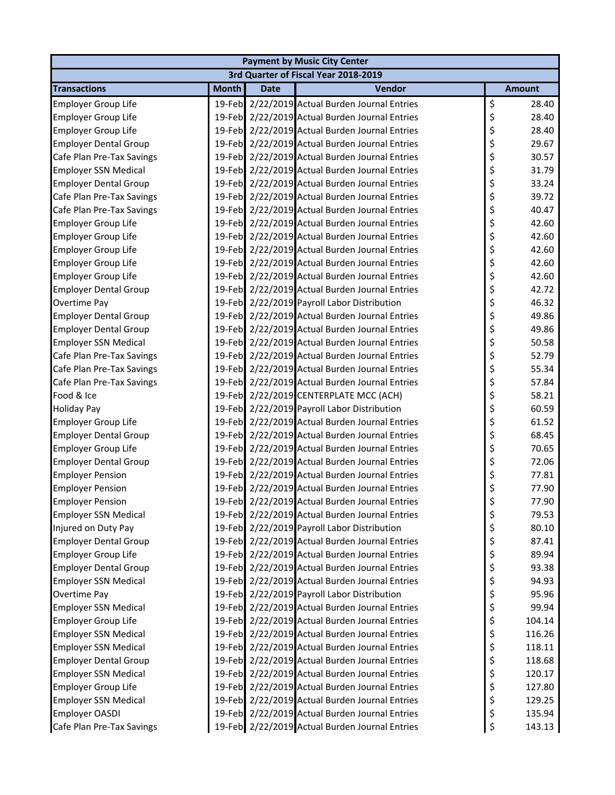| <b>Payment by Music City Center</b> |              |             |                                                |    |               |  |  |  |
|-------------------------------------|--------------|-------------|------------------------------------------------|----|---------------|--|--|--|
|                                     |              |             | 3rd Quarter of Fiscal Year 2018-2019           |    |               |  |  |  |
| <b>Transactions</b>                 | <b>Month</b> | <b>Date</b> | <b>Vendor</b>                                  |    | <b>Amount</b> |  |  |  |
| <b>Employer Group Life</b>          |              |             | 19-Feb 2/22/2019 Actual Burden Journal Entries | \$ | 28.40         |  |  |  |
| <b>Employer Group Life</b>          |              |             | 19-Feb 2/22/2019 Actual Burden Journal Entries | \$ | 28.40         |  |  |  |
| <b>Employer Group Life</b>          |              |             | 19-Feb 2/22/2019 Actual Burden Journal Entries | \$ | 28.40         |  |  |  |
| <b>Employer Dental Group</b>        |              |             | 19-Feb 2/22/2019 Actual Burden Journal Entries | \$ | 29.67         |  |  |  |
| Cafe Plan Pre-Tax Savings           |              |             | 19-Feb 2/22/2019 Actual Burden Journal Entries | \$ | 30.57         |  |  |  |
| <b>Employer SSN Medical</b>         |              |             | 19-Feb 2/22/2019 Actual Burden Journal Entries | \$ | 31.79         |  |  |  |
| <b>Employer Dental Group</b>        |              |             | 19-Feb 2/22/2019 Actual Burden Journal Entries | \$ | 33.24         |  |  |  |
| Cafe Plan Pre-Tax Savings           |              |             | 19-Feb 2/22/2019 Actual Burden Journal Entries | \$ | 39.72         |  |  |  |
| Cafe Plan Pre-Tax Savings           |              |             | 19-Feb 2/22/2019 Actual Burden Journal Entries | \$ | 40.47         |  |  |  |
| <b>Employer Group Life</b>          |              |             | 19-Feb 2/22/2019 Actual Burden Journal Entries | \$ | 42.60         |  |  |  |
| <b>Employer Group Life</b>          |              |             | 19-Feb 2/22/2019 Actual Burden Journal Entries | \$ | 42.60         |  |  |  |
| <b>Employer Group Life</b>          |              |             | 19-Feb 2/22/2019 Actual Burden Journal Entries | \$ | 42.60         |  |  |  |
| Employer Group Life                 |              |             | 19-Feb 2/22/2019 Actual Burden Journal Entries | \$ | 42.60         |  |  |  |
| Employer Group Life                 |              |             | 19-Feb 2/22/2019 Actual Burden Journal Entries | \$ | 42.60         |  |  |  |
| <b>Employer Dental Group</b>        |              |             | 19-Feb 2/22/2019 Actual Burden Journal Entries | \$ | 42.72         |  |  |  |
| Overtime Pay                        |              |             | 19-Feb 2/22/2019 Payroll Labor Distribution    | \$ | 46.32         |  |  |  |
| <b>Employer Dental Group</b>        |              |             | 19-Feb 2/22/2019 Actual Burden Journal Entries | \$ | 49.86         |  |  |  |
| <b>Employer Dental Group</b>        |              |             | 19-Feb 2/22/2019 Actual Burden Journal Entries | \$ | 49.86         |  |  |  |
| <b>Employer SSN Medical</b>         |              |             | 19-Feb 2/22/2019 Actual Burden Journal Entries | \$ | 50.58         |  |  |  |
| Cafe Plan Pre-Tax Savings           |              |             | 19-Feb 2/22/2019 Actual Burden Journal Entries | \$ | 52.79         |  |  |  |
| Cafe Plan Pre-Tax Savings           |              |             | 19-Feb 2/22/2019 Actual Burden Journal Entries | \$ | 55.34         |  |  |  |
| Cafe Plan Pre-Tax Savings           |              |             | 19-Feb 2/22/2019 Actual Burden Journal Entries | \$ | 57.84         |  |  |  |
| Food & Ice                          |              |             | 19-Feb 2/22/2019 CENTERPLATE MCC (ACH)         | \$ | 58.21         |  |  |  |
| <b>Holiday Pay</b>                  |              |             | 19-Feb 2/22/2019 Payroll Labor Distribution    | \$ | 60.59         |  |  |  |
| Employer Group Life                 |              |             | 19-Feb 2/22/2019 Actual Burden Journal Entries | \$ | 61.52         |  |  |  |
| <b>Employer Dental Group</b>        |              |             | 19-Feb 2/22/2019 Actual Burden Journal Entries | \$ | 68.45         |  |  |  |
| <b>Employer Group Life</b>          |              |             | 19-Feb 2/22/2019 Actual Burden Journal Entries | \$ | 70.65         |  |  |  |
| <b>Employer Dental Group</b>        |              |             | 19-Feb 2/22/2019 Actual Burden Journal Entries | \$ | 72.06         |  |  |  |
| <b>Employer Pension</b>             |              |             | 19-Feb 2/22/2019 Actual Burden Journal Entries | \$ | 77.81         |  |  |  |
| <b>Employer Pension</b>             |              |             | 19-Feb 2/22/2019 Actual Burden Journal Entries | \$ | 77.90         |  |  |  |
| <b>Employer Pension</b>             |              |             | 19-Feb 2/22/2019 Actual Burden Journal Entries | \$ | 77.90         |  |  |  |
| <b>Employer SSN Medical</b>         |              |             | 19-Feb 2/22/2019 Actual Burden Journal Entries | \$ | 79.53         |  |  |  |
| Injured on Duty Pay                 |              |             | 19-Feb 2/22/2019 Payroll Labor Distribution    | \$ | 80.10         |  |  |  |
| <b>Employer Dental Group</b>        |              |             | 19-Feb 2/22/2019 Actual Burden Journal Entries | \$ | 87.41         |  |  |  |
| <b>Employer Group Life</b>          |              |             | 19-Feb 2/22/2019 Actual Burden Journal Entries | \$ | 89.94         |  |  |  |
| <b>Employer Dental Group</b>        |              |             | 19-Feb 2/22/2019 Actual Burden Journal Entries | \$ | 93.38         |  |  |  |
| <b>Employer SSN Medical</b>         |              |             | 19-Feb 2/22/2019 Actual Burden Journal Entries | \$ | 94.93         |  |  |  |
| Overtime Pay                        |              |             | 19-Feb 2/22/2019 Payroll Labor Distribution    | \$ | 95.96         |  |  |  |
| <b>Employer SSN Medical</b>         |              |             | 19-Feb 2/22/2019 Actual Burden Journal Entries | \$ | 99.94         |  |  |  |
| <b>Employer Group Life</b>          |              |             | 19-Feb 2/22/2019 Actual Burden Journal Entries | \$ | 104.14        |  |  |  |
| <b>Employer SSN Medical</b>         |              |             | 19-Feb 2/22/2019 Actual Burden Journal Entries | \$ | 116.26        |  |  |  |
| <b>Employer SSN Medical</b>         |              |             | 19-Feb 2/22/2019 Actual Burden Journal Entries | \$ | 118.11        |  |  |  |
| <b>Employer Dental Group</b>        |              |             | 19-Feb 2/22/2019 Actual Burden Journal Entries | \$ | 118.68        |  |  |  |
| <b>Employer SSN Medical</b>         |              |             | 19-Feb 2/22/2019 Actual Burden Journal Entries | \$ | 120.17        |  |  |  |
| <b>Employer Group Life</b>          |              |             | 19-Feb 2/22/2019 Actual Burden Journal Entries | \$ | 127.80        |  |  |  |
| <b>Employer SSN Medical</b>         |              |             | 19-Feb 2/22/2019 Actual Burden Journal Entries | \$ | 129.25        |  |  |  |
| <b>Employer OASDI</b>               |              |             | 19-Feb 2/22/2019 Actual Burden Journal Entries | \$ | 135.94        |  |  |  |
| Cafe Plan Pre-Tax Savings           |              |             | 19-Feb 2/22/2019 Actual Burden Journal Entries | \$ | 143.13        |  |  |  |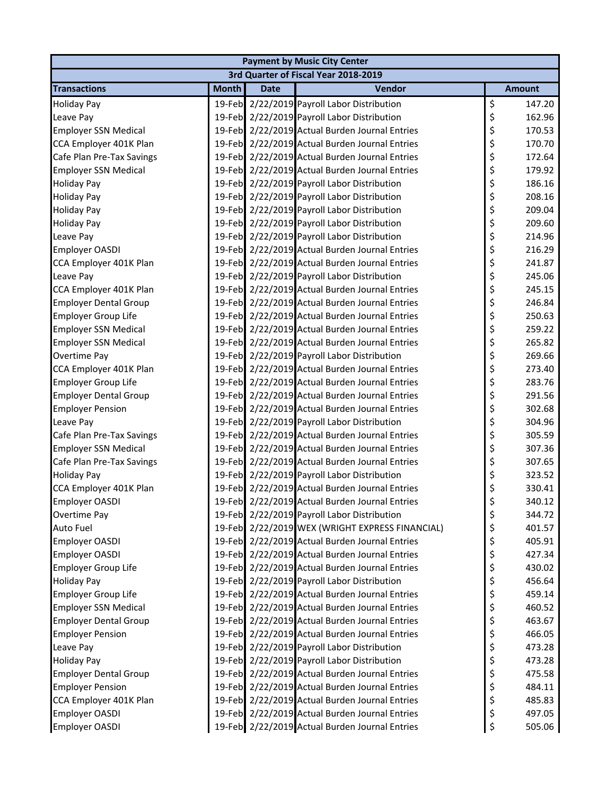| <b>Payment by Music City Center</b> |              |             |                                                 |    |               |  |  |  |
|-------------------------------------|--------------|-------------|-------------------------------------------------|----|---------------|--|--|--|
|                                     |              |             | 3rd Quarter of Fiscal Year 2018-2019            |    |               |  |  |  |
| <b>Transactions</b>                 | <b>Month</b> | <b>Date</b> | <b>Vendor</b>                                   |    | <b>Amount</b> |  |  |  |
| <b>Holiday Pay</b>                  |              |             | 19-Feb 2/22/2019 Payroll Labor Distribution     | \$ | 147.20        |  |  |  |
| Leave Pay                           |              |             | 19-Feb 2/22/2019 Payroll Labor Distribution     | \$ | 162.96        |  |  |  |
| <b>Employer SSN Medical</b>         |              |             | 19-Feb 2/22/2019 Actual Burden Journal Entries  | \$ | 170.53        |  |  |  |
| CCA Employer 401K Plan              |              |             | 19-Feb 2/22/2019 Actual Burden Journal Entries  | \$ | 170.70        |  |  |  |
| Cafe Plan Pre-Tax Savings           |              |             | 19-Feb 2/22/2019 Actual Burden Journal Entries  | \$ | 172.64        |  |  |  |
| <b>Employer SSN Medical</b>         |              |             | 19-Feb 2/22/2019 Actual Burden Journal Entries  | \$ | 179.92        |  |  |  |
| <b>Holiday Pay</b>                  |              |             | 19-Feb 2/22/2019 Payroll Labor Distribution     | \$ | 186.16        |  |  |  |
| <b>Holiday Pay</b>                  |              |             | 19-Feb 2/22/2019 Payroll Labor Distribution     | \$ | 208.16        |  |  |  |
| <b>Holiday Pay</b>                  |              |             | 19-Feb 2/22/2019 Payroll Labor Distribution     | \$ | 209.04        |  |  |  |
| <b>Holiday Pay</b>                  |              |             | 19-Feb 2/22/2019 Payroll Labor Distribution     | \$ | 209.60        |  |  |  |
| Leave Pay                           |              |             | 19-Feb 2/22/2019 Payroll Labor Distribution     | \$ | 214.96        |  |  |  |
| <b>Employer OASDI</b>               |              |             | 19-Feb 2/22/2019 Actual Burden Journal Entries  | \$ | 216.29        |  |  |  |
| CCA Employer 401K Plan              |              |             | 19-Feb 2/22/2019 Actual Burden Journal Entries  | \$ | 241.87        |  |  |  |
| Leave Pay                           |              |             | 19-Feb 2/22/2019 Payroll Labor Distribution     | \$ | 245.06        |  |  |  |
| CCA Employer 401K Plan              |              |             | 19-Feb 2/22/2019 Actual Burden Journal Entries  | \$ | 245.15        |  |  |  |
| <b>Employer Dental Group</b>        |              |             | 19-Feb 2/22/2019 Actual Burden Journal Entries  | \$ | 246.84        |  |  |  |
| <b>Employer Group Life</b>          |              |             | 19-Feb 2/22/2019 Actual Burden Journal Entries  | \$ | 250.63        |  |  |  |
| <b>Employer SSN Medical</b>         |              |             | 19-Feb 2/22/2019 Actual Burden Journal Entries  | \$ | 259.22        |  |  |  |
| <b>Employer SSN Medical</b>         |              |             | 19-Feb 2/22/2019 Actual Burden Journal Entries  | \$ | 265.82        |  |  |  |
| Overtime Pay                        |              |             | 19-Feb 2/22/2019 Payroll Labor Distribution     | \$ | 269.66        |  |  |  |
| CCA Employer 401K Plan              |              |             | 19-Feb 2/22/2019 Actual Burden Journal Entries  | \$ | 273.40        |  |  |  |
| <b>Employer Group Life</b>          |              |             | 19-Feb 2/22/2019 Actual Burden Journal Entries  | \$ | 283.76        |  |  |  |
| <b>Employer Dental Group</b>        |              |             | 19-Feb 2/22/2019 Actual Burden Journal Entries  | \$ | 291.56        |  |  |  |
| <b>Employer Pension</b>             |              |             | 19-Feb 2/22/2019 Actual Burden Journal Entries  | \$ | 302.68        |  |  |  |
| Leave Pay                           |              |             | 19-Feb 2/22/2019 Payroll Labor Distribution     | \$ | 304.96        |  |  |  |
| Cafe Plan Pre-Tax Savings           |              |             | 19-Feb 2/22/2019 Actual Burden Journal Entries  | \$ | 305.59        |  |  |  |
| <b>Employer SSN Medical</b>         |              |             | 19-Feb 2/22/2019 Actual Burden Journal Entries  | \$ | 307.36        |  |  |  |
| Cafe Plan Pre-Tax Savings           |              |             | 19-Feb 2/22/2019 Actual Burden Journal Entries  | \$ | 307.65        |  |  |  |
| <b>Holiday Pay</b>                  |              |             | 19-Feb 2/22/2019 Payroll Labor Distribution     | \$ | 323.52        |  |  |  |
| CCA Employer 401K Plan              |              |             | 19-Feb 2/22/2019 Actual Burden Journal Entries  | \$ | 330.41        |  |  |  |
| <b>Employer OASDI</b>               |              |             | 19-Feb 2/22/2019 Actual Burden Journal Entries  | \$ | 340.12        |  |  |  |
| Overtime Pay                        |              |             | 19-Feb 2/22/2019 Payroll Labor Distribution     | \$ | 344.72        |  |  |  |
| <b>Auto Fuel</b>                    |              |             | 19-Feb 2/22/2019 WEX (WRIGHT EXPRESS FINANCIAL) | \$ | 401.57        |  |  |  |
| <b>Employer OASDI</b>               |              |             | 19-Feb 2/22/2019 Actual Burden Journal Entries  | \$ | 405.91        |  |  |  |
| <b>Employer OASDI</b>               |              |             | 19-Feb 2/22/2019 Actual Burden Journal Entries  | \$ | 427.34        |  |  |  |
| <b>Employer Group Life</b>          |              |             | 19-Feb 2/22/2019 Actual Burden Journal Entries  | \$ | 430.02        |  |  |  |
| <b>Holiday Pay</b>                  |              |             | 19-Feb 2/22/2019 Payroll Labor Distribution     | \$ | 456.64        |  |  |  |
| <b>Employer Group Life</b>          |              |             | 19-Feb 2/22/2019 Actual Burden Journal Entries  | \$ | 459.14        |  |  |  |
| <b>Employer SSN Medical</b>         |              |             | 19-Feb 2/22/2019 Actual Burden Journal Entries  | \$ | 460.52        |  |  |  |
| <b>Employer Dental Group</b>        |              |             | 19-Feb 2/22/2019 Actual Burden Journal Entries  | \$ | 463.67        |  |  |  |
| <b>Employer Pension</b>             |              |             | 19-Feb 2/22/2019 Actual Burden Journal Entries  | \$ | 466.05        |  |  |  |
| Leave Pay                           |              |             | 19-Feb 2/22/2019 Payroll Labor Distribution     | \$ | 473.28        |  |  |  |
| <b>Holiday Pay</b>                  |              |             | 19-Feb 2/22/2019 Payroll Labor Distribution     | \$ | 473.28        |  |  |  |
| <b>Employer Dental Group</b>        |              |             | 19-Feb 2/22/2019 Actual Burden Journal Entries  | \$ | 475.58        |  |  |  |
| <b>Employer Pension</b>             |              |             | 19-Feb 2/22/2019 Actual Burden Journal Entries  | \$ | 484.11        |  |  |  |
| CCA Employer 401K Plan              |              |             | 19-Feb 2/22/2019 Actual Burden Journal Entries  | \$ | 485.83        |  |  |  |
| <b>Employer OASDI</b>               |              |             | 19-Feb 2/22/2019 Actual Burden Journal Entries  | \$ | 497.05        |  |  |  |
| <b>Employer OASDI</b>               |              |             | 19-Feb 2/22/2019 Actual Burden Journal Entries  | \$ | 505.06        |  |  |  |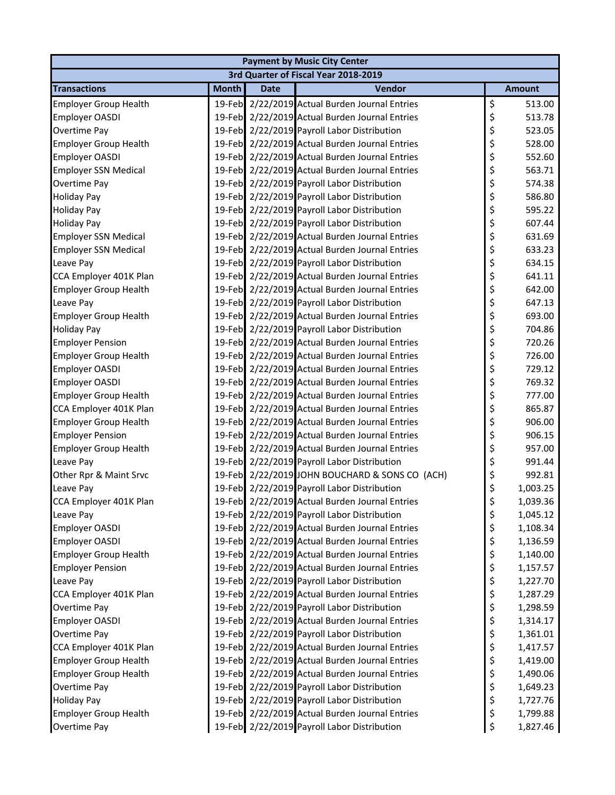|                              | <b>Payment by Music City Center</b> |             |                                                |    |               |  |  |  |  |
|------------------------------|-------------------------------------|-------------|------------------------------------------------|----|---------------|--|--|--|--|
|                              |                                     |             | 3rd Quarter of Fiscal Year 2018-2019           |    |               |  |  |  |  |
| <b>Transactions</b>          | <b>Month</b>                        | <b>Date</b> | Vendor                                         |    | <b>Amount</b> |  |  |  |  |
| <b>Employer Group Health</b> |                                     |             | 19-Feb 2/22/2019 Actual Burden Journal Entries | \$ | 513.00        |  |  |  |  |
| Employer OASDI               |                                     |             | 19-Feb 2/22/2019 Actual Burden Journal Entries | \$ | 513.78        |  |  |  |  |
| Overtime Pay                 |                                     |             | 19-Feb 2/22/2019 Payroll Labor Distribution    | \$ | 523.05        |  |  |  |  |
| <b>Employer Group Health</b> |                                     |             | 19-Feb 2/22/2019 Actual Burden Journal Entries | \$ | 528.00        |  |  |  |  |
| <b>Employer OASDI</b>        |                                     |             | 19-Feb 2/22/2019 Actual Burden Journal Entries | \$ | 552.60        |  |  |  |  |
| <b>Employer SSN Medical</b>  |                                     |             | 19-Feb 2/22/2019 Actual Burden Journal Entries | \$ | 563.71        |  |  |  |  |
| Overtime Pay                 |                                     |             | 19-Feb 2/22/2019 Payroll Labor Distribution    | \$ | 574.38        |  |  |  |  |
| <b>Holiday Pay</b>           |                                     |             | 19-Feb 2/22/2019 Payroll Labor Distribution    | \$ | 586.80        |  |  |  |  |
| <b>Holiday Pay</b>           |                                     |             | 19-Feb 2/22/2019 Payroll Labor Distribution    | \$ | 595.22        |  |  |  |  |
| <b>Holiday Pay</b>           |                                     |             | 19-Feb 2/22/2019 Payroll Labor Distribution    | \$ | 607.44        |  |  |  |  |
| <b>Employer SSN Medical</b>  |                                     |             | 19-Feb 2/22/2019 Actual Burden Journal Entries | \$ | 631.69        |  |  |  |  |
| <b>Employer SSN Medical</b>  |                                     |             | 19-Feb 2/22/2019 Actual Burden Journal Entries | \$ | 633.23        |  |  |  |  |
| Leave Pay                    |                                     |             | 19-Feb 2/22/2019 Payroll Labor Distribution    | \$ | 634.15        |  |  |  |  |
| CCA Employer 401K Plan       |                                     |             | 19-Feb 2/22/2019 Actual Burden Journal Entries | \$ | 641.11        |  |  |  |  |
| <b>Employer Group Health</b> |                                     |             | 19-Feb 2/22/2019 Actual Burden Journal Entries | \$ | 642.00        |  |  |  |  |
| Leave Pay                    |                                     |             | 19-Feb 2/22/2019 Payroll Labor Distribution    | \$ | 647.13        |  |  |  |  |
| <b>Employer Group Health</b> |                                     |             | 19-Feb 2/22/2019 Actual Burden Journal Entries | \$ | 693.00        |  |  |  |  |
| <b>Holiday Pay</b>           |                                     |             | 19-Feb 2/22/2019 Payroll Labor Distribution    | \$ | 704.86        |  |  |  |  |
| <b>Employer Pension</b>      |                                     |             | 19-Feb 2/22/2019 Actual Burden Journal Entries | \$ | 720.26        |  |  |  |  |
| <b>Employer Group Health</b> |                                     |             | 19-Feb 2/22/2019 Actual Burden Journal Entries | \$ | 726.00        |  |  |  |  |
| <b>Employer OASDI</b>        |                                     |             | 19-Feb 2/22/2019 Actual Burden Journal Entries | \$ | 729.12        |  |  |  |  |
| <b>Employer OASDI</b>        |                                     |             | 19-Feb 2/22/2019 Actual Burden Journal Entries | \$ | 769.32        |  |  |  |  |
| <b>Employer Group Health</b> |                                     |             | 19-Feb 2/22/2019 Actual Burden Journal Entries | \$ | 777.00        |  |  |  |  |
| CCA Employer 401K Plan       |                                     |             | 19-Feb 2/22/2019 Actual Burden Journal Entries | \$ | 865.87        |  |  |  |  |
| <b>Employer Group Health</b> |                                     |             | 19-Feb 2/22/2019 Actual Burden Journal Entries | \$ | 906.00        |  |  |  |  |
| <b>Employer Pension</b>      |                                     |             | 19-Feb 2/22/2019 Actual Burden Journal Entries | \$ | 906.15        |  |  |  |  |
| <b>Employer Group Health</b> |                                     |             | 19-Feb 2/22/2019 Actual Burden Journal Entries | \$ | 957.00        |  |  |  |  |
| Leave Pay                    |                                     |             | 19-Feb 2/22/2019 Payroll Labor Distribution    | \$ | 991.44        |  |  |  |  |
| Other Rpr & Maint Srvc       |                                     |             | 19-Feb 2/22/2019 JOHN BOUCHARD & SONS CO (ACH) | \$ | 992.81        |  |  |  |  |
| Leave Pay                    |                                     |             | 19-Feb 2/22/2019 Payroll Labor Distribution    | \$ | 1,003.25      |  |  |  |  |
| CCA Employer 401K Plan       |                                     |             | 19-Feb 2/22/2019 Actual Burden Journal Entries | Ś  | 1,039.36      |  |  |  |  |
| Leave Pay                    |                                     |             | 19-Feb 2/22/2019 Payroll Labor Distribution    | \$ | 1,045.12      |  |  |  |  |
| <b>Employer OASDI</b>        |                                     |             | 19-Feb 2/22/2019 Actual Burden Journal Entries | \$ | 1,108.34      |  |  |  |  |
| <b>Employer OASDI</b>        |                                     |             | 19-Feb 2/22/2019 Actual Burden Journal Entries | \$ | 1,136.59      |  |  |  |  |
| <b>Employer Group Health</b> |                                     |             | 19-Feb 2/22/2019 Actual Burden Journal Entries | \$ | 1,140.00      |  |  |  |  |
| <b>Employer Pension</b>      |                                     |             | 19-Feb 2/22/2019 Actual Burden Journal Entries | \$ | 1,157.57      |  |  |  |  |
| Leave Pay                    |                                     |             | 19-Feb 2/22/2019 Payroll Labor Distribution    | \$ | 1,227.70      |  |  |  |  |
| CCA Employer 401K Plan       |                                     |             | 19-Feb 2/22/2019 Actual Burden Journal Entries | \$ | 1,287.29      |  |  |  |  |
| Overtime Pay                 |                                     |             | 19-Feb 2/22/2019 Payroll Labor Distribution    | \$ | 1,298.59      |  |  |  |  |
| <b>Employer OASDI</b>        |                                     |             | 19-Feb 2/22/2019 Actual Burden Journal Entries | \$ | 1,314.17      |  |  |  |  |
| <b>Overtime Pay</b>          |                                     |             | 19-Feb 2/22/2019 Payroll Labor Distribution    | \$ | 1,361.01      |  |  |  |  |
| CCA Employer 401K Plan       |                                     |             | 19-Feb 2/22/2019 Actual Burden Journal Entries | \$ | 1,417.57      |  |  |  |  |
| <b>Employer Group Health</b> |                                     |             | 19-Feb 2/22/2019 Actual Burden Journal Entries | \$ | 1,419.00      |  |  |  |  |
| <b>Employer Group Health</b> |                                     |             | 19-Feb 2/22/2019 Actual Burden Journal Entries | \$ | 1,490.06      |  |  |  |  |
| Overtime Pay                 |                                     |             | 19-Feb 2/22/2019 Payroll Labor Distribution    | \$ | 1,649.23      |  |  |  |  |
| <b>Holiday Pay</b>           |                                     |             | 19-Feb 2/22/2019 Payroll Labor Distribution    | \$ | 1,727.76      |  |  |  |  |
| <b>Employer Group Health</b> |                                     |             | 19-Feb 2/22/2019 Actual Burden Journal Entries | \$ | 1,799.88      |  |  |  |  |
| <b>Overtime Pay</b>          |                                     |             | 19-Feb 2/22/2019 Payroll Labor Distribution    | \$ | 1,827.46      |  |  |  |  |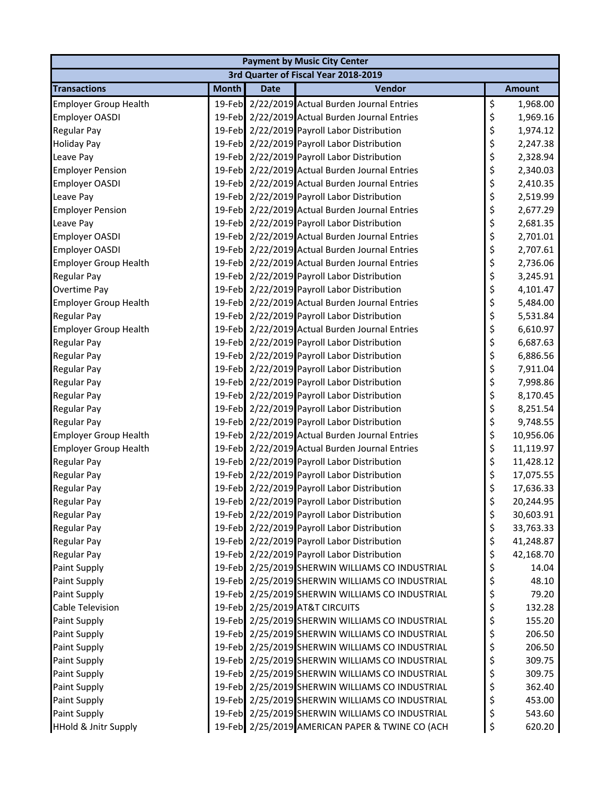| <b>Payment by Music City Center</b> |              |             |                                                 |    |               |  |  |  |
|-------------------------------------|--------------|-------------|-------------------------------------------------|----|---------------|--|--|--|
|                                     |              |             | 3rd Quarter of Fiscal Year 2018-2019            |    |               |  |  |  |
| <b>Transactions</b>                 | <b>Month</b> | <b>Date</b> | Vendor                                          |    | <b>Amount</b> |  |  |  |
| <b>Employer Group Health</b>        |              |             | 19-Feb 2/22/2019 Actual Burden Journal Entries  | \$ | 1,968.00      |  |  |  |
| Employer OASDI                      |              |             | 19-Feb 2/22/2019 Actual Burden Journal Entries  | \$ | 1,969.16      |  |  |  |
| <b>Regular Pay</b>                  |              |             | 19-Feb 2/22/2019 Payroll Labor Distribution     | \$ | 1,974.12      |  |  |  |
| <b>Holiday Pay</b>                  |              |             | 19-Feb 2/22/2019 Payroll Labor Distribution     | \$ | 2,247.38      |  |  |  |
| Leave Pay                           |              |             | 19-Feb 2/22/2019 Payroll Labor Distribution     | \$ | 2,328.94      |  |  |  |
| <b>Employer Pension</b>             |              |             | 19-Feb 2/22/2019 Actual Burden Journal Entries  | \$ | 2,340.03      |  |  |  |
| <b>Employer OASDI</b>               |              |             | 19-Feb 2/22/2019 Actual Burden Journal Entries  | \$ | 2,410.35      |  |  |  |
| Leave Pay                           |              |             | 19-Feb 2/22/2019 Payroll Labor Distribution     | \$ | 2,519.99      |  |  |  |
| <b>Employer Pension</b>             |              |             | 19-Feb 2/22/2019 Actual Burden Journal Entries  | \$ | 2,677.29      |  |  |  |
| Leave Pay                           |              |             | 19-Feb 2/22/2019 Payroll Labor Distribution     | \$ | 2,681.35      |  |  |  |
| <b>Employer OASDI</b>               |              |             | 19-Feb 2/22/2019 Actual Burden Journal Entries  | \$ | 2,701.01      |  |  |  |
| <b>Employer OASDI</b>               |              |             | 19-Feb 2/22/2019 Actual Burden Journal Entries  | \$ | 2,707.61      |  |  |  |
| <b>Employer Group Health</b>        |              |             | 19-Feb 2/22/2019 Actual Burden Journal Entries  | \$ | 2,736.06      |  |  |  |
| <b>Regular Pay</b>                  |              |             | 19-Feb 2/22/2019 Payroll Labor Distribution     | \$ | 3,245.91      |  |  |  |
| Overtime Pay                        |              |             | 19-Feb 2/22/2019 Payroll Labor Distribution     | \$ | 4,101.47      |  |  |  |
| <b>Employer Group Health</b>        |              |             | 19-Feb 2/22/2019 Actual Burden Journal Entries  | \$ | 5,484.00      |  |  |  |
| <b>Regular Pay</b>                  |              |             | 19-Feb 2/22/2019 Payroll Labor Distribution     | \$ | 5,531.84      |  |  |  |
| <b>Employer Group Health</b>        |              |             | 19-Feb 2/22/2019 Actual Burden Journal Entries  | \$ | 6,610.97      |  |  |  |
| <b>Regular Pay</b>                  |              |             | 19-Feb 2/22/2019 Payroll Labor Distribution     | \$ | 6,687.63      |  |  |  |
| <b>Regular Pay</b>                  |              |             | 19-Feb 2/22/2019 Payroll Labor Distribution     | \$ | 6,886.56      |  |  |  |
| <b>Regular Pay</b>                  |              |             | 19-Feb 2/22/2019 Payroll Labor Distribution     | \$ | 7,911.04      |  |  |  |
| <b>Regular Pay</b>                  |              |             | 19-Feb 2/22/2019 Payroll Labor Distribution     | \$ | 7,998.86      |  |  |  |
| <b>Regular Pay</b>                  |              |             | 19-Feb 2/22/2019 Payroll Labor Distribution     | \$ | 8,170.45      |  |  |  |
| <b>Regular Pay</b>                  |              |             | 19-Feb 2/22/2019 Payroll Labor Distribution     | \$ | 8,251.54      |  |  |  |
| <b>Regular Pay</b>                  |              |             | 19-Feb 2/22/2019 Payroll Labor Distribution     | \$ | 9,748.55      |  |  |  |
| <b>Employer Group Health</b>        |              |             | 19-Feb 2/22/2019 Actual Burden Journal Entries  | \$ | 10,956.06     |  |  |  |
| <b>Employer Group Health</b>        |              |             | 19-Feb 2/22/2019 Actual Burden Journal Entries  | \$ | 11,119.97     |  |  |  |
| <b>Regular Pay</b>                  |              |             | 19-Feb 2/22/2019 Payroll Labor Distribution     | \$ | 11,428.12     |  |  |  |
| <b>Regular Pay</b>                  |              |             | 19-Feb 2/22/2019 Payroll Labor Distribution     | \$ | 17,075.55     |  |  |  |
| <b>Regular Pay</b>                  |              |             | 19-Feb 2/22/2019 Payroll Labor Distribution     | \$ | 17,636.33     |  |  |  |
| <b>Regular Pay</b>                  |              |             | 19-Feb 2/22/2019 Payroll Labor Distribution     | Ś. | 20,244.95     |  |  |  |
| <b>Regular Pay</b>                  |              |             | 19-Feb 2/22/2019 Payroll Labor Distribution     | \$ | 30,603.91     |  |  |  |
| <b>Regular Pay</b>                  |              |             | 19-Feb 2/22/2019 Payroll Labor Distribution     | \$ | 33,763.33     |  |  |  |
| <b>Regular Pay</b>                  |              |             | 19-Feb 2/22/2019 Payroll Labor Distribution     | \$ | 41,248.87     |  |  |  |
| <b>Regular Pay</b>                  |              |             | 19-Feb 2/22/2019 Payroll Labor Distribution     | \$ | 42,168.70     |  |  |  |
| Paint Supply                        |              |             | 19-Feb 2/25/2019 SHERWIN WILLIAMS CO INDUSTRIAL | \$ | 14.04         |  |  |  |
| Paint Supply                        |              |             | 19-Feb 2/25/2019 SHERWIN WILLIAMS CO INDUSTRIAL | \$ | 48.10         |  |  |  |
| Paint Supply                        |              |             | 19-Feb 2/25/2019 SHERWIN WILLIAMS CO INDUSTRIAL | \$ | 79.20         |  |  |  |
| Cable Television                    |              |             | 19-Feb 2/25/2019 AT&T CIRCUITS                  | \$ | 132.28        |  |  |  |
| Paint Supply                        |              |             | 19-Feb 2/25/2019 SHERWIN WILLIAMS CO INDUSTRIAL | \$ | 155.20        |  |  |  |
| Paint Supply                        |              |             | 19-Feb 2/25/2019 SHERWIN WILLIAMS CO INDUSTRIAL | \$ | 206.50        |  |  |  |
| Paint Supply                        |              |             | 19-Feb 2/25/2019 SHERWIN WILLIAMS CO INDUSTRIAL | \$ | 206.50        |  |  |  |
| Paint Supply                        |              |             | 19-Feb 2/25/2019 SHERWIN WILLIAMS CO INDUSTRIAL | \$ | 309.75        |  |  |  |
| Paint Supply                        |              |             | 19-Feb 2/25/2019 SHERWIN WILLIAMS CO INDUSTRIAL | \$ | 309.75        |  |  |  |
| Paint Supply                        |              |             | 19-Feb 2/25/2019 SHERWIN WILLIAMS CO INDUSTRIAL | \$ | 362.40        |  |  |  |
| Paint Supply                        |              |             | 19-Feb 2/25/2019 SHERWIN WILLIAMS CO INDUSTRIAL | \$ | 453.00        |  |  |  |
| Paint Supply                        |              |             | 19-Feb 2/25/2019 SHERWIN WILLIAMS CO INDUSTRIAL | \$ | 543.60        |  |  |  |
| HHold & Jnitr Supply                |              |             | 19-Feb 2/25/2019 AMERICAN PAPER & TWINE CO (ACH | \$ | 620.20        |  |  |  |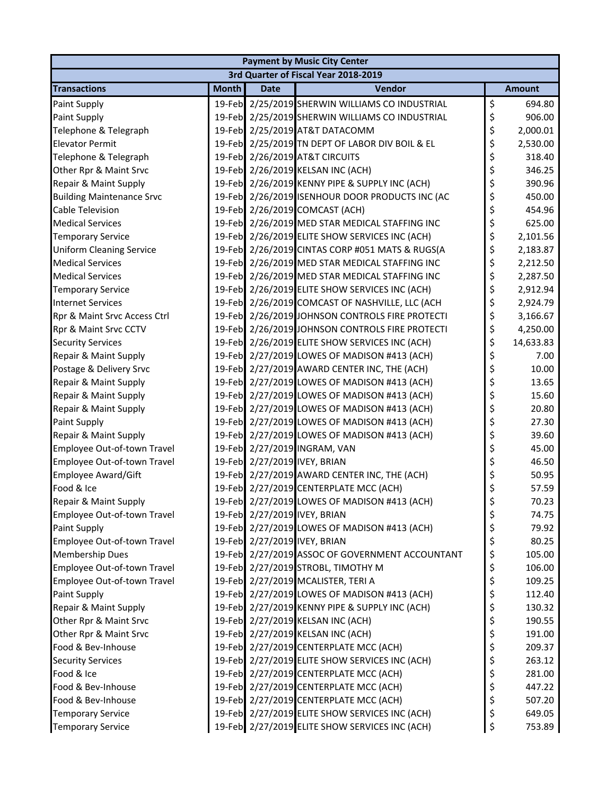| <b>Payment by Music City Center</b> |                                      |             |                                                 |    |               |  |  |  |  |
|-------------------------------------|--------------------------------------|-------------|-------------------------------------------------|----|---------------|--|--|--|--|
|                                     | 3rd Quarter of Fiscal Year 2018-2019 |             |                                                 |    |               |  |  |  |  |
| <b>Transactions</b>                 | <b>Month</b>                         | <b>Date</b> | Vendor                                          |    | <b>Amount</b> |  |  |  |  |
| Paint Supply                        |                                      |             | 19-Feb 2/25/2019 SHERWIN WILLIAMS CO INDUSTRIAL | \$ | 694.80        |  |  |  |  |
| Paint Supply                        |                                      |             | 19-Feb 2/25/2019 SHERWIN WILLIAMS CO INDUSTRIAL | \$ | 906.00        |  |  |  |  |
| Telephone & Telegraph               |                                      |             | 19-Feb 2/25/2019 AT&T DATACOMM                  | \$ | 2,000.01      |  |  |  |  |
| <b>Elevator Permit</b>              |                                      |             | 19-Feb 2/25/2019 TN DEPT OF LABOR DIV BOIL & EL | \$ | 2,530.00      |  |  |  |  |
| Telephone & Telegraph               |                                      |             | 19-Feb 2/26/2019 AT&T CIRCUITS                  | \$ | 318.40        |  |  |  |  |
| Other Rpr & Maint Srvc              |                                      |             | 19-Feb 2/26/2019 KELSAN INC (ACH)               | \$ | 346.25        |  |  |  |  |
| Repair & Maint Supply               |                                      |             | 19-Feb 2/26/2019 KENNY PIPE & SUPPLY INC (ACH)  | \$ | 390.96        |  |  |  |  |
| <b>Building Maintenance Srvc</b>    |                                      |             | 19-Feb 2/26/2019 ISENHOUR DOOR PRODUCTS INC (AC | \$ | 450.00        |  |  |  |  |
| Cable Television                    |                                      |             | 19-Feb 2/26/2019 COMCAST (ACH)                  | \$ | 454.96        |  |  |  |  |
| <b>Medical Services</b>             |                                      |             | 19-Feb 2/26/2019 MED STAR MEDICAL STAFFING INC  | \$ | 625.00        |  |  |  |  |
| <b>Temporary Service</b>            |                                      |             | 19-Feb 2/26/2019 ELITE SHOW SERVICES INC (ACH)  | \$ | 2,101.56      |  |  |  |  |
| <b>Uniform Cleaning Service</b>     |                                      |             | 19-Feb 2/26/2019 CINTAS CORP #051 MATS & RUGS(A | \$ | 2,183.87      |  |  |  |  |
| <b>Medical Services</b>             |                                      |             | 19-Feb 2/26/2019 MED STAR MEDICAL STAFFING INC  | \$ | 2,212.50      |  |  |  |  |
| <b>Medical Services</b>             |                                      |             | 19-Feb 2/26/2019 MED STAR MEDICAL STAFFING INC  | \$ | 2,287.50      |  |  |  |  |
| <b>Temporary Service</b>            |                                      |             | 19-Feb 2/26/2019 ELITE SHOW SERVICES INC (ACH)  | \$ | 2,912.94      |  |  |  |  |
| <b>Internet Services</b>            |                                      |             | 19-Feb 2/26/2019 COMCAST OF NASHVILLE, LLC (ACH | \$ | 2,924.79      |  |  |  |  |
| Rpr & Maint Srvc Access Ctrl        |                                      |             | 19-Feb 2/26/2019 JOHNSON CONTROLS FIRE PROTECTI | \$ | 3,166.67      |  |  |  |  |
| Rpr & Maint Srvc CCTV               |                                      |             | 19-Feb 2/26/2019 JOHNSON CONTROLS FIRE PROTECTI | \$ | 4,250.00      |  |  |  |  |
| <b>Security Services</b>            |                                      |             | 19-Feb 2/26/2019 ELITE SHOW SERVICES INC (ACH)  | \$ | 14,633.83     |  |  |  |  |
| Repair & Maint Supply               |                                      |             | 19-Feb 2/27/2019 LOWES OF MADISON #413 (ACH)    | \$ | 7.00          |  |  |  |  |
| Postage & Delivery Srvc             |                                      |             | 19-Feb 2/27/2019 AWARD CENTER INC, THE (ACH)    | \$ | 10.00         |  |  |  |  |
| Repair & Maint Supply               |                                      |             | 19-Feb 2/27/2019 LOWES OF MADISON #413 (ACH)    | \$ | 13.65         |  |  |  |  |
| Repair & Maint Supply               |                                      |             | 19-Feb 2/27/2019 LOWES OF MADISON #413 (ACH)    | \$ | 15.60         |  |  |  |  |
| Repair & Maint Supply               |                                      |             | 19-Feb 2/27/2019 LOWES OF MADISON #413 (ACH)    | \$ | 20.80         |  |  |  |  |
| Paint Supply                        |                                      |             | 19-Feb 2/27/2019 LOWES OF MADISON #413 (ACH)    | \$ | 27.30         |  |  |  |  |
| Repair & Maint Supply               |                                      |             | 19-Feb 2/27/2019 LOWES OF MADISON #413 (ACH)    | \$ | 39.60         |  |  |  |  |
| Employee Out-of-town Travel         |                                      |             | 19-Feb 2/27/2019 INGRAM, VAN                    | \$ | 45.00         |  |  |  |  |
| Employee Out-of-town Travel         |                                      |             | 19-Feb 2/27/2019 IVEY, BRIAN                    | \$ | 46.50         |  |  |  |  |
| Employee Award/Gift                 |                                      |             | 19-Feb 2/27/2019 AWARD CENTER INC, THE (ACH)    | \$ | 50.95         |  |  |  |  |
| Food & Ice                          |                                      |             | 19-Feb 2/27/2019 CENTERPLATE MCC (ACH)          | \$ | 57.59         |  |  |  |  |
| Repair & Maint Supply               |                                      |             | 19-Feb 2/27/2019 LOWES OF MADISON #413 (ACH)    | Ś. | 70.23         |  |  |  |  |
| Employee Out-of-town Travel         |                                      |             | 19-Feb 2/27/2019 IVEY, BRIAN                    | \$ | 74.75         |  |  |  |  |
| Paint Supply                        |                                      |             | 19-Feb 2/27/2019 LOWES OF MADISON #413 (ACH)    | \$ | 79.92         |  |  |  |  |
| Employee Out-of-town Travel         |                                      |             | 19-Feb 2/27/2019 IVEY, BRIAN                    | \$ | 80.25         |  |  |  |  |
| <b>Membership Dues</b>              |                                      |             | 19-Feb 2/27/2019 ASSOC OF GOVERNMENT ACCOUNTANT | \$ | 105.00        |  |  |  |  |
| Employee Out-of-town Travel         |                                      |             | 19-Feb 2/27/2019 STROBL, TIMOTHY M              | \$ | 106.00        |  |  |  |  |
| Employee Out-of-town Travel         |                                      |             | 19-Feb 2/27/2019 MCALISTER, TERI A              | \$ | 109.25        |  |  |  |  |
| Paint Supply                        |                                      |             | 19-Feb 2/27/2019 LOWES OF MADISON #413 (ACH)    | \$ | 112.40        |  |  |  |  |
| Repair & Maint Supply               |                                      |             | 19-Feb 2/27/2019 KENNY PIPE & SUPPLY INC (ACH)  | \$ | 130.32        |  |  |  |  |
| Other Rpr & Maint Srvc              |                                      |             | 19-Feb 2/27/2019 KELSAN INC (ACH)               | \$ | 190.55        |  |  |  |  |
| Other Rpr & Maint Srvc              |                                      |             | 19-Feb 2/27/2019 KELSAN INC (ACH)               | \$ | 191.00        |  |  |  |  |
| Food & Bev-Inhouse                  |                                      |             | 19-Feb 2/27/2019 CENTERPLATE MCC (ACH)          | \$ | 209.37        |  |  |  |  |
| <b>Security Services</b>            |                                      |             | 19-Feb 2/27/2019 ELITE SHOW SERVICES INC (ACH)  | \$ | 263.12        |  |  |  |  |
| Food & Ice                          |                                      |             | 19-Feb 2/27/2019 CENTERPLATE MCC (ACH)          | \$ | 281.00        |  |  |  |  |
| Food & Bev-Inhouse                  |                                      |             | 19-Feb 2/27/2019 CENTERPLATE MCC (ACH)          | \$ | 447.22        |  |  |  |  |
| Food & Bev-Inhouse                  |                                      |             | 19-Feb 2/27/2019 CENTERPLATE MCC (ACH)          | \$ | 507.20        |  |  |  |  |
| <b>Temporary Service</b>            |                                      |             | 19-Feb 2/27/2019 ELITE SHOW SERVICES INC (ACH)  | \$ | 649.05        |  |  |  |  |
| <b>Temporary Service</b>            |                                      |             | 19-Feb 2/27/2019 ELITE SHOW SERVICES INC (ACH)  | \$ | 753.89        |  |  |  |  |
|                                     |                                      |             |                                                 |    |               |  |  |  |  |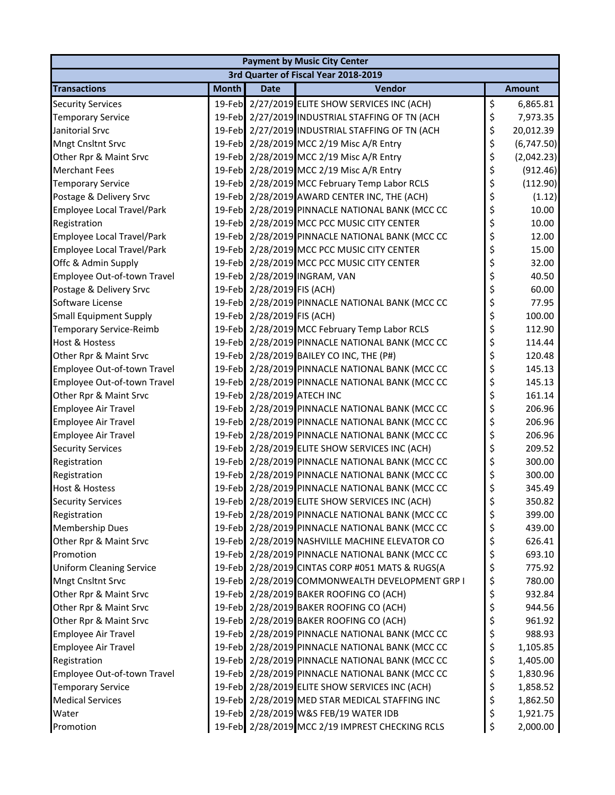| <b>Payment by Music City Center</b> |              |                            |                                                 |    |               |  |  |  |
|-------------------------------------|--------------|----------------------------|-------------------------------------------------|----|---------------|--|--|--|
|                                     |              |                            | 3rd Quarter of Fiscal Year 2018-2019            |    |               |  |  |  |
| <b>Transactions</b>                 | <b>Month</b> | <b>Date</b>                | Vendor                                          |    | <b>Amount</b> |  |  |  |
| <b>Security Services</b>            |              |                            | 19-Feb 2/27/2019 ELITE SHOW SERVICES INC (ACH)  | \$ | 6,865.81      |  |  |  |
| <b>Temporary Service</b>            |              |                            | 19-Feb 2/27/2019 INDUSTRIAL STAFFING OF TN (ACH | \$ | 7,973.35      |  |  |  |
| Janitorial Srvc                     |              |                            | 19-Feb 2/27/2019 INDUSTRIAL STAFFING OF TN (ACH | \$ | 20,012.39     |  |  |  |
| Mngt Cnsltnt Srvc                   |              |                            | 19-Feb 2/28/2019 MCC 2/19 Misc A/R Entry        | \$ | (6,747.50)    |  |  |  |
| Other Rpr & Maint Srvc              |              |                            | 19-Feb 2/28/2019 MCC 2/19 Misc A/R Entry        | \$ | (2,042.23)    |  |  |  |
| <b>Merchant Fees</b>                |              |                            | 19-Feb 2/28/2019 MCC 2/19 Misc A/R Entry        | \$ | (912.46)      |  |  |  |
| <b>Temporary Service</b>            |              |                            | 19-Feb 2/28/2019 MCC February Temp Labor RCLS   | \$ | (112.90)      |  |  |  |
| Postage & Delivery Srvc             |              |                            | 19-Feb 2/28/2019 AWARD CENTER INC, THE (ACH)    | \$ | (1.12)        |  |  |  |
| Employee Local Travel/Park          |              |                            | 19-Feb 2/28/2019 PINNACLE NATIONAL BANK (MCC CC | \$ | 10.00         |  |  |  |
| Registration                        |              |                            | 19-Feb 2/28/2019 MCC PCC MUSIC CITY CENTER      | \$ | 10.00         |  |  |  |
| <b>Employee Local Travel/Park</b>   |              |                            | 19-Feb 2/28/2019 PINNACLE NATIONAL BANK (MCC CC | \$ | 12.00         |  |  |  |
| Employee Local Travel/Park          |              |                            | 19-Feb 2/28/2019 MCC PCC MUSIC CITY CENTER      | \$ | 15.00         |  |  |  |
| Offc & Admin Supply                 |              |                            | 19-Feb 2/28/2019 MCC PCC MUSIC CITY CENTER      | \$ | 32.00         |  |  |  |
| Employee Out-of-town Travel         |              |                            | 19-Feb 2/28/2019 INGRAM, VAN                    | \$ | 40.50         |  |  |  |
| Postage & Delivery Srvc             |              | 19-Feb 2/28/2019 FIS (ACH) |                                                 | \$ | 60.00         |  |  |  |
| Software License                    |              |                            | 19-Feb 2/28/2019 PINNACLE NATIONAL BANK (MCC CC | \$ | 77.95         |  |  |  |
| <b>Small Equipment Supply</b>       |              | 19-Feb 2/28/2019 FIS (ACH) |                                                 | \$ | 100.00        |  |  |  |
| <b>Temporary Service-Reimb</b>      |              |                            | 19-Feb 2/28/2019 MCC February Temp Labor RCLS   | \$ | 112.90        |  |  |  |
| <b>Host &amp; Hostess</b>           |              |                            | 19-Feb 2/28/2019 PINNACLE NATIONAL BANK (MCC CC | \$ | 114.44        |  |  |  |
| Other Rpr & Maint Srvc              |              |                            | 19-Feb 2/28/2019 BAILEY CO INC, THE (P#)        | \$ | 120.48        |  |  |  |
| Employee Out-of-town Travel         |              |                            | 19-Feb 2/28/2019 PINNACLE NATIONAL BANK (MCC CC | \$ | 145.13        |  |  |  |
| Employee Out-of-town Travel         |              |                            | 19-Feb 2/28/2019 PINNACLE NATIONAL BANK (MCC CC | \$ | 145.13        |  |  |  |
| Other Rpr & Maint Srvc              |              | 19-Feb 2/28/2019 ATECH INC |                                                 | \$ | 161.14        |  |  |  |
| Employee Air Travel                 |              |                            | 19-Feb 2/28/2019 PINNACLE NATIONAL BANK (MCC CC | \$ | 206.96        |  |  |  |
| <b>Employee Air Travel</b>          |              |                            | 19-Feb 2/28/2019 PINNACLE NATIONAL BANK (MCC CC | \$ | 206.96        |  |  |  |
| Employee Air Travel                 |              |                            | 19-Feb 2/28/2019 PINNACLE NATIONAL BANK (MCC CC | \$ | 206.96        |  |  |  |
| <b>Security Services</b>            |              |                            | 19-Feb 2/28/2019 ELITE SHOW SERVICES INC (ACH)  | \$ | 209.52        |  |  |  |
| Registration                        |              |                            | 19-Feb 2/28/2019 PINNACLE NATIONAL BANK (MCC CC | \$ | 300.00        |  |  |  |
| Registration                        |              |                            | 19-Feb 2/28/2019 PINNACLE NATIONAL BANK (MCC CC | \$ | 300.00        |  |  |  |
| <b>Host &amp; Hostess</b>           |              |                            | 19-Feb 2/28/2019 PINNACLE NATIONAL BANK (MCC CC | \$ | 345.49        |  |  |  |
| <b>Security Services</b>            |              |                            | 19-Feb 2/28/2019 ELITE SHOW SERVICES INC (ACH)  | Ś  | 350.82        |  |  |  |
| Registration                        |              |                            | 19-Feb 2/28/2019 PINNACLE NATIONAL BANK (MCC CC | \$ | 399.00        |  |  |  |
| <b>Membership Dues</b>              |              |                            | 19-Feb 2/28/2019 PINNACLE NATIONAL BANK (MCC CC | \$ | 439.00        |  |  |  |
| Other Rpr & Maint Srvc              |              |                            | 19-Feb 2/28/2019 NASHVILLE MACHINE ELEVATOR CO  | \$ | 626.41        |  |  |  |
| Promotion                           |              |                            | 19-Feb 2/28/2019 PINNACLE NATIONAL BANK (MCC CC | \$ | 693.10        |  |  |  |
| <b>Uniform Cleaning Service</b>     |              |                            | 19-Feb 2/28/2019 CINTAS CORP #051 MATS & RUGS(A | \$ | 775.92        |  |  |  |
| Mngt Cnsltnt Srvc                   |              |                            | 19-Feb 2/28/2019 COMMONWEALTH DEVELOPMENT GRP I | \$ | 780.00        |  |  |  |
| Other Rpr & Maint Srvc              |              |                            | 19-Feb 2/28/2019 BAKER ROOFING CO (ACH)         | \$ | 932.84        |  |  |  |
| Other Rpr & Maint Srvc              |              |                            | 19-Feb 2/28/2019 BAKER ROOFING CO (ACH)         | \$ | 944.56        |  |  |  |
| Other Rpr & Maint Srvc              |              |                            | 19-Feb 2/28/2019 BAKER ROOFING CO (ACH)         | \$ | 961.92        |  |  |  |
| Employee Air Travel                 |              |                            | 19-Feb 2/28/2019 PINNACLE NATIONAL BANK (MCC CC | \$ | 988.93        |  |  |  |
| <b>Employee Air Travel</b>          |              |                            | 19-Feb 2/28/2019 PINNACLE NATIONAL BANK (MCC CC | \$ | 1,105.85      |  |  |  |
| Registration                        |              |                            | 19-Feb 2/28/2019 PINNACLE NATIONAL BANK (MCC CC | \$ | 1,405.00      |  |  |  |
| Employee Out-of-town Travel         |              |                            | 19-Feb 2/28/2019 PINNACLE NATIONAL BANK (MCC CC | \$ | 1,830.96      |  |  |  |
| <b>Temporary Service</b>            |              |                            | 19-Feb 2/28/2019 ELITE SHOW SERVICES INC (ACH)  | \$ | 1,858.52      |  |  |  |
| <b>Medical Services</b>             |              |                            | 19-Feb 2/28/2019 MED STAR MEDICAL STAFFING INC  | \$ | 1,862.50      |  |  |  |
| Water                               |              |                            | 19-Feb 2/28/2019 W&S FEB/19 WATER IDB           | \$ | 1,921.75      |  |  |  |
| Promotion                           |              |                            | 19-Feb 2/28/2019 MCC 2/19 IMPREST CHECKING RCLS | \$ | 2,000.00      |  |  |  |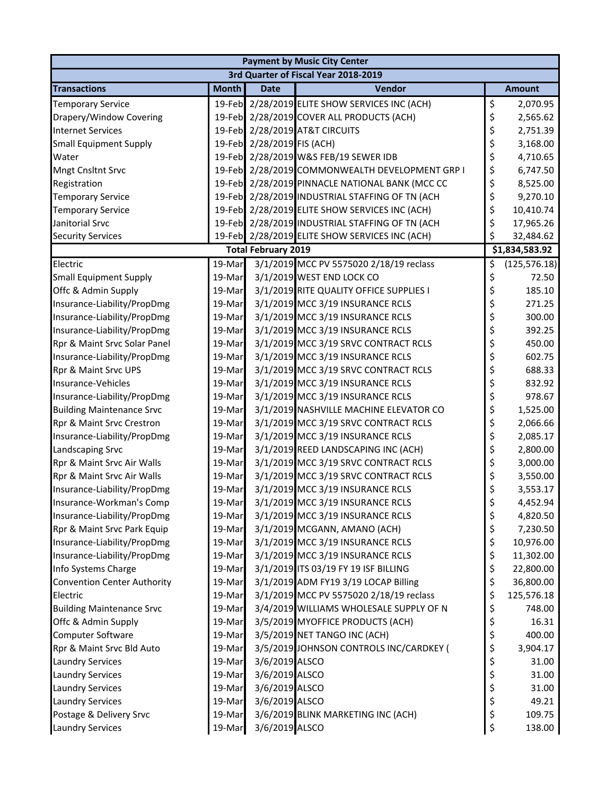| <b>Payment by Music City Center</b> |                                      |                            |                                                 |    |                |  |  |  |
|-------------------------------------|--------------------------------------|----------------------------|-------------------------------------------------|----|----------------|--|--|--|
|                                     | 3rd Quarter of Fiscal Year 2018-2019 |                            |                                                 |    |                |  |  |  |
| <b>Transactions</b>                 | <b>Month</b>                         | <b>Date</b>                | Vendor                                          |    | <b>Amount</b>  |  |  |  |
| <b>Temporary Service</b>            |                                      |                            | 19-Feb 2/28/2019 ELITE SHOW SERVICES INC (ACH)  | \$ | 2,070.95       |  |  |  |
| Drapery/Window Covering             | 19-Feb                               |                            | 2/28/2019 COVER ALL PRODUCTS (ACH)              | \$ | 2,565.62       |  |  |  |
| <b>Internet Services</b>            |                                      |                            | 19-Feb 2/28/2019 AT&T CIRCUITS                  | \$ | 2,751.39       |  |  |  |
| <b>Small Equipment Supply</b>       |                                      | 19-Feb 2/28/2019 FIS (ACH) |                                                 | \$ | 3,168.00       |  |  |  |
| Water                               |                                      |                            | 19-Feb 2/28/2019 W&S FEB/19 SEWER IDB           | \$ | 4,710.65       |  |  |  |
| Mngt Cnsltnt Srvc                   |                                      |                            | 19-Feb 2/28/2019 COMMONWEALTH DEVELOPMENT GRP I | \$ | 6,747.50       |  |  |  |
| Registration                        |                                      |                            | 19-Feb 2/28/2019 PINNACLE NATIONAL BANK (MCC CC | \$ | 8,525.00       |  |  |  |
| <b>Temporary Service</b>            |                                      |                            | 19-Feb 2/28/2019 INDUSTRIAL STAFFING OF TN (ACH | \$ | 9,270.10       |  |  |  |
| <b>Temporary Service</b>            |                                      |                            | 19-Feb 2/28/2019 ELITE SHOW SERVICES INC (ACH)  | \$ | 10,410.74      |  |  |  |
| Janitorial Srvc                     |                                      |                            | 19-Feb 2/28/2019 INDUSTRIAL STAFFING OF TN (ACH | \$ | 17,965.26      |  |  |  |
| <b>Security Services</b>            | 19-Feb                               |                            | 2/28/2019 ELITE SHOW SERVICES INC (ACH)         | \$ | 32,484.62      |  |  |  |
|                                     |                                      | <b>Total February 2019</b> |                                                 |    | \$1,834,583.92 |  |  |  |
| Electric                            | 19-Mar                               |                            | 3/1/2019 MCC PV 5575020 2/18/19 reclass         | \$ | (125, 576.18)  |  |  |  |
| <b>Small Equipment Supply</b>       | 19-Mar                               |                            | 3/1/2019 WEST END LOCK CO                       | \$ | 72.50          |  |  |  |
| Offc & Admin Supply                 | 19-Mar                               |                            | 3/1/2019 RITE QUALITY OFFICE SUPPLIES I         | \$ | 185.10         |  |  |  |
| Insurance-Liability/PropDmg         | 19-Mar                               |                            | 3/1/2019 MCC 3/19 INSURANCE RCLS                | \$ | 271.25         |  |  |  |
| Insurance-Liability/PropDmg         | 19-Mar                               |                            | 3/1/2019 MCC 3/19 INSURANCE RCLS                | \$ | 300.00         |  |  |  |
| Insurance-Liability/PropDmg         | 19-Mar                               |                            | 3/1/2019 MCC 3/19 INSURANCE RCLS                | \$ | 392.25         |  |  |  |
| Rpr & Maint Srvc Solar Panel        | 19-Mar                               |                            | 3/1/2019 MCC 3/19 SRVC CONTRACT RCLS            | \$ | 450.00         |  |  |  |
| Insurance-Liability/PropDmg         | 19-Mar                               |                            | 3/1/2019 MCC 3/19 INSURANCE RCLS                | \$ | 602.75         |  |  |  |
| Rpr & Maint Srvc UPS                | 19-Mar                               |                            | 3/1/2019 MCC 3/19 SRVC CONTRACT RCLS            | \$ | 688.33         |  |  |  |
| Insurance-Vehicles                  | 19-Mar                               |                            | 3/1/2019 MCC 3/19 INSURANCE RCLS                | \$ | 832.92         |  |  |  |
| Insurance-Liability/PropDmg         | 19-Mar                               |                            | 3/1/2019 MCC 3/19 INSURANCE RCLS                | \$ | 978.67         |  |  |  |
| <b>Building Maintenance Srvc</b>    | 19-Mar                               |                            | 3/1/2019 NASHVILLE MACHINE ELEVATOR CO          | \$ | 1,525.00       |  |  |  |
| Rpr & Maint Srvc Crestron           | 19-Mar                               |                            | 3/1/2019 MCC 3/19 SRVC CONTRACT RCLS            | \$ | 2,066.66       |  |  |  |
| Insurance-Liability/PropDmg         | 19-Mar                               |                            | 3/1/2019 MCC 3/19 INSURANCE RCLS                | \$ | 2,085.17       |  |  |  |
| Landscaping Srvc                    | 19-Mar                               |                            | 3/1/2019 REED LANDSCAPING INC (ACH)             | \$ | 2,800.00       |  |  |  |
| Rpr & Maint Srvc Air Walls          | 19-Mar                               |                            | 3/1/2019 MCC 3/19 SRVC CONTRACT RCLS            | \$ | 3,000.00       |  |  |  |
| Rpr & Maint Srvc Air Walls          | 19-Mar                               |                            | 3/1/2019 MCC 3/19 SRVC CONTRACT RCLS            | \$ | 3,550.00       |  |  |  |
| Insurance-Liability/PropDmg         | 19-Mar                               |                            | 3/1/2019 MCC 3/19 INSURANCE RCLS                | \$ | 3,553.17       |  |  |  |
| Insurance-Workman's Comp            | 19-Mar                               |                            | 3/1/2019 MCC 3/19 INSURANCE RCLS                |    | 4,452.94       |  |  |  |
| Insurance-Liability/PropDmg         | 19-Mar                               |                            | 3/1/2019 MCC 3/19 INSURANCE RCLS                | \$ | 4,820.50       |  |  |  |
| Rpr & Maint Srvc Park Equip         | 19-Mar                               |                            | 3/1/2019 MCGANN, AMANO (ACH)                    | \$ | 7,230.50       |  |  |  |
| Insurance-Liability/PropDmg         | 19-Mar                               |                            | 3/1/2019 MCC 3/19 INSURANCE RCLS                | \$ | 10,976.00      |  |  |  |
| Insurance-Liability/PropDmg         | 19-Mar                               |                            | 3/1/2019 MCC 3/19 INSURANCE RCLS                | \$ | 11,302.00      |  |  |  |
| Info Systems Charge                 | 19-Mar                               |                            | 3/1/2019 ITS 03/19 FY 19 ISF BILLING            | \$ | 22,800.00      |  |  |  |
| <b>Convention Center Authority</b>  | 19-Mar                               |                            | 3/1/2019 ADM FY19 3/19 LOCAP Billing            | \$ | 36,800.00      |  |  |  |
| Electric                            | 19-Mar                               |                            | 3/1/2019 MCC PV 5575020 2/18/19 reclass         | \$ | 125,576.18     |  |  |  |
| <b>Building Maintenance Srvc</b>    | 19-Mar                               |                            | 3/4/2019 WILLIAMS WHOLESALE SUPPLY OF N         | \$ | 748.00         |  |  |  |
| Offc & Admin Supply                 | 19-Mar                               |                            | 3/5/2019 MYOFFICE PRODUCTS (ACH)                | \$ | 16.31          |  |  |  |
| Computer Software                   | 19-Mar                               |                            | 3/5/2019 NET TANGO INC (ACH)                    | \$ | 400.00         |  |  |  |
| Rpr & Maint Srvc Bld Auto           | 19-Mar                               |                            | 3/5/2019 JOHNSON CONTROLS INC/CARDKEY (         | \$ | 3,904.17       |  |  |  |
| <b>Laundry Services</b>             | 19-Mar                               | 3/6/2019 ALSCO             |                                                 | \$ | 31.00          |  |  |  |
| <b>Laundry Services</b>             | 19-Mar                               | 3/6/2019 ALSCO             |                                                 | \$ | 31.00          |  |  |  |
| <b>Laundry Services</b>             | 19-Mar                               | 3/6/2019 ALSCO             |                                                 | \$ | 31.00          |  |  |  |
| <b>Laundry Services</b>             | 19-Mar                               | 3/6/2019 ALSCO             |                                                 | \$ | 49.21          |  |  |  |
| Postage & Delivery Srvc             | 19-Mar                               |                            | 3/6/2019 BLINK MARKETING INC (ACH)              | \$ | 109.75         |  |  |  |
| <b>Laundry Services</b>             | 19-Mar                               | 3/6/2019 ALSCO             |                                                 | \$ | 138.00         |  |  |  |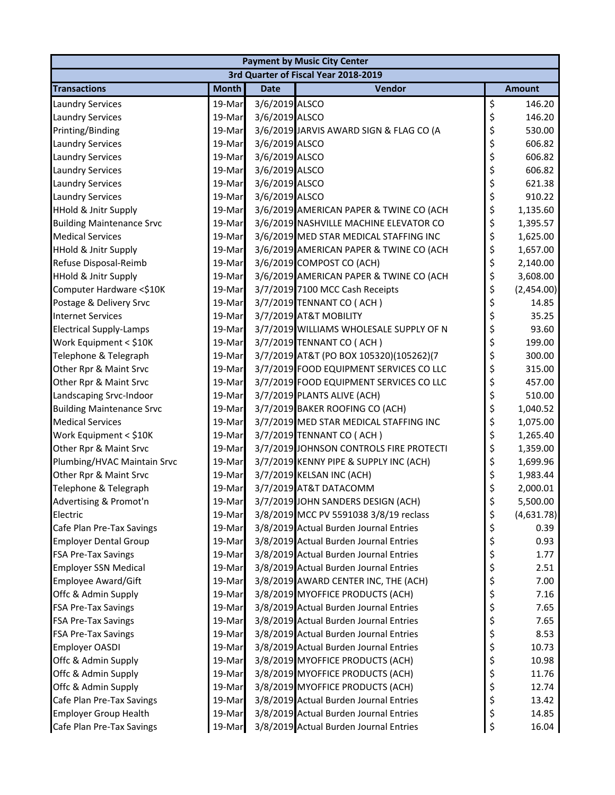| <b>Payment by Music City Center</b>  |              |                |                                         |    |               |  |  |  |
|--------------------------------------|--------------|----------------|-----------------------------------------|----|---------------|--|--|--|
| 3rd Quarter of Fiscal Year 2018-2019 |              |                |                                         |    |               |  |  |  |
| <b>Transactions</b>                  | <b>Month</b> | <b>Date</b>    | Vendor                                  |    | <b>Amount</b> |  |  |  |
| <b>Laundry Services</b>              | 19-Mar       | 3/6/2019 ALSCO |                                         | \$ | 146.20        |  |  |  |
| <b>Laundry Services</b>              | 19-Mar       | 3/6/2019 ALSCO |                                         | \$ | 146.20        |  |  |  |
| Printing/Binding                     | 19-Mar       |                | 3/6/2019 JARVIS AWARD SIGN & FLAG CO (A | \$ | 530.00        |  |  |  |
| <b>Laundry Services</b>              | 19-Mar       | 3/6/2019 ALSCO |                                         | \$ | 606.82        |  |  |  |
| <b>Laundry Services</b>              | 19-Mar       | 3/6/2019 ALSCO |                                         | \$ | 606.82        |  |  |  |
| <b>Laundry Services</b>              | 19-Mar       | 3/6/2019 ALSCO |                                         | \$ | 606.82        |  |  |  |
| <b>Laundry Services</b>              | 19-Mar       | 3/6/2019 ALSCO |                                         | \$ | 621.38        |  |  |  |
| <b>Laundry Services</b>              | 19-Mar       | 3/6/2019 ALSCO |                                         | \$ | 910.22        |  |  |  |
| <b>HHold &amp; Jnitr Supply</b>      | 19-Mar       |                | 3/6/2019 AMERICAN PAPER & TWINE CO (ACH | \$ | 1,135.60      |  |  |  |
| <b>Building Maintenance Srvc</b>     | 19-Mar       |                | 3/6/2019 NASHVILLE MACHINE ELEVATOR CO  | \$ | 1,395.57      |  |  |  |
| <b>Medical Services</b>              | 19-Mar       |                | 3/6/2019 MED STAR MEDICAL STAFFING INC  | \$ | 1,625.00      |  |  |  |
| <b>HHold &amp; Jnitr Supply</b>      | 19-Mar       |                | 3/6/2019 AMERICAN PAPER & TWINE CO (ACH | \$ | 1,657.00      |  |  |  |
| Refuse Disposal-Reimb                | 19-Mar       |                | 3/6/2019 COMPOST CO (ACH)               | \$ | 2,140.00      |  |  |  |
| <b>HHold &amp; Jnitr Supply</b>      | 19-Mar       |                | 3/6/2019 AMERICAN PAPER & TWINE CO (ACH | \$ | 3,608.00      |  |  |  |
| Computer Hardware <\$10K             | 19-Mar       |                | 3/7/2019 7100 MCC Cash Receipts         | \$ | (2,454.00)    |  |  |  |
| Postage & Delivery Srvc              | 19-Mar       |                | 3/7/2019 TENNANT CO (ACH)               | \$ | 14.85         |  |  |  |
| <b>Internet Services</b>             | 19-Mar       |                | 3/7/2019 AT&T MOBILITY                  | \$ | 35.25         |  |  |  |
| <b>Electrical Supply-Lamps</b>       | 19-Mar       |                | 3/7/2019 WILLIAMS WHOLESALE SUPPLY OF N | \$ | 93.60         |  |  |  |
| Work Equipment < \$10K               | 19-Mar       |                | 3/7/2019 TENNANT CO (ACH)               | \$ | 199.00        |  |  |  |
| Telephone & Telegraph                | 19-Mar       |                | 3/7/2019 AT&T (PO BOX 105320)(105262)(7 | \$ | 300.00        |  |  |  |
| Other Rpr & Maint Srvc               | 19-Mar       |                | 3/7/2019 FOOD EQUIPMENT SERVICES CO LLC | \$ | 315.00        |  |  |  |
| Other Rpr & Maint Srvc               | 19-Mar       |                | 3/7/2019 FOOD EQUIPMENT SERVICES CO LLC | \$ | 457.00        |  |  |  |
| Landscaping Srvc-Indoor              | 19-Mar       |                | 3/7/2019 PLANTS ALIVE (ACH)             | \$ | 510.00        |  |  |  |
| <b>Building Maintenance Srvc</b>     | 19-Mar       |                | 3/7/2019 BAKER ROOFING CO (ACH)         | \$ | 1,040.52      |  |  |  |
| <b>Medical Services</b>              | 19-Mar       |                | 3/7/2019 MED STAR MEDICAL STAFFING INC  | \$ | 1,075.00      |  |  |  |
| Work Equipment < \$10K               | 19-Mar       |                | 3/7/2019 TENNANT CO (ACH)               | \$ | 1,265.40      |  |  |  |
| Other Rpr & Maint Srvc               | 19-Mar       |                | 3/7/2019 JOHNSON CONTROLS FIRE PROTECTI | \$ | 1,359.00      |  |  |  |
| Plumbing/HVAC Maintain Srvc          | 19-Mar       |                | 3/7/2019 KENNY PIPE & SUPPLY INC (ACH)  | \$ | 1,699.96      |  |  |  |
| Other Rpr & Maint Srvc               | 19-Mar       |                | 3/7/2019 KELSAN INC (ACH)               | \$ | 1,983.44      |  |  |  |
| Telephone & Telegraph                | 19-Mar       |                | 3/7/2019 AT&T DATACOMM                  | \$ | 2,000.01      |  |  |  |
| Advertising & Promot'n               | 19-Mar       |                | 3/7/2019 JOHN SANDERS DESIGN (ACH)      |    | 5,500.00      |  |  |  |
| Electric                             | 19-Mar       |                | 3/8/2019 MCC PV 5591038 3/8/19 reclass  | \$ | (4,631.78)    |  |  |  |
| Cafe Plan Pre-Tax Savings            | 19-Mar       |                | 3/8/2019 Actual Burden Journal Entries  | \$ | 0.39          |  |  |  |
| <b>Employer Dental Group</b>         | 19-Mar       |                | 3/8/2019 Actual Burden Journal Entries  | \$ | 0.93          |  |  |  |
| FSA Pre-Tax Savings                  | 19-Mar       |                | 3/8/2019 Actual Burden Journal Entries  | \$ | 1.77          |  |  |  |
| <b>Employer SSN Medical</b>          | 19-Mar       |                | 3/8/2019 Actual Burden Journal Entries  | \$ | 2.51          |  |  |  |
| <b>Employee Award/Gift</b>           | 19-Mar       |                | 3/8/2019 AWARD CENTER INC, THE (ACH)    | \$ | 7.00          |  |  |  |
| Offc & Admin Supply                  | 19-Mar       |                | 3/8/2019 MYOFFICE PRODUCTS (ACH)        | \$ | 7.16          |  |  |  |
| <b>FSA Pre-Tax Savings</b>           | 19-Mar       |                | 3/8/2019 Actual Burden Journal Entries  | \$ | 7.65          |  |  |  |
| FSA Pre-Tax Savings                  | 19-Mar       |                | 3/8/2019 Actual Burden Journal Entries  | \$ | 7.65          |  |  |  |
| <b>FSA Pre-Tax Savings</b>           | 19-Mar       |                | 3/8/2019 Actual Burden Journal Entries  | \$ | 8.53          |  |  |  |
| <b>Employer OASDI</b>                | 19-Mar       |                | 3/8/2019 Actual Burden Journal Entries  | \$ | 10.73         |  |  |  |
| Offc & Admin Supply                  | 19-Mar       |                | 3/8/2019 MYOFFICE PRODUCTS (ACH)        | \$ | 10.98         |  |  |  |
| Offc & Admin Supply                  | 19-Mar       |                | 3/8/2019 MYOFFICE PRODUCTS (ACH)        | \$ | 11.76         |  |  |  |
| Offc & Admin Supply                  | 19-Mar       |                | 3/8/2019 MYOFFICE PRODUCTS (ACH)        | \$ | 12.74         |  |  |  |
| Cafe Plan Pre-Tax Savings            | 19-Mar       |                | 3/8/2019 Actual Burden Journal Entries  | \$ | 13.42         |  |  |  |
| <b>Employer Group Health</b>         | 19-Mar       |                | 3/8/2019 Actual Burden Journal Entries  | \$ | 14.85         |  |  |  |
| Cafe Plan Pre-Tax Savings            | 19-Mar       |                | 3/8/2019 Actual Burden Journal Entries  | \$ | 16.04         |  |  |  |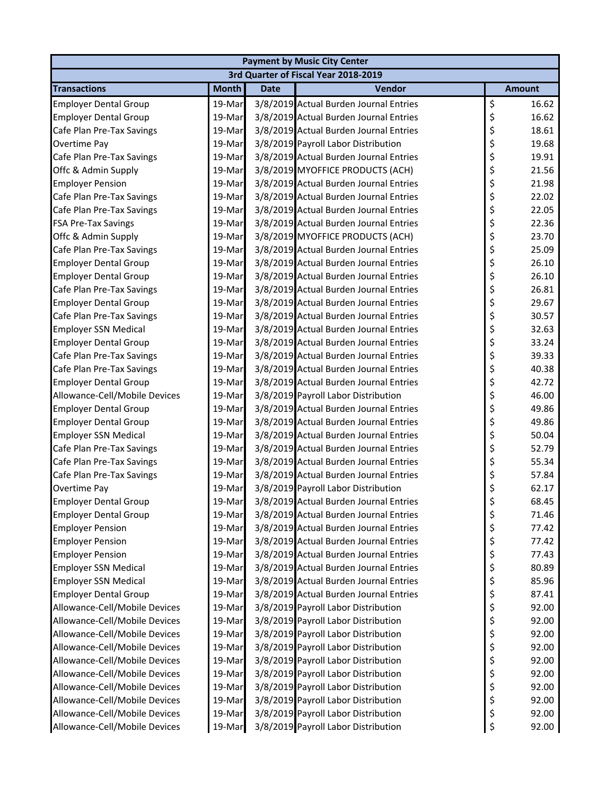| <b>Payment by Music City Center</b> |              |             |                                        |    |               |  |  |
|-------------------------------------|--------------|-------------|----------------------------------------|----|---------------|--|--|
|                                     |              |             | 3rd Quarter of Fiscal Year 2018-2019   |    |               |  |  |
| <b>Transactions</b>                 | <b>Month</b> | <b>Date</b> | Vendor                                 |    | <b>Amount</b> |  |  |
| <b>Employer Dental Group</b>        | 19-Mar       |             | 3/8/2019 Actual Burden Journal Entries | \$ | 16.62         |  |  |
| <b>Employer Dental Group</b>        | 19-Mar       |             | 3/8/2019 Actual Burden Journal Entries | \$ | 16.62         |  |  |
| Cafe Plan Pre-Tax Savings           | 19-Mar       |             | 3/8/2019 Actual Burden Journal Entries | \$ | 18.61         |  |  |
| <b>Overtime Pay</b>                 | 19-Mar       |             | 3/8/2019 Payroll Labor Distribution    | \$ | 19.68         |  |  |
| Cafe Plan Pre-Tax Savings           | 19-Mar       |             | 3/8/2019 Actual Burden Journal Entries | \$ | 19.91         |  |  |
| Offc & Admin Supply                 | 19-Mar       |             | 3/8/2019 MYOFFICE PRODUCTS (ACH)       | \$ | 21.56         |  |  |
| <b>Employer Pension</b>             | 19-Mar       |             | 3/8/2019 Actual Burden Journal Entries | \$ | 21.98         |  |  |
| Cafe Plan Pre-Tax Savings           | 19-Mar       |             | 3/8/2019 Actual Burden Journal Entries | \$ | 22.02         |  |  |
| Cafe Plan Pre-Tax Savings           | 19-Mar       |             | 3/8/2019 Actual Burden Journal Entries | \$ | 22.05         |  |  |
| <b>FSA Pre-Tax Savings</b>          | 19-Mar       |             | 3/8/2019 Actual Burden Journal Entries | \$ | 22.36         |  |  |
| Offc & Admin Supply                 | 19-Mar       |             | 3/8/2019 MYOFFICE PRODUCTS (ACH)       | \$ | 23.70         |  |  |
| Cafe Plan Pre-Tax Savings           | 19-Mar       |             | 3/8/2019 Actual Burden Journal Entries | \$ | 25.09         |  |  |
| <b>Employer Dental Group</b>        | 19-Mar       |             | 3/8/2019 Actual Burden Journal Entries | \$ | 26.10         |  |  |
| <b>Employer Dental Group</b>        | 19-Mar       |             | 3/8/2019 Actual Burden Journal Entries | \$ | 26.10         |  |  |
| Cafe Plan Pre-Tax Savings           | 19-Mar       |             | 3/8/2019 Actual Burden Journal Entries | \$ | 26.81         |  |  |
| <b>Employer Dental Group</b>        | 19-Mar       |             | 3/8/2019 Actual Burden Journal Entries | \$ | 29.67         |  |  |
| Cafe Plan Pre-Tax Savings           | 19-Mar       |             | 3/8/2019 Actual Burden Journal Entries | \$ | 30.57         |  |  |
| <b>Employer SSN Medical</b>         | 19-Mar       |             | 3/8/2019 Actual Burden Journal Entries | \$ | 32.63         |  |  |
| <b>Employer Dental Group</b>        | 19-Mar       |             | 3/8/2019 Actual Burden Journal Entries | \$ | 33.24         |  |  |
| Cafe Plan Pre-Tax Savings           | 19-Mar       |             | 3/8/2019 Actual Burden Journal Entries | \$ | 39.33         |  |  |
| Cafe Plan Pre-Tax Savings           | 19-Mar       |             | 3/8/2019 Actual Burden Journal Entries | \$ | 40.38         |  |  |
| <b>Employer Dental Group</b>        | 19-Mar       |             | 3/8/2019 Actual Burden Journal Entries | \$ | 42.72         |  |  |
| Allowance-Cell/Mobile Devices       | 19-Mar       |             | 3/8/2019 Payroll Labor Distribution    | \$ | 46.00         |  |  |
| <b>Employer Dental Group</b>        | 19-Mar       |             | 3/8/2019 Actual Burden Journal Entries | \$ | 49.86         |  |  |
| <b>Employer Dental Group</b>        | 19-Mar       |             | 3/8/2019 Actual Burden Journal Entries | \$ | 49.86         |  |  |
| <b>Employer SSN Medical</b>         | 19-Mar       |             | 3/8/2019 Actual Burden Journal Entries | \$ | 50.04         |  |  |
| Cafe Plan Pre-Tax Savings           | 19-Mar       |             | 3/8/2019 Actual Burden Journal Entries | \$ | 52.79         |  |  |
| Cafe Plan Pre-Tax Savings           | 19-Mar       |             | 3/8/2019 Actual Burden Journal Entries | \$ | 55.34         |  |  |
| Cafe Plan Pre-Tax Savings           | 19-Mar       |             | 3/8/2019 Actual Burden Journal Entries | \$ | 57.84         |  |  |
| Overtime Pay                        | 19-Mar       |             | 3/8/2019 Payroll Labor Distribution    | \$ | 62.17         |  |  |
| <b>Employer Dental Group</b>        | 19-Mar       |             | 3/8/2019 Actual Burden Journal Entries | \$ | 68.45         |  |  |
| <b>Employer Dental Group</b>        | 19-Mar       |             | 3/8/2019 Actual Burden Journal Entries | \$ | 71.46         |  |  |
| <b>Employer Pension</b>             | 19-Mar       |             | 3/8/2019 Actual Burden Journal Entries | \$ | 77.42         |  |  |
| <b>Employer Pension</b>             | 19-Mar       |             | 3/8/2019 Actual Burden Journal Entries | \$ | 77.42         |  |  |
| <b>Employer Pension</b>             | 19-Mar       |             | 3/8/2019 Actual Burden Journal Entries | \$ | 77.43         |  |  |
| <b>Employer SSN Medical</b>         | 19-Mar       |             | 3/8/2019 Actual Burden Journal Entries | \$ | 80.89         |  |  |
| <b>Employer SSN Medical</b>         | 19-Mar       |             | 3/8/2019 Actual Burden Journal Entries | \$ | 85.96         |  |  |
| <b>Employer Dental Group</b>        | 19-Mar       |             | 3/8/2019 Actual Burden Journal Entries | \$ | 87.41         |  |  |
| Allowance-Cell/Mobile Devices       | 19-Mar       |             | 3/8/2019 Payroll Labor Distribution    | \$ | 92.00         |  |  |
| Allowance-Cell/Mobile Devices       | 19-Mar       |             | 3/8/2019 Payroll Labor Distribution    | \$ | 92.00         |  |  |
| Allowance-Cell/Mobile Devices       | 19-Mar       |             | 3/8/2019 Payroll Labor Distribution    | \$ | 92.00         |  |  |
| Allowance-Cell/Mobile Devices       | 19-Mar       |             | 3/8/2019 Payroll Labor Distribution    | \$ | 92.00         |  |  |
| Allowance-Cell/Mobile Devices       | 19-Mar       |             | 3/8/2019 Payroll Labor Distribution    | \$ | 92.00         |  |  |
| Allowance-Cell/Mobile Devices       | 19-Mar       |             | 3/8/2019 Payroll Labor Distribution    | \$ | 92.00         |  |  |
| Allowance-Cell/Mobile Devices       | 19-Mar       |             | 3/8/2019 Payroll Labor Distribution    | \$ | 92.00         |  |  |
| Allowance-Cell/Mobile Devices       | 19-Mar       |             | 3/8/2019 Payroll Labor Distribution    | \$ | 92.00         |  |  |
| Allowance-Cell/Mobile Devices       | 19-Mar       |             | 3/8/2019 Payroll Labor Distribution    | \$ | 92.00         |  |  |
| Allowance-Cell/Mobile Devices       | 19-Mar       |             | 3/8/2019 Payroll Labor Distribution    | \$ | 92.00         |  |  |
|                                     |              |             |                                        |    |               |  |  |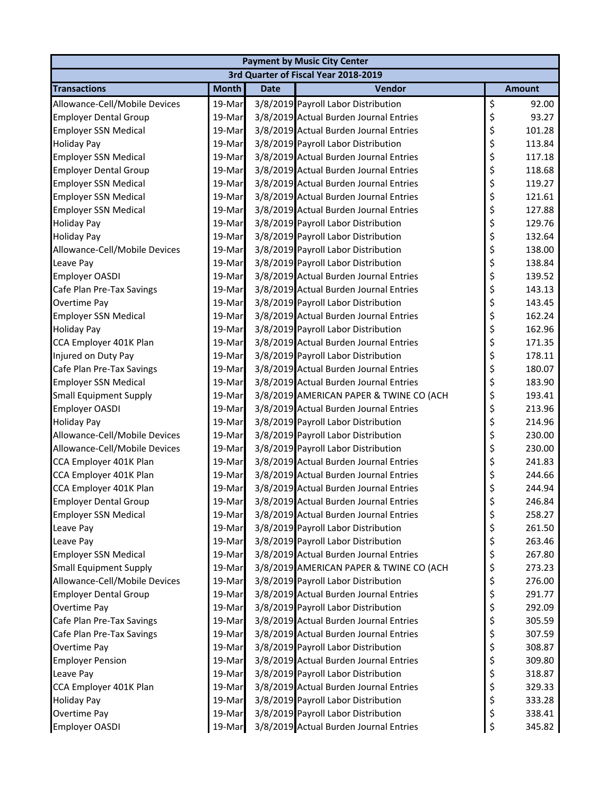| <b>Payment by Music City Center</b> |              |             |                                         |    |               |  |  |
|-------------------------------------|--------------|-------------|-----------------------------------------|----|---------------|--|--|
|                                     |              |             | 3rd Quarter of Fiscal Year 2018-2019    |    |               |  |  |
| <b>Transactions</b>                 | <b>Month</b> | <b>Date</b> | Vendor                                  |    | <b>Amount</b> |  |  |
| Allowance-Cell/Mobile Devices       | 19-Mar       |             | 3/8/2019 Payroll Labor Distribution     | \$ | 92.00         |  |  |
| <b>Employer Dental Group</b>        | 19-Mar       |             | 3/8/2019 Actual Burden Journal Entries  | \$ | 93.27         |  |  |
| <b>Employer SSN Medical</b>         | 19-Mar       |             | 3/8/2019 Actual Burden Journal Entries  | \$ | 101.28        |  |  |
| <b>Holiday Pay</b>                  | 19-Mar       |             | 3/8/2019 Payroll Labor Distribution     | \$ | 113.84        |  |  |
| <b>Employer SSN Medical</b>         | 19-Mar       |             | 3/8/2019 Actual Burden Journal Entries  | \$ | 117.18        |  |  |
| <b>Employer Dental Group</b>        | 19-Mar       |             | 3/8/2019 Actual Burden Journal Entries  | \$ | 118.68        |  |  |
| <b>Employer SSN Medical</b>         | 19-Mar       |             | 3/8/2019 Actual Burden Journal Entries  | \$ | 119.27        |  |  |
| <b>Employer SSN Medical</b>         | 19-Mar       |             | 3/8/2019 Actual Burden Journal Entries  | \$ | 121.61        |  |  |
| <b>Employer SSN Medical</b>         | 19-Mar       |             | 3/8/2019 Actual Burden Journal Entries  | \$ | 127.88        |  |  |
| <b>Holiday Pay</b>                  | 19-Mar       |             | 3/8/2019 Payroll Labor Distribution     | \$ | 129.76        |  |  |
| <b>Holiday Pay</b>                  | 19-Mar       |             | 3/8/2019 Payroll Labor Distribution     | \$ | 132.64        |  |  |
| Allowance-Cell/Mobile Devices       | 19-Mar       |             | 3/8/2019 Payroll Labor Distribution     | \$ | 138.00        |  |  |
| Leave Pay                           | 19-Mar       |             | 3/8/2019 Payroll Labor Distribution     | \$ | 138.84        |  |  |
| <b>Employer OASDI</b>               | 19-Mar       |             | 3/8/2019 Actual Burden Journal Entries  | \$ | 139.52        |  |  |
| Cafe Plan Pre-Tax Savings           | 19-Mar       |             | 3/8/2019 Actual Burden Journal Entries  | \$ | 143.13        |  |  |
| Overtime Pay                        | 19-Mar       |             | 3/8/2019 Payroll Labor Distribution     | \$ | 143.45        |  |  |
| <b>Employer SSN Medical</b>         | 19-Mar       |             | 3/8/2019 Actual Burden Journal Entries  | \$ | 162.24        |  |  |
| <b>Holiday Pay</b>                  | 19-Mar       |             | 3/8/2019 Payroll Labor Distribution     | \$ | 162.96        |  |  |
| CCA Employer 401K Plan              | 19-Mar       |             | 3/8/2019 Actual Burden Journal Entries  | \$ | 171.35        |  |  |
| Injured on Duty Pay                 | 19-Mar       |             | 3/8/2019 Payroll Labor Distribution     | \$ | 178.11        |  |  |
| Cafe Plan Pre-Tax Savings           | 19-Mar       |             | 3/8/2019 Actual Burden Journal Entries  | \$ | 180.07        |  |  |
| <b>Employer SSN Medical</b>         | 19-Mar       |             | 3/8/2019 Actual Burden Journal Entries  | \$ | 183.90        |  |  |
| <b>Small Equipment Supply</b>       | 19-Mar       |             | 3/8/2019 AMERICAN PAPER & TWINE CO (ACH | \$ | 193.41        |  |  |
| <b>Employer OASDI</b>               | 19-Mar       |             | 3/8/2019 Actual Burden Journal Entries  | \$ | 213.96        |  |  |
| <b>Holiday Pay</b>                  | 19-Mar       |             | 3/8/2019 Payroll Labor Distribution     | \$ | 214.96        |  |  |
| Allowance-Cell/Mobile Devices       | 19-Mar       |             | 3/8/2019 Payroll Labor Distribution     | \$ | 230.00        |  |  |
| Allowance-Cell/Mobile Devices       | 19-Mar       |             | 3/8/2019 Payroll Labor Distribution     | \$ | 230.00        |  |  |
| CCA Employer 401K Plan              | 19-Mar       |             | 3/8/2019 Actual Burden Journal Entries  | \$ | 241.83        |  |  |
| CCA Employer 401K Plan              | 19-Mar       |             | 3/8/2019 Actual Burden Journal Entries  | \$ | 244.66        |  |  |
| CCA Employer 401K Plan              | 19-Mar       |             | 3/8/2019 Actual Burden Journal Entries  | \$ | 244.94        |  |  |
| <b>Employer Dental Group</b>        | 19-Mar       |             | 3/8/2019 Actual Burden Journal Entries  | ς  | 246.84        |  |  |
| <b>Employer SSN Medical</b>         | 19-Mar       |             | 3/8/2019 Actual Burden Journal Entries  | \$ | 258.27        |  |  |
| Leave Pay                           | 19-Mar       |             | 3/8/2019 Payroll Labor Distribution     | \$ | 261.50        |  |  |
| Leave Pay                           | 19-Mar       |             | 3/8/2019 Payroll Labor Distribution     | \$ | 263.46        |  |  |
| Employer SSN Medical                | 19-Mar       |             | 3/8/2019 Actual Burden Journal Entries  | \$ | 267.80        |  |  |
| <b>Small Equipment Supply</b>       | 19-Mar       |             | 3/8/2019 AMERICAN PAPER & TWINE CO (ACH | \$ | 273.23        |  |  |
| Allowance-Cell/Mobile Devices       | 19-Mar       |             | 3/8/2019 Payroll Labor Distribution     | \$ | 276.00        |  |  |
| <b>Employer Dental Group</b>        | 19-Mar       |             | 3/8/2019 Actual Burden Journal Entries  | \$ | 291.77        |  |  |
| Overtime Pay                        | 19-Mar       |             | 3/8/2019 Payroll Labor Distribution     | \$ | 292.09        |  |  |
| Cafe Plan Pre-Tax Savings           | 19-Mar       |             | 3/8/2019 Actual Burden Journal Entries  | \$ | 305.59        |  |  |
| Cafe Plan Pre-Tax Savings           | 19-Mar       |             | 3/8/2019 Actual Burden Journal Entries  | \$ | 307.59        |  |  |
| Overtime Pay                        | 19-Mar       |             | 3/8/2019 Payroll Labor Distribution     | \$ | 308.87        |  |  |
| <b>Employer Pension</b>             | 19-Mar       |             | 3/8/2019 Actual Burden Journal Entries  | \$ | 309.80        |  |  |
| Leave Pay                           | 19-Mar       |             | 3/8/2019 Payroll Labor Distribution     | \$ | 318.87        |  |  |
| CCA Employer 401K Plan              | 19-Mar       |             | 3/8/2019 Actual Burden Journal Entries  | \$ | 329.33        |  |  |
| <b>Holiday Pay</b>                  | 19-Mar       |             | 3/8/2019 Payroll Labor Distribution     | \$ | 333.28        |  |  |
| Overtime Pay                        | 19-Mar       |             | 3/8/2019 Payroll Labor Distribution     | \$ | 338.41        |  |  |
| Employer OASDI                      | 19-Mar       |             | 3/8/2019 Actual Burden Journal Entries  | \$ | 345.82        |  |  |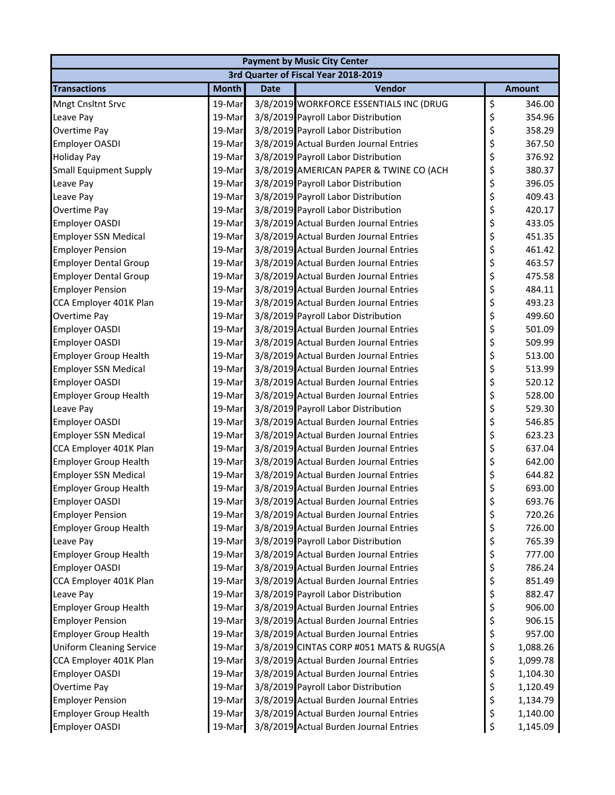| <b>Payment by Music City Center</b>  |              |             |                                         |    |               |  |  |
|--------------------------------------|--------------|-------------|-----------------------------------------|----|---------------|--|--|
| 3rd Quarter of Fiscal Year 2018-2019 |              |             |                                         |    |               |  |  |
| <b>Transactions</b>                  | <b>Month</b> | <b>Date</b> | Vendor                                  |    | <b>Amount</b> |  |  |
| Mngt Cnsltnt Srvc                    | 19-Mar       |             | 3/8/2019 WORKFORCE ESSENTIALS INC (DRUG | \$ | 346.00        |  |  |
| Leave Pay                            | 19-Mar       |             | 3/8/2019 Payroll Labor Distribution     | \$ | 354.96        |  |  |
| Overtime Pay                         | 19-Mar       |             | 3/8/2019 Payroll Labor Distribution     | \$ | 358.29        |  |  |
| <b>Employer OASDI</b>                | 19-Mar       |             | 3/8/2019 Actual Burden Journal Entries  | \$ | 367.50        |  |  |
| <b>Holiday Pay</b>                   | 19-Mar       |             | 3/8/2019 Payroll Labor Distribution     | \$ | 376.92        |  |  |
| <b>Small Equipment Supply</b>        | 19-Mar       |             | 3/8/2019 AMERICAN PAPER & TWINE CO (ACH | \$ | 380.37        |  |  |
| Leave Pay                            | 19-Mar       |             | 3/8/2019 Payroll Labor Distribution     | \$ | 396.05        |  |  |
| Leave Pay                            | 19-Mar       |             | 3/8/2019 Payroll Labor Distribution     | \$ | 409.43        |  |  |
| Overtime Pay                         | 19-Mar       |             | 3/8/2019 Payroll Labor Distribution     | \$ | 420.17        |  |  |
| <b>Employer OASDI</b>                | 19-Mar       |             | 3/8/2019 Actual Burden Journal Entries  | \$ | 433.05        |  |  |
| <b>Employer SSN Medical</b>          | 19-Mar       |             | 3/8/2019 Actual Burden Journal Entries  | \$ | 451.35        |  |  |
| <b>Employer Pension</b>              | 19-Mar       |             | 3/8/2019 Actual Burden Journal Entries  | \$ | 461.42        |  |  |
| <b>Employer Dental Group</b>         | 19-Mar       |             | 3/8/2019 Actual Burden Journal Entries  | \$ | 463.57        |  |  |
| <b>Employer Dental Group</b>         | 19-Mar       |             | 3/8/2019 Actual Burden Journal Entries  | \$ | 475.58        |  |  |
| <b>Employer Pension</b>              | 19-Mar       |             | 3/8/2019 Actual Burden Journal Entries  | \$ | 484.11        |  |  |
| CCA Employer 401K Plan               | 19-Mar       |             | 3/8/2019 Actual Burden Journal Entries  | \$ | 493.23        |  |  |
| Overtime Pay                         | 19-Mar       |             | 3/8/2019 Payroll Labor Distribution     | \$ | 499.60        |  |  |
| Employer OASDI                       | 19-Mar       |             | 3/8/2019 Actual Burden Journal Entries  | \$ | 501.09        |  |  |
| <b>Employer OASDI</b>                | 19-Mar       |             | 3/8/2019 Actual Burden Journal Entries  | \$ | 509.99        |  |  |
| <b>Employer Group Health</b>         | 19-Mar       |             | 3/8/2019 Actual Burden Journal Entries  | \$ | 513.00        |  |  |
| <b>Employer SSN Medical</b>          | 19-Mar       |             | 3/8/2019 Actual Burden Journal Entries  | \$ | 513.99        |  |  |
| <b>Employer OASDI</b>                | 19-Mar       |             | 3/8/2019 Actual Burden Journal Entries  | \$ | 520.12        |  |  |
| <b>Employer Group Health</b>         | 19-Mar       |             | 3/8/2019 Actual Burden Journal Entries  | \$ | 528.00        |  |  |
| Leave Pay                            | 19-Mar       |             | 3/8/2019 Payroll Labor Distribution     | \$ | 529.30        |  |  |
| <b>Employer OASDI</b>                | 19-Mar       |             | 3/8/2019 Actual Burden Journal Entries  | \$ | 546.85        |  |  |
| <b>Employer SSN Medical</b>          | 19-Mar       |             | 3/8/2019 Actual Burden Journal Entries  | \$ | 623.23        |  |  |
| CCA Employer 401K Plan               | 19-Mar       |             | 3/8/2019 Actual Burden Journal Entries  | \$ | 637.04        |  |  |
| <b>Employer Group Health</b>         | 19-Mar       |             | 3/8/2019 Actual Burden Journal Entries  | \$ | 642.00        |  |  |
| <b>Employer SSN Medical</b>          | 19-Mar       |             | 3/8/2019 Actual Burden Journal Entries  | \$ | 644.82        |  |  |
| <b>Employer Group Health</b>         | 19-Mar       |             | 3/8/2019 Actual Burden Journal Entries  | \$ | 693.00        |  |  |
| <b>Employer OASDI</b>                | 19-Mar       |             | 3/8/2019 Actual Burden Journal Entries  | Ś. | 693.76        |  |  |
| <b>Employer Pension</b>              | 19-Mar       |             | 3/8/2019 Actual Burden Journal Entries  | \$ | 720.26        |  |  |
| <b>Employer Group Health</b>         | 19-Mar       |             | 3/8/2019 Actual Burden Journal Entries  | \$ | 726.00        |  |  |
| Leave Pay                            | 19-Mar       |             | 3/8/2019 Payroll Labor Distribution     | \$ | 765.39        |  |  |
| <b>Employer Group Health</b>         | 19-Mar       |             | 3/8/2019 Actual Burden Journal Entries  | \$ | 777.00        |  |  |
| Employer OASDI                       | 19-Mar       |             | 3/8/2019 Actual Burden Journal Entries  | \$ | 786.24        |  |  |
| CCA Employer 401K Plan               | 19-Mar       |             | 3/8/2019 Actual Burden Journal Entries  | \$ | 851.49        |  |  |
| Leave Pay                            | 19-Mar       |             | 3/8/2019 Payroll Labor Distribution     | \$ | 882.47        |  |  |
| <b>Employer Group Health</b>         | 19-Mar       |             | 3/8/2019 Actual Burden Journal Entries  | \$ | 906.00        |  |  |
| <b>Employer Pension</b>              | 19-Mar       |             | 3/8/2019 Actual Burden Journal Entries  | \$ | 906.15        |  |  |
| <b>Employer Group Health</b>         | 19-Mar       |             | 3/8/2019 Actual Burden Journal Entries  | \$ | 957.00        |  |  |
| <b>Uniform Cleaning Service</b>      | 19-Mar       |             | 3/8/2019 CINTAS CORP #051 MATS & RUGS(A | \$ | 1,088.26      |  |  |
| CCA Employer 401K Plan               | 19-Mar       |             | 3/8/2019 Actual Burden Journal Entries  | \$ | 1,099.78      |  |  |
| <b>Employer OASDI</b>                | 19-Mar       |             | 3/8/2019 Actual Burden Journal Entries  | \$ | 1,104.30      |  |  |
| Overtime Pay                         | 19-Mar       |             | 3/8/2019 Payroll Labor Distribution     | \$ | 1,120.49      |  |  |
| <b>Employer Pension</b>              | 19-Mar       |             | 3/8/2019 Actual Burden Journal Entries  | \$ | 1,134.79      |  |  |
| <b>Employer Group Health</b>         | 19-Mar       |             | 3/8/2019 Actual Burden Journal Entries  | \$ | 1,140.00      |  |  |
|                                      | 19-Mar       |             |                                         | \$ |               |  |  |
| <b>Employer OASDI</b>                |              |             | 3/8/2019 Actual Burden Journal Entries  |    | 1,145.09      |  |  |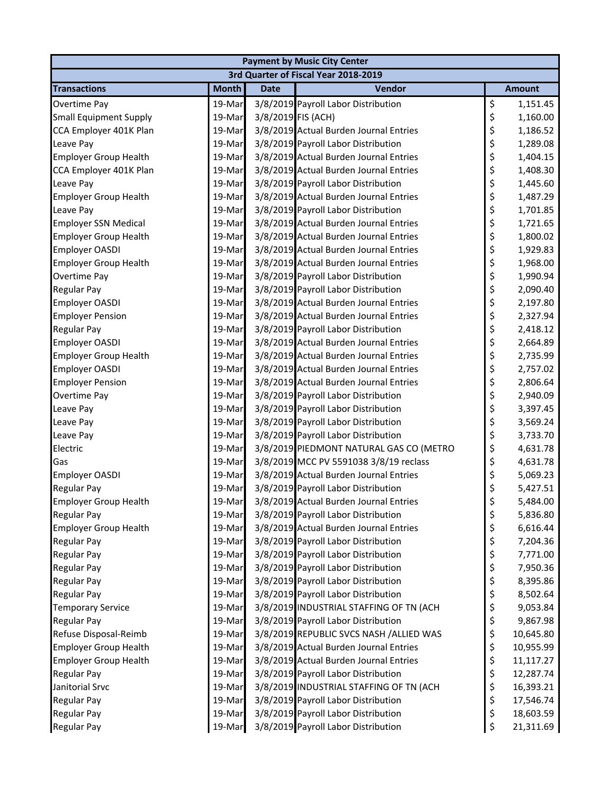| <b>Payment by Music City Center</b>  |              |                    |                                         |    |               |  |  |  |
|--------------------------------------|--------------|--------------------|-----------------------------------------|----|---------------|--|--|--|
| 3rd Quarter of Fiscal Year 2018-2019 |              |                    |                                         |    |               |  |  |  |
| <b>Transactions</b>                  | <b>Month</b> | <b>Date</b>        | Vendor                                  |    | <b>Amount</b> |  |  |  |
| Overtime Pay                         | 19-Mar       |                    | 3/8/2019 Payroll Labor Distribution     | \$ | 1,151.45      |  |  |  |
| <b>Small Equipment Supply</b>        | 19-Mar       | 3/8/2019 FIS (ACH) |                                         | \$ | 1,160.00      |  |  |  |
| CCA Employer 401K Plan               | 19-Mar       |                    | 3/8/2019 Actual Burden Journal Entries  | \$ | 1,186.52      |  |  |  |
| Leave Pay                            | 19-Mar       |                    | 3/8/2019 Payroll Labor Distribution     | \$ | 1,289.08      |  |  |  |
| <b>Employer Group Health</b>         | 19-Mar       |                    | 3/8/2019 Actual Burden Journal Entries  | \$ | 1,404.15      |  |  |  |
| CCA Employer 401K Plan               | 19-Mar       |                    | 3/8/2019 Actual Burden Journal Entries  | \$ | 1,408.30      |  |  |  |
| Leave Pay                            | 19-Mar       |                    | 3/8/2019 Payroll Labor Distribution     | \$ | 1,445.60      |  |  |  |
| <b>Employer Group Health</b>         | 19-Mar       |                    | 3/8/2019 Actual Burden Journal Entries  | \$ | 1,487.29      |  |  |  |
| Leave Pay                            | 19-Mar       |                    | 3/8/2019 Payroll Labor Distribution     | \$ | 1,701.85      |  |  |  |
| <b>Employer SSN Medical</b>          | 19-Mar       |                    | 3/8/2019 Actual Burden Journal Entries  | \$ | 1,721.65      |  |  |  |
| <b>Employer Group Health</b>         | 19-Mar       |                    | 3/8/2019 Actual Burden Journal Entries  | \$ | 1,800.02      |  |  |  |
| <b>Employer OASDI</b>                | 19-Mar       |                    | 3/8/2019 Actual Burden Journal Entries  | \$ | 1,929.83      |  |  |  |
| <b>Employer Group Health</b>         | 19-Mar       |                    | 3/8/2019 Actual Burden Journal Entries  | \$ | 1,968.00      |  |  |  |
| Overtime Pay                         | 19-Mar       |                    | 3/8/2019 Payroll Labor Distribution     | \$ | 1,990.94      |  |  |  |
| <b>Regular Pay</b>                   | 19-Mar       |                    | 3/8/2019 Payroll Labor Distribution     | \$ | 2,090.40      |  |  |  |
| Employer OASDI                       | 19-Mar       |                    | 3/8/2019 Actual Burden Journal Entries  | \$ | 2,197.80      |  |  |  |
| <b>Employer Pension</b>              | 19-Mar       |                    | 3/8/2019 Actual Burden Journal Entries  | \$ | 2,327.94      |  |  |  |
| Regular Pay                          | 19-Mar       |                    | 3/8/2019 Payroll Labor Distribution     | \$ | 2,418.12      |  |  |  |
| Employer OASDI                       | 19-Mar       |                    | 3/8/2019 Actual Burden Journal Entries  | \$ | 2,664.89      |  |  |  |
| <b>Employer Group Health</b>         | 19-Mar       |                    | 3/8/2019 Actual Burden Journal Entries  | \$ | 2,735.99      |  |  |  |
| <b>Employer OASDI</b>                | 19-Mar       |                    | 3/8/2019 Actual Burden Journal Entries  | \$ | 2,757.02      |  |  |  |
| <b>Employer Pension</b>              | 19-Mar       |                    | 3/8/2019 Actual Burden Journal Entries  | \$ | 2,806.64      |  |  |  |
| Overtime Pay                         | 19-Mar       |                    | 3/8/2019 Payroll Labor Distribution     | \$ | 2,940.09      |  |  |  |
| Leave Pay                            | 19-Mar       |                    | 3/8/2019 Payroll Labor Distribution     | \$ | 3,397.45      |  |  |  |
| Leave Pay                            | 19-Mar       |                    | 3/8/2019 Payroll Labor Distribution     | \$ | 3,569.24      |  |  |  |
| Leave Pay                            | 19-Mar       |                    | 3/8/2019 Payroll Labor Distribution     | \$ | 3,733.70      |  |  |  |
| Electric                             | 19-Mar       |                    | 3/8/2019 PIEDMONT NATURAL GAS CO (METRO | \$ | 4,631.78      |  |  |  |
| Gas                                  | 19-Mar       |                    | 3/8/2019 MCC PV 5591038 3/8/19 reclass  | \$ | 4,631.78      |  |  |  |
| <b>Employer OASDI</b>                | 19-Mar       |                    | 3/8/2019 Actual Burden Journal Entries  | \$ | 5,069.23      |  |  |  |
| <b>Regular Pay</b>                   | 19-Mar       |                    | 3/8/2019 Payroll Labor Distribution     | \$ | 5,427.51      |  |  |  |
| <b>Employer Group Health</b>         | 19-Mar       |                    | 3/8/2019 Actual Burden Journal Entries  | Ś  | 5,484.00      |  |  |  |
| <b>Regular Pay</b>                   | 19-Mar       |                    | 3/8/2019 Payroll Labor Distribution     | \$ | 5,836.80      |  |  |  |
| <b>Employer Group Health</b>         | 19-Mar       |                    | 3/8/2019 Actual Burden Journal Entries  | \$ | 6,616.44      |  |  |  |
| <b>Regular Pay</b>                   | 19-Mar       |                    | 3/8/2019 Payroll Labor Distribution     | \$ | 7,204.36      |  |  |  |
| <b>Regular Pay</b>                   | 19-Mar       |                    | 3/8/2019 Payroll Labor Distribution     | \$ | 7,771.00      |  |  |  |
| Regular Pay                          | 19-Mar       |                    | 3/8/2019 Payroll Labor Distribution     | \$ | 7,950.36      |  |  |  |
| <b>Regular Pay</b>                   | 19-Mar       |                    | 3/8/2019 Payroll Labor Distribution     | \$ | 8,395.86      |  |  |  |
| <b>Regular Pay</b>                   | 19-Mar       |                    | 3/8/2019 Payroll Labor Distribution     | \$ | 8,502.64      |  |  |  |
| <b>Temporary Service</b>             | 19-Mar       |                    | 3/8/2019 INDUSTRIAL STAFFING OF TN (ACH | \$ | 9,053.84      |  |  |  |
| <b>Regular Pay</b>                   | 19-Mar       |                    | 3/8/2019 Payroll Labor Distribution     | \$ | 9,867.98      |  |  |  |
| Refuse Disposal-Reimb                | 19-Mar       |                    | 3/8/2019 REPUBLIC SVCS NASH /ALLIED WAS | \$ | 10,645.80     |  |  |  |
| <b>Employer Group Health</b>         | 19-Mar       |                    | 3/8/2019 Actual Burden Journal Entries  | \$ | 10,955.99     |  |  |  |
| <b>Employer Group Health</b>         | 19-Mar       |                    | 3/8/2019 Actual Burden Journal Entries  | \$ | 11,117.27     |  |  |  |
| Regular Pay                          | 19-Mar       |                    | 3/8/2019 Payroll Labor Distribution     | \$ | 12,287.74     |  |  |  |
| Janitorial Srvc                      | 19-Mar       |                    | 3/8/2019 INDUSTRIAL STAFFING OF TN (ACH | \$ | 16,393.21     |  |  |  |
| <b>Regular Pay</b>                   | 19-Mar       |                    | 3/8/2019 Payroll Labor Distribution     | \$ | 17,546.74     |  |  |  |
| <b>Regular Pay</b>                   | 19-Mar       |                    | 3/8/2019 Payroll Labor Distribution     | \$ | 18,603.59     |  |  |  |
| <b>Regular Pay</b>                   | 19-Mar       |                    | 3/8/2019 Payroll Labor Distribution     | \$ | 21,311.69     |  |  |  |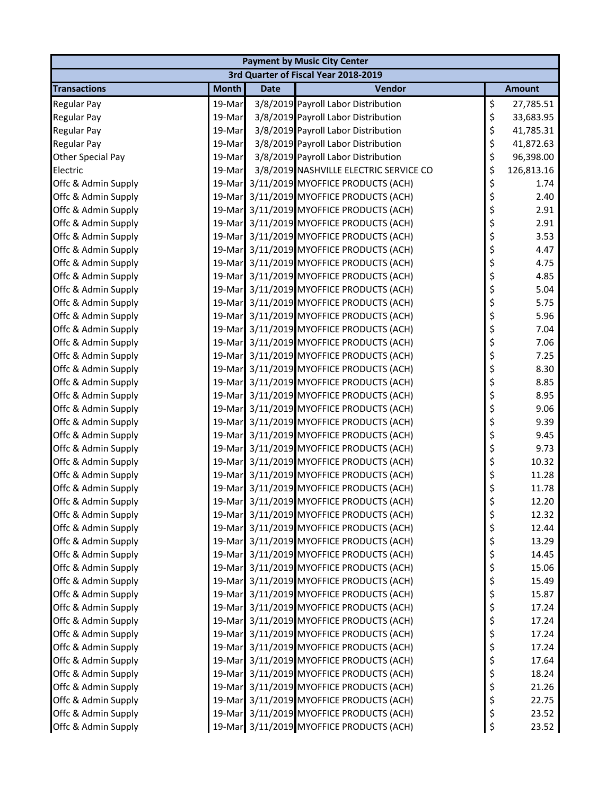| <b>Payment by Music City Center</b> |              |             |                                          |    |               |  |  |
|-------------------------------------|--------------|-------------|------------------------------------------|----|---------------|--|--|
|                                     |              |             | 3rd Quarter of Fiscal Year 2018-2019     |    |               |  |  |
| <b>Transactions</b>                 | <b>Month</b> | <b>Date</b> | Vendor                                   |    | <b>Amount</b> |  |  |
| <b>Regular Pay</b>                  | 19-Mar       |             | 3/8/2019 Payroll Labor Distribution      | \$ | 27,785.51     |  |  |
| <b>Regular Pay</b>                  | 19-Mar       |             | 3/8/2019 Payroll Labor Distribution      | \$ | 33,683.95     |  |  |
| <b>Regular Pay</b>                  | 19-Mar       |             | 3/8/2019 Payroll Labor Distribution      | \$ | 41,785.31     |  |  |
| <b>Regular Pay</b>                  | 19-Mar       |             | 3/8/2019 Payroll Labor Distribution      | \$ | 41,872.63     |  |  |
| Other Special Pay                   | 19-Mar       |             | 3/8/2019 Payroll Labor Distribution      | \$ | 96,398.00     |  |  |
| Electric                            | 19-Mar       |             | 3/8/2019 NASHVILLE ELECTRIC SERVICE CO   | \$ | 126,813.16    |  |  |
| Offc & Admin Supply                 |              |             | 19-Mar 3/11/2019 MYOFFICE PRODUCTS (ACH) | \$ | 1.74          |  |  |
| Offc & Admin Supply                 |              |             | 19-Mar 3/11/2019 MYOFFICE PRODUCTS (ACH) | \$ | 2.40          |  |  |
| Offc & Admin Supply                 |              |             | 19-Mar 3/11/2019 MYOFFICE PRODUCTS (ACH) | \$ | 2.91          |  |  |
| Offc & Admin Supply                 |              |             | 19-Mar 3/11/2019 MYOFFICE PRODUCTS (ACH) | \$ | 2.91          |  |  |
| Offc & Admin Supply                 |              |             | 19-Mar 3/11/2019 MYOFFICE PRODUCTS (ACH) | \$ | 3.53          |  |  |
| Offc & Admin Supply                 |              |             | 19-Mar 3/11/2019 MYOFFICE PRODUCTS (ACH) | \$ | 4.47          |  |  |
| Offc & Admin Supply                 |              |             | 19-Mar 3/11/2019 MYOFFICE PRODUCTS (ACH) | \$ | 4.75          |  |  |
| Offc & Admin Supply                 |              |             | 19-Mar 3/11/2019 MYOFFICE PRODUCTS (ACH) | \$ | 4.85          |  |  |
| Offc & Admin Supply                 |              |             | 19-Mar 3/11/2019 MYOFFICE PRODUCTS (ACH) | \$ | 5.04          |  |  |
| Offc & Admin Supply                 |              |             | 19-Mar 3/11/2019 MYOFFICE PRODUCTS (ACH) | \$ | 5.75          |  |  |
| Offc & Admin Supply                 |              |             | 19-Mar 3/11/2019 MYOFFICE PRODUCTS (ACH) | \$ | 5.96          |  |  |
| Offc & Admin Supply                 |              |             | 19-Mar 3/11/2019 MYOFFICE PRODUCTS (ACH) | \$ | 7.04          |  |  |
| Offc & Admin Supply                 |              |             | 19-Mar 3/11/2019 MYOFFICE PRODUCTS (ACH) | \$ | 7.06          |  |  |
| Offc & Admin Supply                 |              |             | 19-Mar 3/11/2019 MYOFFICE PRODUCTS (ACH) | \$ | 7.25          |  |  |
| Offc & Admin Supply                 |              |             | 19-Mar 3/11/2019 MYOFFICE PRODUCTS (ACH) | \$ | 8.30          |  |  |
| Offc & Admin Supply                 |              |             | 19-Mar 3/11/2019 MYOFFICE PRODUCTS (ACH) | \$ | 8.85          |  |  |
| Offc & Admin Supply                 |              |             | 19-Mar 3/11/2019 MYOFFICE PRODUCTS (ACH) | \$ | 8.95          |  |  |
| Offc & Admin Supply                 |              |             | 19-Mar 3/11/2019 MYOFFICE PRODUCTS (ACH) | \$ | 9.06          |  |  |
| Offc & Admin Supply                 |              |             | 19-Mar 3/11/2019 MYOFFICE PRODUCTS (ACH) | \$ | 9.39          |  |  |
| Offc & Admin Supply                 |              |             | 19-Mar 3/11/2019 MYOFFICE PRODUCTS (ACH) | \$ | 9.45          |  |  |
| Offc & Admin Supply                 |              |             | 19-Mar 3/11/2019 MYOFFICE PRODUCTS (ACH) | \$ | 9.73          |  |  |
| Offc & Admin Supply                 |              |             | 19-Mar 3/11/2019 MYOFFICE PRODUCTS (ACH) | \$ | 10.32         |  |  |
| Offc & Admin Supply                 |              |             | 19-Mar 3/11/2019 MYOFFICE PRODUCTS (ACH) | \$ | 11.28         |  |  |
| Offc & Admin Supply                 |              |             | 19-Mar 3/11/2019 MYOFFICE PRODUCTS (ACH) | \$ | 11.78         |  |  |
| Offc & Admin Supply                 |              |             | 19-Mar 3/11/2019 MYOFFICE PRODUCTS (ACH) | \$ | 12.20         |  |  |
| Offc & Admin Supply                 |              |             | 19-Mar 3/11/2019 MYOFFICE PRODUCTS (ACH) | \$ | 12.32         |  |  |
| Offc & Admin Supply                 |              |             | 19-Mar 3/11/2019 MYOFFICE PRODUCTS (ACH) | \$ | 12.44         |  |  |
| Offc & Admin Supply                 |              |             | 19-Mar 3/11/2019 MYOFFICE PRODUCTS (ACH) | \$ | 13.29         |  |  |
| Offc & Admin Supply                 |              |             | 19-Mar 3/11/2019 MYOFFICE PRODUCTS (ACH) | \$ | 14.45         |  |  |
| Offc & Admin Supply                 |              |             | 19-Mar 3/11/2019 MYOFFICE PRODUCTS (ACH) | \$ | 15.06         |  |  |
| Offc & Admin Supply                 | 19-Mar       |             | 3/11/2019 MYOFFICE PRODUCTS (ACH)        | \$ | 15.49         |  |  |
| Offc & Admin Supply                 |              |             | 19-Mar 3/11/2019 MYOFFICE PRODUCTS (ACH) | \$ | 15.87         |  |  |
| Offc & Admin Supply                 |              |             | 19-Mar 3/11/2019 MYOFFICE PRODUCTS (ACH) | \$ | 17.24         |  |  |
| Offc & Admin Supply                 |              |             | 19-Mar 3/11/2019 MYOFFICE PRODUCTS (ACH) | \$ | 17.24         |  |  |
| Offc & Admin Supply                 |              |             | 19-Mar 3/11/2019 MYOFFICE PRODUCTS (ACH) | \$ | 17.24         |  |  |
| Offc & Admin Supply                 |              |             | 19-Mar 3/11/2019 MYOFFICE PRODUCTS (ACH) | \$ | 17.24         |  |  |
| Offc & Admin Supply                 |              |             | 19-Mar 3/11/2019 MYOFFICE PRODUCTS (ACH) | \$ | 17.64         |  |  |
| Offc & Admin Supply                 |              |             | 19-Mar 3/11/2019 MYOFFICE PRODUCTS (ACH) | \$ | 18.24         |  |  |
| Offc & Admin Supply                 |              |             | 19-Mar 3/11/2019 MYOFFICE PRODUCTS (ACH) | \$ | 21.26         |  |  |
| Offc & Admin Supply                 |              |             | 19-Mar 3/11/2019 MYOFFICE PRODUCTS (ACH) | \$ | 22.75         |  |  |
| Offc & Admin Supply                 |              |             | 19-Mar 3/11/2019 MYOFFICE PRODUCTS (ACH) | \$ | 23.52         |  |  |
| Offc & Admin Supply                 |              |             | 19-Mar 3/11/2019 MYOFFICE PRODUCTS (ACH) | \$ | 23.52         |  |  |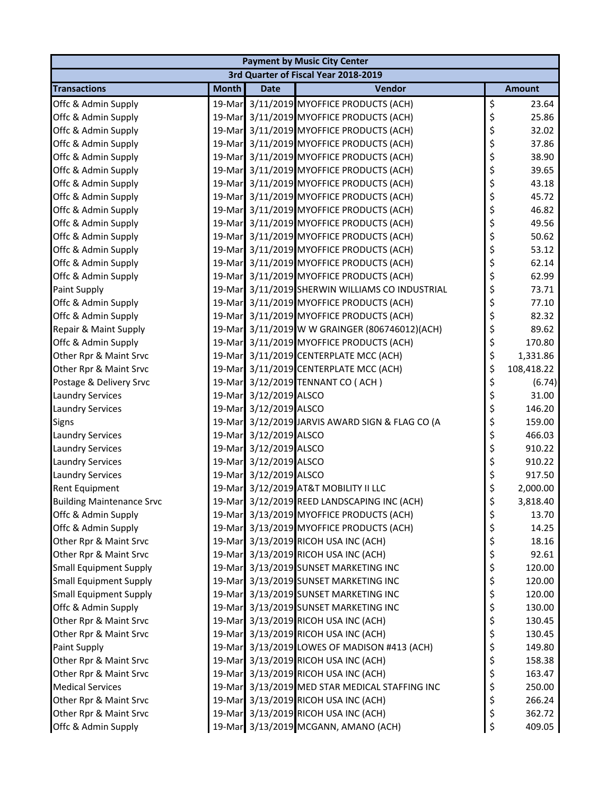|                                  | <b>Payment by Music City Center</b> |                        |                                                 |    |               |  |  |
|----------------------------------|-------------------------------------|------------------------|-------------------------------------------------|----|---------------|--|--|
|                                  |                                     |                        | 3rd Quarter of Fiscal Year 2018-2019            |    |               |  |  |
| <b>Transactions</b>              | <b>Month</b>                        | <b>Date</b>            | Vendor                                          |    | <b>Amount</b> |  |  |
| Offc & Admin Supply              |                                     |                        | 19-Mar 3/11/2019 MYOFFICE PRODUCTS (ACH)        | \$ | 23.64         |  |  |
| Offc & Admin Supply              |                                     |                        | 19-Mar 3/11/2019 MYOFFICE PRODUCTS (ACH)        | \$ | 25.86         |  |  |
| Offc & Admin Supply              |                                     |                        | 19-Mar 3/11/2019 MYOFFICE PRODUCTS (ACH)        | \$ | 32.02         |  |  |
| Offc & Admin Supply              |                                     |                        | 19-Mar 3/11/2019 MYOFFICE PRODUCTS (ACH)        | \$ | 37.86         |  |  |
| Offc & Admin Supply              |                                     |                        | 19-Mar 3/11/2019 MYOFFICE PRODUCTS (ACH)        | \$ | 38.90         |  |  |
| Offc & Admin Supply              |                                     |                        | 19-Mar 3/11/2019 MYOFFICE PRODUCTS (ACH)        | \$ | 39.65         |  |  |
| Offc & Admin Supply              |                                     |                        | 19-Mar 3/11/2019 MYOFFICE PRODUCTS (ACH)        | \$ | 43.18         |  |  |
| Offc & Admin Supply              |                                     |                        | 19-Mar 3/11/2019 MYOFFICE PRODUCTS (ACH)        | \$ | 45.72         |  |  |
| Offc & Admin Supply              |                                     |                        | 19-Mar 3/11/2019 MYOFFICE PRODUCTS (ACH)        | \$ | 46.82         |  |  |
| Offc & Admin Supply              |                                     |                        | 19-Mar 3/11/2019 MYOFFICE PRODUCTS (ACH)        | \$ | 49.56         |  |  |
| Offc & Admin Supply              |                                     |                        | 19-Mar 3/11/2019 MYOFFICE PRODUCTS (ACH)        | \$ | 50.62         |  |  |
| Offc & Admin Supply              |                                     |                        | 19-Mar 3/11/2019 MYOFFICE PRODUCTS (ACH)        | \$ | 53.12         |  |  |
| Offc & Admin Supply              |                                     |                        | 19-Mar 3/11/2019 MYOFFICE PRODUCTS (ACH)        | \$ | 62.14         |  |  |
| Offc & Admin Supply              |                                     |                        | 19-Mar 3/11/2019 MYOFFICE PRODUCTS (ACH)        | \$ | 62.99         |  |  |
| Paint Supply                     |                                     |                        | 19-Mar 3/11/2019 SHERWIN WILLIAMS CO INDUSTRIAL | \$ | 73.71         |  |  |
| Offc & Admin Supply              |                                     |                        | 19-Mar 3/11/2019 MYOFFICE PRODUCTS (ACH)        | \$ | 77.10         |  |  |
| Offc & Admin Supply              |                                     |                        | 19-Mar 3/11/2019 MYOFFICE PRODUCTS (ACH)        | \$ | 82.32         |  |  |
| Repair & Maint Supply            |                                     |                        | 19-Mar 3/11/2019 W W GRAINGER (806746012)(ACH)  | \$ | 89.62         |  |  |
| Offc & Admin Supply              |                                     |                        | 19-Mar 3/11/2019 MYOFFICE PRODUCTS (ACH)        | \$ | 170.80        |  |  |
| Other Rpr & Maint Srvc           |                                     |                        | 19-Mar 3/11/2019 CENTERPLATE MCC (ACH)          | \$ | 1,331.86      |  |  |
| Other Rpr & Maint Srvc           |                                     |                        | 19-Mar 3/11/2019 CENTERPLATE MCC (ACH)          | \$ | 108,418.22    |  |  |
| Postage & Delivery Srvc          |                                     |                        | 19-Mar 3/12/2019 TENNANT CO (ACH)               | \$ | (6.74)        |  |  |
| <b>Laundry Services</b>          |                                     | 19-Mar 3/12/2019 ALSCO |                                                 | \$ | 31.00         |  |  |
| <b>Laundry Services</b>          |                                     | 19-Mar 3/12/2019 ALSCO |                                                 | \$ | 146.20        |  |  |
| Signs                            |                                     |                        | 19-Mar 3/12/2019 JARVIS AWARD SIGN & FLAG CO (A | \$ | 159.00        |  |  |
| <b>Laundry Services</b>          |                                     | 19-Mar 3/12/2019 ALSCO |                                                 | \$ | 466.03        |  |  |
| <b>Laundry Services</b>          |                                     | 19-Mar 3/12/2019 ALSCO |                                                 | \$ | 910.22        |  |  |
| <b>Laundry Services</b>          |                                     | 19-Mar 3/12/2019 ALSCO |                                                 | \$ | 910.22        |  |  |
| <b>Laundry Services</b>          |                                     | 19-Mar 3/12/2019 ALSCO |                                                 | \$ | 917.50        |  |  |
| Rent Equipment                   |                                     |                        | 19-Mar 3/12/2019 AT&T MOBILITY II LLC           | \$ | 2,000.00      |  |  |
| <b>Building Maintenance Srvc</b> |                                     |                        | 19-Mar 3/12/2019 REED LANDSCAPING INC (ACH)     | Ś  | 3,818.40      |  |  |
| Offc & Admin Supply              |                                     |                        | 19-Mar 3/13/2019 MYOFFICE PRODUCTS (ACH)        | \$ | 13.70         |  |  |
| Offc & Admin Supply              |                                     |                        | 19-Mar 3/13/2019 MYOFFICE PRODUCTS (ACH)        | \$ | 14.25         |  |  |
| Other Rpr & Maint Srvc           |                                     |                        | 19-Mar 3/13/2019 RICOH USA INC (ACH)            | \$ | 18.16         |  |  |
| Other Rpr & Maint Srvc           |                                     |                        | 19-Mar 3/13/2019 RICOH USA INC (ACH)            | \$ | 92.61         |  |  |
| <b>Small Equipment Supply</b>    |                                     |                        | 19-Mar 3/13/2019 SUNSET MARKETING INC           | \$ | 120.00        |  |  |
| <b>Small Equipment Supply</b>    |                                     |                        | 19-Mar 3/13/2019 SUNSET MARKETING INC           | \$ | 120.00        |  |  |
| <b>Small Equipment Supply</b>    |                                     |                        | 19-Mar 3/13/2019 SUNSET MARKETING INC           | \$ | 120.00        |  |  |
| Offc & Admin Supply              |                                     |                        | 19-Mar 3/13/2019 SUNSET MARKETING INC           | \$ | 130.00        |  |  |
| Other Rpr & Maint Srvc           |                                     |                        | 19-Mar 3/13/2019 RICOH USA INC (ACH)            | \$ | 130.45        |  |  |
| Other Rpr & Maint Srvc           |                                     |                        | 19-Mar 3/13/2019 RICOH USA INC (ACH)            | \$ | 130.45        |  |  |
| Paint Supply                     |                                     |                        | 19-Mar 3/13/2019 LOWES OF MADISON #413 (ACH)    | \$ | 149.80        |  |  |
| Other Rpr & Maint Srvc           |                                     |                        | 19-Mar 3/13/2019 RICOH USA INC (ACH)            | \$ | 158.38        |  |  |
| Other Rpr & Maint Srvc           |                                     |                        | 19-Mar 3/13/2019 RICOH USA INC (ACH)            | \$ | 163.47        |  |  |
| <b>Medical Services</b>          |                                     |                        | 19-Mar 3/13/2019 MED STAR MEDICAL STAFFING INC  | \$ | 250.00        |  |  |
| Other Rpr & Maint Srvc           |                                     |                        | 19-Mar 3/13/2019 RICOH USA INC (ACH)            | \$ | 266.24        |  |  |
| Other Rpr & Maint Srvc           |                                     |                        | 19-Mar 3/13/2019 RICOH USA INC (ACH)            | \$ | 362.72        |  |  |
| Offc & Admin Supply              |                                     |                        | 19-Mar 3/13/2019 MCGANN, AMANO (ACH)            | \$ | 409.05        |  |  |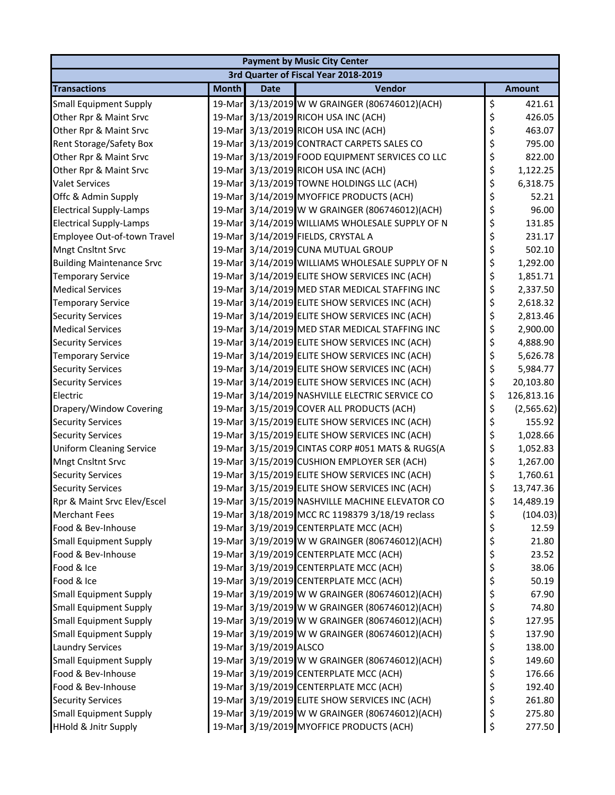|                                  |              |                        | <b>Payment by Music City Center</b>             |                  |
|----------------------------------|--------------|------------------------|-------------------------------------------------|------------------|
|                                  |              |                        | 3rd Quarter of Fiscal Year 2018-2019            |                  |
| <b>Transactions</b>              | <b>Month</b> | <b>Date</b>            | Vendor                                          | <b>Amount</b>    |
| <b>Small Equipment Supply</b>    |              |                        | 19-Mar 3/13/2019 W W GRAINGER (806746012)(ACH)  | \$<br>421.61     |
| Other Rpr & Maint Srvc           |              |                        | 19-Mar 3/13/2019 RICOH USA INC (ACH)            | \$<br>426.05     |
| Other Rpr & Maint Srvc           |              |                        | 19-Mar 3/13/2019 RICOH USA INC (ACH)            | \$<br>463.07     |
| <b>Rent Storage/Safety Box</b>   |              |                        | 19-Mar 3/13/2019 CONTRACT CARPETS SALES CO      | \$<br>795.00     |
| Other Rpr & Maint Srvc           |              |                        | 19-Mar 3/13/2019 FOOD EQUIPMENT SERVICES CO LLC | \$<br>822.00     |
| Other Rpr & Maint Srvc           |              |                        | 19-Mar 3/13/2019 RICOH USA INC (ACH)            | \$<br>1,122.25   |
| <b>Valet Services</b>            |              |                        | 19-Mar 3/13/2019 TOWNE HOLDINGS LLC (ACH)       | \$<br>6,318.75   |
| Offc & Admin Supply              |              |                        | 19-Mar 3/14/2019 MYOFFICE PRODUCTS (ACH)        | \$<br>52.21      |
| <b>Electrical Supply-Lamps</b>   |              |                        | 19-Mar 3/14/2019 W W GRAINGER (806746012)(ACH)  | \$<br>96.00      |
| <b>Electrical Supply-Lamps</b>   |              |                        | 19-Mar 3/14/2019 WILLIAMS WHOLESALE SUPPLY OF N | \$<br>131.85     |
| Employee Out-of-town Travel      |              |                        | 19-Mar 3/14/2019 FIELDS, CRYSTAL A              | \$<br>231.17     |
| Mngt Cnsltnt Srvc                | 19-Mar       |                        | 3/14/2019 CUNA MUTUAL GROUP                     | \$<br>502.10     |
| <b>Building Maintenance Srvc</b> |              |                        | 19-Mar 3/14/2019 WILLIAMS WHOLESALE SUPPLY OF N | \$<br>1,292.00   |
| <b>Temporary Service</b>         |              |                        | 19-Mar 3/14/2019 ELITE SHOW SERVICES INC (ACH)  | \$<br>1,851.71   |
| <b>Medical Services</b>          |              |                        | 19-Mar 3/14/2019 MED STAR MEDICAL STAFFING INC  | \$<br>2,337.50   |
| <b>Temporary Service</b>         |              |                        | 19-Mar 3/14/2019 ELITE SHOW SERVICES INC (ACH)  | \$<br>2,618.32   |
| <b>Security Services</b>         |              |                        | 19-Mar 3/14/2019 ELITE SHOW SERVICES INC (ACH)  | \$<br>2,813.46   |
| <b>Medical Services</b>          |              |                        | 19-Mar 3/14/2019 MED STAR MEDICAL STAFFING INC  | \$<br>2,900.00   |
| <b>Security Services</b>         |              |                        | 19-Mar 3/14/2019 ELITE SHOW SERVICES INC (ACH)  | \$<br>4,888.90   |
| <b>Temporary Service</b>         |              |                        | 19-Mar 3/14/2019 ELITE SHOW SERVICES INC (ACH)  | \$<br>5,626.78   |
| <b>Security Services</b>         |              |                        | 19-Mar 3/14/2019 ELITE SHOW SERVICES INC (ACH)  | \$<br>5,984.77   |
| <b>Security Services</b>         | 19-Mar       |                        | 3/14/2019 ELITE SHOW SERVICES INC (ACH)         | \$<br>20,103.80  |
| Electric                         |              |                        | 19-Mar 3/14/2019 NASHVILLE ELECTRIC SERVICE CO  | \$<br>126,813.16 |
| Drapery/Window Covering          |              |                        | 19-Mar 3/15/2019 COVER ALL PRODUCTS (ACH)       | \$<br>(2,565.62) |
| <b>Security Services</b>         |              |                        | 19-Mar 3/15/2019 ELITE SHOW SERVICES INC (ACH)  | \$<br>155.92     |
| <b>Security Services</b>         |              |                        | 19-Mar 3/15/2019 ELITE SHOW SERVICES INC (ACH)  | \$<br>1,028.66   |
| <b>Uniform Cleaning Service</b>  |              |                        | 19-Mar 3/15/2019 CINTAS CORP #051 MATS & RUGS(A | \$<br>1,052.83   |
| Mngt Cnsltnt Srvc                |              |                        | 19-Mar 3/15/2019 CUSHION EMPLOYER SER (ACH)     | \$<br>1,267.00   |
| <b>Security Services</b>         |              |                        | 19-Mar 3/15/2019 ELITE SHOW SERVICES INC (ACH)  | \$<br>1,760.61   |
| <b>Security Services</b>         |              |                        | 19-Mar 3/15/2019 ELITE SHOW SERVICES INC (ACH)  | \$<br>13,747.36  |
| Rpr & Maint Srvc Elev/Escel      |              |                        | 19-Mar 3/15/2019 NASHVILLE MACHINE ELEVATOR CO  | \$<br>14,489.19  |
| <b>Merchant Fees</b>             |              |                        | 19-Mar 3/18/2019 MCC RC 1198379 3/18/19 reclass | \$<br>(104.03)   |
| Food & Bev-Inhouse               |              |                        | 19-Mar 3/19/2019 CENTERPLATE MCC (ACH)          | \$<br>12.59      |
| <b>Small Equipment Supply</b>    |              |                        | 19-Mar 3/19/2019 W W GRAINGER (806746012)(ACH)  | \$<br>21.80      |
| Food & Bev-Inhouse               |              |                        | 19-Mar 3/19/2019 CENTERPLATE MCC (ACH)          | \$<br>23.52      |
| Food & Ice                       |              |                        | 19-Mar 3/19/2019 CENTERPLATE MCC (ACH)          | \$<br>38.06      |
| Food & Ice                       |              |                        | 19-Mar 3/19/2019 CENTERPLATE MCC (ACH)          | \$<br>50.19      |
| <b>Small Equipment Supply</b>    |              |                        | 19-Mar 3/19/2019 W W GRAINGER (806746012)(ACH)  | \$<br>67.90      |
| <b>Small Equipment Supply</b>    |              |                        | 19-Mar 3/19/2019 W W GRAINGER (806746012)(ACH)  | \$<br>74.80      |
| <b>Small Equipment Supply</b>    |              |                        | 19-Mar 3/19/2019 W W GRAINGER (806746012)(ACH)  | \$<br>127.95     |
| <b>Small Equipment Supply</b>    |              |                        | 19-Mar 3/19/2019 W W GRAINGER (806746012)(ACH)  | \$<br>137.90     |
| <b>Laundry Services</b>          |              | 19-Mar 3/19/2019 ALSCO |                                                 | \$<br>138.00     |
| <b>Small Equipment Supply</b>    |              |                        | 19-Mar 3/19/2019 W W GRAINGER (806746012)(ACH)  | \$<br>149.60     |
| Food & Bev-Inhouse               |              |                        | 19-Mar 3/19/2019 CENTERPLATE MCC (ACH)          | \$<br>176.66     |
| Food & Bev-Inhouse               |              |                        | 19-Mar 3/19/2019 CENTERPLATE MCC (ACH)          | \$<br>192.40     |
| <b>Security Services</b>         |              |                        | 19-Mar 3/19/2019 ELITE SHOW SERVICES INC (ACH)  | \$<br>261.80     |
| <b>Small Equipment Supply</b>    |              |                        | 19-Mar 3/19/2019 W W GRAINGER (806746012)(ACH)  | \$<br>275.80     |
| <b>HHold &amp; Jnitr Supply</b>  |              |                        | 19-Mar 3/19/2019 MYOFFICE PRODUCTS (ACH)        | \$<br>277.50     |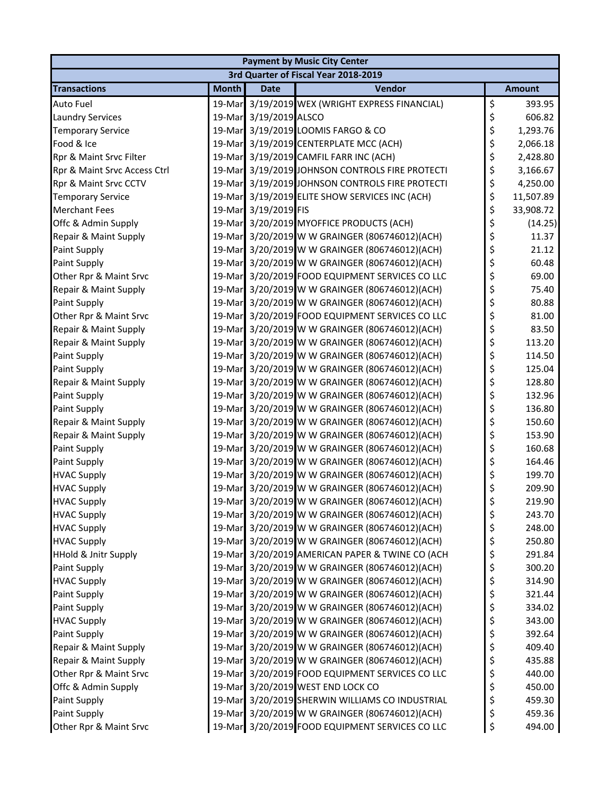|                                 | <b>Payment by Music City Center</b> |                      |                                                 |    |               |  |  |
|---------------------------------|-------------------------------------|----------------------|-------------------------------------------------|----|---------------|--|--|
|                                 |                                     |                      | 3rd Quarter of Fiscal Year 2018-2019            |    |               |  |  |
| <b>Transactions</b>             | <b>Month</b>                        | <b>Date</b>          | Vendor                                          |    | <b>Amount</b> |  |  |
| Auto Fuel                       | 19-Mar                              |                      | 3/19/2019 WEX (WRIGHT EXPRESS FINANCIAL)        | \$ | 393.95        |  |  |
| <b>Laundry Services</b>         | 19-Mar                              | 3/19/2019 ALSCO      |                                                 | \$ | 606.82        |  |  |
| <b>Temporary Service</b>        | 19-Mar                              |                      | 3/19/2019 LOOMIS FARGO & CO                     | \$ | 1,293.76      |  |  |
| Food & Ice                      |                                     |                      | 19-Mar 3/19/2019 CENTERPLATE MCC (ACH)          | \$ | 2,066.18      |  |  |
| Rpr & Maint Srvc Filter         |                                     |                      | 19-Mar 3/19/2019 CAMFIL FARR INC (ACH)          | \$ | 2,428.80      |  |  |
| Rpr & Maint Srvc Access Ctrl    |                                     |                      | 19-Mar 3/19/2019 JOHNSON CONTROLS FIRE PROTECTI | \$ | 3,166.67      |  |  |
| Rpr & Maint Srvc CCTV           | 19-Mar                              |                      | 3/19/2019 JOHNSON CONTROLS FIRE PROTECTI        | \$ | 4,250.00      |  |  |
| <b>Temporary Service</b>        |                                     |                      | 19-Mar 3/19/2019 ELITE SHOW SERVICES INC (ACH)  | \$ | 11,507.89     |  |  |
| <b>Merchant Fees</b>            |                                     | 19-Mar 3/19/2019 FIS |                                                 | \$ | 33,908.72     |  |  |
| Offc & Admin Supply             |                                     |                      | 19-Mar 3/20/2019 MYOFFICE PRODUCTS (ACH)        | \$ | (14.25)       |  |  |
| Repair & Maint Supply           | 19-Mar                              |                      | 3/20/2019 W W GRAINGER (806746012)(ACH)         | \$ | 11.37         |  |  |
| Paint Supply                    | 19-Mar                              |                      | 3/20/2019 W W GRAINGER (806746012)(ACH)         | \$ | 21.12         |  |  |
| Paint Supply                    | 19-Mar                              |                      | 3/20/2019 W W GRAINGER (806746012)(ACH)         | \$ | 60.48         |  |  |
| Other Rpr & Maint Srvc          |                                     |                      | 19-Mar 3/20/2019 FOOD EQUIPMENT SERVICES CO LLC | \$ | 69.00         |  |  |
| Repair & Maint Supply           |                                     |                      | 19-Mar 3/20/2019 W W GRAINGER (806746012)(ACH)  | \$ | 75.40         |  |  |
| Paint Supply                    |                                     |                      | 19-Mar 3/20/2019 W W GRAINGER (806746012)(ACH)  | \$ | 80.88         |  |  |
| Other Rpr & Maint Srvc          | 19-Mar                              |                      | 3/20/2019 FOOD EQUIPMENT SERVICES CO LLC        | \$ | 81.00         |  |  |
| Repair & Maint Supply           |                                     |                      | 19-Mar 3/20/2019 W W GRAINGER (806746012)(ACH)  | \$ | 83.50         |  |  |
| Repair & Maint Supply           |                                     |                      | 19-Mar 3/20/2019 W W GRAINGER (806746012)(ACH)  | \$ | 113.20        |  |  |
| Paint Supply                    |                                     |                      | 19-Mar 3/20/2019 W W GRAINGER (806746012)(ACH)  | \$ | 114.50        |  |  |
| Paint Supply                    | 19-Mar                              |                      | 3/20/2019 W W GRAINGER (806746012)(ACH)         | \$ | 125.04        |  |  |
| Repair & Maint Supply           | 19-Mar                              |                      | 3/20/2019 W W GRAINGER (806746012)(ACH)         | \$ | 128.80        |  |  |
| Paint Supply                    | 19-Mar                              |                      | 3/20/2019 W W GRAINGER (806746012)(ACH)         | \$ | 132.96        |  |  |
| Paint Supply                    |                                     |                      | 19-Mar 3/20/2019 W W GRAINGER (806746012)(ACH)  | \$ | 136.80        |  |  |
| Repair & Maint Supply           |                                     |                      | 19-Mar 3/20/2019 W W GRAINGER (806746012)(ACH)  | \$ | 150.60        |  |  |
| Repair & Maint Supply           |                                     |                      | 19-Mar 3/20/2019 W W GRAINGER (806746012)(ACH)  | \$ | 153.90        |  |  |
| Paint Supply                    | 19-Mar                              |                      | 3/20/2019 W W GRAINGER (806746012)(ACH)         | \$ | 160.68        |  |  |
| Paint Supply                    |                                     |                      | 19-Mar 3/20/2019 W W GRAINGER (806746012)(ACH)  | \$ | 164.46        |  |  |
| <b>HVAC Supply</b>              |                                     |                      | 19-Mar 3/20/2019 W W GRAINGER (806746012)(ACH)  | \$ | 199.70        |  |  |
| <b>HVAC Supply</b>              |                                     |                      | 19-Mar 3/20/2019 W W GRAINGER (806746012)(ACH)  | \$ | 209.90        |  |  |
| <b>HVAC Supply</b>              |                                     |                      | 19-Mar 3/20/2019 W W GRAINGER (806746012)(ACH)  | Ś  | 219.90        |  |  |
| <b>HVAC Supply</b>              | 19-Mar                              |                      | 3/20/2019 W W GRAINGER (806746012)(ACH)         | \$ | 243.70        |  |  |
| <b>HVAC Supply</b>              | 19-Mar                              |                      | 3/20/2019 W W GRAINGER (806746012)(ACH)         | \$ | 248.00        |  |  |
| <b>HVAC Supply</b>              |                                     |                      | 19-Mar 3/20/2019 W W GRAINGER (806746012)(ACH)  | \$ | 250.80        |  |  |
| <b>HHold &amp; Jnitr Supply</b> |                                     |                      | 19-Mar 3/20/2019 AMERICAN PAPER & TWINE CO (ACH | \$ | 291.84        |  |  |
| Paint Supply                    |                                     |                      | 19-Mar 3/20/2019 W W GRAINGER (806746012)(ACH)  | \$ | 300.20        |  |  |
| <b>HVAC Supply</b>              | 19-Mar                              |                      | 3/20/2019 W W GRAINGER (806746012)(ACH)         | \$ | 314.90        |  |  |
| Paint Supply                    |                                     |                      | 19-Mar 3/20/2019 W W GRAINGER (806746012)(ACH)  | \$ | 321.44        |  |  |
| Paint Supply                    |                                     |                      | 19-Mar 3/20/2019 W W GRAINGER (806746012)(ACH)  | \$ | 334.02        |  |  |
| <b>HVAC Supply</b>              |                                     |                      | 19-Mar 3/20/2019 W W GRAINGER (806746012)(ACH)  | \$ | 343.00        |  |  |
| Paint Supply                    |                                     |                      | 19-Mar 3/20/2019 W W GRAINGER (806746012)(ACH)  | \$ | 392.64        |  |  |
| Repair & Maint Supply           | 19-Mar                              |                      | 3/20/2019 W W GRAINGER (806746012)(ACH)         | \$ | 409.40        |  |  |
| Repair & Maint Supply           |                                     |                      | 19-Mar 3/20/2019 W W GRAINGER (806746012)(ACH)  | \$ | 435.88        |  |  |
| Other Rpr & Maint Srvc          |                                     |                      | 19-Mar 3/20/2019 FOOD EQUIPMENT SERVICES CO LLC | \$ | 440.00        |  |  |
| Offc & Admin Supply             |                                     |                      | 19-Mar 3/20/2019 WEST END LOCK CO               | \$ | 450.00        |  |  |
| Paint Supply                    |                                     |                      | 19-Mar 3/20/2019 SHERWIN WILLIAMS CO INDUSTRIAL | \$ | 459.30        |  |  |
| Paint Supply                    | 19-Mar                              |                      | 3/20/2019 W W GRAINGER (806746012)(ACH)         | \$ | 459.36        |  |  |
| Other Rpr & Maint Srvc          |                                     |                      | 19-Mar 3/20/2019 FOOD EQUIPMENT SERVICES CO LLC | \$ | 494.00        |  |  |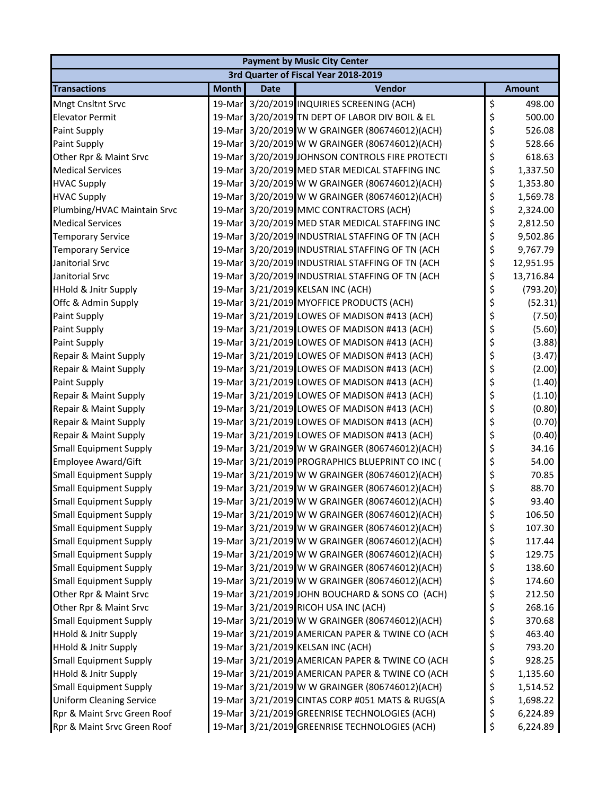|                                 | <b>Payment by Music City Center</b> |             |                                                 |    |               |  |  |
|---------------------------------|-------------------------------------|-------------|-------------------------------------------------|----|---------------|--|--|
|                                 |                                     |             | 3rd Quarter of Fiscal Year 2018-2019            |    |               |  |  |
| <b>Transactions</b>             | <b>Month</b>                        | <b>Date</b> | Vendor                                          |    | <b>Amount</b> |  |  |
| Mngt Cnsltnt Srvc               |                                     |             | 19-Mar 3/20/2019 INQUIRIES SCREENING (ACH)      | \$ | 498.00        |  |  |
| <b>Elevator Permit</b>          | 19-Mar                              |             | 3/20/2019 TN DEPT OF LABOR DIV BOIL & EL        | \$ | 500.00        |  |  |
| Paint Supply                    | 19-Mar                              |             | 3/20/2019 W W GRAINGER (806746012)(ACH)         | \$ | 526.08        |  |  |
| Paint Supply                    |                                     |             | 19-Mar 3/20/2019 W W GRAINGER (806746012)(ACH)  | \$ | 528.66        |  |  |
| Other Rpr & Maint Srvc          |                                     |             | 19-Mar 3/20/2019 JOHNSON CONTROLS FIRE PROTECTI | \$ | 618.63        |  |  |
| <b>Medical Services</b>         |                                     |             | 19-Mar 3/20/2019 MED STAR MEDICAL STAFFING INC  | \$ | 1,337.50      |  |  |
| <b>HVAC Supply</b>              | 19-Mar                              |             | 3/20/2019 W W GRAINGER (806746012)(ACH)         | \$ | 1,353.80      |  |  |
| <b>HVAC Supply</b>              |                                     |             | 19-Mar 3/20/2019 W W GRAINGER (806746012)(ACH)  | \$ | 1,569.78      |  |  |
| Plumbing/HVAC Maintain Srvc     |                                     |             | 19-Mar 3/20/2019 MMC CONTRACTORS (ACH)          | \$ | 2,324.00      |  |  |
| <b>Medical Services</b>         |                                     |             | 19-Mar 3/20/2019 MED STAR MEDICAL STAFFING INC  | \$ | 2,812.50      |  |  |
| <b>Temporary Service</b>        |                                     |             | 19-Mar 3/20/2019 INDUSTRIAL STAFFING OF TN (ACH | \$ | 9,502.86      |  |  |
| <b>Temporary Service</b>        | 19-Mar                              |             | 3/20/2019 INDUSTRIAL STAFFING OF TN (ACH        | \$ | 9,767.79      |  |  |
| Janitorial Srvc                 |                                     |             | 19-Mar 3/20/2019 INDUSTRIAL STAFFING OF TN (ACH | \$ | 12,951.95     |  |  |
| Janitorial Srvc                 |                                     |             | 19-Mar 3/20/2019 INDUSTRIAL STAFFING OF TN (ACH | \$ | 13,716.84     |  |  |
| <b>HHold &amp; Jnitr Supply</b> |                                     |             | 19-Mar 3/21/2019 KELSAN INC (ACH)               | \$ | (793.20)      |  |  |
| Offc & Admin Supply             |                                     |             | 19-Mar 3/21/2019 MYOFFICE PRODUCTS (ACH)        | \$ | (52.31)       |  |  |
| Paint Supply                    |                                     |             | 19-Mar 3/21/2019 LOWES OF MADISON #413 (ACH)    | \$ | (7.50)        |  |  |
| Paint Supply                    |                                     |             | 19-Mar 3/21/2019 LOWES OF MADISON #413 (ACH)    | \$ | (5.60)        |  |  |
| Paint Supply                    |                                     |             | 19-Mar 3/21/2019 LOWES OF MADISON #413 (ACH)    | \$ | (3.88)        |  |  |
| Repair & Maint Supply           |                                     |             | 19-Mar 3/21/2019 LOWES OF MADISON #413 (ACH)    | \$ | (3.47)        |  |  |
| Repair & Maint Supply           |                                     |             | 19-Mar 3/21/2019 LOWES OF MADISON #413 (ACH)    | \$ | (2.00)        |  |  |
| Paint Supply                    | 19-Mar                              |             | 3/21/2019 LOWES OF MADISON #413 (ACH)           | \$ | (1.40)        |  |  |
| Repair & Maint Supply           |                                     |             | 19-Mar 3/21/2019 LOWES OF MADISON #413 (ACH)    | \$ | (1.10)        |  |  |
| Repair & Maint Supply           |                                     |             | 19-Mar 3/21/2019 LOWES OF MADISON #413 (ACH)    | \$ | (0.80)        |  |  |
| Repair & Maint Supply           |                                     |             | 19-Mar 3/21/2019 LOWES OF MADISON #413 (ACH)    | \$ | (0.70)        |  |  |
| Repair & Maint Supply           |                                     |             | 19-Mar 3/21/2019 LOWES OF MADISON #413 (ACH)    | \$ | (0.40)        |  |  |
| <b>Small Equipment Supply</b>   | 19-Mar                              |             | 3/21/2019 W W GRAINGER (806746012)(ACH)         | \$ | 34.16         |  |  |
| Employee Award/Gift             |                                     |             | 19-Mar 3/21/2019 PROGRAPHICS BLUEPRINT CO INC ( | \$ | 54.00         |  |  |
| <b>Small Equipment Supply</b>   |                                     |             | 19-Mar 3/21/2019 W W GRAINGER (806746012)(ACH)  | \$ | 70.85         |  |  |
| <b>Small Equipment Supply</b>   |                                     |             | 19-Mar 3/21/2019 W W GRAINGER (806746012)(ACH)  | \$ | 88.70         |  |  |
| <b>Small Equipment Supply</b>   |                                     |             | 19-Mar 3/21/2019 W W GRAINGER (806746012)(ACH)  | \$ | 93.40         |  |  |
| <b>Small Equipment Supply</b>   |                                     |             | 19-Mar 3/21/2019 W W GRAINGER (806746012)(ACH)  | \$ | 106.50        |  |  |
| <b>Small Equipment Supply</b>   |                                     |             | 19-Mar 3/21/2019 W W GRAINGER (806746012)(ACH)  | \$ | 107.30        |  |  |
| <b>Small Equipment Supply</b>   |                                     |             | 19-Mar 3/21/2019 W W GRAINGER (806746012)(ACH)  | \$ | 117.44        |  |  |
| <b>Small Equipment Supply</b>   |                                     |             | 19-Mar 3/21/2019 W W GRAINGER (806746012)(ACH)  | \$ | 129.75        |  |  |
| <b>Small Equipment Supply</b>   |                                     |             | 19-Mar 3/21/2019 W W GRAINGER (806746012)(ACH)  | \$ | 138.60        |  |  |
| <b>Small Equipment Supply</b>   | 19-Mar                              |             | 3/21/2019 W W GRAINGER (806746012)(ACH)         | \$ | 174.60        |  |  |
| Other Rpr & Maint Srvc          |                                     |             | 19-Mar 3/21/2019 JOHN BOUCHARD & SONS CO (ACH)  | \$ | 212.50        |  |  |
| Other Rpr & Maint Srvc          |                                     |             | 19-Mar 3/21/2019 RICOH USA INC (ACH)            | \$ | 268.16        |  |  |
| <b>Small Equipment Supply</b>   |                                     |             | 19-Mar 3/21/2019 W W GRAINGER (806746012)(ACH)  | \$ | 370.68        |  |  |
| <b>HHold &amp; Jnitr Supply</b> |                                     |             | 19-Mar 3/21/2019 AMERICAN PAPER & TWINE CO (ACH | \$ | 463.40        |  |  |
| <b>HHold &amp; Jnitr Supply</b> | 19-Mar                              |             | 3/21/2019 KELSAN INC (ACH)                      | \$ | 793.20        |  |  |
| <b>Small Equipment Supply</b>   |                                     |             | 19-Mar 3/21/2019 AMERICAN PAPER & TWINE CO (ACH | \$ | 928.25        |  |  |
| <b>HHold &amp; Jnitr Supply</b> |                                     |             | 19-Mar 3/21/2019 AMERICAN PAPER & TWINE CO (ACH | \$ | 1,135.60      |  |  |
| <b>Small Equipment Supply</b>   |                                     |             | 19-Mar 3/21/2019 W W GRAINGER (806746012)(ACH)  | \$ | 1,514.52      |  |  |
| <b>Uniform Cleaning Service</b> |                                     |             | 19-Mar 3/21/2019 CINTAS CORP #051 MATS & RUGS(A | \$ | 1,698.22      |  |  |
| Rpr & Maint Srvc Green Roof     |                                     |             | 19-Mar 3/21/2019 GREENRISE TECHNOLOGIES (ACH)   | \$ | 6,224.89      |  |  |
| Rpr & Maint Srvc Green Roof     |                                     |             | 19-Mar 3/21/2019 GREENRISE TECHNOLOGIES (ACH)   | \$ | 6,224.89      |  |  |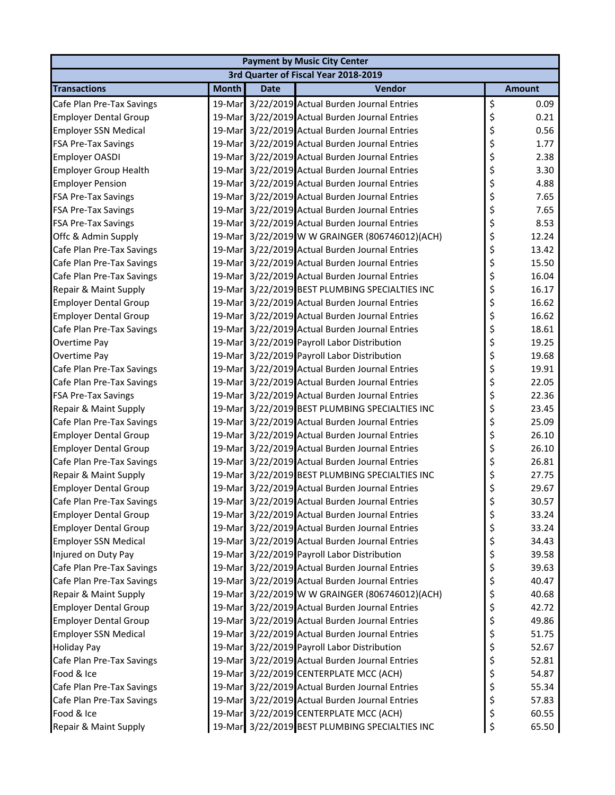| <b>Payment by Music City Center</b> |              |             |                                                |    |               |  |
|-------------------------------------|--------------|-------------|------------------------------------------------|----|---------------|--|
|                                     |              |             | 3rd Quarter of Fiscal Year 2018-2019           |    |               |  |
| <b>Transactions</b>                 | <b>Month</b> | <b>Date</b> | Vendor                                         |    | <b>Amount</b> |  |
| Cafe Plan Pre-Tax Savings           |              |             | 19-Mar 3/22/2019 Actual Burden Journal Entries | \$ | 0.09          |  |
| <b>Employer Dental Group</b>        | 19-Mar       |             | 3/22/2019 Actual Burden Journal Entries        | \$ | 0.21          |  |
| <b>Employer SSN Medical</b>         |              |             | 19-Mar 3/22/2019 Actual Burden Journal Entries | \$ | 0.56          |  |
| <b>FSA Pre-Tax Savings</b>          |              |             | 19-Mar 3/22/2019 Actual Burden Journal Entries | \$ | 1.77          |  |
| <b>Employer OASDI</b>               |              |             | 19-Mar 3/22/2019 Actual Burden Journal Entries | \$ | 2.38          |  |
| <b>Employer Group Health</b>        |              |             | 19-Mar 3/22/2019 Actual Burden Journal Entries | \$ | 3.30          |  |
| <b>Employer Pension</b>             |              |             | 19-Mar 3/22/2019 Actual Burden Journal Entries | \$ | 4.88          |  |
| <b>FSA Pre-Tax Savings</b>          |              |             | 19-Mar 3/22/2019 Actual Burden Journal Entries | \$ | 7.65          |  |
| <b>FSA Pre-Tax Savings</b>          |              |             | 19-Mar 3/22/2019 Actual Burden Journal Entries | \$ | 7.65          |  |
| <b>FSA Pre-Tax Savings</b>          |              |             | 19-Mar 3/22/2019 Actual Burden Journal Entries | \$ | 8.53          |  |
| Offc & Admin Supply                 |              |             | 19-Mar 3/22/2019 W W GRAINGER (806746012)(ACH) | \$ | 12.24         |  |
| Cafe Plan Pre-Tax Savings           | 19-Mar       |             | 3/22/2019 Actual Burden Journal Entries        | \$ | 13.42         |  |
| Cafe Plan Pre-Tax Savings           |              |             | 19-Mar 3/22/2019 Actual Burden Journal Entries | \$ | 15.50         |  |
| Cafe Plan Pre-Tax Savings           |              |             | 19-Mar 3/22/2019 Actual Burden Journal Entries | \$ | 16.04         |  |
| Repair & Maint Supply               |              |             | 19-Mar 3/22/2019 BEST PLUMBING SPECIALTIES INC | \$ | 16.17         |  |
| <b>Employer Dental Group</b>        |              |             | 19-Mar 3/22/2019 Actual Burden Journal Entries | \$ | 16.62         |  |
| <b>Employer Dental Group</b>        |              |             | 19-Mar 3/22/2019 Actual Burden Journal Entries | \$ | 16.62         |  |
| Cafe Plan Pre-Tax Savings           |              |             | 19-Mar 3/22/2019 Actual Burden Journal Entries | \$ | 18.61         |  |
| Overtime Pay                        |              |             | 19-Mar 3/22/2019 Payroll Labor Distribution    | \$ | 19.25         |  |
| Overtime Pay                        |              |             | 19-Mar 3/22/2019 Payroll Labor Distribution    | \$ | 19.68         |  |
| Cafe Plan Pre-Tax Savings           |              |             | 19-Mar 3/22/2019 Actual Burden Journal Entries | \$ | 19.91         |  |
| Cafe Plan Pre-Tax Savings           | 19-Mar       |             | 3/22/2019 Actual Burden Journal Entries        | \$ | 22.05         |  |
| <b>FSA Pre-Tax Savings</b>          |              |             | 19-Mar 3/22/2019 Actual Burden Journal Entries | \$ | 22.36         |  |
| Repair & Maint Supply               |              |             | 19-Mar 3/22/2019 BEST PLUMBING SPECIALTIES INC | \$ | 23.45         |  |
| Cafe Plan Pre-Tax Savings           |              |             | 19-Mar 3/22/2019 Actual Burden Journal Entries | \$ | 25.09         |  |
| <b>Employer Dental Group</b>        |              |             | 19-Mar 3/22/2019 Actual Burden Journal Entries | \$ | 26.10         |  |
| <b>Employer Dental Group</b>        |              |             | 19-Mar 3/22/2019 Actual Burden Journal Entries | \$ | 26.10         |  |
| Cafe Plan Pre-Tax Savings           |              |             | 19-Mar 3/22/2019 Actual Burden Journal Entries | \$ | 26.81         |  |
| Repair & Maint Supply               |              |             | 19-Mar 3/22/2019 BEST PLUMBING SPECIALTIES INC | \$ | 27.75         |  |
| <b>Employer Dental Group</b>        |              |             | 19-Mar 3/22/2019 Actual Burden Journal Entries | \$ | 29.67         |  |
| Cafe Plan Pre-Tax Savings           |              |             | 19-Mar 3/22/2019 Actual Burden Journal Entries | \$ | 30.57         |  |
| <b>Employer Dental Group</b>        | 19-Mar       |             | 3/22/2019 Actual Burden Journal Entries        | \$ | 33.24         |  |
| <b>Employer Dental Group</b>        |              |             | 19-Mar 3/22/2019 Actual Burden Journal Entries | \$ | 33.24         |  |
| <b>Employer SSN Medical</b>         |              |             | 19-Mar 3/22/2019 Actual Burden Journal Entries | \$ | 34.43         |  |
| Injured on Duty Pay                 |              |             | 19-Mar 3/22/2019 Payroll Labor Distribution    | \$ | 39.58         |  |
| Cafe Plan Pre-Tax Savings           |              |             | 19-Mar 3/22/2019 Actual Burden Journal Entries | \$ | 39.63         |  |
| Cafe Plan Pre-Tax Savings           | 19-Mar       |             | 3/22/2019 Actual Burden Journal Entries        | \$ | 40.47         |  |
| Repair & Maint Supply               |              |             | 19-Mar 3/22/2019 W W GRAINGER (806746012)(ACH) | \$ | 40.68         |  |
| <b>Employer Dental Group</b>        |              |             | 19-Mar 3/22/2019 Actual Burden Journal Entries | \$ | 42.72         |  |
| <b>Employer Dental Group</b>        |              |             | 19-Mar 3/22/2019 Actual Burden Journal Entries | \$ | 49.86         |  |
| <b>Employer SSN Medical</b>         |              |             | 19-Mar 3/22/2019 Actual Burden Journal Entries | \$ | 51.75         |  |
| <b>Holiday Pay</b>                  |              |             | 19-Mar 3/22/2019 Payroll Labor Distribution    | \$ | 52.67         |  |
| Cafe Plan Pre-Tax Savings           |              |             | 19-Mar 3/22/2019 Actual Burden Journal Entries | \$ | 52.81         |  |
| Food & Ice                          |              |             | 19-Mar 3/22/2019 CENTERPLATE MCC (ACH)         | \$ | 54.87         |  |
| Cafe Plan Pre-Tax Savings           |              |             | 19-Mar 3/22/2019 Actual Burden Journal Entries | \$ | 55.34         |  |
| Cafe Plan Pre-Tax Savings           |              |             | 19-Mar 3/22/2019 Actual Burden Journal Entries | \$ | 57.83         |  |
| Food & Ice                          |              |             | 19-Mar 3/22/2019 CENTERPLATE MCC (ACH)         | \$ | 60.55         |  |
| Repair & Maint Supply               |              |             | 19-Mar 3/22/2019 BEST PLUMBING SPECIALTIES INC | \$ | 65.50         |  |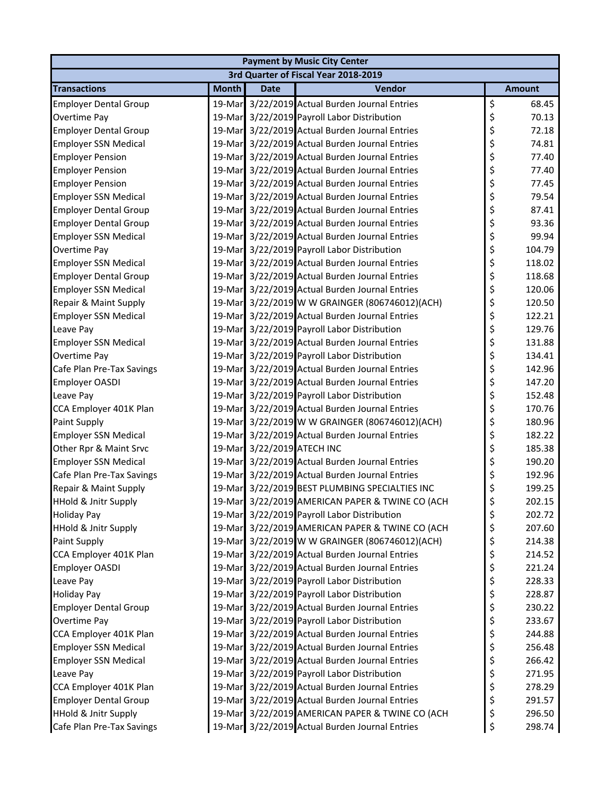|                                 | <b>Payment by Music City Center</b> |             |                                                 |    |               |  |  |
|---------------------------------|-------------------------------------|-------------|-------------------------------------------------|----|---------------|--|--|
|                                 |                                     |             | 3rd Quarter of Fiscal Year 2018-2019            |    |               |  |  |
| <b>Transactions</b>             | <b>Month</b>                        | <b>Date</b> | Vendor                                          |    | <b>Amount</b> |  |  |
| <b>Employer Dental Group</b>    | 19-Mar                              |             | 3/22/2019 Actual Burden Journal Entries         | \$ | 68.45         |  |  |
| Overtime Pay                    | 19-Mar                              |             | 3/22/2019 Payroll Labor Distribution            | \$ | 70.13         |  |  |
| <b>Employer Dental Group</b>    | 19-Mar                              |             | 3/22/2019 Actual Burden Journal Entries         | \$ | 72.18         |  |  |
| <b>Employer SSN Medical</b>     |                                     |             | 19-Mar 3/22/2019 Actual Burden Journal Entries  | \$ | 74.81         |  |  |
| <b>Employer Pension</b>         |                                     |             | 19-Mar 3/22/2019 Actual Burden Journal Entries  | \$ | 77.40         |  |  |
| <b>Employer Pension</b>         |                                     |             | 19-Mar 3/22/2019 Actual Burden Journal Entries  | \$ | 77.40         |  |  |
| <b>Employer Pension</b>         | 19-Mar                              |             | 3/22/2019 Actual Burden Journal Entries         | \$ | 77.45         |  |  |
| <b>Employer SSN Medical</b>     |                                     |             | 19-Mar 3/22/2019 Actual Burden Journal Entries  | \$ | 79.54         |  |  |
| <b>Employer Dental Group</b>    |                                     |             | 19-Mar 3/22/2019 Actual Burden Journal Entries  | \$ | 87.41         |  |  |
| <b>Employer Dental Group</b>    |                                     |             | 19-Mar 3/22/2019 Actual Burden Journal Entries  | \$ | 93.36         |  |  |
| <b>Employer SSN Medical</b>     |                                     |             | 19-Mar 3/22/2019 Actual Burden Journal Entries  | \$ | 99.94         |  |  |
| Overtime Pay                    | 19-Mar                              |             | 3/22/2019 Payroll Labor Distribution            | \$ | 104.79        |  |  |
| <b>Employer SSN Medical</b>     |                                     |             | 19-Mar 3/22/2019 Actual Burden Journal Entries  | \$ | 118.02        |  |  |
| <b>Employer Dental Group</b>    |                                     |             | 19-Mar 3/22/2019 Actual Burden Journal Entries  | \$ | 118.68        |  |  |
| <b>Employer SSN Medical</b>     |                                     |             | 19-Mar 3/22/2019 Actual Burden Journal Entries  | \$ | 120.06        |  |  |
| Repair & Maint Supply           |                                     |             | 19-Mar 3/22/2019 W W GRAINGER (806746012)(ACH)  | \$ | 120.50        |  |  |
| <b>Employer SSN Medical</b>     | 19-Mar                              |             | 3/22/2019 Actual Burden Journal Entries         | \$ | 122.21        |  |  |
| Leave Pay                       |                                     |             | 19-Mar 3/22/2019 Payroll Labor Distribution     | \$ | 129.76        |  |  |
| <b>Employer SSN Medical</b>     |                                     |             | 19-Mar 3/22/2019 Actual Burden Journal Entries  | \$ | 131.88        |  |  |
| Overtime Pay                    |                                     |             | 19-Mar 3/22/2019 Payroll Labor Distribution     | \$ | 134.41        |  |  |
| Cafe Plan Pre-Tax Savings       |                                     |             | 19-Mar 3/22/2019 Actual Burden Journal Entries  | \$ | 142.96        |  |  |
| Employer OASDI                  | 19-Mar                              |             | 3/22/2019 Actual Burden Journal Entries         | \$ | 147.20        |  |  |
| Leave Pay                       |                                     |             | 19-Mar 3/22/2019 Payroll Labor Distribution     | \$ | 152.48        |  |  |
| CCA Employer 401K Plan          |                                     |             | 19-Mar 3/22/2019 Actual Burden Journal Entries  | \$ | 170.76        |  |  |
| Paint Supply                    |                                     |             | 19-Mar 3/22/2019 W W GRAINGER (806746012)(ACH)  | \$ | 180.96        |  |  |
| <b>Employer SSN Medical</b>     |                                     |             | 19-Mar 3/22/2019 Actual Burden Journal Entries  | \$ | 182.22        |  |  |
| Other Rpr & Maint Srvc          | 19-Mar                              |             | 3/22/2019 ATECH INC                             | \$ | 185.38        |  |  |
| <b>Employer SSN Medical</b>     |                                     |             | 19-Mar 3/22/2019 Actual Burden Journal Entries  | \$ | 190.20        |  |  |
| Cafe Plan Pre-Tax Savings       |                                     |             | 19-Mar 3/22/2019 Actual Burden Journal Entries  | \$ | 192.96        |  |  |
| Repair & Maint Supply           |                                     |             | 19-Mar 3/22/2019 BEST PLUMBING SPECIALTIES INC  | \$ | 199.25        |  |  |
| <b>HHold &amp; Jnitr Supply</b> |                                     |             | 19-Mar 3/22/2019 AMERICAN PAPER & TWINE CO (ACH | \$ | 202.15        |  |  |
| <b>Holiday Pay</b>              | 19-Mar                              |             | 3/22/2019 Payroll Labor Distribution            | \$ | 202.72        |  |  |
| <b>HHold &amp; Jnitr Supply</b> |                                     |             | 19-Mar 3/22/2019 AMERICAN PAPER & TWINE CO (ACH | \$ | 207.60        |  |  |
| Paint Supply                    |                                     |             | 19-Mar 3/22/2019 W W GRAINGER (806746012)(ACH)  | \$ | 214.38        |  |  |
| CCA Employer 401K Plan          |                                     |             | 19-Mar 3/22/2019 Actual Burden Journal Entries  | \$ | 214.52        |  |  |
| <b>Employer OASDI</b>           |                                     |             | 19-Mar 3/22/2019 Actual Burden Journal Entries  | \$ | 221.24        |  |  |
| Leave Pay                       | 19-Mar                              |             | 3/22/2019 Payroll Labor Distribution            | \$ | 228.33        |  |  |
| <b>Holiday Pay</b>              |                                     |             | 19-Mar 3/22/2019 Payroll Labor Distribution     | \$ | 228.87        |  |  |
| <b>Employer Dental Group</b>    |                                     |             | 19-Mar 3/22/2019 Actual Burden Journal Entries  |    | 230.22        |  |  |
|                                 |                                     |             | 19-Mar 3/22/2019 Payroll Labor Distribution     | \$ | 233.67        |  |  |
| Overtime Pay                    |                                     |             |                                                 | \$ |               |  |  |
| CCA Employer 401K Plan          |                                     |             | 19-Mar 3/22/2019 Actual Burden Journal Entries  | \$ | 244.88        |  |  |
| <b>Employer SSN Medical</b>     | 19-Mar                              |             | 3/22/2019 Actual Burden Journal Entries         | \$ | 256.48        |  |  |
| <b>Employer SSN Medical</b>     |                                     |             | 19-Mar 3/22/2019 Actual Burden Journal Entries  | \$ | 266.42        |  |  |
| Leave Pay                       |                                     |             | 19-Mar 3/22/2019 Payroll Labor Distribution     | \$ | 271.95        |  |  |
| CCA Employer 401K Plan          |                                     |             | 19-Mar 3/22/2019 Actual Burden Journal Entries  | \$ | 278.29        |  |  |
| <b>Employer Dental Group</b>    |                                     |             | 19-Mar 3/22/2019 Actual Burden Journal Entries  | \$ | 291.57        |  |  |
| <b>HHold &amp; Jnitr Supply</b> | 19-Mar                              |             | 3/22/2019 AMERICAN PAPER & TWINE CO (ACH        | \$ | 296.50        |  |  |
| Cafe Plan Pre-Tax Savings       |                                     |             | 19-Mar 3/22/2019 Actual Burden Journal Entries  | \$ | 298.74        |  |  |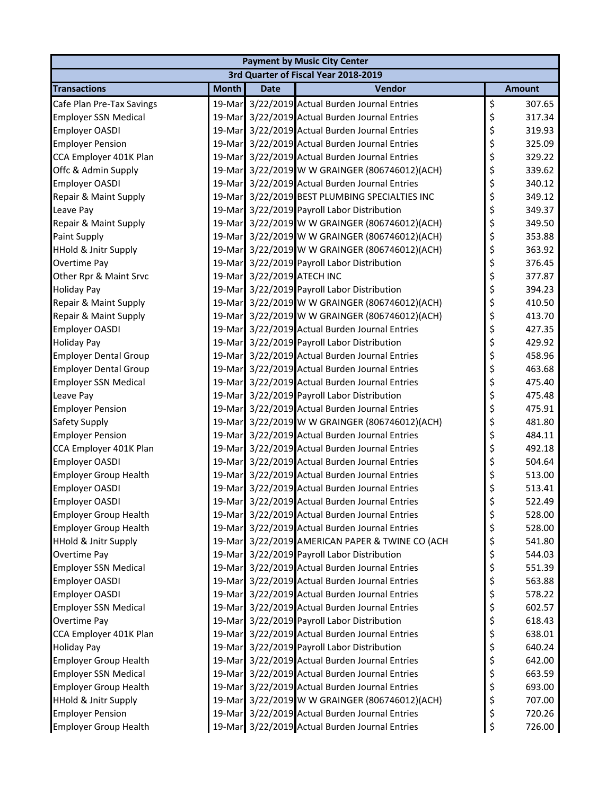|                                 | <b>Payment by Music City Center</b> |                            |                                                 |    |               |  |  |
|---------------------------------|-------------------------------------|----------------------------|-------------------------------------------------|----|---------------|--|--|
|                                 |                                     |                            | 3rd Quarter of Fiscal Year 2018-2019            |    |               |  |  |
| <b>Transactions</b>             | <b>Month</b>                        | <b>Date</b>                | Vendor                                          |    | <b>Amount</b> |  |  |
| Cafe Plan Pre-Tax Savings       |                                     |                            | 19-Mar 3/22/2019 Actual Burden Journal Entries  | \$ | 307.65        |  |  |
| <b>Employer SSN Medical</b>     |                                     |                            | 19-Mar 3/22/2019 Actual Burden Journal Entries  | \$ | 317.34        |  |  |
| <b>Employer OASDI</b>           |                                     |                            | 19-Mar 3/22/2019 Actual Burden Journal Entries  | \$ | 319.93        |  |  |
| <b>Employer Pension</b>         |                                     |                            | 19-Mar 3/22/2019 Actual Burden Journal Entries  | \$ | 325.09        |  |  |
| CCA Employer 401K Plan          |                                     |                            | 19-Mar 3/22/2019 Actual Burden Journal Entries  | \$ | 329.22        |  |  |
| Offc & Admin Supply             |                                     |                            | 19-Mar 3/22/2019 W W GRAINGER (806746012)(ACH)  | \$ | 339.62        |  |  |
| Employer OASDI                  |                                     |                            | 19-Mar 3/22/2019 Actual Burden Journal Entries  | \$ | 340.12        |  |  |
| Repair & Maint Supply           |                                     |                            | 19-Mar 3/22/2019 BEST PLUMBING SPECIALTIES INC  | \$ | 349.12        |  |  |
| Leave Pay                       |                                     |                            | 19-Mar 3/22/2019 Payroll Labor Distribution     | \$ | 349.37        |  |  |
| Repair & Maint Supply           |                                     |                            | 19-Mar 3/22/2019 W W GRAINGER (806746012)(ACH)  | \$ | 349.50        |  |  |
| Paint Supply                    |                                     |                            | 19-Mar 3/22/2019 W W GRAINGER (806746012)(ACH)  | \$ | 353.88        |  |  |
| <b>HHold &amp; Jnitr Supply</b> |                                     |                            | 19-Mar 3/22/2019 W W GRAINGER (806746012)(ACH)  | \$ | 363.92        |  |  |
| Overtime Pay                    |                                     |                            | 19-Mar 3/22/2019 Payroll Labor Distribution     | \$ | 376.45        |  |  |
| Other Rpr & Maint Srvc          |                                     | 19-Mar 3/22/2019 ATECH INC |                                                 | \$ | 377.87        |  |  |
| <b>Holiday Pay</b>              |                                     |                            | 19-Mar 3/22/2019 Payroll Labor Distribution     | \$ | 394.23        |  |  |
| Repair & Maint Supply           |                                     |                            | 19-Mar 3/22/2019 W W GRAINGER (806746012)(ACH)  | \$ | 410.50        |  |  |
| Repair & Maint Supply           |                                     |                            | 19-Mar 3/22/2019 W W GRAINGER (806746012)(ACH)  | \$ | 413.70        |  |  |
| Employer OASDI                  |                                     |                            | 19-Mar 3/22/2019 Actual Burden Journal Entries  | \$ | 427.35        |  |  |
| <b>Holiday Pay</b>              |                                     |                            | 19-Mar 3/22/2019 Payroll Labor Distribution     | \$ | 429.92        |  |  |
| <b>Employer Dental Group</b>    |                                     |                            | 19-Mar 3/22/2019 Actual Burden Journal Entries  | \$ | 458.96        |  |  |
| <b>Employer Dental Group</b>    |                                     |                            | 19-Mar 3/22/2019 Actual Burden Journal Entries  | \$ | 463.68        |  |  |
| <b>Employer SSN Medical</b>     | 19-Mar                              |                            | 3/22/2019 Actual Burden Journal Entries         | \$ | 475.40        |  |  |
| Leave Pay                       |                                     |                            | 19-Mar 3/22/2019 Payroll Labor Distribution     | \$ | 475.48        |  |  |
| <b>Employer Pension</b>         |                                     |                            | 19-Mar 3/22/2019 Actual Burden Journal Entries  | \$ | 475.91        |  |  |
| Safety Supply                   |                                     |                            | 19-Mar 3/22/2019 W W GRAINGER (806746012)(ACH)  | \$ | 481.80        |  |  |
| <b>Employer Pension</b>         |                                     |                            | 19-Mar 3/22/2019 Actual Burden Journal Entries  | \$ | 484.11        |  |  |
| CCA Employer 401K Plan          |                                     |                            | 19-Mar 3/22/2019 Actual Burden Journal Entries  | \$ | 492.18        |  |  |
| Employer OASDI                  |                                     |                            | 19-Mar 3/22/2019 Actual Burden Journal Entries  | \$ | 504.64        |  |  |
| <b>Employer Group Health</b>    |                                     |                            | 19-Mar 3/22/2019 Actual Burden Journal Entries  | \$ | 513.00        |  |  |
| <b>Employer OASDI</b>           |                                     |                            | 19-Mar 3/22/2019 Actual Burden Journal Entries  | \$ | 513.41        |  |  |
| <b>Employer OASDI</b>           |                                     |                            | 19-Mar 3/22/2019 Actual Burden Journal Entries  | Ś  | 522.49        |  |  |
| <b>Employer Group Health</b>    |                                     |                            | 19-Mar 3/22/2019 Actual Burden Journal Entries  | \$ | 528.00        |  |  |
| <b>Employer Group Health</b>    |                                     |                            | 19-Mar 3/22/2019 Actual Burden Journal Entries  | \$ | 528.00        |  |  |
| <b>HHold &amp; Jnitr Supply</b> |                                     |                            | 19-Mar 3/22/2019 AMERICAN PAPER & TWINE CO (ACH | \$ | 541.80        |  |  |
| Overtime Pay                    |                                     |                            | 19-Mar 3/22/2019 Payroll Labor Distribution     | \$ | 544.03        |  |  |
| <b>Employer SSN Medical</b>     |                                     |                            | 19-Mar 3/22/2019 Actual Burden Journal Entries  | \$ | 551.39        |  |  |
| <b>Employer OASDI</b>           | 19-Mar                              |                            | 3/22/2019 Actual Burden Journal Entries         | \$ | 563.88        |  |  |
| <b>Employer OASDI</b>           |                                     |                            | 19-Mar 3/22/2019 Actual Burden Journal Entries  | \$ | 578.22        |  |  |
| <b>Employer SSN Medical</b>     |                                     |                            | 19-Mar 3/22/2019 Actual Burden Journal Entries  | \$ | 602.57        |  |  |
| Overtime Pay                    |                                     |                            | 19-Mar 3/22/2019 Payroll Labor Distribution     | \$ | 618.43        |  |  |
| CCA Employer 401K Plan          |                                     |                            | 19-Mar 3/22/2019 Actual Burden Journal Entries  | \$ | 638.01        |  |  |
| <b>Holiday Pay</b>              |                                     |                            | 19-Mar 3/22/2019 Payroll Labor Distribution     | \$ | 640.24        |  |  |
| <b>Employer Group Health</b>    |                                     |                            | 19-Mar 3/22/2019 Actual Burden Journal Entries  | \$ | 642.00        |  |  |
| <b>Employer SSN Medical</b>     |                                     |                            | 19-Mar 3/22/2019 Actual Burden Journal Entries  | \$ | 663.59        |  |  |
| <b>Employer Group Health</b>    |                                     |                            | 19-Mar 3/22/2019 Actual Burden Journal Entries  | \$ | 693.00        |  |  |
| <b>HHold &amp; Jnitr Supply</b> |                                     |                            | 19-Mar 3/22/2019 W W GRAINGER (806746012)(ACH)  | \$ | 707.00        |  |  |
| <b>Employer Pension</b>         |                                     |                            | 19-Mar 3/22/2019 Actual Burden Journal Entries  | \$ | 720.26        |  |  |
| <b>Employer Group Health</b>    |                                     |                            | 19-Mar 3/22/2019 Actual Burden Journal Entries  | \$ | 726.00        |  |  |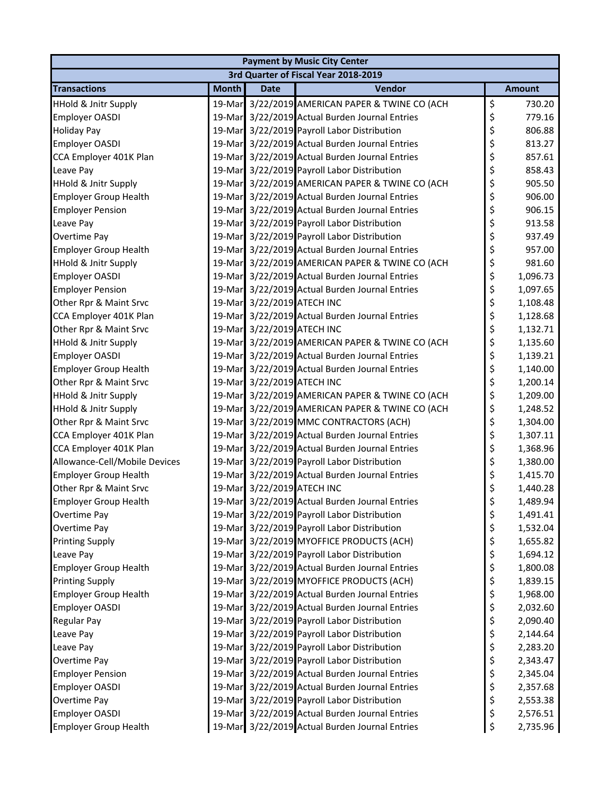|                                 | <b>Payment by Music City Center</b> |                            |                                                 |    |               |  |  |
|---------------------------------|-------------------------------------|----------------------------|-------------------------------------------------|----|---------------|--|--|
|                                 |                                     |                            | 3rd Quarter of Fiscal Year 2018-2019            |    |               |  |  |
| <b>Transactions</b>             | <b>Month</b>                        | <b>Date</b>                | Vendor                                          |    | <b>Amount</b> |  |  |
| <b>HHold &amp; Jnitr Supply</b> |                                     |                            | 19-Mar 3/22/2019 AMERICAN PAPER & TWINE CO (ACH | \$ | 730.20        |  |  |
| Employer OASDI                  | 19-Mar                              |                            | 3/22/2019 Actual Burden Journal Entries         | \$ | 779.16        |  |  |
| <b>Holiday Pay</b>              |                                     |                            | 19-Mar 3/22/2019 Payroll Labor Distribution     | \$ | 806.88        |  |  |
| Employer OASDI                  |                                     |                            | 19-Mar 3/22/2019 Actual Burden Journal Entries  | \$ | 813.27        |  |  |
| CCA Employer 401K Plan          |                                     |                            | 19-Mar 3/22/2019 Actual Burden Journal Entries  | \$ | 857.61        |  |  |
| Leave Pay                       |                                     |                            | 19-Mar 3/22/2019 Payroll Labor Distribution     | \$ | 858.43        |  |  |
| <b>HHold &amp; Jnitr Supply</b> |                                     |                            | 19-Mar 3/22/2019 AMERICAN PAPER & TWINE CO (ACH | \$ | 905.50        |  |  |
| <b>Employer Group Health</b>    |                                     |                            | 19-Mar 3/22/2019 Actual Burden Journal Entries  | \$ | 906.00        |  |  |
| <b>Employer Pension</b>         |                                     |                            | 19-Mar 3/22/2019 Actual Burden Journal Entries  | \$ | 906.15        |  |  |
| Leave Pay                       |                                     |                            | 19-Mar 3/22/2019 Payroll Labor Distribution     | \$ | 913.58        |  |  |
| Overtime Pay                    |                                     |                            | 19-Mar 3/22/2019 Payroll Labor Distribution     | \$ | 937.49        |  |  |
| <b>Employer Group Health</b>    |                                     |                            | 19-Mar 3/22/2019 Actual Burden Journal Entries  | \$ | 957.00        |  |  |
| <b>HHold &amp; Jnitr Supply</b> |                                     |                            | 19-Mar 3/22/2019 AMERICAN PAPER & TWINE CO (ACH | \$ | 981.60        |  |  |
| Employer OASDI                  |                                     |                            | 19-Mar 3/22/2019 Actual Burden Journal Entries  | \$ | 1,096.73      |  |  |
| <b>Employer Pension</b>         |                                     |                            | 19-Mar 3/22/2019 Actual Burden Journal Entries  | \$ | 1,097.65      |  |  |
| Other Rpr & Maint Srvc          |                                     | 19-Mar 3/22/2019 ATECH INC |                                                 | \$ | 1,108.48      |  |  |
| CCA Employer 401K Plan          |                                     |                            | 19-Mar 3/22/2019 Actual Burden Journal Entries  | \$ | 1,128.68      |  |  |
| Other Rpr & Maint Srvc          |                                     | 19-Mar 3/22/2019 ATECH INC |                                                 | \$ | 1,132.71      |  |  |
| <b>HHold &amp; Jnitr Supply</b> |                                     |                            | 19-Mar 3/22/2019 AMERICAN PAPER & TWINE CO (ACH | \$ | 1,135.60      |  |  |
| <b>Employer OASDI</b>           |                                     |                            | 19-Mar 3/22/2019 Actual Burden Journal Entries  | \$ | 1,139.21      |  |  |
| <b>Employer Group Health</b>    |                                     |                            | 19-Mar 3/22/2019 Actual Burden Journal Entries  | \$ | 1,140.00      |  |  |
| Other Rpr & Maint Srvc          |                                     | 19-Mar 3/22/2019 ATECH INC |                                                 | \$ | 1,200.14      |  |  |
| HHold & Jnitr Supply            |                                     |                            | 19-Mar 3/22/2019 AMERICAN PAPER & TWINE CO (ACH | \$ | 1,209.00      |  |  |
| HHold & Jnitr Supply            |                                     |                            | 19-Mar 3/22/2019 AMERICAN PAPER & TWINE CO (ACH | \$ | 1,248.52      |  |  |
| Other Rpr & Maint Srvc          |                                     |                            | 19-Mar 3/22/2019 MMC CONTRACTORS (ACH)          | \$ | 1,304.00      |  |  |
| CCA Employer 401K Plan          |                                     |                            | 19-Mar 3/22/2019 Actual Burden Journal Entries  | \$ | 1,307.11      |  |  |
| CCA Employer 401K Plan          |                                     |                            | 19-Mar 3/22/2019 Actual Burden Journal Entries  | \$ | 1,368.96      |  |  |
| Allowance-Cell/Mobile Devices   |                                     |                            | 19-Mar 3/22/2019 Payroll Labor Distribution     | \$ | 1,380.00      |  |  |
| <b>Employer Group Health</b>    |                                     |                            | 19-Mar 3/22/2019 Actual Burden Journal Entries  | \$ | 1,415.70      |  |  |
| Other Rpr & Maint Srvc          |                                     | 19-Mar 3/22/2019 ATECH INC |                                                 | \$ | 1,440.28      |  |  |
| <b>Employer Group Health</b>    |                                     |                            | 19-Mar 3/22/2019 Actual Burden Journal Entries  | Ś  | 1,489.94      |  |  |
| Overtime Pay                    |                                     |                            | 19-Mar 3/22/2019 Payroll Labor Distribution     | \$ | 1,491.41      |  |  |
| Overtime Pay                    |                                     |                            | 19-Mar 3/22/2019 Payroll Labor Distribution     | \$ | 1,532.04      |  |  |
| <b>Printing Supply</b>          |                                     |                            | 19-Mar 3/22/2019 MYOFFICE PRODUCTS (ACH)        | \$ | 1,655.82      |  |  |
| Leave Pay                       |                                     |                            | 19-Mar 3/22/2019 Payroll Labor Distribution     | \$ | 1,694.12      |  |  |
| <b>Employer Group Health</b>    |                                     |                            | 19-Mar 3/22/2019 Actual Burden Journal Entries  | \$ | 1,800.08      |  |  |
| <b>Printing Supply</b>          |                                     |                            | 19-Mar 3/22/2019 MYOFFICE PRODUCTS (ACH)        | \$ | 1,839.15      |  |  |
| <b>Employer Group Health</b>    |                                     |                            | 19-Mar 3/22/2019 Actual Burden Journal Entries  | \$ | 1,968.00      |  |  |
| <b>Employer OASDI</b>           |                                     |                            | 19-Mar 3/22/2019 Actual Burden Journal Entries  | \$ | 2,032.60      |  |  |
| <b>Regular Pay</b>              |                                     |                            | 19-Mar 3/22/2019 Payroll Labor Distribution     | \$ | 2,090.40      |  |  |
| Leave Pay                       |                                     |                            | 19-Mar 3/22/2019 Payroll Labor Distribution     | \$ | 2,144.64      |  |  |
| Leave Pay                       |                                     |                            | 19-Mar 3/22/2019 Payroll Labor Distribution     | \$ | 2,283.20      |  |  |
| Overtime Pay                    |                                     |                            | 19-Mar 3/22/2019 Payroll Labor Distribution     | \$ | 2,343.47      |  |  |
| <b>Employer Pension</b>         |                                     |                            | 19-Mar 3/22/2019 Actual Burden Journal Entries  | \$ | 2,345.04      |  |  |
| Employer OASDI                  |                                     |                            | 19-Mar 3/22/2019 Actual Burden Journal Entries  | \$ | 2,357.68      |  |  |
| Overtime Pay                    |                                     |                            | 19-Mar 3/22/2019 Payroll Labor Distribution     | \$ | 2,553.38      |  |  |
| <b>Employer OASDI</b>           |                                     |                            | 19-Mar 3/22/2019 Actual Burden Journal Entries  | \$ | 2,576.51      |  |  |
| <b>Employer Group Health</b>    |                                     |                            | 19-Mar 3/22/2019 Actual Burden Journal Entries  | \$ | 2,735.96      |  |  |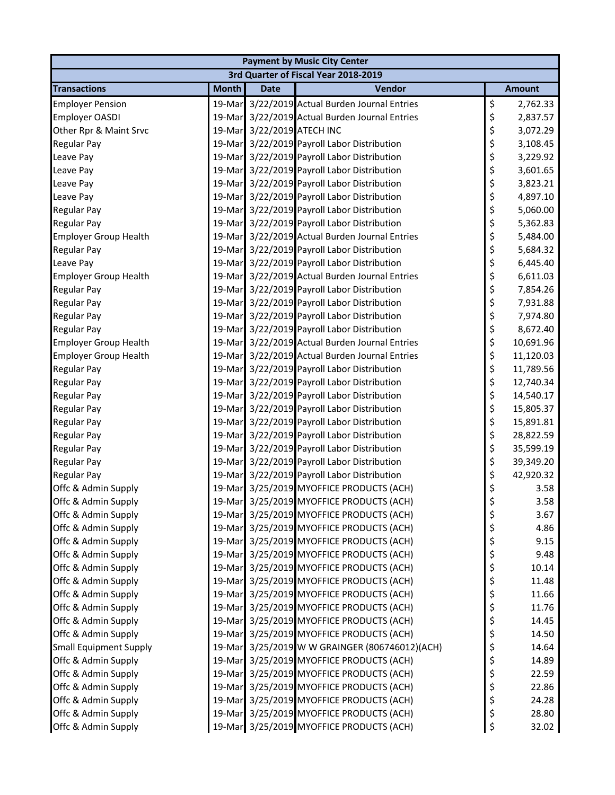|                               | <b>Payment by Music City Center</b> |                            |                                                |    |               |  |  |
|-------------------------------|-------------------------------------|----------------------------|------------------------------------------------|----|---------------|--|--|
|                               |                                     |                            | 3rd Quarter of Fiscal Year 2018-2019           |    |               |  |  |
| <b>Transactions</b>           | <b>Month</b>                        | <b>Date</b>                | Vendor                                         |    | <b>Amount</b> |  |  |
| <b>Employer Pension</b>       |                                     |                            | 19-Mar 3/22/2019 Actual Burden Journal Entries | \$ | 2,762.33      |  |  |
| <b>Employer OASDI</b>         |                                     |                            | 19-Mar 3/22/2019 Actual Burden Journal Entries | \$ | 2,837.57      |  |  |
| Other Rpr & Maint Srvc        |                                     | 19-Mar 3/22/2019 ATECH INC |                                                | \$ | 3,072.29      |  |  |
| <b>Regular Pay</b>            |                                     |                            | 19-Mar 3/22/2019 Payroll Labor Distribution    | \$ | 3,108.45      |  |  |
| Leave Pay                     |                                     |                            | 19-Mar 3/22/2019 Payroll Labor Distribution    | \$ | 3,229.92      |  |  |
| Leave Pay                     |                                     |                            | 19-Mar 3/22/2019 Payroll Labor Distribution    | \$ | 3,601.65      |  |  |
| Leave Pay                     |                                     |                            | 19-Mar 3/22/2019 Payroll Labor Distribution    | \$ | 3,823.21      |  |  |
| Leave Pay                     |                                     |                            | 19-Mar 3/22/2019 Payroll Labor Distribution    | \$ | 4,897.10      |  |  |
| <b>Regular Pay</b>            |                                     |                            | 19-Mar 3/22/2019 Payroll Labor Distribution    | \$ | 5,060.00      |  |  |
| <b>Regular Pay</b>            |                                     |                            | 19-Mar 3/22/2019 Payroll Labor Distribution    | \$ | 5,362.83      |  |  |
| <b>Employer Group Health</b>  |                                     |                            | 19-Mar 3/22/2019 Actual Burden Journal Entries | \$ | 5,484.00      |  |  |
| <b>Regular Pay</b>            |                                     |                            | 19-Mar 3/22/2019 Payroll Labor Distribution    | \$ | 5,684.32      |  |  |
| Leave Pay                     |                                     |                            | 19-Mar 3/22/2019 Payroll Labor Distribution    | \$ | 6,445.40      |  |  |
| <b>Employer Group Health</b>  |                                     |                            | 19-Mar 3/22/2019 Actual Burden Journal Entries | \$ | 6,611.03      |  |  |
| <b>Regular Pay</b>            |                                     |                            | 19-Mar 3/22/2019 Payroll Labor Distribution    | \$ | 7,854.26      |  |  |
| <b>Regular Pay</b>            |                                     |                            | 19-Mar 3/22/2019 Payroll Labor Distribution    | \$ | 7,931.88      |  |  |
| <b>Regular Pay</b>            |                                     |                            | 19-Mar 3/22/2019 Payroll Labor Distribution    | \$ | 7,974.80      |  |  |
| <b>Regular Pay</b>            |                                     |                            | 19-Mar 3/22/2019 Payroll Labor Distribution    | \$ | 8,672.40      |  |  |
| <b>Employer Group Health</b>  |                                     |                            | 19-Mar 3/22/2019 Actual Burden Journal Entries | \$ | 10,691.96     |  |  |
| <b>Employer Group Health</b>  |                                     |                            | 19-Mar 3/22/2019 Actual Burden Journal Entries | \$ | 11,120.03     |  |  |
| <b>Regular Pay</b>            |                                     |                            | 19-Mar 3/22/2019 Payroll Labor Distribution    | \$ | 11,789.56     |  |  |
| <b>Regular Pay</b>            |                                     |                            | 19-Mar 3/22/2019 Payroll Labor Distribution    | \$ | 12,740.34     |  |  |
| <b>Regular Pay</b>            |                                     |                            | 19-Mar 3/22/2019 Payroll Labor Distribution    | \$ | 14,540.17     |  |  |
| <b>Regular Pay</b>            |                                     |                            | 19-Mar 3/22/2019 Payroll Labor Distribution    | \$ | 15,805.37     |  |  |
| <b>Regular Pay</b>            |                                     |                            | 19-Mar 3/22/2019 Payroll Labor Distribution    | \$ | 15,891.81     |  |  |
| <b>Regular Pay</b>            |                                     |                            | 19-Mar 3/22/2019 Payroll Labor Distribution    | \$ | 28,822.59     |  |  |
| <b>Regular Pay</b>            |                                     |                            | 19-Mar 3/22/2019 Payroll Labor Distribution    | \$ | 35,599.19     |  |  |
| <b>Regular Pay</b>            |                                     |                            | 19-Mar 3/22/2019 Payroll Labor Distribution    | \$ | 39,349.20     |  |  |
| <b>Regular Pay</b>            |                                     |                            | 19-Mar 3/22/2019 Payroll Labor Distribution    | \$ | 42,920.32     |  |  |
| Offc & Admin Supply           |                                     |                            | 19-Mar 3/25/2019 MYOFFICE PRODUCTS (ACH)       | \$ | 3.58          |  |  |
| Offc & Admin Supply           |                                     |                            | 19-Mar 3/25/2019 MYOFFICE PRODUCTS (ACH)       | Ś  | 3.58          |  |  |
| Offc & Admin Supply           |                                     |                            | 19-Mar 3/25/2019 MYOFFICE PRODUCTS (ACH)       | \$ | 3.67          |  |  |
| Offc & Admin Supply           |                                     |                            | 19-Mar 3/25/2019 MYOFFICE PRODUCTS (ACH)       | \$ | 4.86          |  |  |
| Offc & Admin Supply           |                                     |                            | 19-Mar 3/25/2019 MYOFFICE PRODUCTS (ACH)       | \$ | 9.15          |  |  |
| Offc & Admin Supply           |                                     |                            | 19-Mar 3/25/2019 MYOFFICE PRODUCTS (ACH)       | \$ | 9.48          |  |  |
| Offc & Admin Supply           |                                     |                            | 19-Mar 3/25/2019 MYOFFICE PRODUCTS (ACH)       | \$ | 10.14         |  |  |
| Offc & Admin Supply           |                                     |                            | 19-Mar 3/25/2019 MYOFFICE PRODUCTS (ACH)       | \$ | 11.48         |  |  |
| Offc & Admin Supply           |                                     |                            | 19-Mar 3/25/2019 MYOFFICE PRODUCTS (ACH)       | \$ | 11.66         |  |  |
| Offc & Admin Supply           |                                     |                            | 19-Mar 3/25/2019 MYOFFICE PRODUCTS (ACH)       | \$ | 11.76         |  |  |
| Offc & Admin Supply           |                                     |                            | 19-Mar 3/25/2019 MYOFFICE PRODUCTS (ACH)       | \$ | 14.45         |  |  |
| Offc & Admin Supply           |                                     |                            | 19-Mar 3/25/2019 MYOFFICE PRODUCTS (ACH)       | \$ | 14.50         |  |  |
| <b>Small Equipment Supply</b> |                                     |                            | 19-Mar 3/25/2019 W W GRAINGER (806746012)(ACH) | \$ | 14.64         |  |  |
| Offc & Admin Supply           |                                     |                            | 19-Mar 3/25/2019 MYOFFICE PRODUCTS (ACH)       | \$ | 14.89         |  |  |
| Offc & Admin Supply           |                                     |                            | 19-Mar 3/25/2019 MYOFFICE PRODUCTS (ACH)       | \$ | 22.59         |  |  |
| Offc & Admin Supply           |                                     |                            | 19-Mar 3/25/2019 MYOFFICE PRODUCTS (ACH)       | \$ | 22.86         |  |  |
| Offc & Admin Supply           |                                     |                            | 19-Mar 3/25/2019 MYOFFICE PRODUCTS (ACH)       | \$ | 24.28         |  |  |
| Offc & Admin Supply           |                                     |                            | 19-Mar 3/25/2019 MYOFFICE PRODUCTS (ACH)       | \$ | 28.80         |  |  |
| Offc & Admin Supply           |                                     |                            | 19-Mar 3/25/2019 MYOFFICE PRODUCTS (ACH)       | \$ | 32.02         |  |  |
|                               |                                     |                            |                                                |    |               |  |  |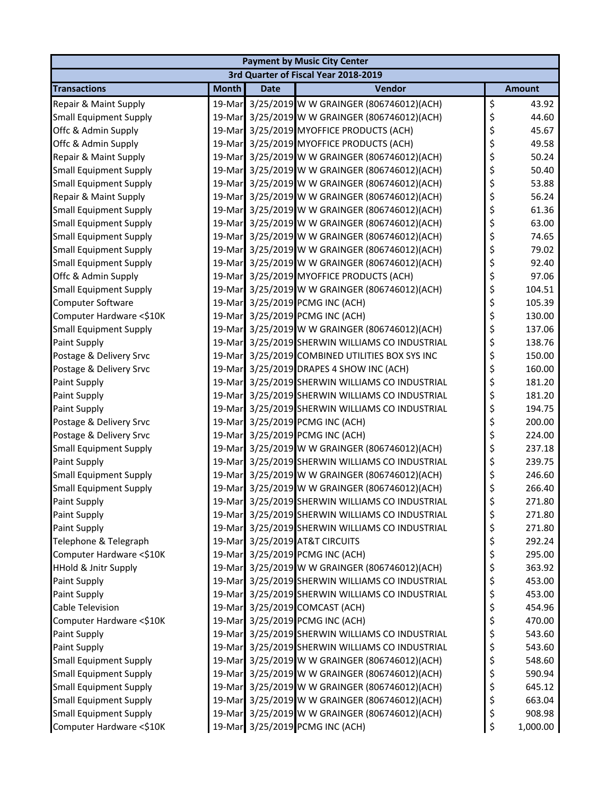| 3rd Quarter of Fiscal Year 2018-2019                                                     |               |
|------------------------------------------------------------------------------------------|---------------|
|                                                                                          |               |
| <b>Month</b><br>Vendor<br><b>Transactions</b><br><b>Date</b>                             | <b>Amount</b> |
| \$<br>3/25/2019 W W GRAINGER (806746012)(ACH)<br>Repair & Maint Supply<br>19-Mar         | 43.92         |
| \$<br>3/25/2019 W W GRAINGER (806746012)(ACH)<br><b>Small Equipment Supply</b><br>19-Mar | 44.60         |
| \$<br>3/25/2019 MYOFFICE PRODUCTS (ACH)<br>Offc & Admin Supply<br>19-Mar                 | 45.67         |
| \$<br>Offc & Admin Supply<br>19-Mar 3/25/2019 MYOFFICE PRODUCTS (ACH)                    | 49.58         |
| \$<br>19-Mar 3/25/2019 W W GRAINGER (806746012)(ACH)<br>Repair & Maint Supply            | 50.24         |
| \$<br>19-Mar 3/25/2019 W W GRAINGER (806746012)(ACH)<br><b>Small Equipment Supply</b>    | 50.40         |
| \$<br><b>Small Equipment Supply</b><br>19-Mar<br>3/25/2019 W W GRAINGER (806746012)(ACH) | 53.88         |
| \$<br>19-Mar 3/25/2019 W W GRAINGER (806746012)(ACH)<br>Repair & Maint Supply            | 56.24         |
| \$<br>19-Mar 3/25/2019 W W GRAINGER (806746012)(ACH)<br><b>Small Equipment Supply</b>    | 61.36         |
| \$<br>19-Mar 3/25/2019 W W GRAINGER (806746012)(ACH)<br><b>Small Equipment Supply</b>    | 63.00         |
| \$<br>3/25/2019 W W GRAINGER (806746012)(ACH)<br><b>Small Equipment Supply</b><br>19-Mar | 74.65         |
| \$<br><b>Small Equipment Supply</b><br>3/25/2019 W W GRAINGER (806746012)(ACH)<br>19-Mar | 79.02         |
| \$<br><b>Small Equipment Supply</b><br>3/25/2019 W W GRAINGER (806746012)(ACH)<br>19-Mar | 92.40         |
| \$<br>19-Mar 3/25/2019 MYOFFICE PRODUCTS (ACH)<br>Offc & Admin Supply                    | 97.06         |
| \$<br>19-Mar 3/25/2019 W W GRAINGER (806746012)(ACH)<br><b>Small Equipment Supply</b>    | 104.51        |
| \$<br>Computer Software<br>19-Mar 3/25/2019 PCMG INC (ACH)                               | 105.39        |
| \$<br>3/25/2019 PCMG INC (ACH)<br>Computer Hardware <\$10K<br>19-Mar                     | 130.00        |
| \$<br>19-Mar 3/25/2019 W W GRAINGER (806746012)(ACH)<br><b>Small Equipment Supply</b>    | 137.06        |
| \$<br>Paint Supply<br>19-Mar 3/25/2019 SHERWIN WILLIAMS CO INDUSTRIAL                    | 138.76        |
| \$<br>19-Mar 3/25/2019 COMBINED UTILITIES BOX SYS INC<br>Postage & Delivery Srvc         | 150.00        |
| \$<br>3/25/2019 DRAPES 4 SHOW INC (ACH)<br>Postage & Delivery Srvc<br>19-Mar             | 160.00        |
| \$<br>Paint Supply<br>19-Mar<br>3/25/2019 SHERWIN WILLIAMS CO INDUSTRIAL                 | 181.20        |
| \$<br>Paint Supply<br>19-Mar<br>3/25/2019 SHERWIN WILLIAMS CO INDUSTRIAL                 | 181.20        |
| \$<br>19-Mar 3/25/2019 SHERWIN WILLIAMS CO INDUSTRIAL<br>Paint Supply                    | 194.75        |
| \$<br>19-Mar 3/25/2019 PCMG INC (ACH)<br>Postage & Delivery Srvc                         | 200.00        |
| \$<br>19-Mar 3/25/2019 PCMG INC (ACH)<br>Postage & Delivery Srvc                         | 224.00        |
| \$<br><b>Small Equipment Supply</b><br>3/25/2019 W W GRAINGER (806746012)(ACH)<br>19-Mar | 237.18        |
| \$<br>Paint Supply<br>19-Mar 3/25/2019 SHERWIN WILLIAMS CO INDUSTRIAL                    | 239.75        |
| \$<br>19-Mar 3/25/2019 W W GRAINGER (806746012)(ACH)<br><b>Small Equipment Supply</b>    | 246.60        |
| \$<br><b>Small Equipment Supply</b><br>19-Mar 3/25/2019 W W GRAINGER (806746012)(ACH)    | 266.40        |
| Ś<br>19-Mar 3/25/2019 SHERWIN WILLIAMS CO INDUSTRIAL<br>Paint Supply                     | 271.80        |
| \$<br>3/25/2019 SHERWIN WILLIAMS CO INDUSTRIAL<br>Paint Supply<br>19-Mar                 | 271.80        |
| \$<br>Paint Supply<br>19-Mar 3/25/2019 SHERWIN WILLIAMS CO INDUSTRIAL                    | 271.80        |
| \$<br>19-Mar 3/25/2019 AT&T CIRCUITS<br>Telephone & Telegraph                            | 292.24        |
| \$<br>19-Mar 3/25/2019 PCMG INC (ACH)<br>Computer Hardware <\$10K                        | 295.00        |
| \$<br><b>HHold &amp; Jnitr Supply</b><br>19-Mar 3/25/2019 W W GRAINGER (806746012)(ACH)  | 363.92        |
| \$<br>3/25/2019 SHERWIN WILLIAMS CO INDUSTRIAL<br>Paint Supply<br>19-Mar                 | 453.00        |
| \$<br>Paint Supply<br>19-Mar 3/25/2019 SHERWIN WILLIAMS CO INDUSTRIAL                    | 453.00        |
| 19-Mar 3/25/2019 COMCAST (ACH)<br>\$<br>Cable Television                                 | 454.96        |
| \$<br>19-Mar 3/25/2019 PCMG INC (ACH)<br>Computer Hardware <\$10K                        | 470.00        |
| \$<br>Paint Supply<br>19-Mar 3/25/2019 SHERWIN WILLIAMS CO INDUSTRIAL                    | 543.60        |
| \$<br>Paint Supply<br>3/25/2019 SHERWIN WILLIAMS CO INDUSTRIAL<br>19-Mar                 | 543.60        |
| \$<br>19-Mar 3/25/2019 W W GRAINGER (806746012)(ACH)<br><b>Small Equipment Supply</b>    | 548.60        |
| \$<br>19-Mar 3/25/2019 W W GRAINGER (806746012)(ACH)<br><b>Small Equipment Supply</b>    | 590.94        |
| \$<br><b>Small Equipment Supply</b><br>19-Mar 3/25/2019 W W GRAINGER (806746012)(ACH)    | 645.12        |
| \$<br><b>Small Equipment Supply</b><br>19-Mar 3/25/2019 W W GRAINGER (806746012)(ACH)    | 663.04        |
| 3/25/2019 W W GRAINGER (806746012)(ACH)<br>\$<br><b>Small Equipment Supply</b><br>19-Mar | 908.98        |
| \$<br>Computer Hardware <\$10K<br>19-Mar 3/25/2019 PCMG INC (ACH)                        | 1,000.00      |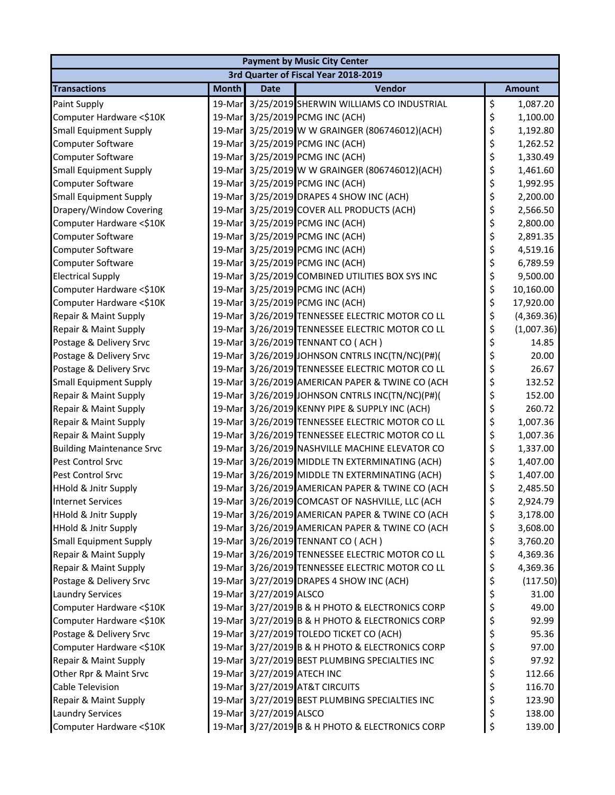|                                  |              |                            | <b>Payment by Music City Center</b>             |                  |
|----------------------------------|--------------|----------------------------|-------------------------------------------------|------------------|
|                                  |              |                            | 3rd Quarter of Fiscal Year 2018-2019            |                  |
| <b>Transactions</b>              | <b>Month</b> | <b>Date</b>                | Vendor                                          | <b>Amount</b>    |
| Paint Supply                     | 19-Mar       |                            | 3/25/2019 SHERWIN WILLIAMS CO INDUSTRIAL        | \$<br>1,087.20   |
| Computer Hardware <\$10K         | 19-Mar       |                            | 3/25/2019 PCMG INC (ACH)                        | \$<br>1,100.00   |
| <b>Small Equipment Supply</b>    | 19-Mar       |                            | 3/25/2019 W W GRAINGER (806746012)(ACH)         | \$<br>1,192.80   |
| Computer Software                |              |                            | 19-Mar 3/25/2019 PCMG INC (ACH)                 | \$<br>1,262.52   |
| Computer Software                |              |                            | 19-Mar 3/25/2019 PCMG INC (ACH)                 | \$<br>1,330.49   |
| <b>Small Equipment Supply</b>    |              |                            | 19-Mar 3/25/2019 W W GRAINGER (806746012)(ACH)  | \$<br>1,461.60   |
| Computer Software                | 19-Mar       |                            | 3/25/2019 PCMG INC (ACH)                        | \$<br>1,992.95   |
| <b>Small Equipment Supply</b>    |              |                            | 19-Mar 3/25/2019 DRAPES 4 SHOW INC (ACH)        | \$<br>2,200.00   |
| Drapery/Window Covering          |              |                            | 19-Mar 3/25/2019 COVER ALL PRODUCTS (ACH)       | \$<br>2,566.50   |
| Computer Hardware <\$10K         |              |                            | 19-Mar 3/25/2019 PCMG INC (ACH)                 | \$<br>2,800.00   |
| Computer Software                |              |                            | 19-Mar 3/25/2019 PCMG INC (ACH)                 | \$<br>2,891.35   |
| Computer Software                | 19-Mar       |                            | 3/25/2019 PCMG INC (ACH)                        | \$<br>4,519.16   |
| Computer Software                | 19-Mar       |                            | 3/25/2019 PCMG INC (ACH)                        | \$<br>6,789.59   |
| <b>Electrical Supply</b>         |              |                            | 19-Mar 3/25/2019 COMBINED UTILITIES BOX SYS INC | \$<br>9,500.00   |
| Computer Hardware <\$10K         |              |                            | 19-Mar 3/25/2019 PCMG INC (ACH)                 | \$<br>10,160.00  |
| Computer Hardware <\$10K         |              |                            | 19-Mar 3/25/2019 PCMG INC (ACH)                 | \$<br>17,920.00  |
| Repair & Maint Supply            | 19-Mar       |                            | 3/26/2019 TENNESSEE ELECTRIC MOTOR CO LL        | \$<br>(4,369.36) |
| Repair & Maint Supply            | 19-Mar       |                            | 3/26/2019 TENNESSEE ELECTRIC MOTOR CO LL        | \$<br>(1,007.36) |
| Postage & Delivery Srvc          |              |                            | 19-Mar 3/26/2019 TENNANT CO (ACH)               | \$<br>14.85      |
| Postage & Delivery Srvc          |              |                            | 19-Mar 3/26/2019 JOHNSON CNTRLS INC(TN/NC)(P#)( | \$<br>20.00      |
| Postage & Delivery Srvc          | 19-Mar       |                            | 3/26/2019 TENNESSEE ELECTRIC MOTOR CO LL        | \$<br>26.67      |
| <b>Small Equipment Supply</b>    | 19-Mar       |                            | 3/26/2019 AMERICAN PAPER & TWINE CO (ACH        | \$<br>132.52     |
| Repair & Maint Supply            | 19-Mar       |                            | 3/26/2019 JOHNSON CNTRLS INC(TN/NC)(P#)(        | \$<br>152.00     |
| Repair & Maint Supply            |              |                            | 19-Mar 3/26/2019 KENNY PIPE & SUPPLY INC (ACH)  | \$<br>260.72     |
| Repair & Maint Supply            |              |                            | 19-Mar 3/26/2019 TENNESSEE ELECTRIC MOTOR CO LL | \$<br>1,007.36   |
| Repair & Maint Supply            |              |                            | 19-Mar 3/26/2019 TENNESSEE ELECTRIC MOTOR CO LL | \$<br>1,007.36   |
| <b>Building Maintenance Srvc</b> | 19-Mar       |                            | 3/26/2019 NASHVILLE MACHINE ELEVATOR CO         | \$<br>1,337.00   |
| Pest Control Srvc                | 19-Mar       |                            | 3/26/2019 MIDDLE TN EXTERMINATING (ACH)         | \$<br>1,407.00   |
| Pest Control Srvc                |              |                            | 19-Mar 3/26/2019 MIDDLE TN EXTERMINATING (ACH)  | \$<br>1,407.00   |
| <b>HHold &amp; Jnitr Supply</b>  |              |                            | 19-Mar 3/26/2019 AMERICAN PAPER & TWINE CO (ACH | \$<br>2,485.50   |
| <b>Internet Services</b>         |              |                            | 19-Mar 3/26/2019 COMCAST OF NASHVILLE, LLC (ACH | \$<br>2,924.79   |
| <b>HHold &amp; Jnitr Supply</b>  |              |                            | 19-Mar 3/26/2019 AMERICAN PAPER & TWINE CO (ACH | \$<br>3,178.00   |
| <b>HHold &amp; Jnitr Supply</b>  |              |                            | 19-Mar 3/26/2019 AMERICAN PAPER & TWINE CO (ACH | \$<br>3,608.00   |
| <b>Small Equipment Supply</b>    |              |                            | 19-Mar 3/26/2019 TENNANT CO (ACH)               | \$<br>3,760.20   |
| Repair & Maint Supply            |              |                            | 19-Mar 3/26/2019 TENNESSEE ELECTRIC MOTOR CO LL | \$<br>4,369.36   |
| Repair & Maint Supply            |              |                            | 19-Mar 3/26/2019 TENNESSEE ELECTRIC MOTOR CO LL | \$<br>4,369.36   |
| Postage & Delivery Srvc          | 19-Mar       |                            | 3/27/2019 DRAPES 4 SHOW INC (ACH)               | \$<br>(117.50)   |
| <b>Laundry Services</b>          |              | 19-Mar 3/27/2019 ALSCO     |                                                 | \$<br>31.00      |
| Computer Hardware <\$10K         |              |                            | 19-Mar 3/27/2019 B & H PHOTO & ELECTRONICS CORP | \$<br>49.00      |
| Computer Hardware <\$10K         |              |                            | 19-Mar 3/27/2019 B & H PHOTO & ELECTRONICS CORP | \$<br>92.99      |
| Postage & Delivery Srvc          |              |                            | 19-Mar 3/27/2019 TOLEDO TICKET CO (ACH)         | \$<br>95.36      |
| Computer Hardware <\$10K         | 19-Mar       |                            | 3/27/2019 B & H PHOTO & ELECTRONICS CORP        | \$<br>97.00      |
| Repair & Maint Supply            |              |                            | 19-Mar 3/27/2019 BEST PLUMBING SPECIALTIES INC  | \$<br>97.92      |
| Other Rpr & Maint Srvc           |              | 19-Mar 3/27/2019 ATECH INC |                                                 | \$<br>112.66     |
| <b>Cable Television</b>          |              |                            | 19-Mar 3/27/2019 AT&T CIRCUITS                  | \$<br>116.70     |
| Repair & Maint Supply            |              |                            | 19-Mar 3/27/2019 BEST PLUMBING SPECIALTIES INC  | \$<br>123.90     |
| <b>Laundry Services</b>          |              | 19-Mar 3/27/2019 ALSCO     |                                                 | \$<br>138.00     |
| Computer Hardware <\$10K         |              |                            | 19-Mar 3/27/2019 B & H PHOTO & ELECTRONICS CORP | \$<br>139.00     |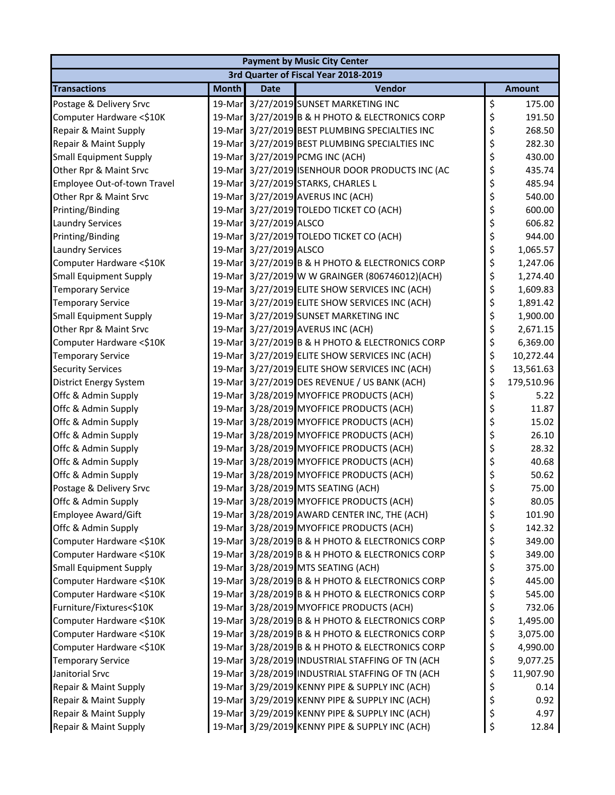| <b>Payment by Music City Center</b>  |              |                        |                                                 |    |               |  |  |  |  |
|--------------------------------------|--------------|------------------------|-------------------------------------------------|----|---------------|--|--|--|--|
| 3rd Quarter of Fiscal Year 2018-2019 |              |                        |                                                 |    |               |  |  |  |  |
| <b>Transactions</b>                  | <b>Month</b> | <b>Date</b>            | Vendor                                          |    | <b>Amount</b> |  |  |  |  |
| Postage & Delivery Srvc              | 19-Mar       |                        | 3/27/2019 SUNSET MARKETING INC                  | \$ | 175.00        |  |  |  |  |
| Computer Hardware <\$10K             | 19-Mar       |                        | 3/27/2019 B & H PHOTO & ELECTRONICS CORP        | \$ | 191.50        |  |  |  |  |
| Repair & Maint Supply                | 19-Mar       |                        | 3/27/2019 BEST PLUMBING SPECIALTIES INC         | \$ | 268.50        |  |  |  |  |
| Repair & Maint Supply                |              |                        | 19-Mar 3/27/2019 BEST PLUMBING SPECIALTIES INC  | \$ | 282.30        |  |  |  |  |
| <b>Small Equipment Supply</b>        |              |                        | 19-Mar 3/27/2019 PCMG INC (ACH)                 | \$ | 430.00        |  |  |  |  |
| Other Rpr & Maint Srvc               |              |                        | 19-Mar 3/27/2019 ISENHOUR DOOR PRODUCTS INC (AC | \$ | 435.74        |  |  |  |  |
| Employee Out-of-town Travel          | 19-Mar       |                        | 3/27/2019 STARKS, CHARLES L                     | \$ | 485.94        |  |  |  |  |
| Other Rpr & Maint Srvc               |              |                        | 19-Mar 3/27/2019 AVERUS INC (ACH)               | \$ | 540.00        |  |  |  |  |
| Printing/Binding                     |              |                        | 19-Mar 3/27/2019 TOLEDO TICKET CO (ACH)         | \$ | 600.00        |  |  |  |  |
| <b>Laundry Services</b>              |              | 19-Mar 3/27/2019 ALSCO |                                                 | \$ | 606.82        |  |  |  |  |
| Printing/Binding                     |              |                        | 19-Mar 3/27/2019 TOLEDO TICKET CO (ACH)         | \$ | 944.00        |  |  |  |  |
| <b>Laundry Services</b>              | 19-Mar       | 3/27/2019 ALSCO        |                                                 | \$ | 1,065.57      |  |  |  |  |
| Computer Hardware <\$10K             | 19-Mar       |                        | 3/27/2019 B & H PHOTO & ELECTRONICS CORP        | \$ | 1,247.06      |  |  |  |  |
| <b>Small Equipment Supply</b>        |              |                        | 19-Mar 3/27/2019 W W GRAINGER (806746012)(ACH)  | \$ | 1,274.40      |  |  |  |  |
| <b>Temporary Service</b>             |              |                        | 19-Mar 3/27/2019 ELITE SHOW SERVICES INC (ACH)  | \$ | 1,609.83      |  |  |  |  |
| <b>Temporary Service</b>             |              |                        | 19-Mar 3/27/2019 ELITE SHOW SERVICES INC (ACH)  | \$ | 1,891.42      |  |  |  |  |
| <b>Small Equipment Supply</b>        | 19-Mar       |                        | 3/27/2019 SUNSET MARKETING INC                  | \$ | 1,900.00      |  |  |  |  |
| Other Rpr & Maint Srvc               |              |                        | 19-Mar 3/27/2019 AVERUS INC (ACH)               | \$ | 2,671.15      |  |  |  |  |
| Computer Hardware <\$10K             |              |                        | 19-Mar 3/27/2019 B & H PHOTO & ELECTRONICS CORP | \$ | 6,369.00      |  |  |  |  |
| <b>Temporary Service</b>             |              |                        | 19-Mar 3/27/2019 ELITE SHOW SERVICES INC (ACH)  | \$ | 10,272.44     |  |  |  |  |
| <b>Security Services</b>             | 19-Mar       |                        | 3/27/2019 ELITE SHOW SERVICES INC (ACH)         | \$ | 13,561.63     |  |  |  |  |
| <b>District Energy System</b>        | 19-Mar       |                        | 3/27/2019 DES REVENUE / US BANK (ACH)           | \$ | 179,510.96    |  |  |  |  |
| Offc & Admin Supply                  | 19-Mar       |                        | 3/28/2019 MYOFFICE PRODUCTS (ACH)               | \$ | 5.22          |  |  |  |  |
| Offc & Admin Supply                  |              |                        | 19-Mar 3/28/2019 MYOFFICE PRODUCTS (ACH)        | \$ | 11.87         |  |  |  |  |
| Offc & Admin Supply                  |              |                        | 19-Mar 3/28/2019 MYOFFICE PRODUCTS (ACH)        | \$ | 15.02         |  |  |  |  |
| Offc & Admin Supply                  |              |                        | 19-Mar 3/28/2019 MYOFFICE PRODUCTS (ACH)        | \$ | 26.10         |  |  |  |  |
| Offc & Admin Supply                  | 19-Mar       |                        | 3/28/2019 MYOFFICE PRODUCTS (ACH)               | \$ | 28.32         |  |  |  |  |
| Offc & Admin Supply                  |              |                        | 19-Mar 3/28/2019 MYOFFICE PRODUCTS (ACH)        | \$ | 40.68         |  |  |  |  |
| Offc & Admin Supply                  |              |                        | 19-Mar 3/28/2019 MYOFFICE PRODUCTS (ACH)        | \$ | 50.62         |  |  |  |  |
| Postage & Delivery Srvc              |              |                        | 19-Mar 3/28/2019 MTS SEATING (ACH)              | \$ | 75.00         |  |  |  |  |
| Offc & Admin Supply                  |              |                        | 19-Mar 3/28/2019 MYOFFICE PRODUCTS (ACH)        | \$ | 80.05         |  |  |  |  |
| Employee Award/Gift                  | 19-Mar       |                        | 3/28/2019 AWARD CENTER INC, THE (ACH)           | \$ | 101.90        |  |  |  |  |
| Offc & Admin Supply                  |              |                        | 19-Mar 3/28/2019 MYOFFICE PRODUCTS (ACH)        | \$ | 142.32        |  |  |  |  |
| Computer Hardware <\$10K             |              |                        | 19-Mar 3/28/2019 B & H PHOTO & ELECTRONICS CORP | \$ | 349.00        |  |  |  |  |
| Computer Hardware <\$10K             |              |                        | 19-Mar 3/28/2019 B & H PHOTO & ELECTRONICS CORP | \$ | 349.00        |  |  |  |  |
| <b>Small Equipment Supply</b>        |              |                        | 19-Mar 3/28/2019 MTS SEATING (ACH)              | \$ | 375.00        |  |  |  |  |
| Computer Hardware <\$10K             | 19-Mar       |                        | 3/28/2019 B & H PHOTO & ELECTRONICS CORP        | \$ | 445.00        |  |  |  |  |
| Computer Hardware <\$10K             |              |                        | 19-Mar 3/28/2019 B & H PHOTO & ELECTRONICS CORP | \$ | 545.00        |  |  |  |  |
| Furniture/Fixtures<\$10K             |              |                        | 19-Mar 3/28/2019 MYOFFICE PRODUCTS (ACH)        | \$ | 732.06        |  |  |  |  |
| Computer Hardware <\$10K             |              |                        | 19-Mar 3/28/2019 B & H PHOTO & ELECTRONICS CORP | \$ | 1,495.00      |  |  |  |  |
| Computer Hardware <\$10K             |              |                        | 19-Mar 3/28/2019 B & H PHOTO & ELECTRONICS CORP | \$ | 3,075.00      |  |  |  |  |
| Computer Hardware <\$10K             | 19-Mar       |                        | 3/28/2019 B & H PHOTO & ELECTRONICS CORP        | \$ | 4,990.00      |  |  |  |  |
| <b>Temporary Service</b>             |              |                        | 19-Mar 3/28/2019 INDUSTRIAL STAFFING OF TN (ACH | \$ | 9,077.25      |  |  |  |  |
| Janitorial Srvc                      |              |                        | 19-Mar 3/28/2019 INDUSTRIAL STAFFING OF TN (ACH | \$ | 11,907.90     |  |  |  |  |
| Repair & Maint Supply                |              |                        | 19-Mar 3/29/2019 KENNY PIPE & SUPPLY INC (ACH)  | \$ | 0.14          |  |  |  |  |
| Repair & Maint Supply                |              |                        | 19-Mar 3/29/2019 KENNY PIPE & SUPPLY INC (ACH)  | \$ | 0.92          |  |  |  |  |
| Repair & Maint Supply                | 19-Mar       |                        | 3/29/2019 KENNY PIPE & SUPPLY INC (ACH)         | \$ | 4.97          |  |  |  |  |
| Repair & Maint Supply                |              |                        | 19-Mar 3/29/2019 KENNY PIPE & SUPPLY INC (ACH)  | \$ | 12.84         |  |  |  |  |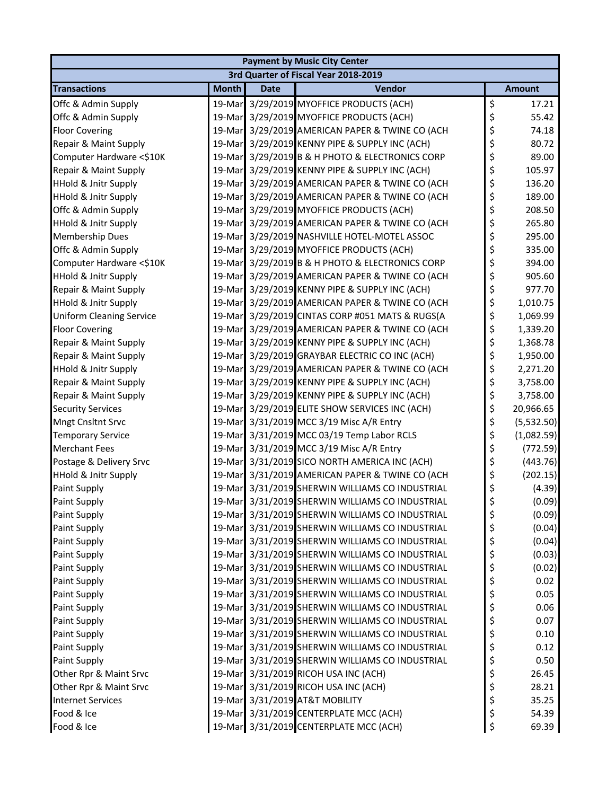| <b>Payment by Music City Center</b>  |              |             |                                                 |          |               |  |  |  |  |  |
|--------------------------------------|--------------|-------------|-------------------------------------------------|----------|---------------|--|--|--|--|--|
| 3rd Quarter of Fiscal Year 2018-2019 |              |             |                                                 |          |               |  |  |  |  |  |
| <b>Transactions</b>                  | <b>Month</b> | <b>Date</b> | Vendor                                          |          | <b>Amount</b> |  |  |  |  |  |
| Offc & Admin Supply                  | 19-Mar       |             | 3/29/2019 MYOFFICE PRODUCTS (ACH)               | \$       | 17.21         |  |  |  |  |  |
| Offc & Admin Supply                  | 19-Mar       |             | 3/29/2019 MYOFFICE PRODUCTS (ACH)               | \$       | 55.42         |  |  |  |  |  |
| <b>Floor Covering</b>                | 19-Mar       |             | 3/29/2019 AMERICAN PAPER & TWINE CO (ACH        | \$       | 74.18         |  |  |  |  |  |
| Repair & Maint Supply                |              |             | 19-Mar 3/29/2019 KENNY PIPE & SUPPLY INC (ACH)  | \$       | 80.72         |  |  |  |  |  |
| Computer Hardware <\$10K             |              |             | 19-Mar 3/29/2019 B & H PHOTO & ELECTRONICS CORP | \$       | 89.00         |  |  |  |  |  |
| Repair & Maint Supply                |              |             | 19-Mar 3/29/2019 KENNY PIPE & SUPPLY INC (ACH)  | \$       | 105.97        |  |  |  |  |  |
| HHold & Jnitr Supply                 | 19-Mar       |             | 3/29/2019 AMERICAN PAPER & TWINE CO (ACH        | \$       | 136.20        |  |  |  |  |  |
| <b>HHold &amp; Jnitr Supply</b>      |              |             | 19-Mar 3/29/2019 AMERICAN PAPER & TWINE CO (ACH | \$       | 189.00        |  |  |  |  |  |
| Offc & Admin Supply                  |              |             | 19-Mar 3/29/2019 MYOFFICE PRODUCTS (ACH)        | \$       | 208.50        |  |  |  |  |  |
| <b>HHold &amp; Jnitr Supply</b>      |              |             | 19-Mar 3/29/2019 AMERICAN PAPER & TWINE CO (ACH | \$       | 265.80        |  |  |  |  |  |
| <b>Membership Dues</b>               |              |             | 19-Mar 3/29/2019 NASHVILLE HOTEL-MOTEL ASSOC    | \$       | 295.00        |  |  |  |  |  |
| Offc & Admin Supply                  | 19-Mar       |             | 3/29/2019 MYOFFICE PRODUCTS (ACH)               | \$       | 335.00        |  |  |  |  |  |
| Computer Hardware <\$10K             | 19-Mar       |             | 3/29/2019 B & H PHOTO & ELECTRONICS CORP        | \$       | 394.00        |  |  |  |  |  |
| <b>HHold &amp; Jnitr Supply</b>      |              |             | 19-Mar 3/29/2019 AMERICAN PAPER & TWINE CO (ACH | \$       | 905.60        |  |  |  |  |  |
| Repair & Maint Supply                |              |             | 19-Mar 3/29/2019 KENNY PIPE & SUPPLY INC (ACH)  | \$       | 977.70        |  |  |  |  |  |
| <b>HHold &amp; Jnitr Supply</b>      |              |             | 19-Mar 3/29/2019 AMERICAN PAPER & TWINE CO (ACH | \$       | 1,010.75      |  |  |  |  |  |
| <b>Uniform Cleaning Service</b>      | 19-Mar       |             | 3/29/2019 CINTAS CORP #051 MATS & RUGS(A        | \$       | 1,069.99      |  |  |  |  |  |
| <b>Floor Covering</b>                |              |             | 19-Mar 3/29/2019 AMERICAN PAPER & TWINE CO (ACH | \$       | 1,339.20      |  |  |  |  |  |
| Repair & Maint Supply                |              |             | 19-Mar 3/29/2019 KENNY PIPE & SUPPLY INC (ACH)  | \$       | 1,368.78      |  |  |  |  |  |
| Repair & Maint Supply                |              |             | 19-Mar 3/29/2019 GRAYBAR ELECTRIC CO INC (ACH)  | \$       | 1,950.00      |  |  |  |  |  |
| <b>HHold &amp; Jnitr Supply</b>      |              |             | 19-Mar 3/29/2019 AMERICAN PAPER & TWINE CO (ACH | \$       | 2,271.20      |  |  |  |  |  |
| Repair & Maint Supply                | 19-Mar       |             | 3/29/2019 KENNY PIPE & SUPPLY INC (ACH)         | \$       | 3,758.00      |  |  |  |  |  |
| Repair & Maint Supply                | 19-Mar       |             | 3/29/2019 KENNY PIPE & SUPPLY INC (ACH)         | \$       | 3,758.00      |  |  |  |  |  |
| <b>Security Services</b>             |              |             | 19-Mar 3/29/2019 ELITE SHOW SERVICES INC (ACH)  | \$       | 20,966.65     |  |  |  |  |  |
| <b>Mngt Cnsltnt Srvc</b>             |              |             | 19-Mar 3/31/2019 MCC 3/19 Misc A/R Entry        | \$       | (5,532.50)    |  |  |  |  |  |
| <b>Temporary Service</b>             |              |             | 19-Mar 3/31/2019 MCC 03/19 Temp Labor RCLS      | \$       | (1,082.59)    |  |  |  |  |  |
| <b>Merchant Fees</b>                 | 19-Mar       |             | 3/31/2019 MCC 3/19 Misc A/R Entry               | \$       | (772.59)      |  |  |  |  |  |
| Postage & Delivery Srvc              |              |             | 19-Mar 3/31/2019 SICO NORTH AMERICA INC (ACH)   | \$       | (443.76)      |  |  |  |  |  |
| <b>HHold &amp; Jnitr Supply</b>      |              |             | 19-Mar 3/31/2019 AMERICAN PAPER & TWINE CO (ACH | \$       | (202.15)      |  |  |  |  |  |
| Paint Supply                         |              |             | 19-Mar 3/31/2019 SHERWIN WILLIAMS CO INDUSTRIAL | \$       | (4.39)        |  |  |  |  |  |
| Paint Supply                         |              |             | 19-Mar 3/31/2019 SHERWIN WILLIAMS CO INDUSTRIAL | \$       | (0.09)        |  |  |  |  |  |
|                                      | 19-Mar       |             | 3/31/2019 SHERWIN WILLIAMS CO INDUSTRIAL        |          | (0.09)        |  |  |  |  |  |
| <b>Paint Supply</b><br>Paint Supply  |              |             | 19-Mar 3/31/2019 SHERWIN WILLIAMS CO INDUSTRIAL | \$<br>\$ | (0.04)        |  |  |  |  |  |
| Paint Supply                         |              |             | 19-Mar 3/31/2019 SHERWIN WILLIAMS CO INDUSTRIAL |          | (0.04)        |  |  |  |  |  |
| Paint Supply                         |              |             | 19-Mar 3/31/2019 SHERWIN WILLIAMS CO INDUSTRIAL | \$<br>\$ | (0.03)        |  |  |  |  |  |
| Paint Supply                         |              |             | 19-Mar 3/31/2019 SHERWIN WILLIAMS CO INDUSTRIAL | \$       | (0.02)        |  |  |  |  |  |
|                                      |              |             | 3/31/2019 SHERWIN WILLIAMS CO INDUSTRIAL        |          | 0.02          |  |  |  |  |  |
| Paint Supply                         | 19-Mar       |             | 19-Mar 3/31/2019 SHERWIN WILLIAMS CO INDUSTRIAL | \$<br>\$ | 0.05          |  |  |  |  |  |
| Paint Supply<br>Paint Supply         |              |             |                                                 |          |               |  |  |  |  |  |
|                                      |              |             | 19-Mar 3/31/2019 SHERWIN WILLIAMS CO INDUSTRIAL | \$       | 0.06          |  |  |  |  |  |
| Paint Supply                         |              |             | 19-Mar 3/31/2019 SHERWIN WILLIAMS CO INDUSTRIAL | \$       | 0.07          |  |  |  |  |  |
| Paint Supply                         |              |             | 19-Mar 3/31/2019 SHERWIN WILLIAMS CO INDUSTRIAL | \$       | 0.10          |  |  |  |  |  |
| Paint Supply                         | 19-Mar       |             | 3/31/2019 SHERWIN WILLIAMS CO INDUSTRIAL        | \$       | 0.12          |  |  |  |  |  |
| Paint Supply                         |              |             | 19-Mar 3/31/2019 SHERWIN WILLIAMS CO INDUSTRIAL | \$       | 0.50          |  |  |  |  |  |
| Other Rpr & Maint Srvc               |              |             | 19-Mar 3/31/2019 RICOH USA INC (ACH)            | \$       | 26.45         |  |  |  |  |  |
| Other Rpr & Maint Srvc               |              |             | 19-Mar 3/31/2019 RICOH USA INC (ACH)            | \$       | 28.21         |  |  |  |  |  |
| <b>Internet Services</b>             |              |             | 19-Mar 3/31/2019 AT&T MOBILITY                  | \$       | 35.25         |  |  |  |  |  |
| Food & Ice                           |              |             | 19-Mar 3/31/2019 CENTERPLATE MCC (ACH)          | \$       | 54.39         |  |  |  |  |  |
| Food & Ice                           |              |             | 19-Mar 3/31/2019 CENTERPLATE MCC (ACH)          | \$       | 69.39         |  |  |  |  |  |